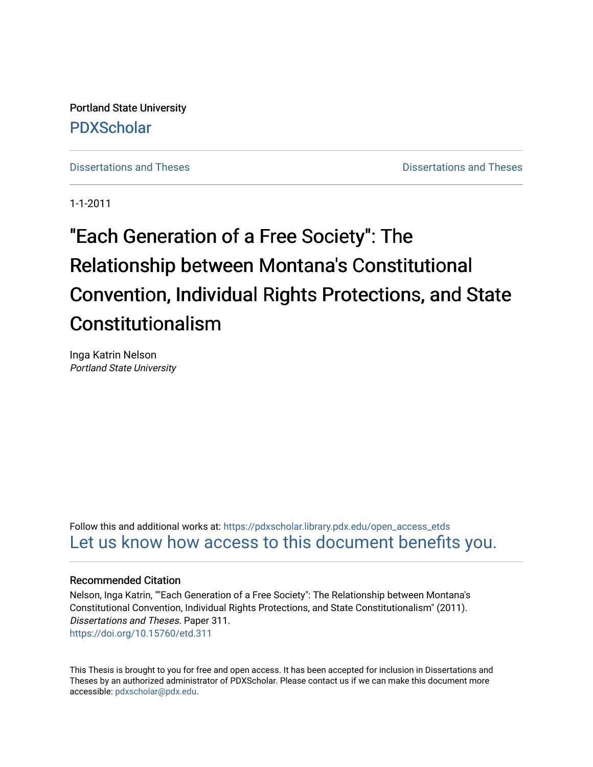Portland State University [PDXScholar](https://pdxscholar.library.pdx.edu/)

[Dissertations and Theses](https://pdxscholar.library.pdx.edu/open_access_etds) **Distributions** and Theses **Distributions** and Theses

1-1-2011

# "Each Generation of a Free Society": The Relationship between Montana's Constitutional Convention, Individual Rights Protections, and State Constitutionalism

Inga Katrin Nelson Portland State University

Follow this and additional works at: [https://pdxscholar.library.pdx.edu/open\\_access\\_etds](https://pdxscholar.library.pdx.edu/open_access_etds?utm_source=pdxscholar.library.pdx.edu%2Fopen_access_etds%2F311&utm_medium=PDF&utm_campaign=PDFCoverPages) [Let us know how access to this document benefits you.](http://library.pdx.edu/services/pdxscholar-services/pdxscholar-feedback/) 

#### Recommended Citation

Nelson, Inga Katrin, ""Each Generation of a Free Society": The Relationship between Montana's Constitutional Convention, Individual Rights Protections, and State Constitutionalism" (2011). Dissertations and Theses. Paper 311. <https://doi.org/10.15760/etd.311>

This Thesis is brought to you for free and open access. It has been accepted for inclusion in Dissertations and Theses by an authorized administrator of PDXScholar. Please contact us if we can make this document more accessible: [pdxscholar@pdx.edu.](mailto:pdxscholar@pdx.edu)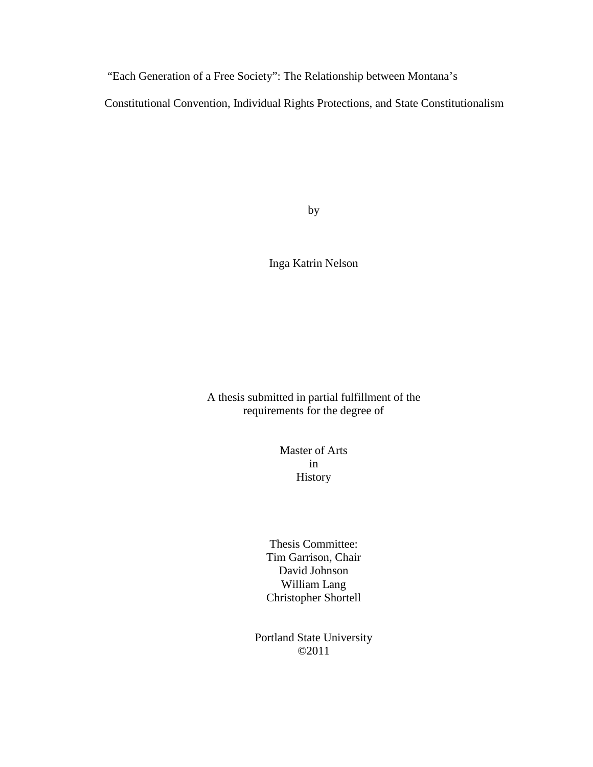"Each Generation of a Free Society": The Relationship between Montana's

Constitutional Convention, Individual Rights Protections, and State Constitutionalism

by

Inga Katrin Nelson

A thesis submitted in partial fulfillment of the requirements for the degree of

> Master of Arts in History

Thesis Committee: Tim Garrison, Chair David Johnson William Lang Christopher Shortell

Portland State University ©2011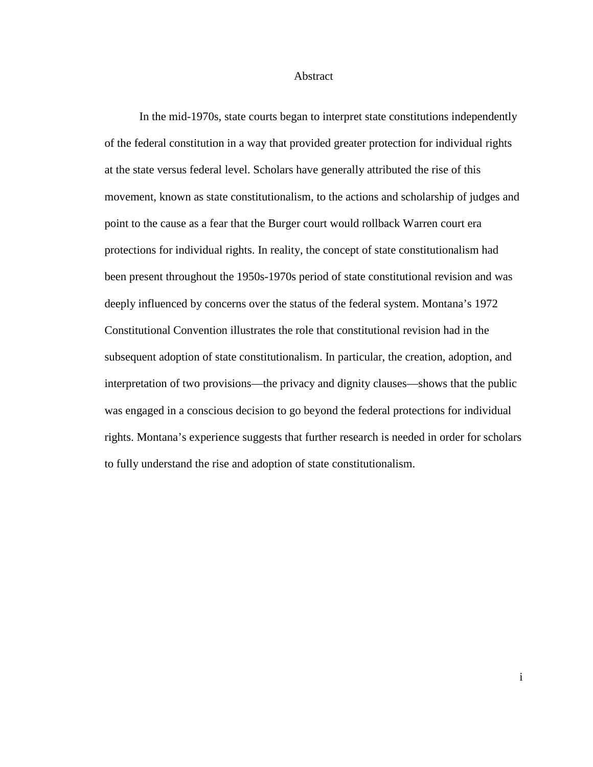#### Abstract

 In the mid-1970s, state courts began to interpret state constitutions independently of the federal constitution in a way that provided greater protection for individual rights at the state versus federal level. Scholars have generally attributed the rise of this movement, known as state constitutionalism, to the actions and scholarship of judges and point to the cause as a fear that the Burger court would rollback Warren court era protections for individual rights. In reality, the concept of state constitutionalism had been present throughout the 1950s-1970s period of state constitutional revision and was deeply influenced by concerns over the status of the federal system. Montana's 1972 Constitutional Convention illustrates the role that constitutional revision had in the subsequent adoption of state constitutionalism. In particular, the creation, adoption, and interpretation of two provisions—the privacy and dignity clauses—shows that the public was engaged in a conscious decision to go beyond the federal protections for individual rights. Montana's experience suggests that further research is needed in order for scholars to fully understand the rise and adoption of state constitutionalism.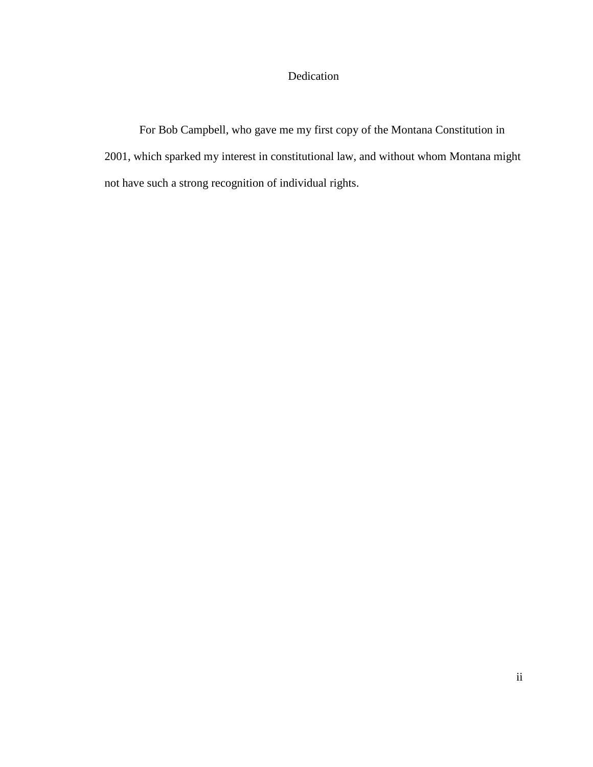### Dedication

For Bob Campbell, who gave me my first copy of the Montana Constitution in 2001, which sparked my interest in constitutional law, and without whom Montana might not have such a strong recognition of individual rights.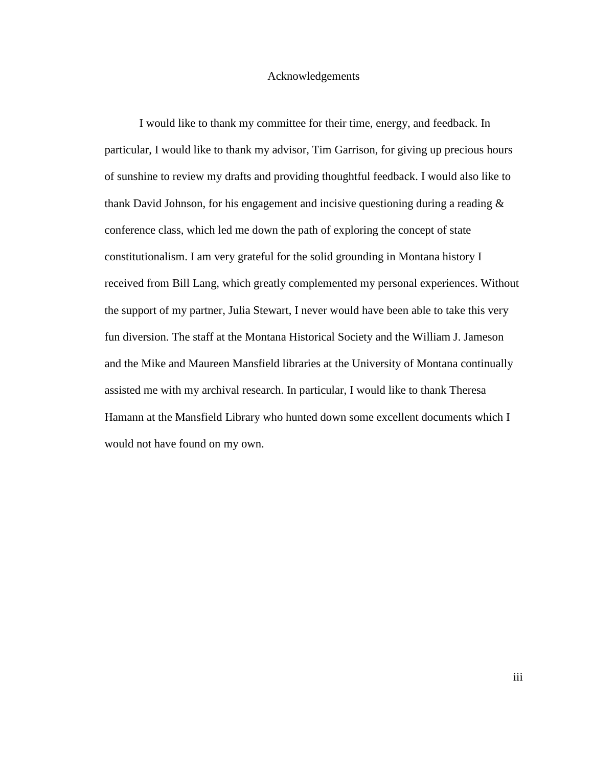#### Acknowledgements

I would like to thank my committee for their time, energy, and feedback. In particular, I would like to thank my advisor, Tim Garrison, for giving up precious hours of sunshine to review my drafts and providing thoughtful feedback. I would also like to thank David Johnson, for his engagement and incisive questioning during a reading & conference class, which led me down the path of exploring the concept of state constitutionalism. I am very grateful for the solid grounding in Montana history I received from Bill Lang, which greatly complemented my personal experiences. Without the support of my partner, Julia Stewart, I never would have been able to take this very fun diversion. The staff at the Montana Historical Society and the William J. Jameson and the Mike and Maureen Mansfield libraries at the University of Montana continually assisted me with my archival research. In particular, I would like to thank Theresa Hamann at the Mansfield Library who hunted down some excellent documents which I would not have found on my own.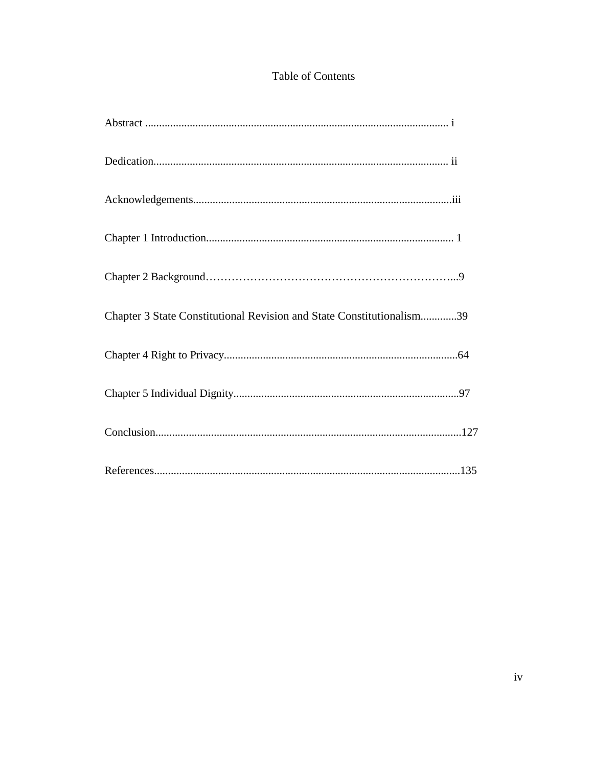## Table of Contents

| Chapter 3 State Constitutional Revision and State Constitutionalism39 |
|-----------------------------------------------------------------------|
|                                                                       |
|                                                                       |
|                                                                       |
|                                                                       |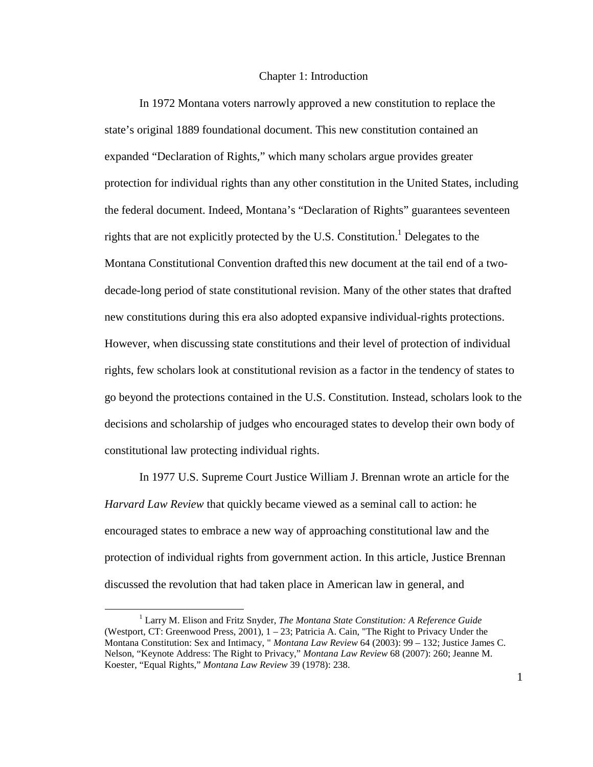#### Chapter 1: Introduction

In 1972 Montana voters narrowly approved a new constitution to replace the state's original 1889 foundational document. This new constitution contained an expanded "Declaration of Rights," which many scholars argue provides greater protection for individual rights than any other constitution in the United States, including the federal document. Indeed, Montana's "Declaration of Rights" guarantees seventeen rights that are not explicitly protected by the U.S. Constitution.<sup>1</sup> Delegates to the Montana Constitutional Convention drafted this new document at the tail end of a twodecade-long period of state constitutional revision. Many of the other states that drafted new constitutions during this era also adopted expansive individual-rights protections. However, when discussing state constitutions and their level of protection of individual rights, few scholars look at constitutional revision as a factor in the tendency of states to go beyond the protections contained in the U.S. Constitution. Instead, scholars look to the decisions and scholarship of judges who encouraged states to develop their own body of constitutional law protecting individual rights.

In 1977 U.S. Supreme Court Justice William J. Brennan wrote an article for the *Harvard Law Review* that quickly became viewed as a seminal call to action: he encouraged states to embrace a new way of approaching constitutional law and the protection of individual rights from government action. In this article, Justice Brennan discussed the revolution that had taken place in American law in general, and

<sup>1</sup> Larry M. Elison and Fritz Snyder, *The Montana State Constitution: A Reference Guide* (Westport, CT: Greenwood Press, 2001), 1 – 23; Patricia A. Cain, "The Right to Privacy Under the Montana Constitution: Sex and Intimacy, " *Montana Law Review* 64 (2003): 99 – 132; Justice James C. Nelson, "Keynote Address: The Right to Privacy," *Montana Law Review* 68 (2007): 260; Jeanne M. Koester, "Equal Rights," *Montana Law Review* 39 (1978): 238.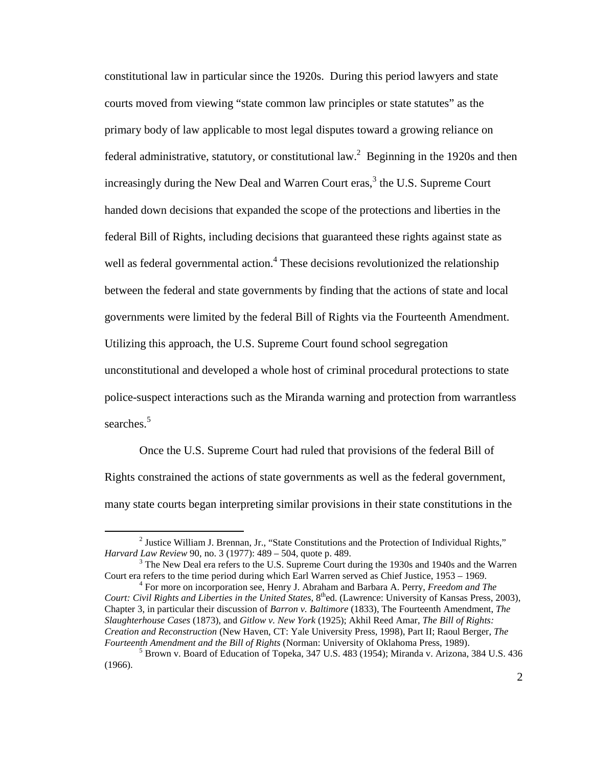constitutional law in particular since the 1920s. During this period lawyers and state courts moved from viewing "state common law principles or state statutes" as the primary body of law applicable to most legal disputes toward a growing reliance on federal administrative, statutory, or constitutional law.<sup>2</sup> Beginning in the 1920s and then increasingly during the New Deal and Warren Court eras, $3$  the U.S. Supreme Court handed down decisions that expanded the scope of the protections and liberties in the federal Bill of Rights, including decisions that guaranteed these rights against state as well as federal governmental action.<sup>4</sup> These decisions revolutionized the relationship between the federal and state governments by finding that the actions of state and local governments were limited by the federal Bill of Rights via the Fourteenth Amendment. Utilizing this approach, the U.S. Supreme Court found school segregation unconstitutional and developed a whole host of criminal procedural protections to state police-suspect interactions such as the Miranda warning and protection from warrantless searches.<sup>5</sup>

Once the U.S. Supreme Court had ruled that provisions of the federal Bill of Rights constrained the actions of state governments as well as the federal government, many state courts began interpreting similar provisions in their state constitutions in the

 $\overline{a}$ 

4 For more on incorporation see, Henry J. Abraham and Barbara A. Perry, *Freedom and The Court: Civil Rights and Liberties in the United States,* 8<sup>th</sup>ed. (Lawrence: University of Kansas Press, 2003), Chapter 3, in particular their discussion of *Barron v. Baltimore* (1833), The Fourteenth Amendment, *The Slaughterhouse Cases* (1873), and *Gitlow v. New York* (1925); Akhil Reed Amar, *The Bill of Rights: Creation and Reconstruction* (New Haven, CT: Yale University Press, 1998), Part II; Raoul Berger, *The Fourteenth Amendment and the Bill of Rights* (Norman: University of Oklahoma Press, 1989).

<sup>&</sup>lt;sup>2</sup> Justice William J. Brennan, Jr., "State Constitutions and the Protection of Individual Rights," *Harvard Law Review* 90, no. 3 (1977): 489 – 504, quote p. 489.

 $3$  The New Deal era refers to the U.S. Supreme Court during the 1930s and 1940s and the Warren Court era refers to the time period during which Earl Warren served as Chief Justice, 1953 – 1969.

<sup>5</sup> Brown v. Board of Education of Topeka, 347 U.S. 483 (1954); Miranda v. Arizona, 384 U.S. 436 (1966).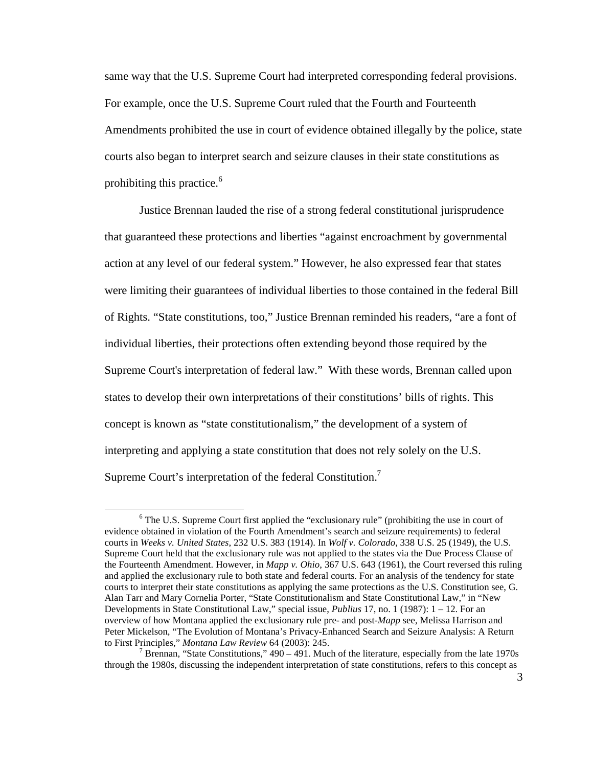same way that the U.S. Supreme Court had interpreted corresponding federal provisions. For example, once the U.S. Supreme Court ruled that the Fourth and Fourteenth Amendments prohibited the use in court of evidence obtained illegally by the police, state courts also began to interpret search and seizure clauses in their state constitutions as prohibiting this practice.<sup>6</sup>

Justice Brennan lauded the rise of a strong federal constitutional jurisprudence that guaranteed these protections and liberties "against encroachment by governmental action at any level of our federal system." However, he also expressed fear that states were limiting their guarantees of individual liberties to those contained in the federal Bill of Rights. "State constitutions, too," Justice Brennan reminded his readers, "are a font of individual liberties, their protections often extending beyond those required by the Supreme Court's interpretation of federal law." With these words, Brennan called upon states to develop their own interpretations of their constitutions' bills of rights. This concept is known as "state constitutionalism," the development of a system of interpreting and applying a state constitution that does not rely solely on the U.S. Supreme Court's interpretation of the federal Constitution.<sup>7</sup>

<sup>&</sup>lt;sup>6</sup> The U.S. Supreme Court first applied the "exclusionary rule" (prohibiting the use in court of evidence obtained in violation of the Fourth Amendment's search and seizure requirements) to federal courts in *Weeks v. United States*, 232 U.S. 383 (1914). In *Wolf v. Colorado*, 338 U.S. 25 (1949), the U.S. Supreme Court held that the exclusionary rule was not applied to the states via the Due Process Clause of the Fourteenth Amendment. However, in *Mapp v. Ohio*, 367 U.S. 643 (1961), the Court reversed this ruling and applied the exclusionary rule to both state and federal courts. For an analysis of the tendency for state courts to interpret their state constitutions as applying the same protections as the U.S. Constitution see, G. Alan Tarr and Mary Cornelia Porter, "State Constitutionalism and State Constitutional Law," in "New Developments in State Constitutional Law," special issue, *Publius* 17, no. 1 (1987): 1 – 12. For an overview of how Montana applied the exclusionary rule pre- and post-*Mapp* see, Melissa Harrison and Peter Mickelson, "The Evolution of Montana's Privacy-Enhanced Search and Seizure Analysis: A Return to First Principles," *Montana Law Review* 64 (2003): 245.

<sup>7</sup> Brennan, "State Constitutions," 490 – 491. Much of the literature, especially from the late 1970s through the 1980s, discussing the independent interpretation of state constitutions, refers to this concept as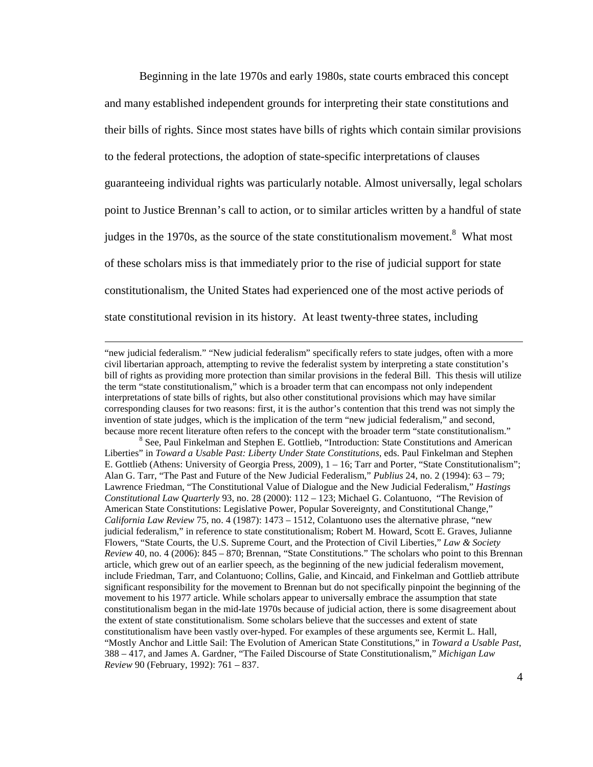Beginning in the late 1970s and early 1980s, state courts embraced this concept and many established independent grounds for interpreting their state constitutions and their bills of rights. Since most states have bills of rights which contain similar provisions to the federal protections, the adoption of state-specific interpretations of clauses guaranteeing individual rights was particularly notable. Almost universally, legal scholars point to Justice Brennan's call to action, or to similar articles written by a handful of state judges in the 1970s, as the source of the state constitutionalism movement.<sup>8</sup> What most of these scholars miss is that immediately prior to the rise of judicial support for state constitutionalism, the United States had experienced one of the most active periods of state constitutional revision in its history. At least twenty-three states, including

<sup>&</sup>quot;new judicial federalism." "New judicial federalism" specifically refers to state judges, often with a more civil libertarian approach, attempting to revive the federalist system by interpreting a state constitution's bill of rights as providing more protection than similar provisions in the federal Bill. This thesis will utilize the term "state constitutionalism," which is a broader term that can encompass not only independent interpretations of state bills of rights, but also other constitutional provisions which may have similar corresponding clauses for two reasons: first, it is the author's contention that this trend was not simply the invention of state judges, which is the implication of the term "new judicial federalism," and second, because more recent literature often refers to the concept with the broader term "state constitutionalism."

<sup>&</sup>lt;sup>8</sup> See, Paul Finkelman and Stephen E. Gottlieb, "Introduction: State Constitutions and American Liberties" in *Toward a Usable Past: Liberty Under State Constitutions*, eds. Paul Finkelman and Stephen E. Gottlieb (Athens: University of Georgia Press, 2009), 1 – 16; Tarr and Porter, "State Constitutionalism"; Alan G. Tarr, "The Past and Future of the New Judicial Federalism," *Publius* 24, no. 2 (1994): 63 – 79; Lawrence Friedman, "The Constitutional Value of Dialogue and the New Judicial Federalism," *Hastings Constitutional Law Quarterly* 93, no. 28 (2000): 112 – 123; Michael G. Colantuono, "The Revision of American State Constitutions: Legislative Power, Popular Sovereignty, and Constitutional Change," *California Law Review* 75, no. 4 (1987): 1473 – 1512, Colantuono uses the alternative phrase, "new judicial federalism," in reference to state constitutionalism; Robert M. Howard, Scott E. Graves, Julianne Flowers, "State Courts, the U.S. Supreme Court, and the Protection of Civil Liberties," *Law & Society Review* 40, no. 4 (2006): 845 – 870; Brennan, "State Constitutions." The scholars who point to this Brennan article, which grew out of an earlier speech, as the beginning of the new judicial federalism movement, include Friedman, Tarr, and Colantuono; Collins, Galie, and Kincaid, and Finkelman and Gottlieb attribute significant responsibility for the movement to Brennan but do not specifically pinpoint the beginning of the movement to his 1977 article. While scholars appear to universally embrace the assumption that state constitutionalism began in the mid-late 1970s because of judicial action, there is some disagreement about the extent of state constitutionalism. Some scholars believe that the successes and extent of state constitutionalism have been vastly over-hyped. For examples of these arguments see, Kermit L. Hall, "Mostly Anchor and Little Sail: The Evolution of American State Constitutions," in *Toward a Usable Past*, 388 – 417, and James A. Gardner, "The Failed Discourse of State Constitutionalism," *Michigan Law Review* 90 (February, 1992): 761 – 837.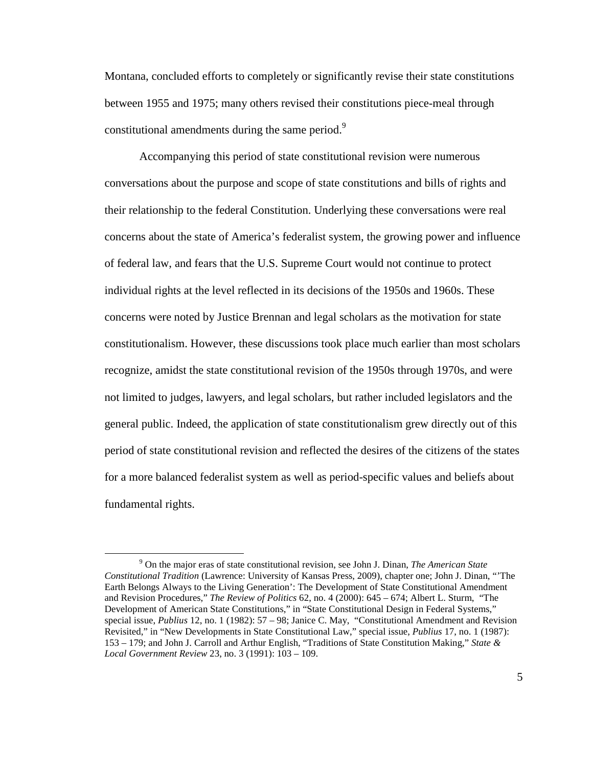Montana, concluded efforts to completely or significantly revise their state constitutions between 1955 and 1975; many others revised their constitutions piece-meal through constitutional amendments during the same period.<sup>9</sup>

Accompanying this period of state constitutional revision were numerous conversations about the purpose and scope of state constitutions and bills of rights and their relationship to the federal Constitution. Underlying these conversations were real concerns about the state of America's federalist system, the growing power and influence of federal law, and fears that the U.S. Supreme Court would not continue to protect individual rights at the level reflected in its decisions of the 1950s and 1960s. These concerns were noted by Justice Brennan and legal scholars as the motivation for state constitutionalism. However, these discussions took place much earlier than most scholars recognize, amidst the state constitutional revision of the 1950s through 1970s, and were not limited to judges, lawyers, and legal scholars, but rather included legislators and the general public. Indeed, the application of state constitutionalism grew directly out of this period of state constitutional revision and reflected the desires of the citizens of the states for a more balanced federalist system as well as period-specific values and beliefs about fundamental rights.

<sup>9</sup> On the major eras of state constitutional revision, see John J. Dinan, *The American State Constitutional Tradition* (Lawrence: University of Kansas Press, 2009), chapter one; John J. Dinan, "'The Earth Belongs Always to the Living Generation': The Development of State Constitutional Amendment and Revision Procedures," *The Review of Politics* 62, no. 4 (2000): 645 – 674; Albert L. Sturm, "The Development of American State Constitutions," in "State Constitutional Design in Federal Systems," special issue, *Publius* 12, no. 1 (1982): 57 – 98; Janice C. May, "Constitutional Amendment and Revision Revisited," in "New Developments in State Constitutional Law," special issue, *Publius* 17, no. 1 (1987): 153 – 179; and John J. Carroll and Arthur English, "Traditions of State Constitution Making," *State & Local Government Review* 23, no. 3 (1991): 103 – 109.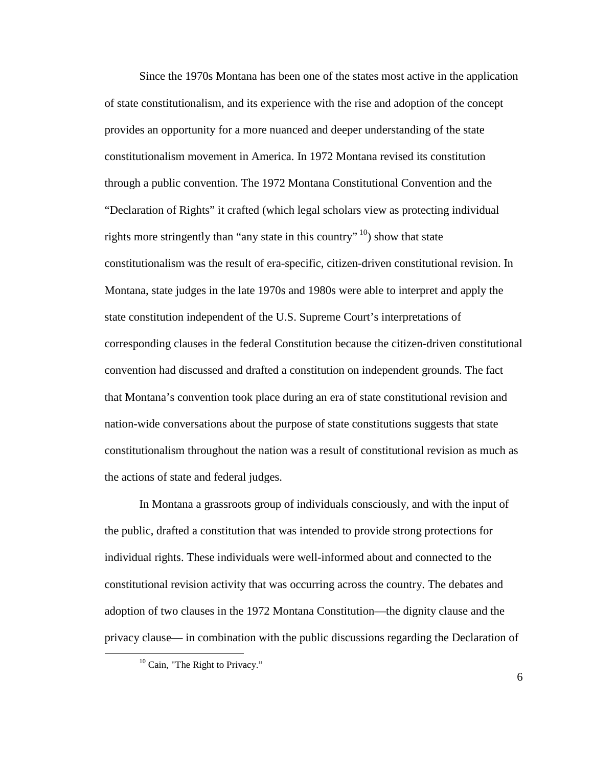Since the 1970s Montana has been one of the states most active in the application of state constitutionalism, and its experience with the rise and adoption of the concept provides an opportunity for a more nuanced and deeper understanding of the state constitutionalism movement in America. In 1972 Montana revised its constitution through a public convention. The 1972 Montana Constitutional Convention and the "Declaration of Rights" it crafted (which legal scholars view as protecting individual rights more stringently than "any state in this country"<sup>10</sup>) show that state constitutionalism was the result of era-specific, citizen-driven constitutional revision. In Montana, state judges in the late 1970s and 1980s were able to interpret and apply the state constitution independent of the U.S. Supreme Court's interpretations of corresponding clauses in the federal Constitution because the citizen-driven constitutional convention had discussed and drafted a constitution on independent grounds. The fact that Montana's convention took place during an era of state constitutional revision and nation-wide conversations about the purpose of state constitutions suggests that state constitutionalism throughout the nation was a result of constitutional revision as much as the actions of state and federal judges.

In Montana a grassroots group of individuals consciously, and with the input of the public, drafted a constitution that was intended to provide strong protections for individual rights. These individuals were well-informed about and connected to the constitutional revision activity that was occurring across the country. The debates and adoption of two clauses in the 1972 Montana Constitution—the dignity clause and the privacy clause— in combination with the public discussions regarding the Declaration of

 $\overline{a}$ 

6

<sup>&</sup>lt;sup>10</sup> Cain, "The Right to Privacy."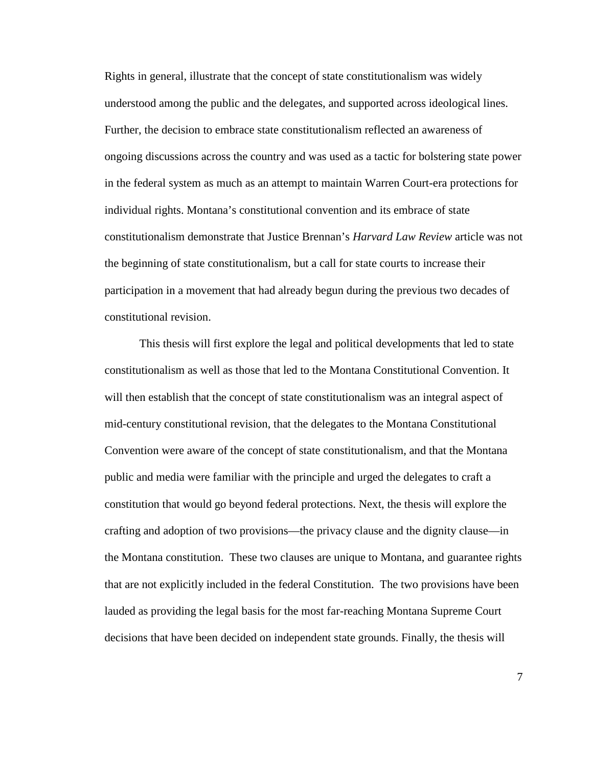Rights in general, illustrate that the concept of state constitutionalism was widely understood among the public and the delegates, and supported across ideological lines. Further, the decision to embrace state constitutionalism reflected an awareness of ongoing discussions across the country and was used as a tactic for bolstering state power in the federal system as much as an attempt to maintain Warren Court-era protections for individual rights. Montana's constitutional convention and its embrace of state constitutionalism demonstrate that Justice Brennan's *Harvard Law Review* article was not the beginning of state constitutionalism, but a call for state courts to increase their participation in a movement that had already begun during the previous two decades of constitutional revision.

This thesis will first explore the legal and political developments that led to state constitutionalism as well as those that led to the Montana Constitutional Convention. It will then establish that the concept of state constitutionalism was an integral aspect of mid-century constitutional revision, that the delegates to the Montana Constitutional Convention were aware of the concept of state constitutionalism, and that the Montana public and media were familiar with the principle and urged the delegates to craft a constitution that would go beyond federal protections. Next, the thesis will explore the crafting and adoption of two provisions—the privacy clause and the dignity clause—in the Montana constitution. These two clauses are unique to Montana, and guarantee rights that are not explicitly included in the federal Constitution. The two provisions have been lauded as providing the legal basis for the most far-reaching Montana Supreme Court decisions that have been decided on independent state grounds. Finally, the thesis will

7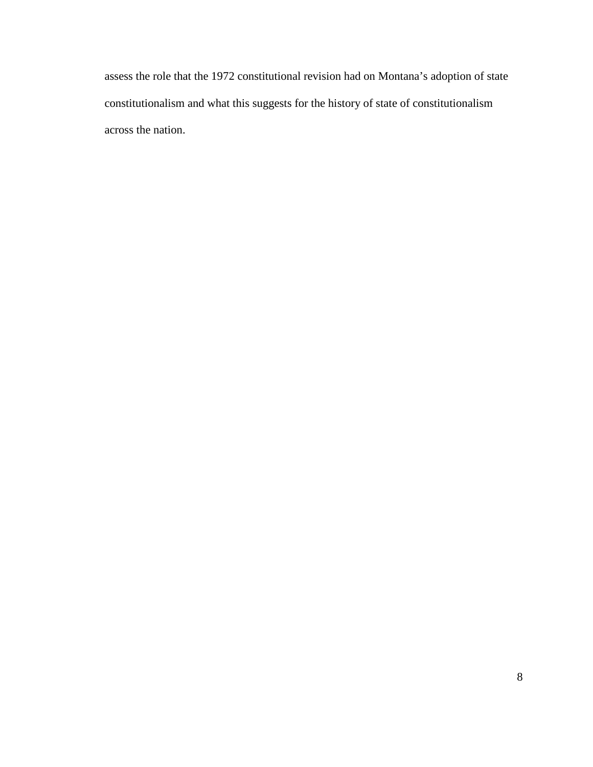assess the role that the 1972 constitutional revision had on Montana's adoption of state constitutionalism and what this suggests for the history of state of constitutionalism across the nation.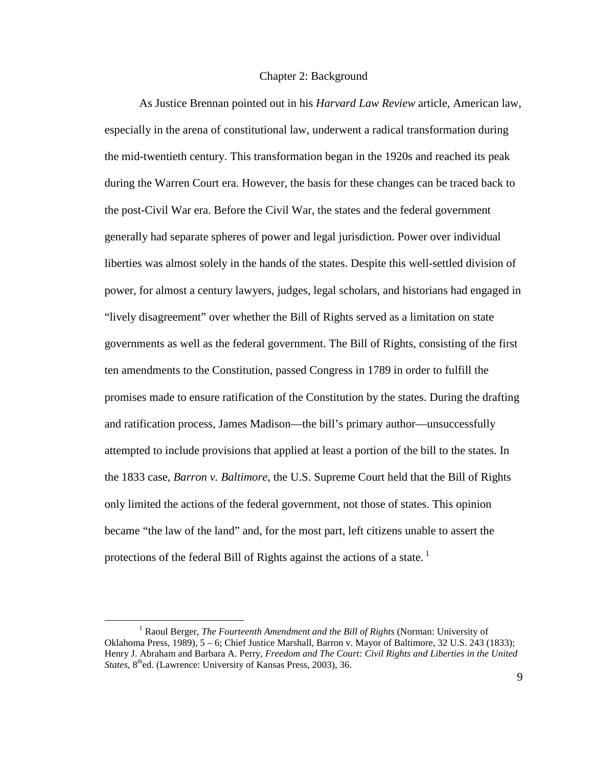#### Chapter 2: Background

As Justice Brennan pointed out in his *Harvard Law Review* article, American law, especially in the arena of constitutional law, underwent a radical transformation during the mid-twentieth century. This transformation began in the 1920s and reached its peak during the Warren Court era. However, the basis for these changes can be traced back to the post-Civil War era. Before the Civil War, the states and the federal government generally had separate spheres of power and legal jurisdiction. Power over individual liberties was almost solely in the hands of the states. Despite this well-settled division of power, for almost a century lawyers, judges, legal scholars, and historians had engaged in "lively disagreement" over whether the Bill of Rights served as a limitation on state governments as well as the federal government. The Bill of Rights, consisting of the first ten amendments to the Constitution, passed Congress in 1789 in order to fulfill the promises made to ensure ratification of the Constitution by the states. During the drafting and ratification process, James Madison—the bill's primary author—unsuccessfully attempted to include provisions that applied at least a portion of the bill to the states. In the 1833 case, *Barron v. Baltimore*, the U.S. Supreme Court held that the Bill of Rights only limited the actions of the federal government, not those of states. This opinion became "the law of the land" and, for the most part, left citizens unable to assert the protections of the federal Bill of Rights against the actions of a state.<sup>1</sup>

<sup>&</sup>lt;sup>1</sup> Raoul Berger, *The Fourteenth Amendment and the Bill of Rights* (Norman: University of Oklahoma Press, 1989), 5 – 6; Chief Justice Marshall, Barron v. Mayor of Baltimore, 32 U.S. 243 (1833); Henry J. Abraham and Barbara A. Perry, *Freedom and The Court: Civil Rights and Liberties in the United States*, 8<sup>th</sup>ed. (Lawrence: University of Kansas Press, 2003), 36.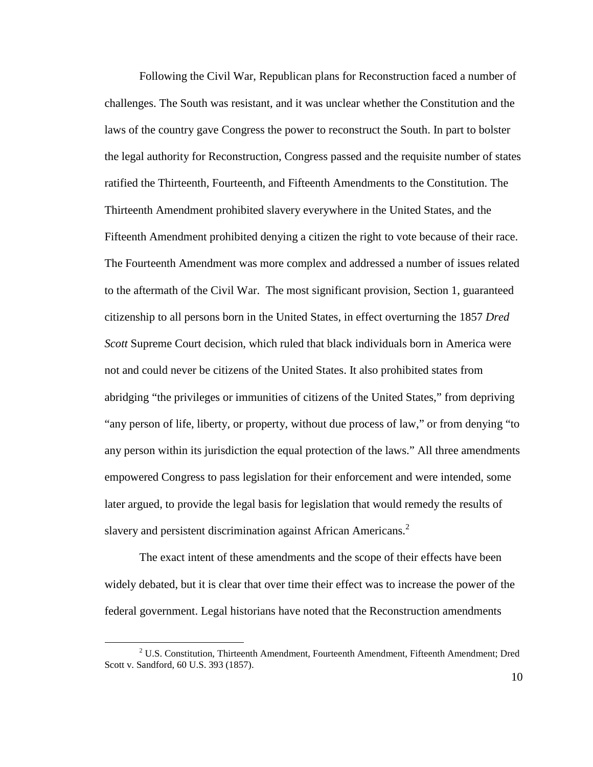Following the Civil War, Republican plans for Reconstruction faced a number of challenges. The South was resistant, and it was unclear whether the Constitution and the laws of the country gave Congress the power to reconstruct the South. In part to bolster the legal authority for Reconstruction, Congress passed and the requisite number of states ratified the Thirteenth, Fourteenth, and Fifteenth Amendments to the Constitution. The Thirteenth Amendment prohibited slavery everywhere in the United States, and the Fifteenth Amendment prohibited denying a citizen the right to vote because of their race. The Fourteenth Amendment was more complex and addressed a number of issues related to the aftermath of the Civil War. The most significant provision, Section 1, guaranteed citizenship to all persons born in the United States, in effect overturning the 1857 *Dred Scott* Supreme Court decision, which ruled that black individuals born in America were not and could never be citizens of the United States. It also prohibited states from abridging "the privileges or immunities of citizens of the United States," from depriving "any person of life, liberty, or property, without due process of law," or from denying "to any person within its jurisdiction the equal protection of the laws." All three amendments empowered Congress to pass legislation for their enforcement and were intended, some later argued, to provide the legal basis for legislation that would remedy the results of slavery and persistent discrimination against African Americans. $^{2}$ 

The exact intent of these amendments and the scope of their effects have been widely debated, but it is clear that over time their effect was to increase the power of the federal government. Legal historians have noted that the Reconstruction amendments

 $2^2$  U.S. Constitution, Thirteenth Amendment, Fourteenth Amendment, Fifteenth Amendment; Dred Scott v. Sandford, 60 U.S. 393 (1857).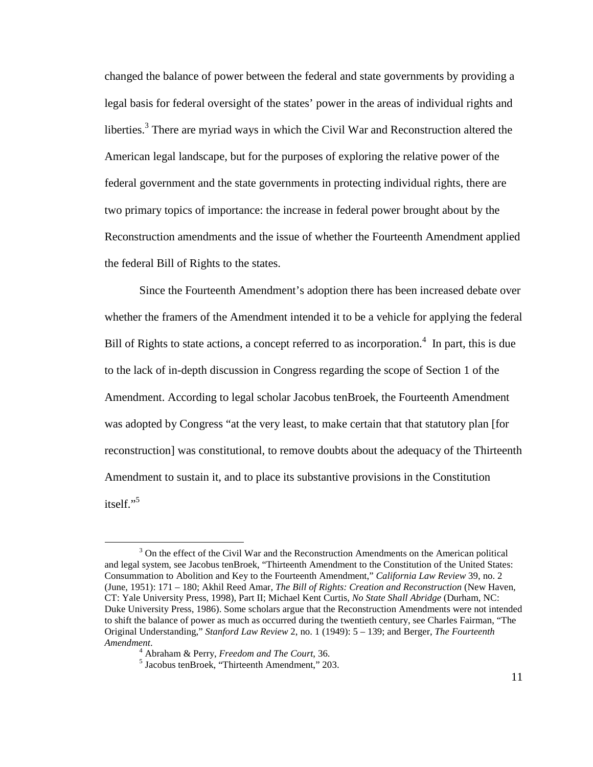changed the balance of power between the federal and state governments by providing a legal basis for federal oversight of the states' power in the areas of individual rights and liberties.<sup>3</sup> There are myriad ways in which the Civil War and Reconstruction altered the American legal landscape, but for the purposes of exploring the relative power of the federal government and the state governments in protecting individual rights, there are two primary topics of importance: the increase in federal power brought about by the Reconstruction amendments and the issue of whether the Fourteenth Amendment applied the federal Bill of Rights to the states.

Since the Fourteenth Amendment's adoption there has been increased debate over whether the framers of the Amendment intended it to be a vehicle for applying the federal Bill of Rights to state actions, a concept referred to as incorporation.<sup>4</sup> In part, this is due to the lack of in-depth discussion in Congress regarding the scope of Section 1 of the Amendment. According to legal scholar Jacobus tenBroek, the Fourteenth Amendment was adopted by Congress "at the very least, to make certain that that statutory plan [for reconstruction] was constitutional, to remove doubts about the adequacy of the Thirteenth Amendment to sustain it, and to place its substantive provisions in the Constitution itself."<sup>5</sup>

<u>.</u>

 $3$  On the effect of the Civil War and the Reconstruction Amendments on the American political and legal system, see Jacobus tenBroek, "Thirteenth Amendment to the Constitution of the United States: Consummation to Abolition and Key to the Fourteenth Amendment," *California Law Review* 39, no. 2 (June, 1951): 171 – 180; Akhil Reed Amar, *The Bill of Rights: Creation and Reconstruction* (New Haven, CT: Yale University Press, 1998), Part II; Michael Kent Curtis, *No State Shall Abridge* (Durham, NC: Duke University Press, 1986). Some scholars argue that the Reconstruction Amendments were not intended to shift the balance of power as much as occurred during the twentieth century, see Charles Fairman, "The Original Understanding," *Stanford Law Review* 2, no. 1 (1949): 5 – 139; and Berger, *The Fourteenth Amendment*.

<sup>4</sup> Abraham & Perry, *Freedom and The Court*, 36.

<sup>5</sup> Jacobus tenBroek, "Thirteenth Amendment," 203.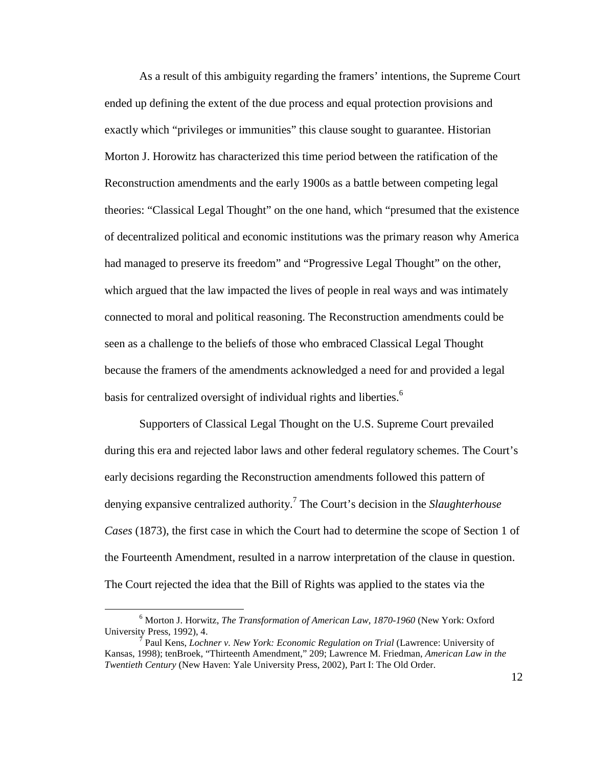As a result of this ambiguity regarding the framers' intentions, the Supreme Court ended up defining the extent of the due process and equal protection provisions and exactly which "privileges or immunities" this clause sought to guarantee. Historian Morton J. Horowitz has characterized this time period between the ratification of the Reconstruction amendments and the early 1900s as a battle between competing legal theories: "Classical Legal Thought" on the one hand, which "presumed that the existence of decentralized political and economic institutions was the primary reason why America had managed to preserve its freedom" and "Progressive Legal Thought" on the other, which argued that the law impacted the lives of people in real ways and was intimately connected to moral and political reasoning. The Reconstruction amendments could be seen as a challenge to the beliefs of those who embraced Classical Legal Thought because the framers of the amendments acknowledged a need for and provided a legal basis for centralized oversight of individual rights and liberties.<sup>6</sup>

Supporters of Classical Legal Thought on the U.S. Supreme Court prevailed during this era and rejected labor laws and other federal regulatory schemes. The Court's early decisions regarding the Reconstruction amendments followed this pattern of denying expansive centralized authority.<sup>7</sup> The Court's decision in the *Slaughterhouse Cases* (1873), the first case in which the Court had to determine the scope of Section 1 of the Fourteenth Amendment, resulted in a narrow interpretation of the clause in question. The Court rejected the idea that the Bill of Rights was applied to the states via the

<sup>6</sup> Morton J. Horwitz, *The Transformation of American Law, 1870-1960* (New York: Oxford University Press, 1992), 4.

<sup>7</sup> Paul Kens, *Lochner v. New York: Economic Regulation on Trial* (Lawrence: University of Kansas, 1998); tenBroek, "Thirteenth Amendment," 209; Lawrence M. Friedman, *American Law in the Twentieth Century* (New Haven: Yale University Press, 2002), Part I: The Old Order.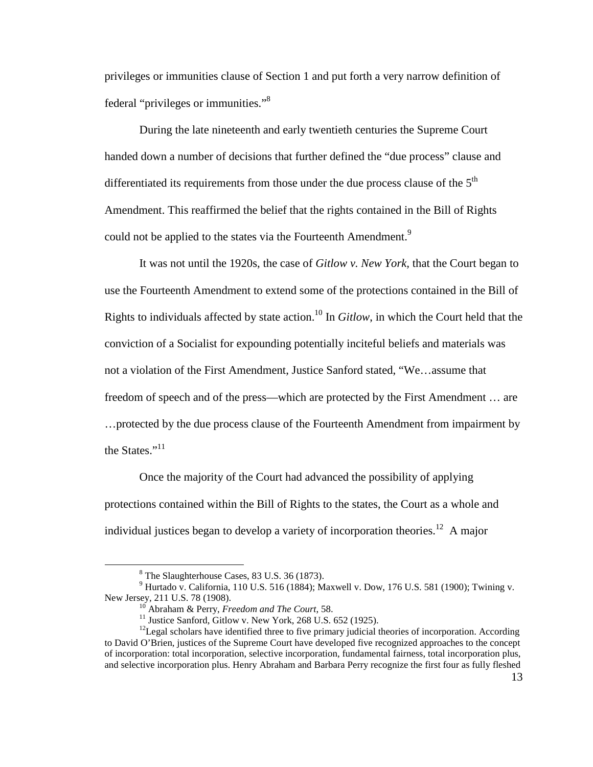privileges or immunities clause of Section 1 and put forth a very narrow definition of federal "privileges or immunities."<sup>8</sup>

During the late nineteenth and early twentieth centuries the Supreme Court handed down a number of decisions that further defined the "due process" clause and differentiated its requirements from those under the due process clause of the  $5<sup>th</sup>$ Amendment. This reaffirmed the belief that the rights contained in the Bill of Rights could not be applied to the states via the Fourteenth Amendment.<sup>9</sup>

It was not until the 1920s, the case of *Gitlow v. New York,* that the Court began to use the Fourteenth Amendment to extend some of the protections contained in the Bill of Rights to individuals affected by state action.<sup>10</sup> In *Gitlow*, in which the Court held that the conviction of a Socialist for expounding potentially inciteful beliefs and materials was not a violation of the First Amendment, Justice Sanford stated, "We…assume that freedom of speech and of the press—which are protected by the First Amendment … are …protected by the due process clause of the Fourteenth Amendment from impairment by the States."<sup>11</sup>

Once the majority of the Court had advanced the possibility of applying protections contained within the Bill of Rights to the states, the Court as a whole and individual justices began to develop a variety of incorporation theories.<sup>12</sup> A major

<u>.</u>

<sup>&</sup>lt;sup>8</sup> The Slaughterhouse Cases, 83 U.S. 36 (1873).

<sup>9</sup> Hurtado v. California, 110 U.S. 516 (1884); Maxwell v. Dow, 176 U.S. 581 (1900); Twining v. New Jersey, 211 U.S. 78 (1908).

<sup>10</sup> Abraham & Perry, *Freedom and The Court*, 58.

 $11$  Justice Sanford, Gitlow v. New York, 268 U.S. 652 (1925).

 $12$ Legal scholars have identified three to five primary judicial theories of incorporation. According to David O'Brien, justices of the Supreme Court have developed five recognized approaches to the concept of incorporation: total incorporation, selective incorporation, fundamental fairness, total incorporation plus, and selective incorporation plus. Henry Abraham and Barbara Perry recognize the first four as fully fleshed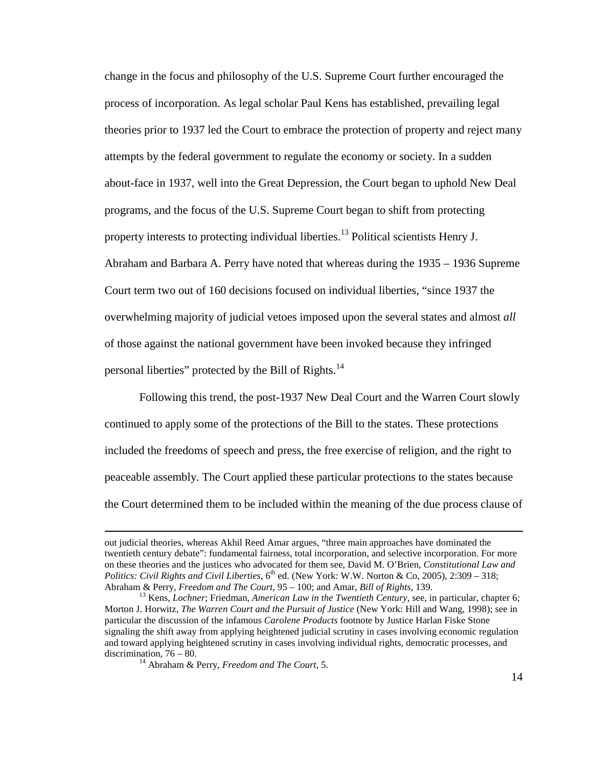change in the focus and philosophy of the U.S. Supreme Court further encouraged the process of incorporation. As legal scholar Paul Kens has established, prevailing legal theories prior to 1937 led the Court to embrace the protection of property and reject many attempts by the federal government to regulate the economy or society. In a sudden about-face in 1937, well into the Great Depression, the Court began to uphold New Deal programs, and the focus of the U.S. Supreme Court began to shift from protecting property interests to protecting individual liberties.<sup>13</sup> Political scientists Henry J. Abraham and Barbara A. Perry have noted that whereas during the 1935 – 1936 Supreme Court term two out of 160 decisions focused on individual liberties, "since 1937 the overwhelming majority of judicial vetoes imposed upon the several states and almost *all*  of those against the national government have been invoked because they infringed personal liberties" protected by the Bill of Rights.<sup>14</sup>

Following this trend, the post-1937 New Deal Court and the Warren Court slowly continued to apply some of the protections of the Bill to the states. These protections included the freedoms of speech and press, the free exercise of religion, and the right to peaceable assembly. The Court applied these particular protections to the states because the Court determined them to be included within the meaning of the due process clause of

out judicial theories, whereas Akhil Reed Amar argues, "three main approaches have dominated the twentieth century debate": fundamental fairness, total incorporation, and selective incorporation. For more on these theories and the justices who advocated for them see, David M. O'Brien, *Constitutional Law and Politics: Civil Rights and Civil Liberties*,  $6^{th}$  ed. (New York: W.W. Norton & Co, 2005), 2:309 – 318; Abraham & Perry, *Freedom and The Court*, 95 – 100; and Amar, *Bill of Rights*, 139.

<sup>&</sup>lt;sup>13</sup> Kens, *Lochner*; Friedman, *American Law in the Twentieth Century*, see, in particular, chapter 6; Morton J. Horwitz, *The Warren Court and the Pursuit of Justice* (New York: Hill and Wang, 1998); see in particular the discussion of the infamous *Carolene Products* footnote by Justice Harlan Fiske Stone signaling the shift away from applying heightened judicial scrutiny in cases involving economic regulation and toward applying heightened scrutiny in cases involving individual rights, democratic processes, and discrimination, 76 – 80.

<sup>14</sup> Abraham & Perry, *Freedom and The Court*, 5.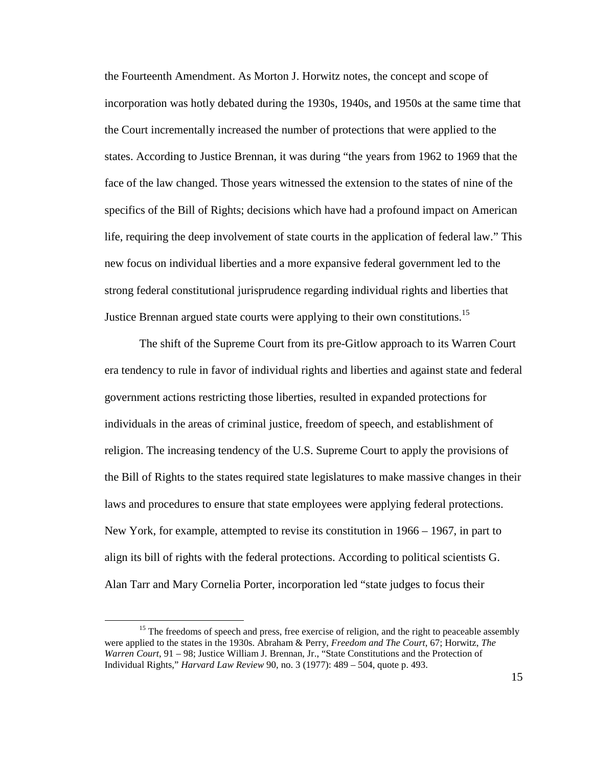the Fourteenth Amendment. As Morton J. Horwitz notes, the concept and scope of incorporation was hotly debated during the 1930s, 1940s, and 1950s at the same time that the Court incrementally increased the number of protections that were applied to the states. According to Justice Brennan, it was during "the years from 1962 to 1969 that the face of the law changed. Those years witnessed the extension to the states of nine of the specifics of the Bill of Rights; decisions which have had a profound impact on American life, requiring the deep involvement of state courts in the application of federal law." This new focus on individual liberties and a more expansive federal government led to the strong federal constitutional jurisprudence regarding individual rights and liberties that Justice Brennan argued state courts were applying to their own constitutions.<sup>15</sup>

 The shift of the Supreme Court from its pre-Gitlow approach to its Warren Court era tendency to rule in favor of individual rights and liberties and against state and federal government actions restricting those liberties, resulted in expanded protections for individuals in the areas of criminal justice, freedom of speech, and establishment of religion. The increasing tendency of the U.S. Supreme Court to apply the provisions of the Bill of Rights to the states required state legislatures to make massive changes in their laws and procedures to ensure that state employees were applying federal protections. New York, for example, attempted to revise its constitution in 1966 – 1967, in part to align its bill of rights with the federal protections. According to political scientists G. Alan Tarr and Mary Cornelia Porter, incorporation led "state judges to focus their

<sup>&</sup>lt;sup>15</sup> The freedoms of speech and press, free exercise of religion, and the right to peaceable assembly were applied to the states in the 1930s. Abraham & Perry, *Freedom and The Court*, 67; Horwitz, *The Warren Court*, 91 – 98; Justice William J. Brennan, Jr., "State Constitutions and the Protection of Individual Rights," *Harvard Law Review* 90, no. 3 (1977): 489 – 504, quote p. 493.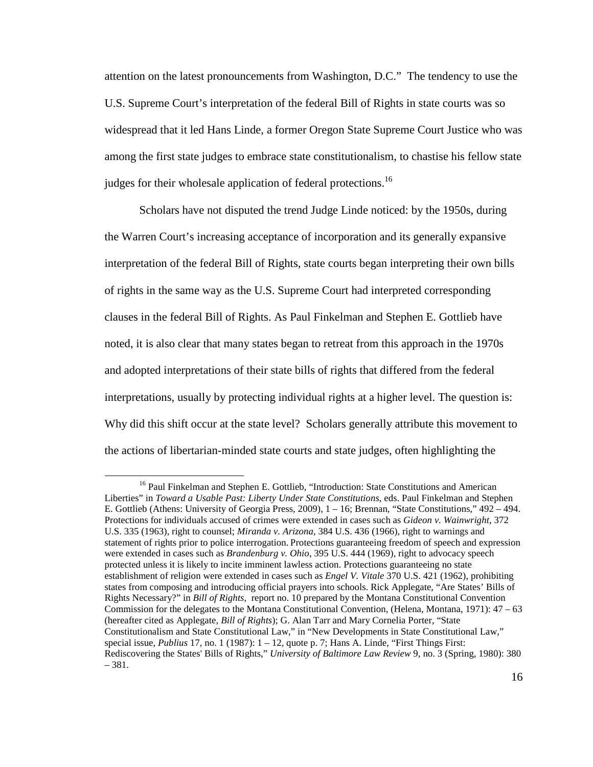attention on the latest pronouncements from Washington, D.C." The tendency to use the U.S. Supreme Court's interpretation of the federal Bill of Rights in state courts was so widespread that it led Hans Linde, a former Oregon State Supreme Court Justice who was among the first state judges to embrace state constitutionalism, to chastise his fellow state judges for their wholesale application of federal protections.<sup>16</sup>

 Scholars have not disputed the trend Judge Linde noticed: by the 1950s, during the Warren Court's increasing acceptance of incorporation and its generally expansive interpretation of the federal Bill of Rights, state courts began interpreting their own bills of rights in the same way as the U.S. Supreme Court had interpreted corresponding clauses in the federal Bill of Rights. As Paul Finkelman and Stephen E. Gottlieb have noted, it is also clear that many states began to retreat from this approach in the 1970s and adopted interpretations of their state bills of rights that differed from the federal interpretations, usually by protecting individual rights at a higher level. The question is: Why did this shift occur at the state level? Scholars generally attribute this movement to the actions of libertarian-minded state courts and state judges, often highlighting the

<sup>&</sup>lt;sup>16</sup> Paul Finkelman and Stephen E. Gottlieb, "Introduction: State Constitutions and American Liberties" in *Toward a Usable Past: Liberty Under State Constitutions*, eds. Paul Finkelman and Stephen E. Gottlieb (Athens: University of Georgia Press, 2009), 1 – 16; Brennan, "State Constitutions," 492 – 494. Protections for individuals accused of crimes were extended in cases such as *Gideon v. Wainwright*, 372 U.S. 335 (1963), right to counsel; *Miranda v. Arizona*, 384 U.S. 436 (1966), right to warnings and statement of rights prior to police interrogation. Protections guaranteeing freedom of speech and expression were extended in cases such as *Brandenburg v. Ohio*, 395 U.S. 444 (1969), right to advocacy speech protected unless it is likely to incite imminent lawless action. Protections guaranteeing no state establishment of religion were extended in cases such as *Engel V. Vitale* 370 U.S. 421 (1962), prohibiting states from composing and introducing official prayers into schools. Rick Applegate, "Are States' Bills of Rights Necessary?" in *Bill of Rights,* report no. 10 prepared by the Montana Constitutional Convention Commission for the delegates to the Montana Constitutional Convention, (Helena, Montana, 1971):  $47 - 63$ (hereafter cited as Applegate, *Bill of Rights*); G. Alan Tarr and Mary Cornelia Porter, "State Constitutionalism and State Constitutional Law," in "New Developments in State Constitutional Law," special issue, *Publius* 17, no. 1 (1987): 1 – 12, quote p. 7; Hans A. Linde, "First Things First: Rediscovering the States' Bills of Rights," *University of Baltimore Law Review* 9, no. 3 (Spring, 1980): 380 – 381.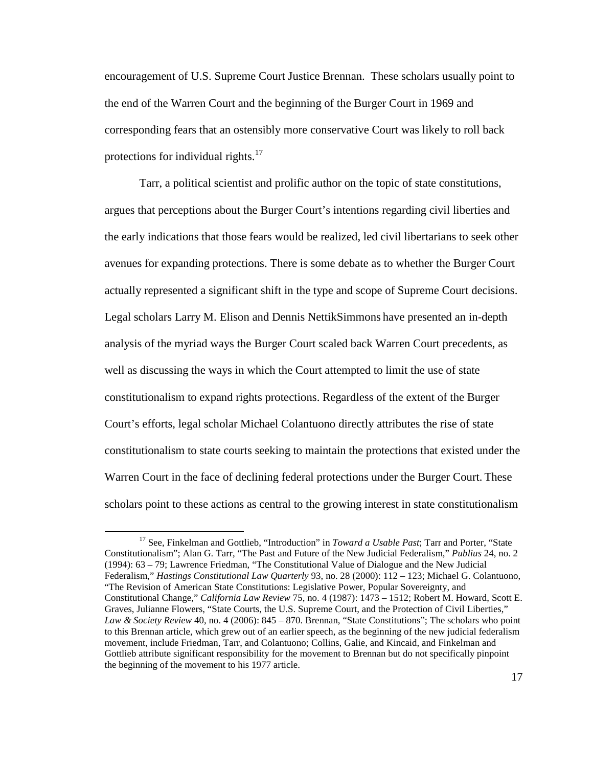encouragement of U.S. Supreme Court Justice Brennan. These scholars usually point to the end of the Warren Court and the beginning of the Burger Court in 1969 and corresponding fears that an ostensibly more conservative Court was likely to roll back protections for individual rights. $17$ 

 Tarr, a political scientist and prolific author on the topic of state constitutions, argues that perceptions about the Burger Court's intentions regarding civil liberties and the early indications that those fears would be realized, led civil libertarians to seek other avenues for expanding protections. There is some debate as to whether the Burger Court actually represented a significant shift in the type and scope of Supreme Court decisions. Legal scholars Larry M. Elison and Dennis NettikSimmons have presented an in-depth analysis of the myriad ways the Burger Court scaled back Warren Court precedents, as well as discussing the ways in which the Court attempted to limit the use of state constitutionalism to expand rights protections. Regardless of the extent of the Burger Court's efforts, legal scholar Michael Colantuono directly attributes the rise of state constitutionalism to state courts seeking to maintain the protections that existed under the Warren Court in the face of declining federal protections under the Burger Court. These scholars point to these actions as central to the growing interest in state constitutionalism

<u>.</u>

<sup>&</sup>lt;sup>17</sup> See, Finkelman and Gottlieb, "Introduction" in *Toward a Usable Past*; Tarr and Porter, "State Constitutionalism"; Alan G. Tarr, "The Past and Future of the New Judicial Federalism," *Publius* 24, no. 2 (1994): 63 – 79; Lawrence Friedman, "The Constitutional Value of Dialogue and the New Judicial Federalism," *Hastings Constitutional Law Quarterly* 93, no. 28 (2000): 112 – 123; Michael G. Colantuono, "The Revision of American State Constitutions: Legislative Power, Popular Sovereignty, and Constitutional Change," *California Law Review* 75, no. 4 (1987): 1473 – 1512; Robert M. Howard, Scott E. Graves, Julianne Flowers, "State Courts, the U.S. Supreme Court, and the Protection of Civil Liberties," *Law & Society Review* 40, no. 4 (2006): 845 – 870. Brennan, "State Constitutions"; The scholars who point to this Brennan article, which grew out of an earlier speech, as the beginning of the new judicial federalism movement, include Friedman, Tarr, and Colantuono; Collins, Galie, and Kincaid, and Finkelman and Gottlieb attribute significant responsibility for the movement to Brennan but do not specifically pinpoint the beginning of the movement to his 1977 article.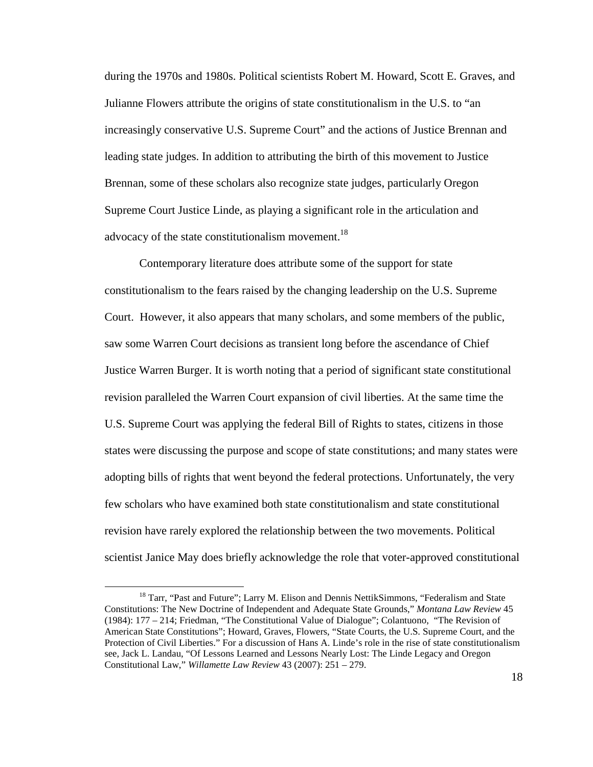during the 1970s and 1980s. Political scientists Robert M. Howard, Scott E. Graves, and Julianne Flowers attribute the origins of state constitutionalism in the U.S. to "an increasingly conservative U.S. Supreme Court" and the actions of Justice Brennan and leading state judges. In addition to attributing the birth of this movement to Justice Brennan, some of these scholars also recognize state judges, particularly Oregon Supreme Court Justice Linde, as playing a significant role in the articulation and advocacy of the state constitutionalism movement.<sup>18</sup>

 Contemporary literature does attribute some of the support for state constitutionalism to the fears raised by the changing leadership on the U.S. Supreme Court. However, it also appears that many scholars, and some members of the public, saw some Warren Court decisions as transient long before the ascendance of Chief Justice Warren Burger. It is worth noting that a period of significant state constitutional revision paralleled the Warren Court expansion of civil liberties. At the same time the U.S. Supreme Court was applying the federal Bill of Rights to states, citizens in those states were discussing the purpose and scope of state constitutions; and many states were adopting bills of rights that went beyond the federal protections. Unfortunately, the very few scholars who have examined both state constitutionalism and state constitutional revision have rarely explored the relationship between the two movements. Political scientist Janice May does briefly acknowledge the role that voter-approved constitutional

<u>.</u>

<sup>&</sup>lt;sup>18</sup> Tarr, "Past and Future"; Larry M. Elison and Dennis NettikSimmons, "Federalism and State Constitutions: The New Doctrine of Independent and Adequate State Grounds," *Montana Law Review* 45 (1984): 177 – 214; Friedman, "The Constitutional Value of Dialogue"; Colantuono, "The Revision of American State Constitutions"; Howard, Graves, Flowers, "State Courts, the U.S. Supreme Court, and the Protection of Civil Liberties." For a discussion of Hans A. Linde's role in the rise of state constitutionalism see, Jack L. Landau, "Of Lessons Learned and Lessons Nearly Lost: The Linde Legacy and Oregon Constitutional Law," *Willamette Law Review* 43 (2007): 251 – 279.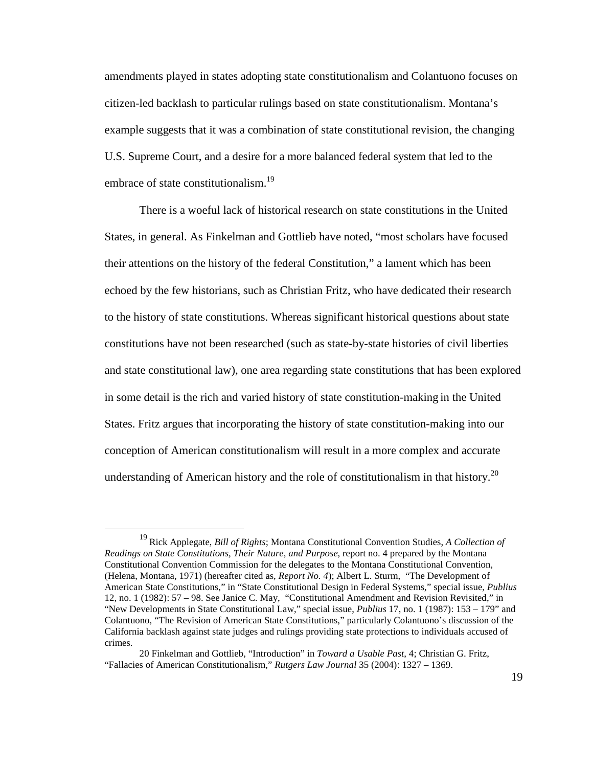amendments played in states adopting state constitutionalism and Colantuono focuses on citizen-led backlash to particular rulings based on state constitutionalism. Montana's example suggests that it was a combination of state constitutional revision, the changing U.S. Supreme Court, and a desire for a more balanced federal system that led to the embrace of state constitutionalism.<sup>19</sup>

There is a woeful lack of historical research on state constitutions in the United States, in general. As Finkelman and Gottlieb have noted, "most scholars have focused their attentions on the history of the federal Constitution," a lament which has been echoed by the few historians, such as Christian Fritz, who have dedicated their research to the history of state constitutions. Whereas significant historical questions about state constitutions have not been researched (such as state-by-state histories of civil liberties and state constitutional law), one area regarding state constitutions that has been explored in some detail is the rich and varied history of state constitution-making in the United States. Fritz argues that incorporating the history of state constitution-making into our conception of American constitutionalism will result in a more complex and accurate understanding of American history and the role of constitutionalism in that history.<sup>20</sup>

<sup>&</sup>lt;sup>19</sup> Rick Applegate, *Bill of Rights*; Montana Constitutional Convention Studies, *A Collection of Readings on State Constitutions, Their Nature, and Purpose*, report no. 4 prepared by the Montana Constitutional Convention Commission for the delegates to the Montana Constitutional Convention, (Helena, Montana, 1971) (hereafter cited as, *Report No. 4*); Albert L. Sturm, "The Development of American State Constitutions," in "State Constitutional Design in Federal Systems," special issue, *Publius* 12, no. 1 (1982): 57 – 98. See Janice C. May, "Constitutional Amendment and Revision Revisited," in "New Developments in State Constitutional Law," special issue, *Publius* 17, no. 1 (1987): 153 – 179" and Colantuono, "The Revision of American State Constitutions," particularly Colantuono's discussion of the California backlash against state judges and rulings providing state protections to individuals accused of crimes.

<sup>20</sup> Finkelman and Gottlieb, "Introduction" in *Toward a Usable Past*, 4; Christian G. Fritz, "Fallacies of American Constitutionalism," *Rutgers Law Journal* 35 (2004): 1327 – 1369.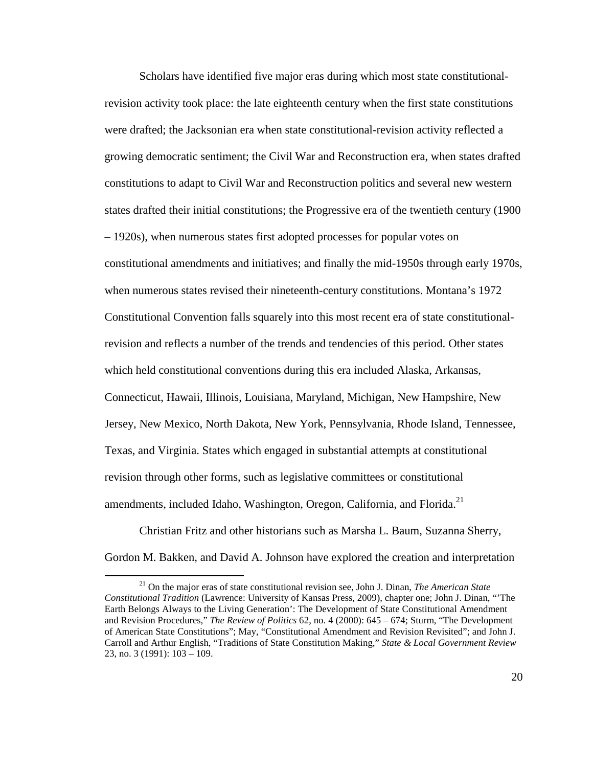Scholars have identified five major eras during which most state constitutionalrevision activity took place: the late eighteenth century when the first state constitutions were drafted; the Jacksonian era when state constitutional-revision activity reflected a growing democratic sentiment; the Civil War and Reconstruction era, when states drafted constitutions to adapt to Civil War and Reconstruction politics and several new western states drafted their initial constitutions; the Progressive era of the twentieth century (1900 – 1920s), when numerous states first adopted processes for popular votes on constitutional amendments and initiatives; and finally the mid-1950s through early 1970s, when numerous states revised their nineteenth-century constitutions. Montana's 1972 Constitutional Convention falls squarely into this most recent era of state constitutionalrevision and reflects a number of the trends and tendencies of this period. Other states which held constitutional conventions during this era included Alaska, Arkansas, Connecticut, Hawaii, Illinois, Louisiana, Maryland, Michigan, New Hampshire, New Jersey, New Mexico, North Dakota, New York, Pennsylvania, Rhode Island, Tennessee, Texas, and Virginia. States which engaged in substantial attempts at constitutional revision through other forms, such as legislative committees or constitutional amendments, included Idaho, Washington, Oregon, California, and Florida.<sup>21</sup>

 Christian Fritz and other historians such as Marsha L. Baum, Suzanna Sherry, Gordon M. Bakken, and David A. Johnson have explored the creation and interpretation

<sup>21</sup> On the major eras of state constitutional revision see, John J. Dinan, *The American State Constitutional Tradition* (Lawrence: University of Kansas Press, 2009), chapter one; John J. Dinan, "'The Earth Belongs Always to the Living Generation': The Development of State Constitutional Amendment and Revision Procedures," *The Review of Politics* 62, no. 4 (2000): 645 – 674; Sturm, "The Development of American State Constitutions"; May, "Constitutional Amendment and Revision Revisited"; and John J. Carroll and Arthur English, "Traditions of State Constitution Making," *State & Local Government Review* 23, no. 3 (1991): 103 – 109.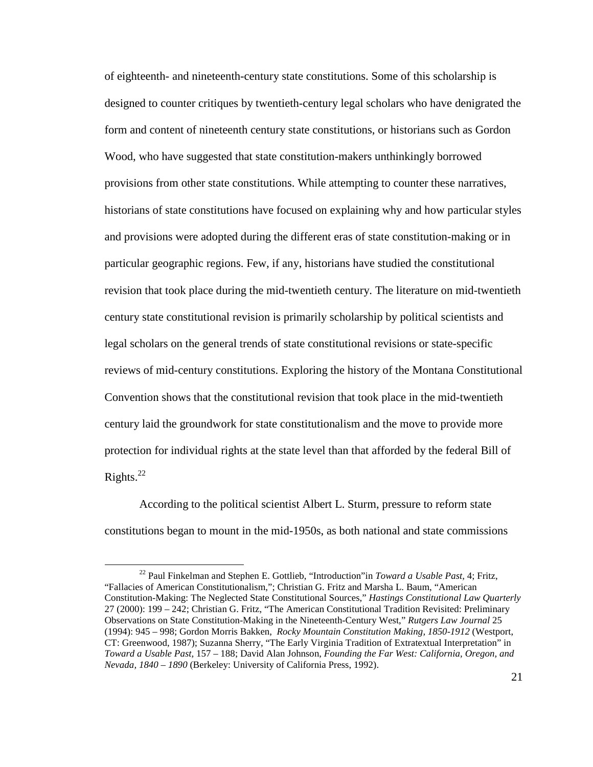of eighteenth- and nineteenth-century state constitutions. Some of this scholarship is designed to counter critiques by twentieth-century legal scholars who have denigrated the form and content of nineteenth century state constitutions, or historians such as Gordon Wood, who have suggested that state constitution-makers unthinkingly borrowed provisions from other state constitutions. While attempting to counter these narratives, historians of state constitutions have focused on explaining why and how particular styles and provisions were adopted during the different eras of state constitution-making or in particular geographic regions. Few, if any, historians have studied the constitutional revision that took place during the mid-twentieth century. The literature on mid-twentieth century state constitutional revision is primarily scholarship by political scientists and legal scholars on the general trends of state constitutional revisions or state-specific reviews of mid-century constitutions. Exploring the history of the Montana Constitutional Convention shows that the constitutional revision that took place in the mid-twentieth century laid the groundwork for state constitutionalism and the move to provide more protection for individual rights at the state level than that afforded by the federal Bill of Rights. $^{22}$ 

 According to the political scientist Albert L. Sturm, pressure to reform state constitutions began to mount in the mid-1950s, as both national and state commissions

<sup>22</sup> Paul Finkelman and Stephen E. Gottlieb, "Introduction"in *Toward a Usable Past,* 4; Fritz, "Fallacies of American Constitutionalism,"; Christian G. Fritz and Marsha L. Baum, "American Constitution-Making: The Neglected State Constitutional Sources," *Hastings Constitutional Law Quarterly* 27 (2000): 199 – 242; Christian G. Fritz, "The American Constitutional Tradition Revisited: Preliminary Observations on State Constitution-Making in the Nineteenth-Century West," *Rutgers Law Journal* 25 (1994): 945 – 998; Gordon Morris Bakken, *Rocky Mountain Constitution Making, 1850-1912* (Westport, CT: Greenwood, 1987); Suzanna Sherry, "The Early Virginia Tradition of Extratextual Interpretation" in *Toward a Usable Past,* 157 – 188; David Alan Johnson, *Founding the Far West: California, Oregon, and Nevada, 1840 – 1890* (Berkeley: University of California Press, 1992).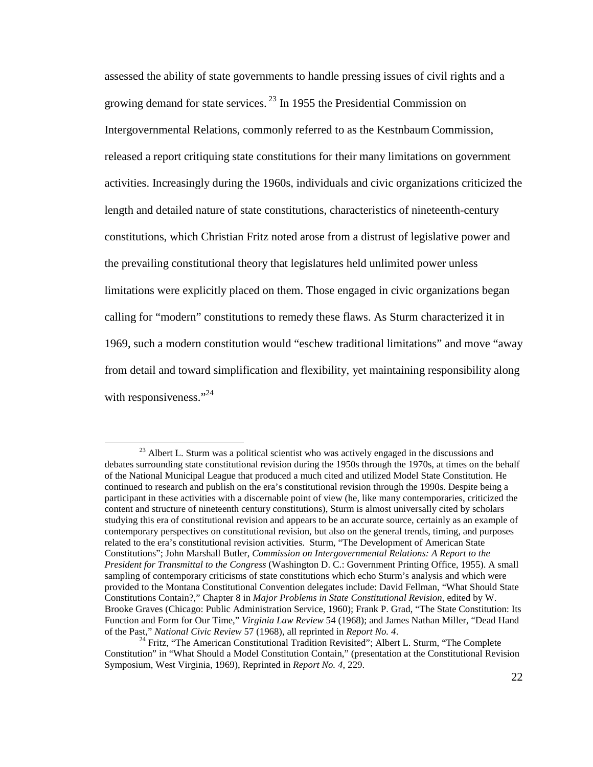assessed the ability of state governments to handle pressing issues of civil rights and a growing demand for state services.<sup>23</sup> In 1955 the Presidential Commission on Intergovernmental Relations, commonly referred to as the Kestnbaum Commission, released a report critiquing state constitutions for their many limitations on government activities. Increasingly during the 1960s, individuals and civic organizations criticized the length and detailed nature of state constitutions, characteristics of nineteenth-century constitutions, which Christian Fritz noted arose from a distrust of legislative power and the prevailing constitutional theory that legislatures held unlimited power unless limitations were explicitly placed on them. Those engaged in civic organizations began calling for "modern" constitutions to remedy these flaws. As Sturm characterized it in 1969, such a modern constitution would "eschew traditional limitations" and move "away from detail and toward simplification and flexibility, yet maintaining responsibility along with responsiveness."<sup>24</sup>

 $^{23}$  Albert L. Sturm was a political scientist who was actively engaged in the discussions and debates surrounding state constitutional revision during the 1950s through the 1970s, at times on the behalf of the National Municipal League that produced a much cited and utilized Model State Constitution. He continued to research and publish on the era's constitutional revision through the 1990s. Despite being a participant in these activities with a discernable point of view (he, like many contemporaries, criticized the content and structure of nineteenth century constitutions), Sturm is almost universally cited by scholars studying this era of constitutional revision and appears to be an accurate source, certainly as an example of contemporary perspectives on constitutional revision, but also on the general trends, timing, and purposes related to the era's constitutional revision activities. Sturm, "The Development of American State Constitutions"; John Marshall Butler, *Commission on Intergovernmental Relations: A Report to the President for Transmittal to the Congress* (Washington D. C.: Government Printing Office, 1955). A small sampling of contemporary criticisms of state constitutions which echo Sturm's analysis and which were provided to the Montana Constitutional Convention delegates include: David Fellman, "What Should State Constitutions Contain?," Chapter 8 in *Major Problems in State Constitutional Revision*, edited by W. Brooke Graves (Chicago: Public Administration Service, 1960); Frank P. Grad, "The State Constitution: Its Function and Form for Our Time," *Virginia Law Review* 54 (1968); and James Nathan Miller, "Dead Hand of the Past," *National Civic Review* 57 (1968), all reprinted in *Report No. 4*.

<sup>&</sup>lt;sup>24</sup> Fritz, "The American Constitutional Tradition Revisited"; Albert L. Sturm, "The Complete Constitution" in "What Should a Model Constitution Contain," (presentation at the Constitutional Revision Symposium, West Virginia, 1969), Reprinted in *Report No. 4*, 229.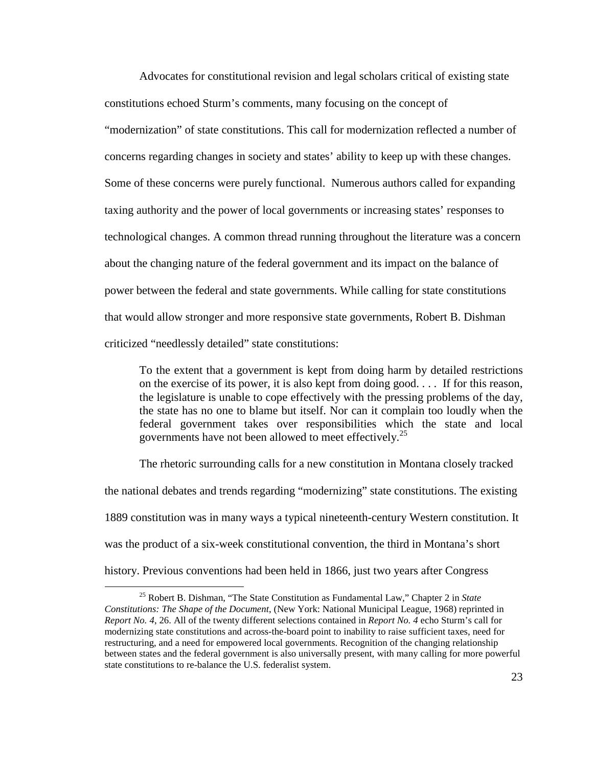Advocates for constitutional revision and legal scholars critical of existing state constitutions echoed Sturm's comments, many focusing on the concept of "modernization" of state constitutions. This call for modernization reflected a number of concerns regarding changes in society and states' ability to keep up with these changes. Some of these concerns were purely functional. Numerous authors called for expanding taxing authority and the power of local governments or increasing states' responses to technological changes. A common thread running throughout the literature was a concern about the changing nature of the federal government and its impact on the balance of power between the federal and state governments. While calling for state constitutions that would allow stronger and more responsive state governments, Robert B. Dishman criticized "needlessly detailed" state constitutions:

To the extent that a government is kept from doing harm by detailed restrictions on the exercise of its power, it is also kept from doing good. . . . If for this reason, the legislature is unable to cope effectively with the pressing problems of the day, the state has no one to blame but itself. Nor can it complain too loudly when the federal government takes over responsibilities which the state and local governments have not been allowed to meet effectively.<sup>25</sup>

The rhetoric surrounding calls for a new constitution in Montana closely tracked the national debates and trends regarding "modernizing" state constitutions. The existing 1889 constitution was in many ways a typical nineteenth-century Western constitution. It was the product of a six-week constitutional convention, the third in Montana's short history. Previous conventions had been held in 1866, just two years after Congress

<sup>25</sup> Robert B. Dishman, "The State Constitution as Fundamental Law," Chapter 2 in *State Constitutions: The Shape of the Document*, (New York: National Municipal League, 1968) reprinted in *Report No. 4*, 26. All of the twenty different selections contained in *Report No. 4* echo Sturm's call for modernizing state constitutions and across-the-board point to inability to raise sufficient taxes, need for restructuring, and a need for empowered local governments. Recognition of the changing relationship between states and the federal government is also universally present, with many calling for more powerful state constitutions to re-balance the U.S. federalist system.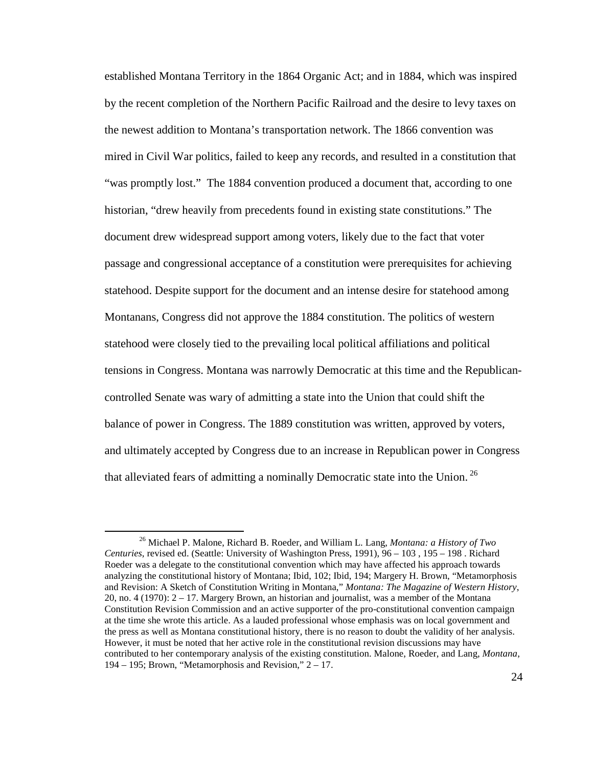established Montana Territory in the 1864 Organic Act; and in 1884, which was inspired by the recent completion of the Northern Pacific Railroad and the desire to levy taxes on the newest addition to Montana's transportation network. The 1866 convention was mired in Civil War politics, failed to keep any records, and resulted in a constitution that "was promptly lost." The 1884 convention produced a document that, according to one historian, "drew heavily from precedents found in existing state constitutions." The document drew widespread support among voters, likely due to the fact that voter passage and congressional acceptance of a constitution were prerequisites for achieving statehood. Despite support for the document and an intense desire for statehood among Montanans, Congress did not approve the 1884 constitution. The politics of western statehood were closely tied to the prevailing local political affiliations and political tensions in Congress. Montana was narrowly Democratic at this time and the Republicancontrolled Senate was wary of admitting a state into the Union that could shift the balance of power in Congress. The 1889 constitution was written, approved by voters, and ultimately accepted by Congress due to an increase in Republican power in Congress that alleviated fears of admitting a nominally Democratic state into the Union.<sup>26</sup>

<sup>26</sup> Michael P. Malone, Richard B. Roeder, and William L. Lang, *Montana: a History of Two Centuries*, revised ed. (Seattle: University of Washington Press, 1991), 96 – 103 , 195 – 198 . Richard Roeder was a delegate to the constitutional convention which may have affected his approach towards analyzing the constitutional history of Montana; Ibid, 102; Ibid, 194; Margery H. Brown, "Metamorphosis and Revision: A Sketch of Constitution Writing in Montana," *Montana: The Magazine of Western History*, 20, no. 4 (1970):  $2 - 17$ . Margery Brown, an historian and journalist, was a member of the Montana Constitution Revision Commission and an active supporter of the pro-constitutional convention campaign at the time she wrote this article. As a lauded professional whose emphasis was on local government and the press as well as Montana constitutional history, there is no reason to doubt the validity of her analysis. However, it must be noted that her active role in the constitutional revision discussions may have contributed to her contemporary analysis of the existing constitution. Malone, Roeder, and Lang, *Montana*, 194 – 195; Brown, "Metamorphosis and Revision," 2 – 17.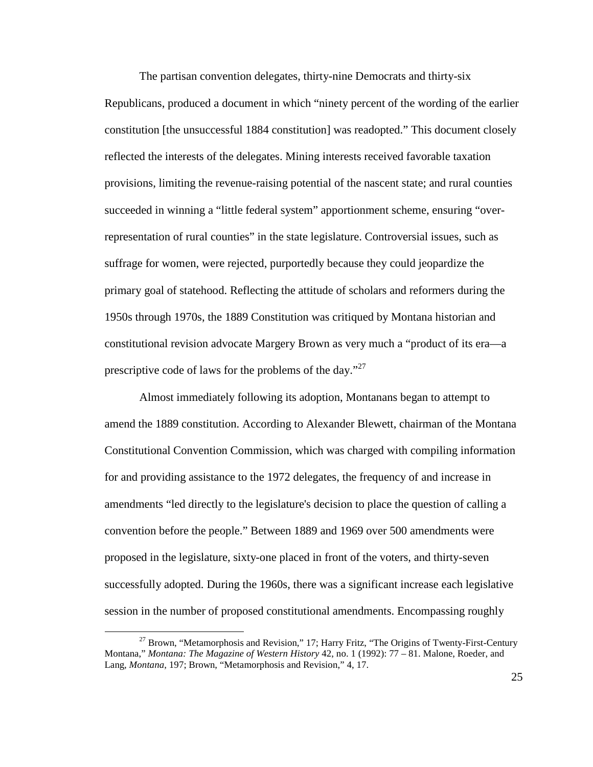The partisan convention delegates, thirty-nine Democrats and thirty-six Republicans, produced a document in which "ninety percent of the wording of the earlier constitution [the unsuccessful 1884 constitution] was readopted." This document closely reflected the interests of the delegates. Mining interests received favorable taxation provisions, limiting the revenue-raising potential of the nascent state; and rural counties succeeded in winning a "little federal system" apportionment scheme, ensuring "overrepresentation of rural counties" in the state legislature. Controversial issues, such as suffrage for women, were rejected, purportedly because they could jeopardize the primary goal of statehood. Reflecting the attitude of scholars and reformers during the 1950s through 1970s, the 1889 Constitution was critiqued by Montana historian and constitutional revision advocate Margery Brown as very much a "product of its era—a prescriptive code of laws for the problems of the day."<sup>27</sup>

 Almost immediately following its adoption, Montanans began to attempt to amend the 1889 constitution. According to Alexander Blewett, chairman of the Montana Constitutional Convention Commission, which was charged with compiling information for and providing assistance to the 1972 delegates, the frequency of and increase in amendments "led directly to the legislature's decision to place the question of calling a convention before the people." Between 1889 and 1969 over 500 amendments were proposed in the legislature, sixty-one placed in front of the voters, and thirty-seven successfully adopted. During the 1960s, there was a significant increase each legislative session in the number of proposed constitutional amendments. Encompassing roughly

 $27$  Brown, "Metamorphosis and Revision," 17; Harry Fritz, "The Origins of Twenty-First-Century Montana," *Montana: The Magazine of Western History* 42, no. 1 (1992): 77 – 81. Malone, Roeder, and Lang, *Montana*, 197; Brown, "Metamorphosis and Revision," 4, 17.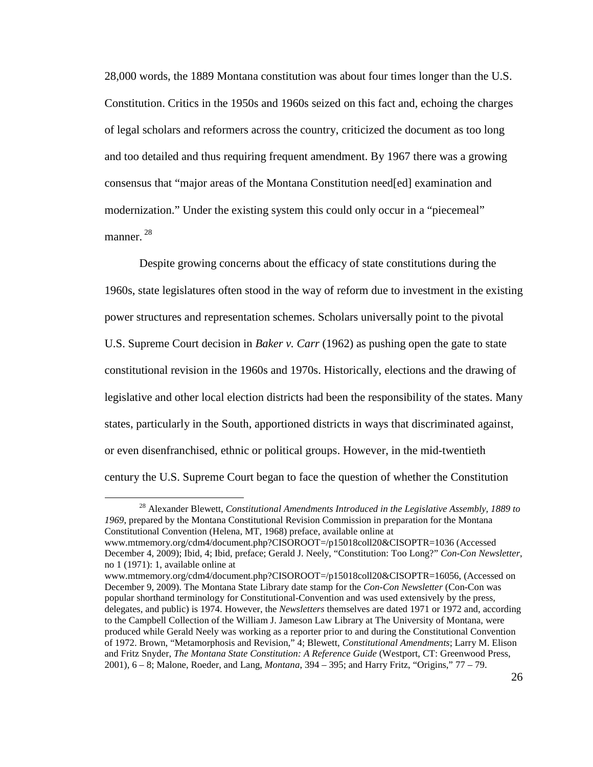28,000 words, the 1889 Montana constitution was about four times longer than the U.S. Constitution. Critics in the 1950s and 1960s seized on this fact and, echoing the charges of legal scholars and reformers across the country, criticized the document as too long and too detailed and thus requiring frequent amendment. By 1967 there was a growing consensus that "major areas of the Montana Constitution need[ed] examination and modernization." Under the existing system this could only occur in a "piecemeal" manner.  $^{28}$ 

Despite growing concerns about the efficacy of state constitutions during the 1960s, state legislatures often stood in the way of reform due to investment in the existing power structures and representation schemes. Scholars universally point to the pivotal U.S. Supreme Court decision in *Baker v. Carr* (1962) as pushing open the gate to state constitutional revision in the 1960s and 1970s. Historically, elections and the drawing of legislative and other local election districts had been the responsibility of the states. Many states, particularly in the South, apportioned districts in ways that discriminated against, or even disenfranchised, ethnic or political groups. However, in the mid-twentieth century the U.S. Supreme Court began to face the question of whether the Constitution

<sup>28</sup> Alexander Blewett, *Constitutional Amendments Introduced in the Legislative Assembly, 1889 to 1969*, prepared by the Montana Constitutional Revision Commission in preparation for the Montana Constitutional Convention (Helena, MT, 1968) preface, available online at www.mtmemory.org/cdm4/document.php?CISOROOT=/p15018coll20&CISOPTR=1036 (Accessed

December 4, 2009); Ibid, 4; Ibid, preface; Gerald J. Neely, "Constitution: Too Long?" *Con-Con Newsletter*, no 1 (1971): 1, available online at

www.mtmemory.org/cdm4/document.php?CISOROOT=/p15018coll20&CISOPTR=16056, (Accessed on December 9, 2009). The Montana State Library date stamp for the *Con-Con Newsletter* (Con-Con was popular shorthand terminology for Constitutional-Convention and was used extensively by the press, delegates, and public) is 1974. However, the *Newsletters* themselves are dated 1971 or 1972 and, according to the Campbell Collection of the William J. Jameson Law Library at The University of Montana, were produced while Gerald Neely was working as a reporter prior to and during the Constitutional Convention of 1972. Brown, "Metamorphosis and Revision," 4; Blewett, *Constitutional Amendments*; Larry M. Elison and Fritz Snyder, *The Montana State Constitution: A Reference Guide* (Westport, CT: Greenwood Press, 2001), 6 – 8; Malone, Roeder, and Lang, *Montana*, 394 – 395; and Harry Fritz, "Origins," 77 – 79.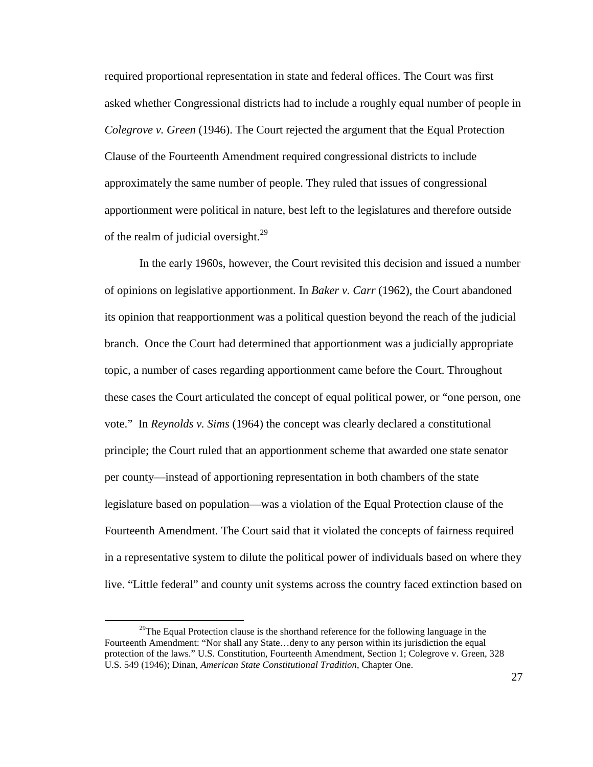required proportional representation in state and federal offices. The Court was first asked whether Congressional districts had to include a roughly equal number of people in *Colegrove v. Green* (1946). The Court rejected the argument that the Equal Protection Clause of the Fourteenth Amendment required congressional districts to include approximately the same number of people. They ruled that issues of congressional apportionment were political in nature, best left to the legislatures and therefore outside of the realm of judicial oversight. $^{29}$ 

In the early 1960s, however, the Court revisited this decision and issued a number of opinions on legislative apportionment. In *Baker v. Carr* (1962), the Court abandoned its opinion that reapportionment was a political question beyond the reach of the judicial branch. Once the Court had determined that apportionment was a judicially appropriate topic, a number of cases regarding apportionment came before the Court. Throughout these cases the Court articulated the concept of equal political power, or "one person, one vote." In *Reynolds v. Sims* (1964) the concept was clearly declared a constitutional principle; the Court ruled that an apportionment scheme that awarded one state senator per county—instead of apportioning representation in both chambers of the state legislature based on population—was a violation of the Equal Protection clause of the Fourteenth Amendment. The Court said that it violated the concepts of fairness required in a representative system to dilute the political power of individuals based on where they live. "Little federal" and county unit systems across the country faced extinction based on

 $29$ The Equal Protection clause is the shorthand reference for the following language in the Fourteenth Amendment: "Nor shall any State…deny to any person within its jurisdiction the equal protection of the laws." U.S. Constitution, Fourteenth Amendment, Section 1; Colegrove v. Green, 328 U.S. 549 (1946); Dinan, *American State Constitutional Tradition*, Chapter One.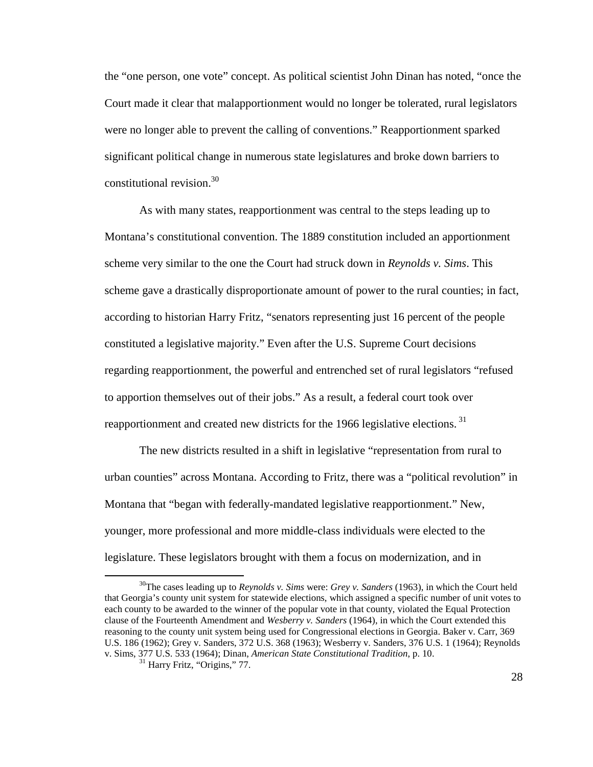the "one person, one vote" concept. As political scientist John Dinan has noted, "once the Court made it clear that malapportionment would no longer be tolerated, rural legislators were no longer able to prevent the calling of conventions." Reapportionment sparked significant political change in numerous state legislatures and broke down barriers to constitutional revision.<sup>30</sup>

As with many states, reapportionment was central to the steps leading up to Montana's constitutional convention. The 1889 constitution included an apportionment scheme very similar to the one the Court had struck down in *Reynolds v. Sims*. This scheme gave a drastically disproportionate amount of power to the rural counties; in fact, according to historian Harry Fritz, "senators representing just 16 percent of the people constituted a legislative majority." Even after the U.S. Supreme Court decisions regarding reapportionment, the powerful and entrenched set of rural legislators "refused to apportion themselves out of their jobs." As a result, a federal court took over reapportionment and created new districts for the 1966 legislative elections.<sup>31</sup>

The new districts resulted in a shift in legislative "representation from rural to urban counties" across Montana. According to Fritz, there was a "political revolution" in Montana that "began with federally-mandated legislative reapportionment." New, younger, more professional and more middle-class individuals were elected to the legislature. These legislators brought with them a focus on modernization, and in

<sup>30</sup>The cases leading up to *Reynolds v. Sims* were: *Grey v. Sanders* (1963), in which the Court held that Georgia's county unit system for statewide elections, which assigned a specific number of unit votes to each county to be awarded to the winner of the popular vote in that county, violated the Equal Protection clause of the Fourteenth Amendment and *Wesberry v. Sanders* (1964), in which the Court extended this reasoning to the county unit system being used for Congressional elections in Georgia. Baker v. Carr, 369 U.S. 186 (1962); Grey v. Sanders, 372 U.S. 368 (1963); Wesberry v. Sanders, 376 U.S. 1 (1964); Reynolds v. Sims, 377 U.S. 533 (1964); Dinan, *American State Constitutional Tradition*, p. 10.

<sup>&</sup>lt;sup>31</sup> Harry Fritz, "Origins," 77.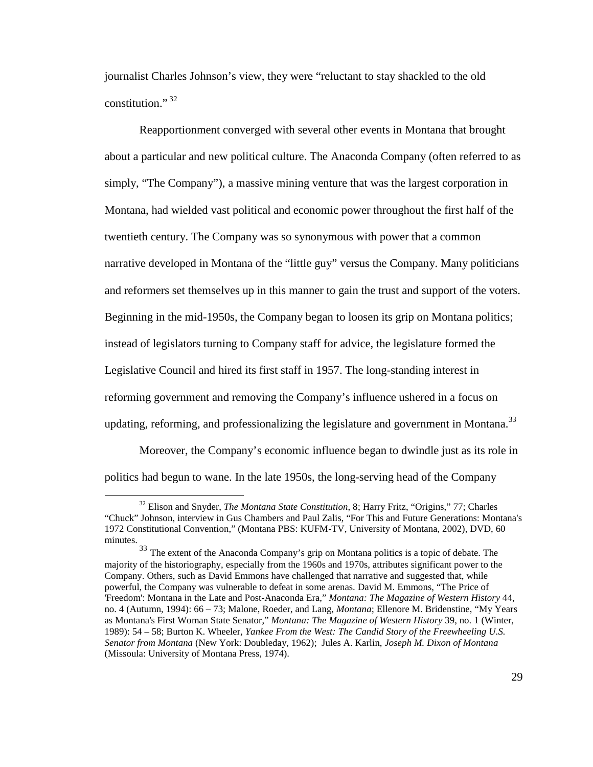journalist Charles Johnson's view, they were "reluctant to stay shackled to the old constitution."<sup>32</sup>

Reapportionment converged with several other events in Montana that brought about a particular and new political culture. The Anaconda Company (often referred to as simply, "The Company"), a massive mining venture that was the largest corporation in Montana, had wielded vast political and economic power throughout the first half of the twentieth century. The Company was so synonymous with power that a common narrative developed in Montana of the "little guy" versus the Company. Many politicians and reformers set themselves up in this manner to gain the trust and support of the voters. Beginning in the mid-1950s, the Company began to loosen its grip on Montana politics; instead of legislators turning to Company staff for advice, the legislature formed the Legislative Council and hired its first staff in 1957. The long-standing interest in reforming government and removing the Company's influence ushered in a focus on updating, reforming, and professionalizing the legislature and government in Montana. $^{33}$ 

Moreover, the Company's economic influence began to dwindle just as its role in politics had begun to wane. In the late 1950s, the long-serving head of the Company

<sup>32</sup> Elison and Snyder, *The Montana State Constitution*, 8; Harry Fritz, "Origins," 77; Charles "Chuck" Johnson, interview in Gus Chambers and Paul Zalis, "For This and Future Generations: Montana's 1972 Constitutional Convention," (Montana PBS: KUFM-TV, University of Montana, 2002), DVD, 60 minutes.

<sup>33</sup> The extent of the Anaconda Company's grip on Montana politics is a topic of debate. The majority of the historiography, especially from the 1960s and 1970s, attributes significant power to the Company. Others, such as David Emmons have challenged that narrative and suggested that, while powerful, the Company was vulnerable to defeat in some arenas. David M. Emmons, "The Price of 'Freedom': Montana in the Late and Post-Anaconda Era," *Montana: The Magazine of Western History* 44, no. 4 (Autumn, 1994): 66 – 73; Malone, Roeder, and Lang, *Montana*; Ellenore M. Bridenstine, "My Years as Montana's First Woman State Senator," *Montana: The Magazine of Western History* 39, no. 1 (Winter, 1989): 54 – 58; Burton K. Wheeler, *Yankee From the West: The Candid Story of the Freewheeling U.S. Senator from Montana* (New York: Doubleday, 1962); Jules A. Karlin, *Joseph M. Dixon of Montana* (Missoula: University of Montana Press, 1974).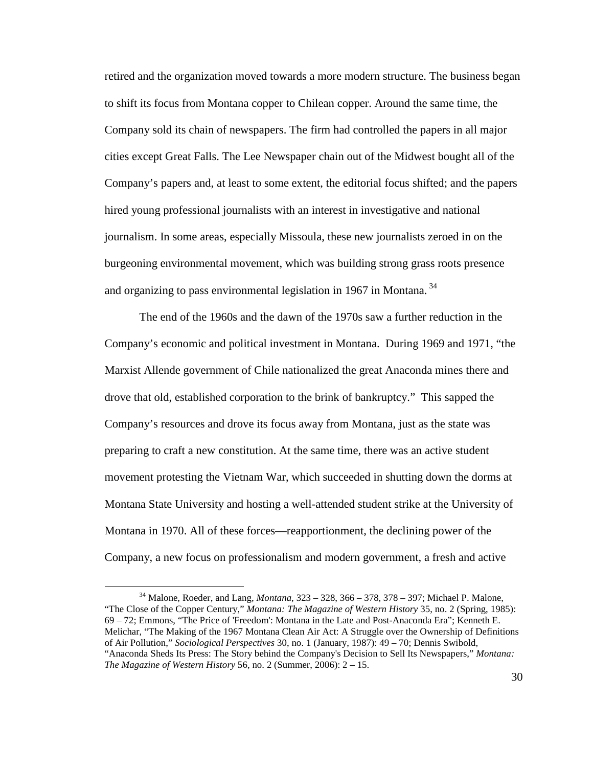retired and the organization moved towards a more modern structure. The business began to shift its focus from Montana copper to Chilean copper. Around the same time, the Company sold its chain of newspapers. The firm had controlled the papers in all major cities except Great Falls. The Lee Newspaper chain out of the Midwest bought all of the Company's papers and, at least to some extent, the editorial focus shifted; and the papers hired young professional journalists with an interest in investigative and national journalism. In some areas, especially Missoula, these new journalists zeroed in on the burgeoning environmental movement, which was building strong grass roots presence and organizing to pass environmental legislation in 1967 in Montana.  $34$ 

The end of the 1960s and the dawn of the 1970s saw a further reduction in the Company's economic and political investment in Montana. During 1969 and 1971, "the Marxist Allende government of Chile nationalized the great Anaconda mines there and drove that old, established corporation to the brink of bankruptcy." This sapped the Company's resources and drove its focus away from Montana, just as the state was preparing to craft a new constitution. At the same time, there was an active student movement protesting the Vietnam War, which succeeded in shutting down the dorms at Montana State University and hosting a well-attended student strike at the University of Montana in 1970. All of these forces—reapportionment, the declining power of the Company, a new focus on professionalism and modern government, a fresh and active

<sup>34</sup> Malone, Roeder, and Lang, *Montana*, 323 – 328, 366 – 378, 378 – 397; Michael P. Malone, "The Close of the Copper Century," *Montana: The Magazine of Western History* 35, no. 2 (Spring, 1985): 69 – 72; Emmons, "The Price of 'Freedom': Montana in the Late and Post-Anaconda Era"; Kenneth E. Melichar, "The Making of the 1967 Montana Clean Air Act: A Struggle over the Ownership of Definitions of Air Pollution," *Sociological Perspectives* 30, no. 1 (January, 1987): 49 – 70; Dennis Swibold, "Anaconda Sheds Its Press: The Story behind the Company's Decision to Sell Its Newspapers," *Montana: The Magazine of Western History* 56, no. 2 (Summer, 2006): 2 – 15.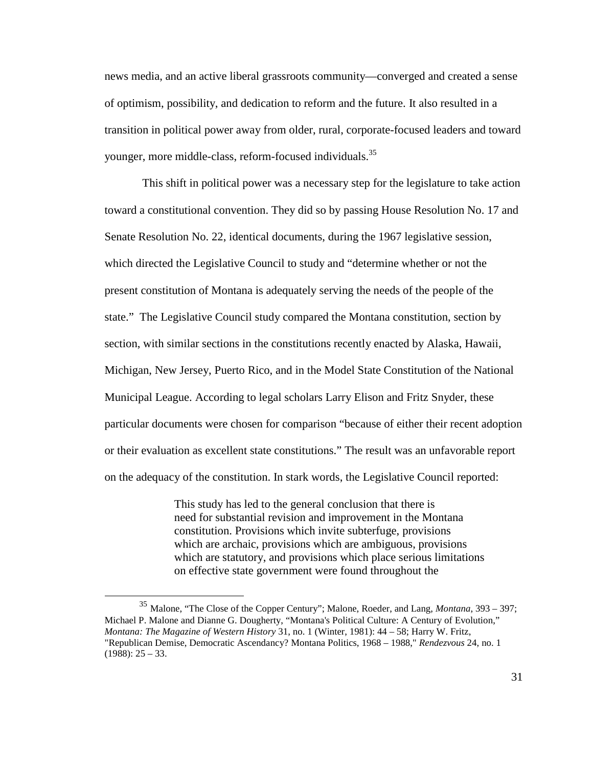news media, and an active liberal grassroots community—converged and created a sense of optimism, possibility, and dedication to reform and the future. It also resulted in a transition in political power away from older, rural, corporate-focused leaders and toward younger, more middle-class, reform-focused individuals.<sup>35</sup>

 This shift in political power was a necessary step for the legislature to take action toward a constitutional convention. They did so by passing House Resolution No. 17 and Senate Resolution No. 22, identical documents, during the 1967 legislative session, which directed the Legislative Council to study and "determine whether or not the present constitution of Montana is adequately serving the needs of the people of the state." The Legislative Council study compared the Montana constitution, section by section, with similar sections in the constitutions recently enacted by Alaska, Hawaii, Michigan, New Jersey, Puerto Rico, and in the Model State Constitution of the National Municipal League. According to legal scholars Larry Elison and Fritz Snyder, these particular documents were chosen for comparison "because of either their recent adoption or their evaluation as excellent state constitutions." The result was an unfavorable report on the adequacy of the constitution. In stark words, the Legislative Council reported:

> This study has led to the general conclusion that there is need for substantial revision and improvement in the Montana constitution. Provisions which invite subterfuge, provisions which are archaic, provisions which are ambiguous, provisions which are statutory, and provisions which place serious limitations on effective state government were found throughout the

<sup>35</sup> Malone, "The Close of the Copper Century"; Malone, Roeder, and Lang, *Montana*, 393 – 397; Michael P. Malone and Dianne G. Dougherty, "Montana's Political Culture: A Century of Evolution," *Montana: The Magazine of Western History* 31, no. 1 (Winter, 1981): 44 – 58; Harry W. Fritz, "Republican Demise, Democratic Ascendancy? Montana Politics, 1968 – 1988," *Rendezvous* 24, no. 1  $(1988): 25 - 33.$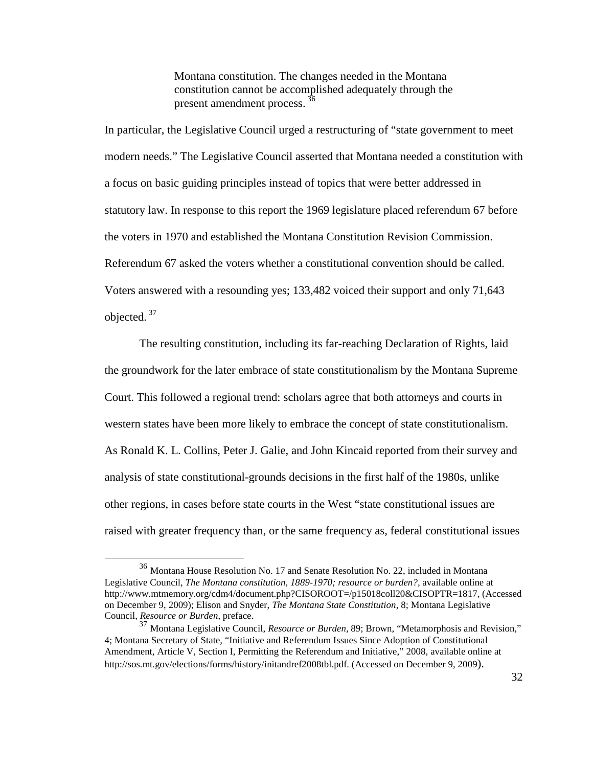Montana constitution. The changes needed in the Montana constitution cannot be accomplished adequately through the present amendment process.<sup>36</sup>

In particular, the Legislative Council urged a restructuring of "state government to meet modern needs." The Legislative Council asserted that Montana needed a constitution with a focus on basic guiding principles instead of topics that were better addressed in statutory law. In response to this report the 1969 legislature placed referendum 67 before the voters in 1970 and established the Montana Constitution Revision Commission. Referendum 67 asked the voters whether a constitutional convention should be called. Voters answered with a resounding yes; 133,482 voiced their support and only 71,643 objected. $37$ 

 The resulting constitution, including its far-reaching Declaration of Rights, laid the groundwork for the later embrace of state constitutionalism by the Montana Supreme Court. This followed a regional trend: scholars agree that both attorneys and courts in western states have been more likely to embrace the concept of state constitutionalism. As Ronald K. L. Collins, Peter J. Galie, and John Kincaid reported from their survey and analysis of state constitutional-grounds decisions in the first half of the 1980s, unlike other regions, in cases before state courts in the West "state constitutional issues are raised with greater frequency than, or the same frequency as, federal constitutional issues

<sup>36</sup> Montana House Resolution No. 17 and Senate Resolution No. 22, included in Montana Legislative Council, *The Montana constitution, 1889-1970; resource or burden?*, available online at http://www.mtmemory.org/cdm4/document.php?CISOROOT=/p15018coll20&CISOPTR=1817, (Accessed on December 9, 2009); Elison and Snyder, *The Montana State Constitution*, 8; Montana Legislative Council, *Resource or Burden*, preface.

<sup>37</sup> Montana Legislative Council, *Resource or Burden*, 89; Brown, "Metamorphosis and Revision," 4; Montana Secretary of State, "Initiative and Referendum Issues Since Adoption of Constitutional Amendment, Article V, Section I, Permitting the Referendum and Initiative," 2008, available online at http://sos.mt.gov/elections/forms/history/initandref2008tbl.pdf. (Accessed on December 9, 2009).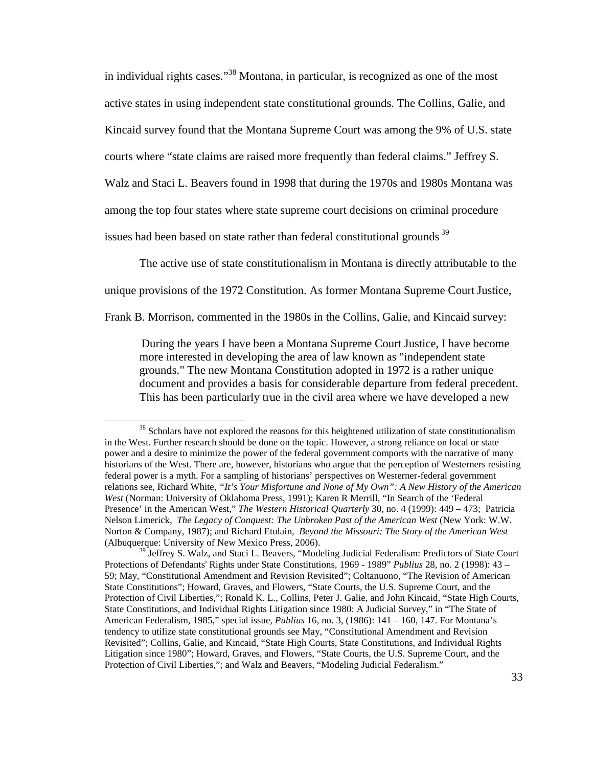in individual rights cases."<sup>38</sup> Montana, in particular, is recognized as one of the most active states in using independent state constitutional grounds. The Collins, Galie, and Kincaid survey found that the Montana Supreme Court was among the 9% of U.S. state courts where "state claims are raised more frequently than federal claims." Jeffrey S. Walz and Staci L. Beavers found in 1998 that during the 1970s and 1980s Montana was among the top four states where state supreme court decisions on criminal procedure issues had been based on state rather than federal constitutional grounds  $39$ 

The active use of state constitutionalism in Montana is directly attributable to the

unique provisions of the 1972 Constitution. As former Montana Supreme Court Justice,

Frank B. Morrison, commented in the 1980s in the Collins, Galie, and Kincaid survey:

 $\overline{a}$ 

During the years I have been a Montana Supreme Court Justice, I have become more interested in developing the area of law known as "independent state grounds." The new Montana Constitution adopted in 1972 is a rather unique document and provides a basis for considerable departure from federal precedent. This has been particularly true in the civil area where we have developed a new

<sup>&</sup>lt;sup>38</sup> Scholars have not explored the reasons for this heightened utilization of state constitutionalism in the West. Further research should be done on the topic. However, a strong reliance on local or state power and a desire to minimize the power of the federal government comports with the narrative of many historians of the West. There are, however, historians who argue that the perception of Westerners resisting federal power is a myth. For a sampling of historians' perspectives on Westerner-federal government relations see, Richard White, *"It's Your Misfortune and None of My Own": A New History of the American West* (Norman: University of Oklahoma Press, 1991); Karen R Merrill, "In Search of the 'Federal Presence' in the American West," *The Western Historical Quarterly* 30, no. 4 (1999): 449 – 473; Patricia Nelson Limerick, *The Legacy of Conquest: The Unbroken Past of the American West* (New York: W.W. Norton & Company, 1987); and Richard Etulain, *Beyond the Missouri: The Story of the American West* (Albuquerque: University of New Mexico Press, 2006).

 $9$  Jeffrey S. Walz, and Staci L. Beavers, "Modeling Judicial Federalism: Predictors of State Court Protections of Defendants' Rights under State Constitutions, 1969 - 1989" *Publius* 28, no. 2 (1998): 43 – 59; May, "Constitutional Amendment and Revision Revisited"; Coltanuono, "The Revision of American State Constitutions"; Howard, Graves, and Flowers, "State Courts, the U.S. Supreme Court, and the Protection of Civil Liberties,"; Ronald K. L., Collins, Peter J. Galie, and John Kincaid, "State High Courts, State Constitutions, and Individual Rights Litigation since 1980: A Judicial Survey," in "The State of American Federalism, 1985," special issue, *Publius* 16, no. 3, (1986): 141 – 160, 147. For Montana's tendency to utilize state constitutional grounds see May, "Constitutional Amendment and Revision Revisited"; Collins, Galie, and Kincaid, "State High Courts, State Constitutions, and Individual Rights Litigation since 1980"; Howard, Graves, and Flowers, "State Courts, the U.S. Supreme Court, and the Protection of Civil Liberties,"; and Walz and Beavers, "Modeling Judicial Federalism."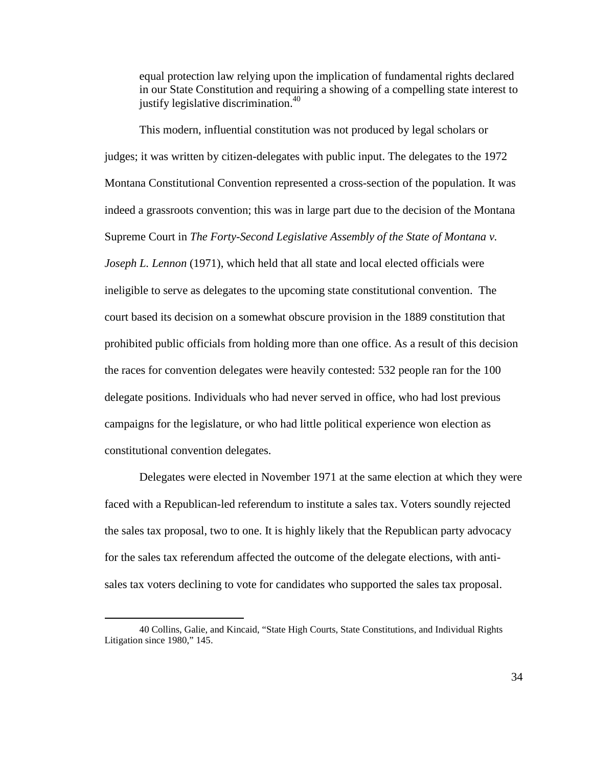equal protection law relying upon the implication of fundamental rights declared in our State Constitution and requiring a showing of a compelling state interest to justify legislative discrimination.<sup>40</sup>

This modern, influential constitution was not produced by legal scholars or judges; it was written by citizen-delegates with public input. The delegates to the 1972 Montana Constitutional Convention represented a cross-section of the population. It was indeed a grassroots convention; this was in large part due to the decision of the Montana Supreme Court in *The Forty-Second Legislative Assembly of the State of Montana v. Joseph L. Lennon* (1971), which held that all state and local elected officials were ineligible to serve as delegates to the upcoming state constitutional convention. The court based its decision on a somewhat obscure provision in the 1889 constitution that prohibited public officials from holding more than one office. As a result of this decision the races for convention delegates were heavily contested: 532 people ran for the 100 delegate positions. Individuals who had never served in office, who had lost previous campaigns for the legislature, or who had little political experience won election as constitutional convention delegates.

Delegates were elected in November 1971 at the same election at which they were faced with a Republican-led referendum to institute a sales tax. Voters soundly rejected the sales tax proposal, two to one. It is highly likely that the Republican party advocacy for the sales tax referendum affected the outcome of the delegate elections, with antisales tax voters declining to vote for candidates who supported the sales tax proposal.

<u>.</u>

<sup>40</sup> Collins, Galie, and Kincaid, "State High Courts, State Constitutions, and Individual Rights Litigation since 1980," 145.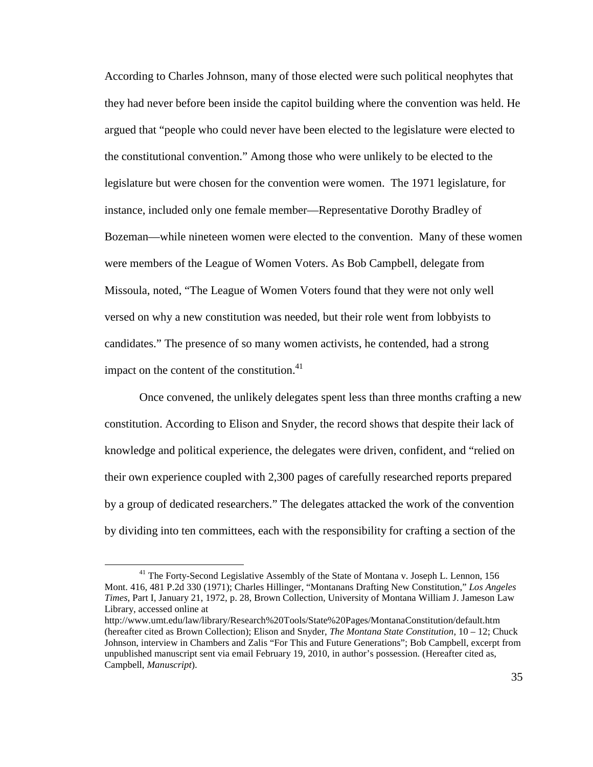According to Charles Johnson, many of those elected were such political neophytes that they had never before been inside the capitol building where the convention was held. He argued that "people who could never have been elected to the legislature were elected to the constitutional convention." Among those who were unlikely to be elected to the legislature but were chosen for the convention were women. The 1971 legislature, for instance, included only one female member—Representative Dorothy Bradley of Bozeman—while nineteen women were elected to the convention. Many of these women were members of the League of Women Voters. As Bob Campbell, delegate from Missoula, noted, "The League of Women Voters found that they were not only well versed on why a new constitution was needed, but their role went from lobbyists to candidates." The presence of so many women activists, he contended, had a strong impact on the content of the constitution. $41$ 

Once convened, the unlikely delegates spent less than three months crafting a new constitution. According to Elison and Snyder, the record shows that despite their lack of knowledge and political experience, the delegates were driven, confident, and "relied on their own experience coupled with 2,300 pages of carefully researched reports prepared by a group of dedicated researchers." The delegates attacked the work of the convention by dividing into ten committees, each with the responsibility for crafting a section of the

<sup>&</sup>lt;sup>41</sup> The Forty-Second Legislative Assembly of the State of Montana v. Joseph L. Lennon, 156 Mont. 416, 481 P.2d 330 (1971); Charles Hillinger, "Montanans Drafting New Constitution," *Los Angeles Times*, Part I, January 21, 1972, p. 28, Brown Collection, University of Montana William J. Jameson Law Library, accessed online at

http://www.umt.edu/law/library/Research%20Tools/State%20Pages/MontanaConstitution/default.htm (hereafter cited as Brown Collection); Elison and Snyder, *The Montana State Constitution*, 10 – 12; Chuck Johnson, interview in Chambers and Zalis "For This and Future Generations"; Bob Campbell, excerpt from unpublished manuscript sent via email February 19, 2010, in author's possession. (Hereafter cited as, Campbell, *Manuscript*).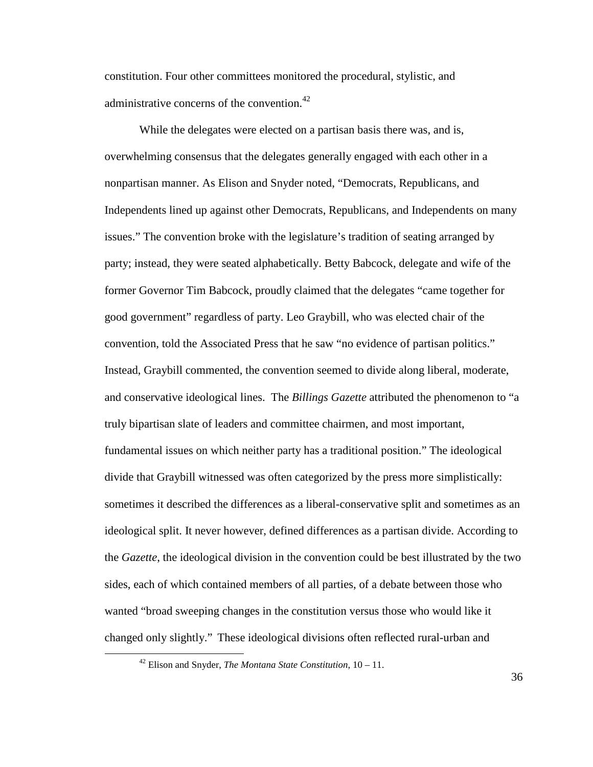constitution. Four other committees monitored the procedural, stylistic, and administrative concerns of the convention. $42$ 

While the delegates were elected on a partisan basis there was, and is, overwhelming consensus that the delegates generally engaged with each other in a nonpartisan manner. As Elison and Snyder noted, "Democrats, Republicans, and Independents lined up against other Democrats, Republicans, and Independents on many issues." The convention broke with the legislature's tradition of seating arranged by party; instead, they were seated alphabetically. Betty Babcock, delegate and wife of the former Governor Tim Babcock, proudly claimed that the delegates "came together for good government" regardless of party. Leo Graybill, who was elected chair of the convention, told the Associated Press that he saw "no evidence of partisan politics." Instead, Graybill commented, the convention seemed to divide along liberal, moderate, and conservative ideological lines. The *Billings Gazette* attributed the phenomenon to "a truly bipartisan slate of leaders and committee chairmen, and most important, fundamental issues on which neither party has a traditional position." The ideological divide that Graybill witnessed was often categorized by the press more simplistically: sometimes it described the differences as a liberal-conservative split and sometimes as an ideological split. It never however, defined differences as a partisan divide. According to the *Gazette*, the ideological division in the convention could be best illustrated by the two sides, each of which contained members of all parties, of a debate between those who wanted "broad sweeping changes in the constitution versus those who would like it changed only slightly." These ideological divisions often reflected rural-urban and

<u>.</u>

36

<sup>42</sup> Elison and Snyder, *The Montana State Constitution*, 10 – 11.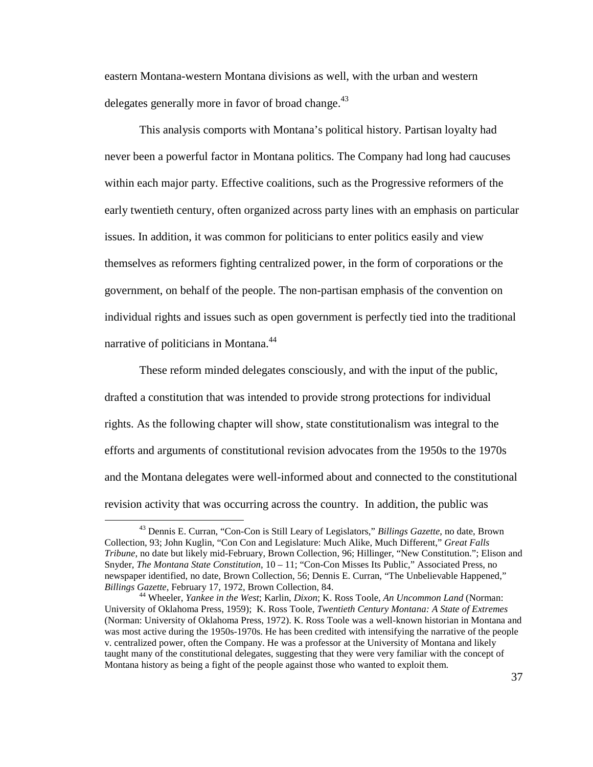eastern Montana-western Montana divisions as well, with the urban and western delegates generally more in favor of broad change.<sup>43</sup>

This analysis comports with Montana's political history. Partisan loyalty had never been a powerful factor in Montana politics. The Company had long had caucuses within each major party. Effective coalitions, such as the Progressive reformers of the early twentieth century, often organized across party lines with an emphasis on particular issues. In addition, it was common for politicians to enter politics easily and view themselves as reformers fighting centralized power, in the form of corporations or the government, on behalf of the people. The non-partisan emphasis of the convention on individual rights and issues such as open government is perfectly tied into the traditional narrative of politicians in Montana.<sup>44</sup>

These reform minded delegates consciously, and with the input of the public, drafted a constitution that was intended to provide strong protections for individual rights. As the following chapter will show, state constitutionalism was integral to the efforts and arguments of constitutional revision advocates from the 1950s to the 1970s and the Montana delegates were well-informed about and connected to the constitutional revision activity that was occurring across the country. In addition, the public was

<sup>43</sup> Dennis E. Curran, "Con-Con is Still Leary of Legislators," *Billings Gazette*, no date, Brown Collection, 93; John Kuglin, "Con Con and Legislature: Much Alike, Much Different," *Great Falls Tribune*, no date but likely mid-February, Brown Collection, 96; Hillinger, "New Constitution."; Elison and Snyder, *The Montana State Constitution*, 10 – 11; "Con-Con Misses Its Public," Associated Press, no newspaper identified, no date, Brown Collection, 56; Dennis E. Curran, "The Unbelievable Happened," *Billings Gazette*, February 17, 1972, Brown Collection, 84.

<sup>44</sup> Wheeler, *Yankee in the West*; Karlin, *Dixon*; K. Ross Toole, *An Uncommon Land* (Norman: University of Oklahoma Press, 1959); K. Ross Toole, *Twentieth Century Montana: A State of Extremes* (Norman: University of Oklahoma Press, 1972). K. Ross Toole was a well-known historian in Montana and was most active during the 1950s-1970s. He has been credited with intensifying the narrative of the people v. centralized power, often the Company. He was a professor at the University of Montana and likely taught many of the constitutional delegates, suggesting that they were very familiar with the concept of Montana history as being a fight of the people against those who wanted to exploit them.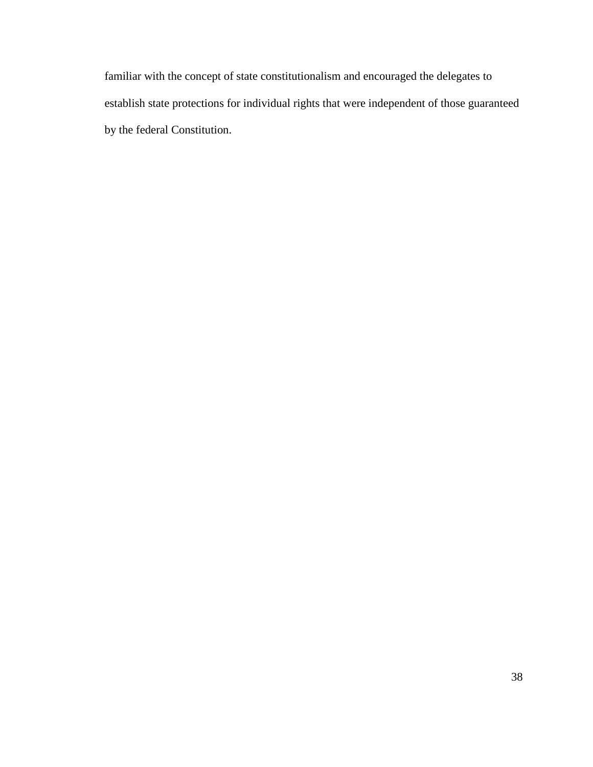familiar with the concept of state constitutionalism and encouraged the delegates to establish state protections for individual rights that were independent of those guaranteed by the federal Constitution.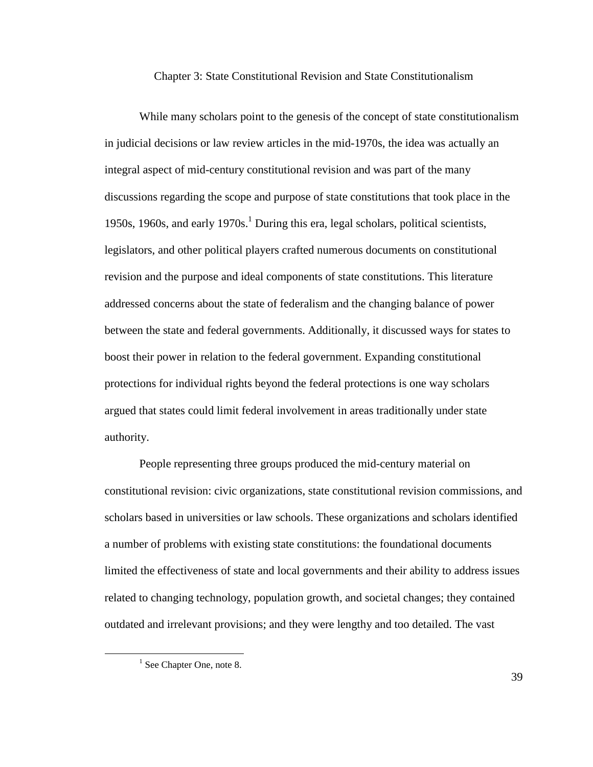## Chapter 3: State Constitutional Revision and State Constitutionalism

While many scholars point to the genesis of the concept of state constitutionalism in judicial decisions or law review articles in the mid-1970s, the idea was actually an integral aspect of mid-century constitutional revision and was part of the many discussions regarding the scope and purpose of state constitutions that took place in the 1950s, 1960s, and early  $1970s<sup>1</sup>$  During this era, legal scholars, political scientists, legislators, and other political players crafted numerous documents on constitutional revision and the purpose and ideal components of state constitutions. This literature addressed concerns about the state of federalism and the changing balance of power between the state and federal governments. Additionally, it discussed ways for states to boost their power in relation to the federal government. Expanding constitutional protections for individual rights beyond the federal protections is one way scholars argued that states could limit federal involvement in areas traditionally under state authority.

People representing three groups produced the mid-century material on constitutional revision: civic organizations, state constitutional revision commissions, and scholars based in universities or law schools. These organizations and scholars identified a number of problems with existing state constitutions: the foundational documents limited the effectiveness of state and local governments and their ability to address issues related to changing technology, population growth, and societal changes; they contained outdated and irrelevant provisions; and they were lengthy and too detailed. The vast

 $\overline{a}$ 

39

<sup>&</sup>lt;sup>1</sup> See Chapter One, note 8.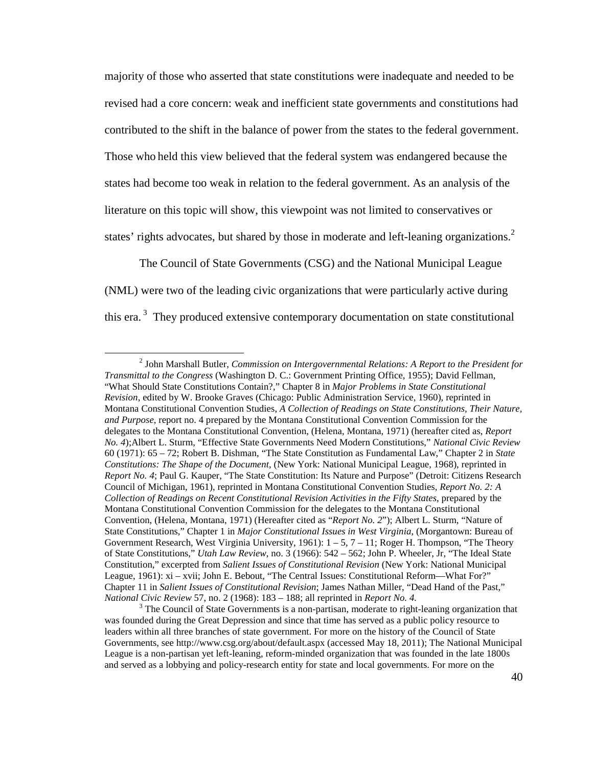majority of those who asserted that state constitutions were inadequate and needed to be revised had a core concern: weak and inefficient state governments and constitutions had contributed to the shift in the balance of power from the states to the federal government. Those who held this view believed that the federal system was endangered because the states had become too weak in relation to the federal government. As an analysis of the literature on this topic will show, this viewpoint was not limited to conservatives or states' rights advocates, but shared by those in moderate and left-leaning organizations.<sup>2</sup>

The Council of State Governments (CSG) and the National Municipal League (NML) were two of the leading civic organizations that were particularly active during this era.<sup>3</sup> They produced extensive contemporary documentation on state constitutional

<u>.</u>

<sup>2</sup> John Marshall Butler, *Commission on Intergovernmental Relations: A Report to the President for Transmittal to the Congress* (Washington D. C.: Government Printing Office, 1955); David Fellman, "What Should State Constitutions Contain?," Chapter 8 in *Major Problems in State Constitutional Revision*, edited by W. Brooke Graves (Chicago: Public Administration Service, 1960), reprinted in Montana Constitutional Convention Studies, *A Collection of Readings on State Constitutions, Their Nature, and Purpose*, report no. 4 prepared by the Montana Constitutional Convention Commission for the delegates to the Montana Constitutional Convention, (Helena, Montana, 1971) (hereafter cited as, *Report No. 4*);Albert L. Sturm, "Effective State Governments Need Modern Constitutions," *National Civic Review* 60 (1971): 65 – 72; Robert B. Dishman, "The State Constitution as Fundamental Law," Chapter 2 in *State Constitutions: The Shape of the Document*, (New York: National Municipal League, 1968), reprinted in *Report No. 4*; Paul G. Kauper, "The State Constitution: Its Nature and Purpose" (Detroit: Citizens Research Council of Michigan, 1961), reprinted in Montana Constitutional Convention Studies, *Report No. 2: A Collection of Readings on Recent Constitutional Revision Activities in the Fifty States*, prepared by the Montana Constitutional Convention Commission for the delegates to the Montana Constitutional Convention, (Helena, Montana, 1971) (Hereafter cited as "*Report No. 2*"); Albert L. Sturm, "Nature of State Constitutions," Chapter 1 in *Major Constitutional Issues in West Virginia*, (Morgantown: Bureau of Government Research, West Virginia University, 1961):  $1 - 5$ ,  $7 - 11$ ; Roger H. Thompson, "The Theory of State Constitutions," *Utah Law Review*, no. 3 (1966): 542 – 562; John P. Wheeler, Jr, "The Ideal State Constitution," excerpted from *Salient Issues of Constitutional Revision* (New York: National Municipal League, 1961): xi – xvii; John E. Bebout, "The Central Issues: Constitutional Reform—What For?" Chapter 11 in *Salient Issues of Constitutional Revision*; James Nathan Miller, "Dead Hand of the Past," *National Civic Review* 57, no. 2 (1968): 183 – 188; all reprinted in *Report No. 4.* 

<sup>&</sup>lt;sup>3</sup> The Council of State Governments is a non-partisan, moderate to right-leaning organization that was founded during the Great Depression and since that time has served as a public policy resource to leaders within all three branches of state government. For more on the history of the Council of State Governments, see http://www.csg.org/about/default.aspx (accessed May 18, 2011); The National Municipal League is a non-partisan yet left-leaning, reform-minded organization that was founded in the late 1800s and served as a lobbying and policy-research entity for state and local governments. For more on the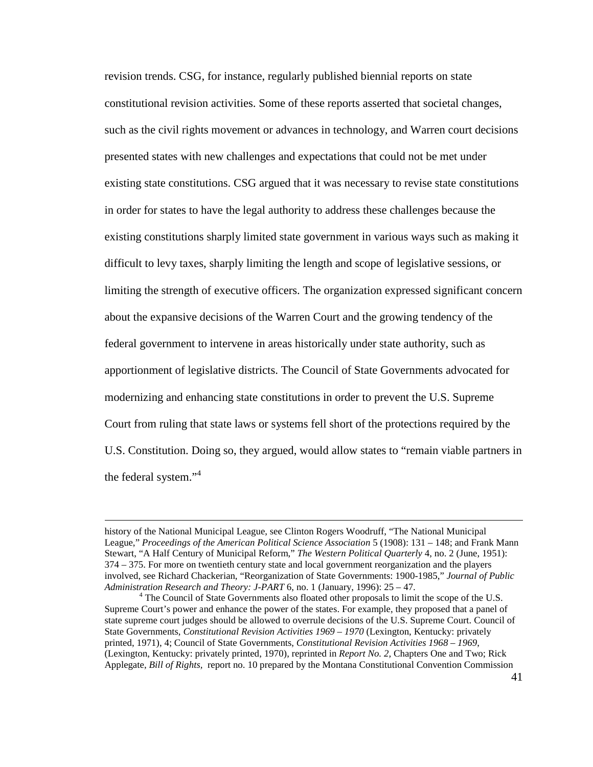revision trends. CSG, for instance, regularly published biennial reports on state constitutional revision activities. Some of these reports asserted that societal changes, such as the civil rights movement or advances in technology, and Warren court decisions presented states with new challenges and expectations that could not be met under existing state constitutions. CSG argued that it was necessary to revise state constitutions in order for states to have the legal authority to address these challenges because the existing constitutions sharply limited state government in various ways such as making it difficult to levy taxes, sharply limiting the length and scope of legislative sessions, or limiting the strength of executive officers. The organization expressed significant concern about the expansive decisions of the Warren Court and the growing tendency of the federal government to intervene in areas historically under state authority, such as apportionment of legislative districts. The Council of State Governments advocated for modernizing and enhancing state constitutions in order to prevent the U.S. Supreme Court from ruling that state laws or systems fell short of the protections required by the U.S. Constitution. Doing so, they argued, would allow states to "remain viable partners in the federal system."<sup>4</sup>

<u>.</u>

history of the National Municipal League, see Clinton Rogers Woodruff, "The National Municipal League," *Proceedings of the American Political Science Association* 5 (1908): 131 – 148; and Frank Mann Stewart, "A Half Century of Municipal Reform," *The Western Political Quarterly* 4, no. 2 (June, 1951): 374 – 375. For more on twentieth century state and local government reorganization and the players involved, see Richard Chackerian, "Reorganization of State Governments: 1900-1985," *Journal of Public Administration Research and Theory: J-PART* 6, no. 1 (January, 1996): 25 – 47.

<sup>&</sup>lt;sup>4</sup> The Council of State Governments also floated other proposals to limit the scope of the U.S. Supreme Court's power and enhance the power of the states. For example, they proposed that a panel of state supreme court judges should be allowed to overrule decisions of the U.S. Supreme Court. Council of State Governments, *Constitutional Revision Activities 1969 – 1970* (Lexington, Kentucky: privately printed, 1971), 4; Council of State Governments, *Constitutional Revision Activities 1968 – 1969*, (Lexington, Kentucky: privately printed, 1970), reprinted in *Report No. 2,* Chapters One and Two; Rick Applegate, *Bill of Rights,* report no. 10 prepared by the Montana Constitutional Convention Commission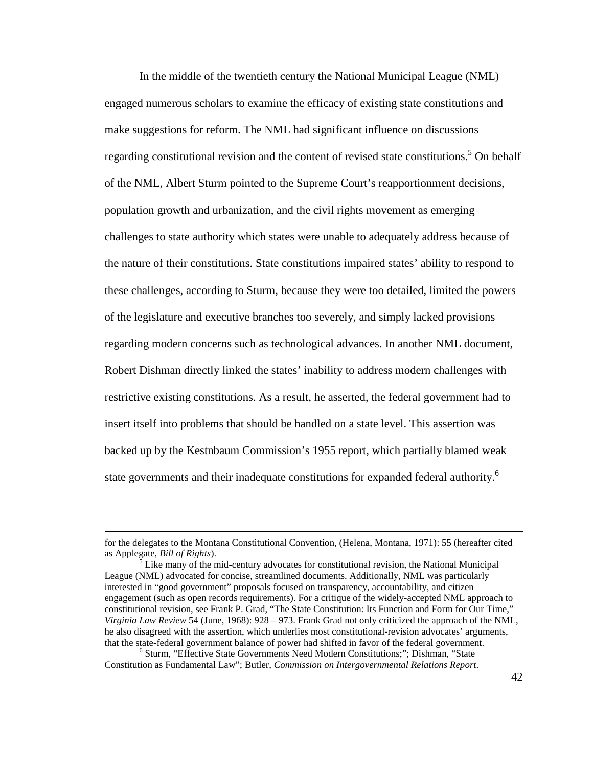In the middle of the twentieth century the National Municipal League (NML) engaged numerous scholars to examine the efficacy of existing state constitutions and make suggestions for reform. The NML had significant influence on discussions regarding constitutional revision and the content of revised state constitutions.<sup>5</sup> On behalf of the NML, Albert Sturm pointed to the Supreme Court's reapportionment decisions, population growth and urbanization, and the civil rights movement as emerging challenges to state authority which states were unable to adequately address because of the nature of their constitutions. State constitutions impaired states' ability to respond to these challenges, according to Sturm, because they were too detailed, limited the powers of the legislature and executive branches too severely, and simply lacked provisions regarding modern concerns such as technological advances. In another NML document, Robert Dishman directly linked the states' inability to address modern challenges with restrictive existing constitutions. As a result, he asserted, the federal government had to insert itself into problems that should be handled on a state level. This assertion was backed up by the Kestnbaum Commission's 1955 report, which partially blamed weak state governments and their inadequate constitutions for expanded federal authority.<sup>6</sup>

for the delegates to the Montana Constitutional Convention, (Helena, Montana, 1971): 55 (hereafter cited as Applegate, *Bill of Rights*).

<sup>5</sup> Like many of the mid-century advocates for constitutional revision, the National Municipal League (NML) advocated for concise, streamlined documents. Additionally, NML was particularly interested in "good government" proposals focused on transparency, accountability, and citizen engagement (such as open records requirements). For a critique of the widely-accepted NML approach to constitutional revision, see Frank P. Grad, "The State Constitution: Its Function and Form for Our Time," *Virginia Law Review* 54 (June, 1968): 928 – 973. Frank Grad not only criticized the approach of the NML, he also disagreed with the assertion, which underlies most constitutional-revision advocates' arguments, that the state-federal government balance of power had shifted in favor of the federal government.

<sup>6</sup> Sturm, "Effective State Governments Need Modern Constitutions;"; Dishman, "State Constitution as Fundamental Law"; Butler, *Commission on Intergovernmental Relations Report*.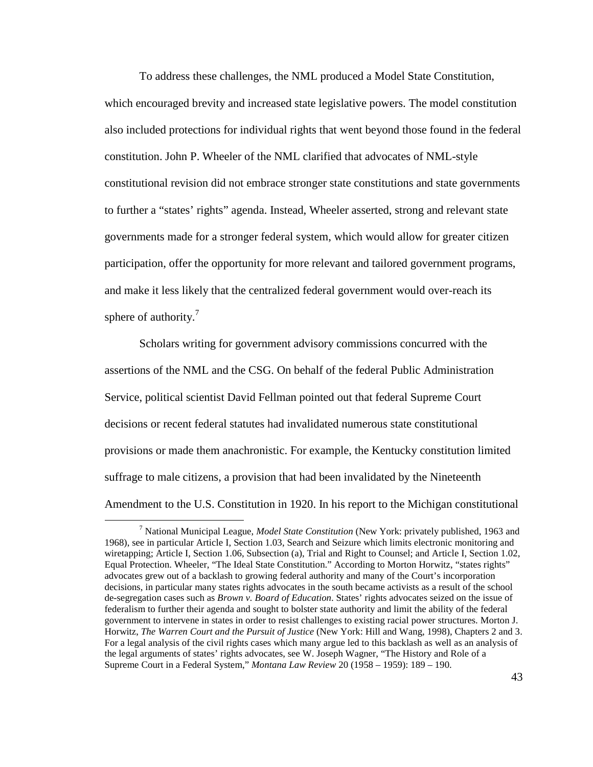To address these challenges, the NML produced a Model State Constitution, which encouraged brevity and increased state legislative powers. The model constitution also included protections for individual rights that went beyond those found in the federal constitution. John P. Wheeler of the NML clarified that advocates of NML-style constitutional revision did not embrace stronger state constitutions and state governments to further a "states' rights" agenda. Instead, Wheeler asserted, strong and relevant state governments made for a stronger federal system, which would allow for greater citizen participation, offer the opportunity for more relevant and tailored government programs, and make it less likely that the centralized federal government would over-reach its sphere of authority. $<sup>7</sup>$ </sup>

Scholars writing for government advisory commissions concurred with the assertions of the NML and the CSG. On behalf of the federal Public Administration Service, political scientist David Fellman pointed out that federal Supreme Court decisions or recent federal statutes had invalidated numerous state constitutional provisions or made them anachronistic. For example, the Kentucky constitution limited suffrage to male citizens, a provision that had been invalidated by the Nineteenth Amendment to the U.S. Constitution in 1920. In his report to the Michigan constitutional

<sup>7</sup> National Municipal League, *Model State Constitution* (New York: privately published, 1963 and 1968), see in particular Article I, Section 1.03, Search and Seizure which limits electronic monitoring and wiretapping; Article I, Section 1.06, Subsection (a), Trial and Right to Counsel; and Article I, Section 1.02, Equal Protection. Wheeler, "The Ideal State Constitution." According to Morton Horwitz, "states rights" advocates grew out of a backlash to growing federal authority and many of the Court's incorporation decisions, in particular many states rights advocates in the south became activists as a result of the school de-segregation cases such as *Brown v. Board of Education*. States' rights advocates seized on the issue of federalism to further their agenda and sought to bolster state authority and limit the ability of the federal government to intervene in states in order to resist challenges to existing racial power structures. Morton J. Horwitz, *The Warren Court and the Pursuit of Justice* (New York: Hill and Wang, 1998), Chapters 2 and 3. For a legal analysis of the civil rights cases which many argue led to this backlash as well as an analysis of the legal arguments of states' rights advocates, see W. Joseph Wagner, "The History and Role of a Supreme Court in a Federal System," *Montana Law Review* 20 (1958 – 1959): 189 – 190.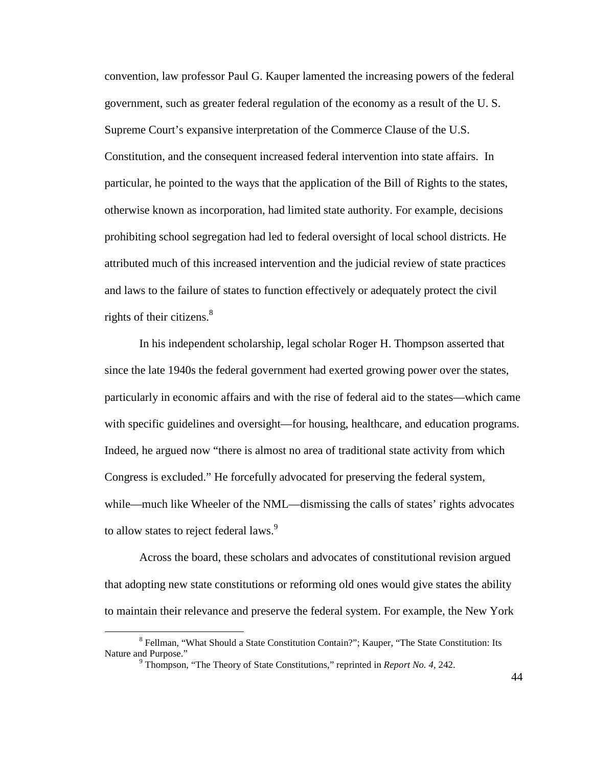convention, law professor Paul G. Kauper lamented the increasing powers of the federal government, such as greater federal regulation of the economy as a result of the U. S. Supreme Court's expansive interpretation of the Commerce Clause of the U.S. Constitution, and the consequent increased federal intervention into state affairs. In particular, he pointed to the ways that the application of the Bill of Rights to the states, otherwise known as incorporation, had limited state authority. For example, decisions prohibiting school segregation had led to federal oversight of local school districts. He attributed much of this increased intervention and the judicial review of state practices and laws to the failure of states to function effectively or adequately protect the civil rights of their citizens.<sup>8</sup>

In his independent scholarship, legal scholar Roger H. Thompson asserted that since the late 1940s the federal government had exerted growing power over the states, particularly in economic affairs and with the rise of federal aid to the states—which came with specific guidelines and oversight—for housing, healthcare, and education programs. Indeed, he argued now "there is almost no area of traditional state activity from which Congress is excluded." He forcefully advocated for preserving the federal system, while—much like Wheeler of the NML—dismissing the calls of states' rights advocates to allow states to reject federal laws.<sup>9</sup>

Across the board, these scholars and advocates of constitutional revision argued that adopting new state constitutions or reforming old ones would give states the ability to maintain their relevance and preserve the federal system. For example, the New York

<sup>&</sup>lt;sup>8</sup> Fellman, "What Should a State Constitution Contain?"; Kauper, "The State Constitution: Its Nature and Purpose."

<sup>9</sup> Thompson, "The Theory of State Constitutions," reprinted in *Report No. 4,* 242.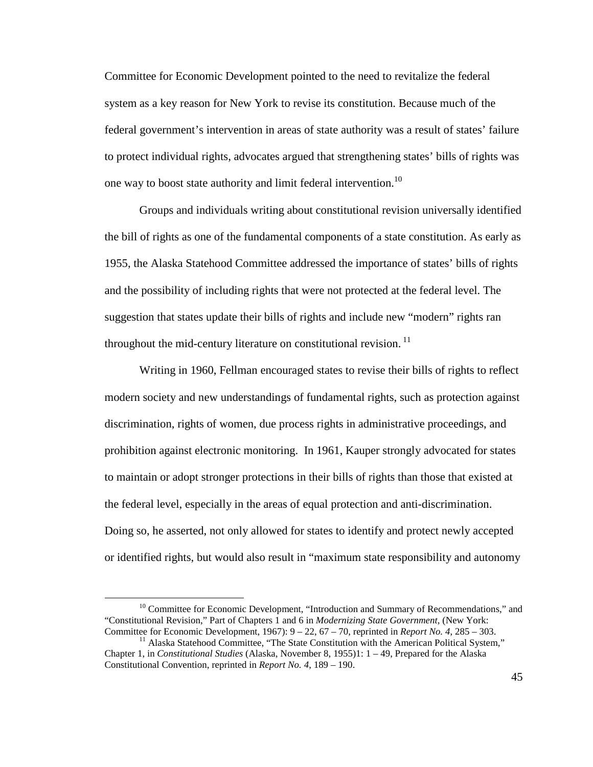Committee for Economic Development pointed to the need to revitalize the federal system as a key reason for New York to revise its constitution. Because much of the federal government's intervention in areas of state authority was a result of states' failure to protect individual rights, advocates argued that strengthening states' bills of rights was one way to boost state authority and limit federal intervention.<sup>10</sup>

Groups and individuals writing about constitutional revision universally identified the bill of rights as one of the fundamental components of a state constitution. As early as 1955, the Alaska Statehood Committee addressed the importance of states' bills of rights and the possibility of including rights that were not protected at the federal level. The suggestion that states update their bills of rights and include new "modern" rights ran throughout the mid-century literature on constitutional revision.<sup>11</sup>

Writing in 1960, Fellman encouraged states to revise their bills of rights to reflect modern society and new understandings of fundamental rights, such as protection against discrimination, rights of women, due process rights in administrative proceedings, and prohibition against electronic monitoring. In 1961, Kauper strongly advocated for states to maintain or adopt stronger protections in their bills of rights than those that existed at the federal level, especially in the areas of equal protection and anti-discrimination. Doing so, he asserted, not only allowed for states to identify and protect newly accepted or identified rights, but would also result in "maximum state responsibility and autonomy

<sup>&</sup>lt;sup>10</sup> Committee for Economic Development, "Introduction and Summary of Recommendations," and "Constitutional Revision," Part of Chapters 1 and 6 in *Modernizing State Government*, (New York: Committee for Economic Development, 1967): 9 – 22, 67 – 70, reprinted in *Report No. 4*, 285 – 303.

 $11$  Alaska Statehood Committee, "The State Constitution with the American Political System," Chapter 1, in *Constitutional Studies* (Alaska, November 8, 1955)1: 1 – 49, Prepared for the Alaska Constitutional Convention, reprinted in *Report No. 4*, 189 – 190.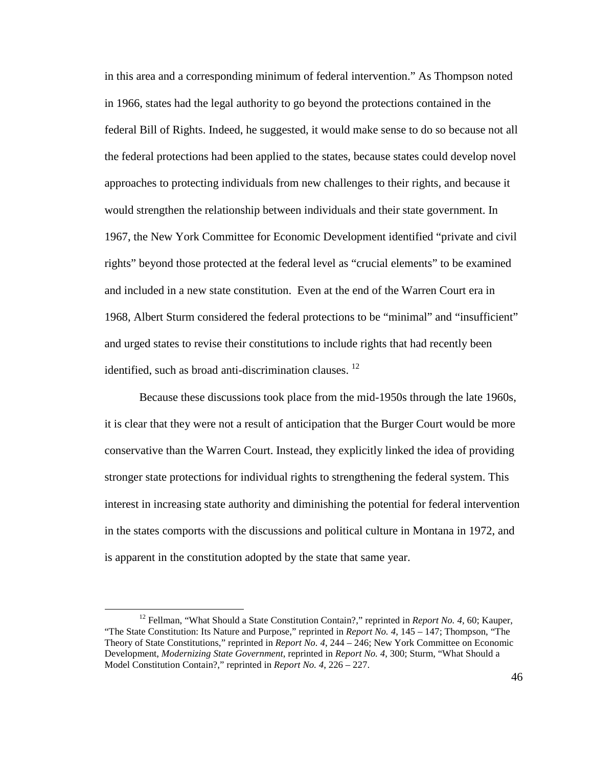in this area and a corresponding minimum of federal intervention." As Thompson noted in 1966, states had the legal authority to go beyond the protections contained in the federal Bill of Rights. Indeed, he suggested, it would make sense to do so because not all the federal protections had been applied to the states, because states could develop novel approaches to protecting individuals from new challenges to their rights, and because it would strengthen the relationship between individuals and their state government. In 1967, the New York Committee for Economic Development identified "private and civil rights" beyond those protected at the federal level as "crucial elements" to be examined and included in a new state constitution. Even at the end of the Warren Court era in 1968, Albert Sturm considered the federal protections to be "minimal" and "insufficient" and urged states to revise their constitutions to include rights that had recently been identified, such as broad anti-discrimination clauses.  $^{12}$ 

Because these discussions took place from the mid-1950s through the late 1960s, it is clear that they were not a result of anticipation that the Burger Court would be more conservative than the Warren Court. Instead, they explicitly linked the idea of providing stronger state protections for individual rights to strengthening the federal system. This interest in increasing state authority and diminishing the potential for federal intervention in the states comports with the discussions and political culture in Montana in 1972, and is apparent in the constitution adopted by the state that same year.

<sup>&</sup>lt;sup>12</sup> Fellman, "What Should a State Constitution Contain?," reprinted in *Report No. 4*, 60; Kauper, "The State Constitution: Its Nature and Purpose," reprinted in *Report No. 4*, 145 – 147; Thompson, "The Theory of State Constitutions," reprinted in *Report No. 4*, 244 – 246; New York Committee on Economic Development, *Modernizing State Government*, reprinted in *Report No. 4*, 300; Sturm, "What Should a Model Constitution Contain?," reprinted in *Report No. 4*, 226 – 227.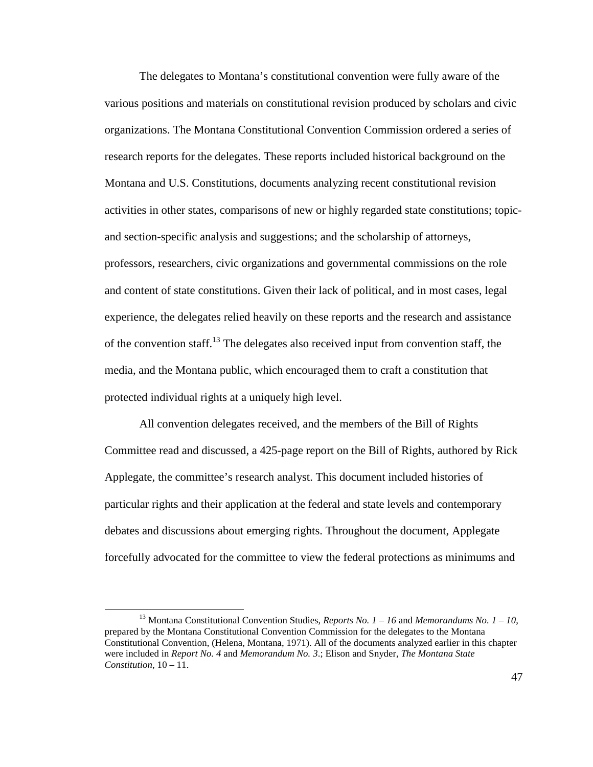The delegates to Montana's constitutional convention were fully aware of the various positions and materials on constitutional revision produced by scholars and civic organizations. The Montana Constitutional Convention Commission ordered a series of research reports for the delegates. These reports included historical background on the Montana and U.S. Constitutions, documents analyzing recent constitutional revision activities in other states, comparisons of new or highly regarded state constitutions; topicand section-specific analysis and suggestions; and the scholarship of attorneys, professors, researchers, civic organizations and governmental commissions on the role and content of state constitutions. Given their lack of political, and in most cases, legal experience, the delegates relied heavily on these reports and the research and assistance of the convention staff.<sup>13</sup> The delegates also received input from convention staff, the media, and the Montana public, which encouraged them to craft a constitution that protected individual rights at a uniquely high level.

All convention delegates received, and the members of the Bill of Rights Committee read and discussed, a 425-page report on the Bill of Rights, authored by Rick Applegate, the committee's research analyst. This document included histories of particular rights and their application at the federal and state levels and contemporary debates and discussions about emerging rights. Throughout the document, Applegate forcefully advocated for the committee to view the federal protections as minimums and

<u>.</u>

<sup>13</sup> Montana Constitutional Convention Studies, *Reports No. 1 – 16* and *Memorandums No. 1 – 10*, prepared by the Montana Constitutional Convention Commission for the delegates to the Montana Constitutional Convention, (Helena, Montana, 1971). All of the documents analyzed earlier in this chapter were included in *Report No. 4* and *Memorandum No. 3*.; Elison and Snyder, *The Montana State Constitution*, 10 – 11.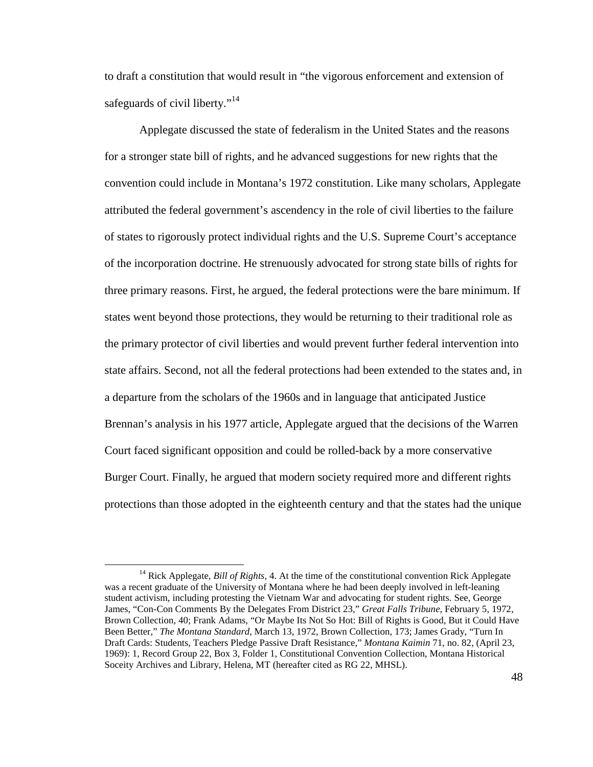to draft a constitution that would result in "the vigorous enforcement and extension of safeguards of civil liberty."<sup>14</sup>

Applegate discussed the state of federalism in the United States and the reasons for a stronger state bill of rights, and he advanced suggestions for new rights that the convention could include in Montana's 1972 constitution. Like many scholars, Applegate attributed the federal government's ascendency in the role of civil liberties to the failure of states to rigorously protect individual rights and the U.S. Supreme Court's acceptance of the incorporation doctrine. He strenuously advocated for strong state bills of rights for three primary reasons. First, he argued, the federal protections were the bare minimum. If states went beyond those protections, they would be returning to their traditional role as the primary protector of civil liberties and would prevent further federal intervention into state affairs. Second, not all the federal protections had been extended to the states and, in a departure from the scholars of the 1960s and in language that anticipated Justice Brennan's analysis in his 1977 article, Applegate argued that the decisions of the Warren Court faced significant opposition and could be rolled-back by a more conservative Burger Court. Finally, he argued that modern society required more and different rights protections than those adopted in the eighteenth century and that the states had the unique

<sup>14</sup> Rick Applegate, *Bill of Rights,* 4. At the time of the constitutional convention Rick Applegate was a recent graduate of the University of Montana where he had been deeply involved in left-leaning student activism, including protesting the Vietnam War and advocating for student rights. See, George James, "Con-Con Comments By the Delegates From District 23," *Great Falls Tribune*, February 5, 1972, Brown Collection, 40; Frank Adams, "Or Maybe Its Not So Hot: Bill of Rights is Good, But it Could Have Been Better," *The Montana Standard*, March 13, 1972, Brown Collection, 173; James Grady, "Turn In Draft Cards: Students, Teachers Pledge Passive Draft Resistance," *Montana Kaimin* 71, no. 82, (April 23, 1969): 1, Record Group 22, Box 3, Folder 1, Constitutional Convention Collection, Montana Historical Soceity Archives and Library, Helena, MT (hereafter cited as RG 22, MHSL).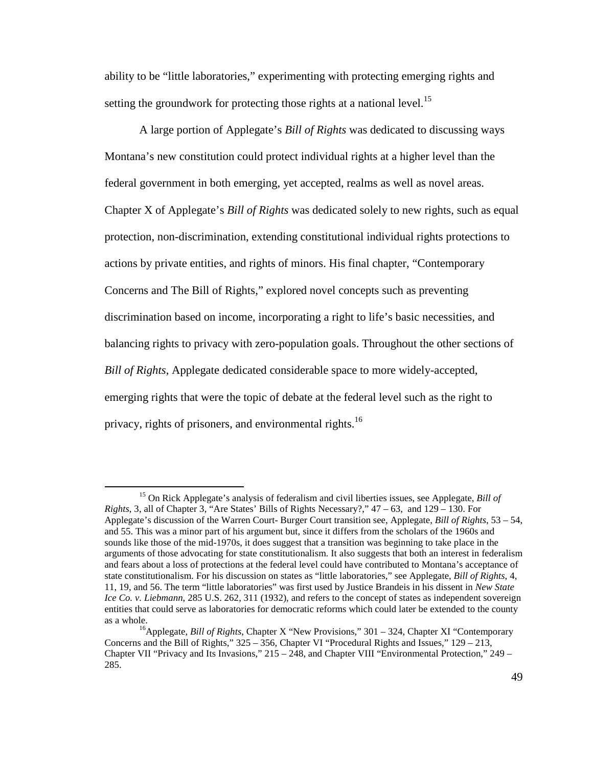ability to be "little laboratories," experimenting with protecting emerging rights and setting the groundwork for protecting those rights at a national level.<sup>15</sup>

A large portion of Applegate's *Bill of Rights* was dedicated to discussing ways Montana's new constitution could protect individual rights at a higher level than the federal government in both emerging, yet accepted, realms as well as novel areas. Chapter X of Applegate's *Bill of Rights* was dedicated solely to new rights, such as equal protection, non-discrimination, extending constitutional individual rights protections to actions by private entities, and rights of minors. His final chapter, "Contemporary Concerns and The Bill of Rights," explored novel concepts such as preventing discrimination based on income, incorporating a right to life's basic necessities, and balancing rights to privacy with zero-population goals. Throughout the other sections of *Bill of Rights*, Applegate dedicated considerable space to more widely-accepted, emerging rights that were the topic of debate at the federal level such as the right to privacy, rights of prisoners, and environmental rights.<sup>16</sup>

<sup>15</sup> On Rick Applegate's analysis of federalism and civil liberties issues, see Applegate, *Bill of Rights*, 3, all of Chapter 3, "Are States' Bills of Rights Necessary?," 47 – 63, and 129 – 130. For Applegate's discussion of the Warren Court- Burger Court transition see, Applegate, *Bill of Rights*, 53 – 54, and 55. This was a minor part of his argument but, since it differs from the scholars of the 1960s and sounds like those of the mid-1970s, it does suggest that a transition was beginning to take place in the arguments of those advocating for state constitutionalism. It also suggests that both an interest in federalism and fears about a loss of protections at the federal level could have contributed to Montana's acceptance of state constitutionalism. For his discussion on states as "little laboratories," see Applegate, *Bill of Rights*, 4, 11, 19, and 56. The term "little laboratories" was first used by Justice Brandeis in his dissent in *New State Ice Co. v. Liebmann*, 285 U.S. 262, 311 (1932), and refers to the concept of states as independent sovereign entities that could serve as laboratories for democratic reforms which could later be extended to the county as a whole.

<sup>16</sup>Applegate, *Bill of Rights*, Chapter X "New Provisions," 301 – 324, Chapter XI "Contemporary Concerns and the Bill of Rights,"  $325 - 356$ , Chapter VI "Procedural Rights and Issues,"  $129 - 213$ , Chapter VII "Privacy and Its Invasions," 215 – 248, and Chapter VIII "Environmental Protection," 249 – 285.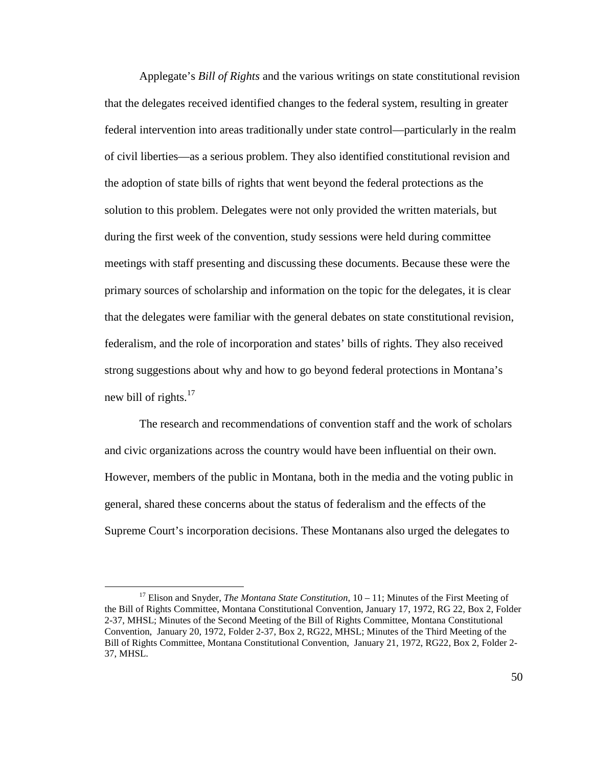Applegate's *Bill of Rights* and the various writings on state constitutional revision that the delegates received identified changes to the federal system, resulting in greater federal intervention into areas traditionally under state control—particularly in the realm of civil liberties—as a serious problem. They also identified constitutional revision and the adoption of state bills of rights that went beyond the federal protections as the solution to this problem. Delegates were not only provided the written materials, but during the first week of the convention, study sessions were held during committee meetings with staff presenting and discussing these documents. Because these were the primary sources of scholarship and information on the topic for the delegates, it is clear that the delegates were familiar with the general debates on state constitutional revision, federalism, and the role of incorporation and states' bills of rights. They also received strong suggestions about why and how to go beyond federal protections in Montana's new bill of rights. $17$ 

The research and recommendations of convention staff and the work of scholars and civic organizations across the country would have been influential on their own. However, members of the public in Montana, both in the media and the voting public in general, shared these concerns about the status of federalism and the effects of the Supreme Court's incorporation decisions. These Montanans also urged the delegates to

<sup>17</sup> Elison and Snyder, *The Montana State Constitution*, 10 – 11; Minutes of the First Meeting of the Bill of Rights Committee, Montana Constitutional Convention, January 17, 1972, RG 22, Box 2, Folder 2-37, MHSL; Minutes of the Second Meeting of the Bill of Rights Committee, Montana Constitutional Convention, January 20, 1972, Folder 2-37, Box 2, RG22, MHSL; Minutes of the Third Meeting of the Bill of Rights Committee, Montana Constitutional Convention, January 21, 1972, RG22, Box 2, Folder 2- 37, MHSL.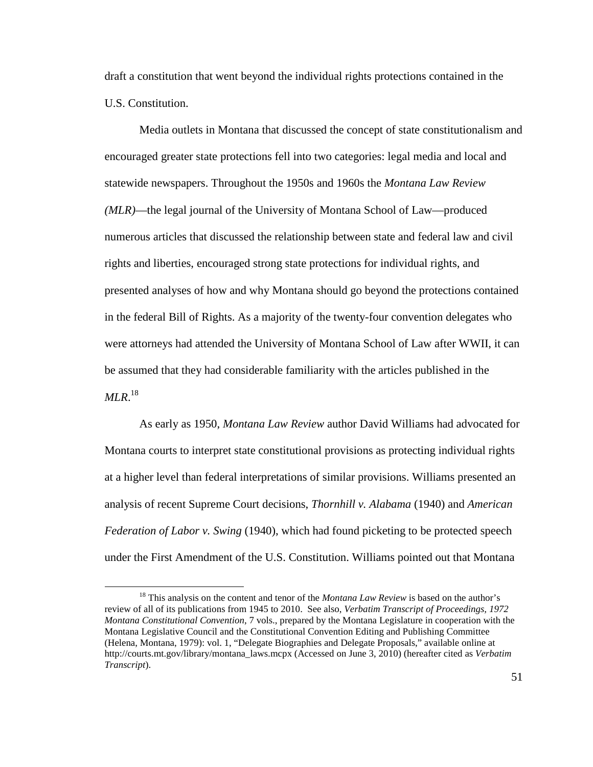draft a constitution that went beyond the individual rights protections contained in the U.S. Constitution.

Media outlets in Montana that discussed the concept of state constitutionalism and encouraged greater state protections fell into two categories: legal media and local and statewide newspapers. Throughout the 1950s and 1960s the *Montana Law Review (MLR)*—the legal journal of the University of Montana School of Law—produced numerous articles that discussed the relationship between state and federal law and civil rights and liberties, encouraged strong state protections for individual rights, and presented analyses of how and why Montana should go beyond the protections contained in the federal Bill of Rights. As a majority of the twenty-four convention delegates who were attorneys had attended the University of Montana School of Law after WWII, it can be assumed that they had considerable familiarity with the articles published in the *MLR*. 18

As early as 1950, *Montana Law Review* author David Williams had advocated for Montana courts to interpret state constitutional provisions as protecting individual rights at a higher level than federal interpretations of similar provisions. Williams presented an analysis of recent Supreme Court decisions, *Thornhill v. Alabama* (1940) and *American Federation of Labor v. Swing* (1940), which had found picketing to be protected speech under the First Amendment of the U.S. Constitution. Williams pointed out that Montana

<sup>&</sup>lt;sup>18</sup> This analysis on the content and tenor of the *Montana Law Review* is based on the author's review of all of its publications from 1945 to 2010. See also, *Verbatim Transcript of Proceedings, 1972 Montana Constitutional Convention*, 7 vols., prepared by the Montana Legislature in cooperation with the Montana Legislative Council and the Constitutional Convention Editing and Publishing Committee (Helena, Montana, 1979): vol. 1, "Delegate Biographies and Delegate Proposals," available online at http://courts.mt.gov/library/montana\_laws.mcpx (Accessed on June 3, 2010) (hereafter cited as *Verbatim Transcript*).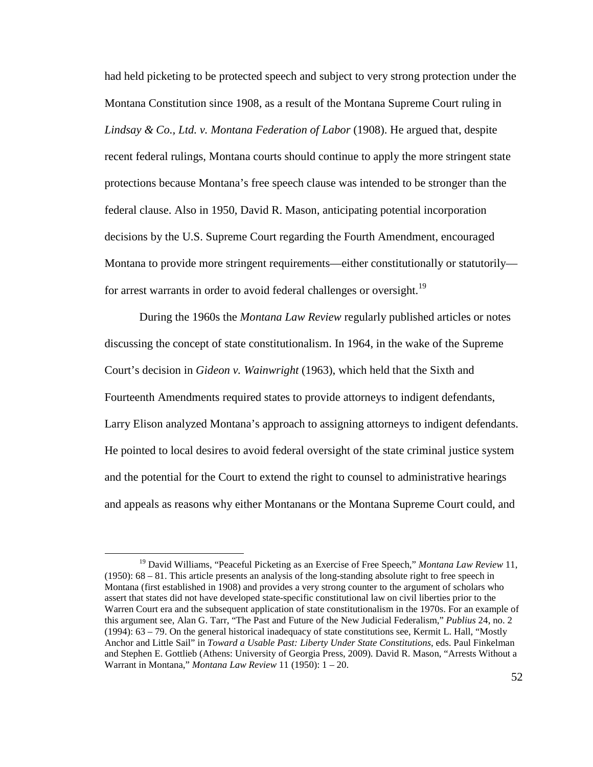had held picketing to be protected speech and subject to very strong protection under the Montana Constitution since 1908, as a result of the Montana Supreme Court ruling in *Lindsay & Co., Ltd. v. Montana Federation of Labor* (1908). He argued that, despite recent federal rulings, Montana courts should continue to apply the more stringent state protections because Montana's free speech clause was intended to be stronger than the federal clause. Also in 1950, David R. Mason, anticipating potential incorporation decisions by the U.S. Supreme Court regarding the Fourth Amendment, encouraged Montana to provide more stringent requirements—either constitutionally or statutorily for arrest warrants in order to avoid federal challenges or oversight.<sup>19</sup>

During the 1960s the *Montana Law Review* regularly published articles or notes discussing the concept of state constitutionalism. In 1964, in the wake of the Supreme Court's decision in *Gideon v. Wainwright* (1963), which held that the Sixth and Fourteenth Amendments required states to provide attorneys to indigent defendants, Larry Elison analyzed Montana's approach to assigning attorneys to indigent defendants. He pointed to local desires to avoid federal oversight of the state criminal justice system and the potential for the Court to extend the right to counsel to administrative hearings and appeals as reasons why either Montanans or the Montana Supreme Court could, and

<u>.</u>

<sup>&</sup>lt;sup>19</sup> David Williams, "Peaceful Picketing as an Exercise of Free Speech," *Montana Law Review* 11, (1950): 68 – 81. This article presents an analysis of the long-standing absolute right to free speech in Montana (first established in 1908) and provides a very strong counter to the argument of scholars who assert that states did not have developed state-specific constitutional law on civil liberties prior to the Warren Court era and the subsequent application of state constitutionalism in the 1970s. For an example of this argument see, Alan G. Tarr, "The Past and Future of the New Judicial Federalism," *Publius* 24, no. 2 (1994): 63 – 79. On the general historical inadequacy of state constitutions see, Kermit L. Hall, "Mostly Anchor and Little Sail" in *Toward a Usable Past: Liberty Under State Constitutions*, eds. Paul Finkelman and Stephen E. Gottlieb (Athens: University of Georgia Press, 2009). David R. Mason, "Arrests Without a Warrant in Montana," *Montana Law Review* 11 (1950): 1 – 20.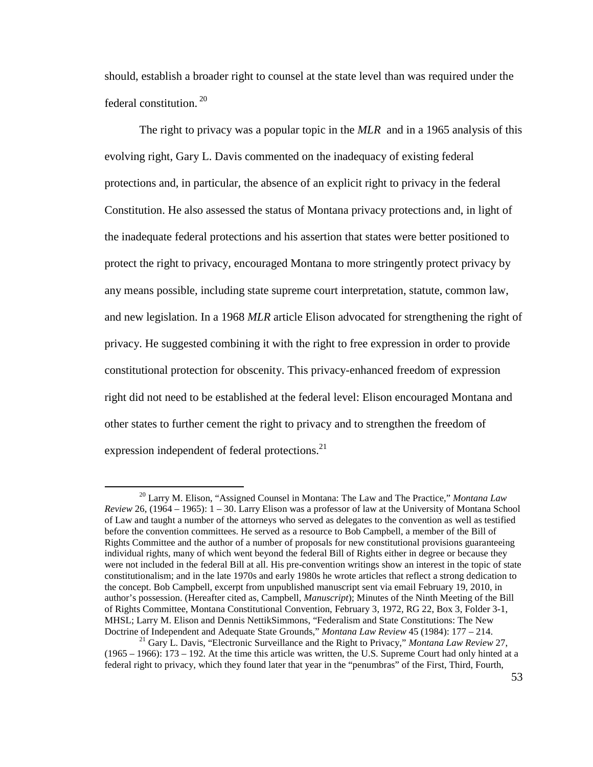should, establish a broader right to counsel at the state level than was required under the federal constitution.<sup>20</sup>

The right to privacy was a popular topic in the *MLR* and in a 1965 analysis of this evolving right, Gary L. Davis commented on the inadequacy of existing federal protections and, in particular, the absence of an explicit right to privacy in the federal Constitution. He also assessed the status of Montana privacy protections and, in light of the inadequate federal protections and his assertion that states were better positioned to protect the right to privacy, encouraged Montana to more stringently protect privacy by any means possible, including state supreme court interpretation, statute, common law, and new legislation. In a 1968 *MLR* article Elison advocated for strengthening the right of privacy. He suggested combining it with the right to free expression in order to provide constitutional protection for obscenity. This privacy-enhanced freedom of expression right did not need to be established at the federal level: Elison encouraged Montana and other states to further cement the right to privacy and to strengthen the freedom of expression independent of federal protections.<sup>21</sup>

<sup>20</sup> Larry M. Elison, "Assigned Counsel in Montana: The Law and The Practice," *Montana Law Review* 26, (1964 – 1965): 1 – 30. Larry Elison was a professor of law at the University of Montana School of Law and taught a number of the attorneys who served as delegates to the convention as well as testified before the convention committees. He served as a resource to Bob Campbell, a member of the Bill of Rights Committee and the author of a number of proposals for new constitutional provisions guaranteeing individual rights, many of which went beyond the federal Bill of Rights either in degree or because they were not included in the federal Bill at all. His pre-convention writings show an interest in the topic of state constitutionalism; and in the late 1970s and early 1980s he wrote articles that reflect a strong dedication to the concept. Bob Campbell, excerpt from unpublished manuscript sent via email February 19, 2010, in author's possession. (Hereafter cited as, Campbell, *Manuscript*); Minutes of the Ninth Meeting of the Bill of Rights Committee, Montana Constitutional Convention, February 3, 1972, RG 22, Box 3, Folder 3-1, MHSL; Larry M. Elison and Dennis NettikSimmons, "Federalism and State Constitutions: The New Doctrine of Independent and Adequate State Grounds," *Montana Law Review* 45 (1984): 177 – 214.

<sup>21</sup> Gary L. Davis, "Electronic Surveillance and the Right to Privacy," *Montana Law Review* 27, (1965 – 1966): 173 – 192. At the time this article was written, the U.S. Supreme Court had only hinted at a federal right to privacy, which they found later that year in the "penumbras" of the First, Third, Fourth,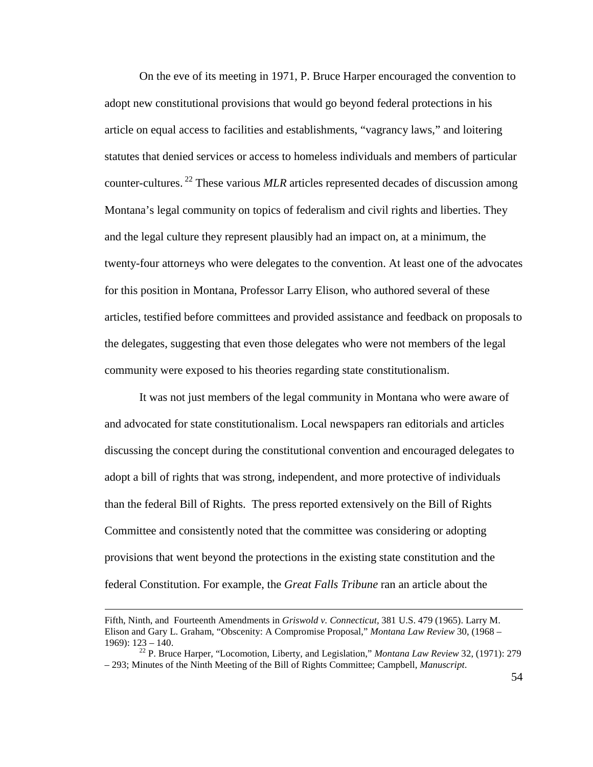On the eve of its meeting in 1971, P. Bruce Harper encouraged the convention to adopt new constitutional provisions that would go beyond federal protections in his article on equal access to facilities and establishments, "vagrancy laws," and loitering statutes that denied services or access to homeless individuals and members of particular counter-cultures.<sup>22</sup> These various *MLR* articles represented decades of discussion among Montana's legal community on topics of federalism and civil rights and liberties. They and the legal culture they represent plausibly had an impact on, at a minimum, the twenty-four attorneys who were delegates to the convention. At least one of the advocates for this position in Montana, Professor Larry Elison, who authored several of these articles, testified before committees and provided assistance and feedback on proposals to the delegates, suggesting that even those delegates who were not members of the legal community were exposed to his theories regarding state constitutionalism.

It was not just members of the legal community in Montana who were aware of and advocated for state constitutionalism. Local newspapers ran editorials and articles discussing the concept during the constitutional convention and encouraged delegates to adopt a bill of rights that was strong, independent, and more protective of individuals than the federal Bill of Rights. The press reported extensively on the Bill of Rights Committee and consistently noted that the committee was considering or adopting provisions that went beyond the protections in the existing state constitution and the federal Constitution. For example, the *Great Falls Tribune* ran an article about the

Fifth, Ninth, and Fourteenth Amendments in *Griswold v. Connecticut,* 381 U.S. 479 (1965). Larry M. Elison and Gary L. Graham, "Obscenity: A Compromise Proposal," *Montana Law Review* 30, (1968 –  $1969$ :  $123 - 140$ .

<sup>22</sup> P. Bruce Harper, "Locomotion, Liberty, and Legislation," *Montana Law Review* 32, (1971): 279 – 293; Minutes of the Ninth Meeting of the Bill of Rights Committee; Campbell, *Manuscript*.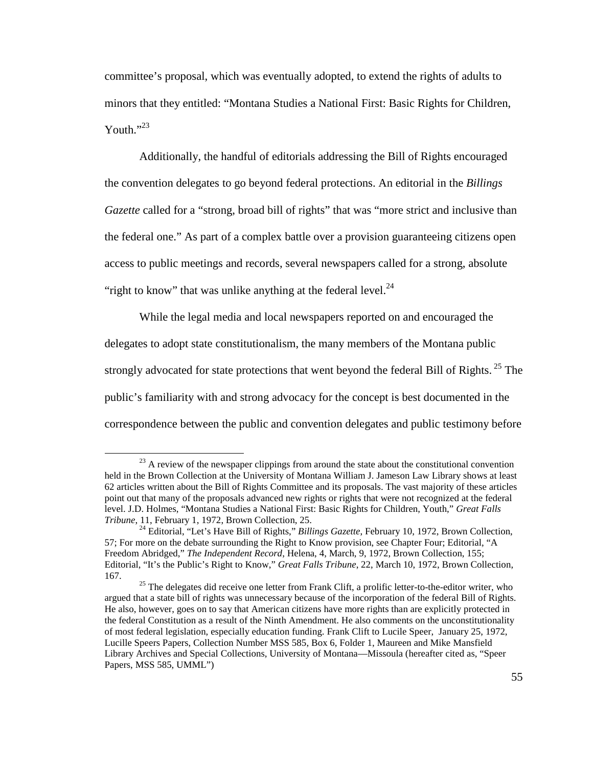committee's proposal, which was eventually adopted, to extend the rights of adults to minors that they entitled: "Montana Studies a National First: Basic Rights for Children, Youth." $^{33}$ 

Additionally, the handful of editorials addressing the Bill of Rights encouraged the convention delegates to go beyond federal protections. An editorial in the *Billings Gazette* called for a "strong, broad bill of rights" that was "more strict and inclusive than the federal one." As part of a complex battle over a provision guaranteeing citizens open access to public meetings and records, several newspapers called for a strong, absolute "right to know" that was unlike anything at the federal level. $^{24}$ 

While the legal media and local newspapers reported on and encouraged the delegates to adopt state constitutionalism, the many members of the Montana public strongly advocated for state protections that went beyond the federal Bill of Rights.<sup>25</sup> The public's familiarity with and strong advocacy for the concept is best documented in the correspondence between the public and convention delegates and public testimony before

<sup>&</sup>lt;sup>23</sup> A review of the newspaper clippings from around the state about the constitutional convention held in the Brown Collection at the University of Montana William J. Jameson Law Library shows at least 62 articles written about the Bill of Rights Committee and its proposals. The vast majority of these articles point out that many of the proposals advanced new rights or rights that were not recognized at the federal level. J.D. Holmes, "Montana Studies a National First: Basic Rights for Children, Youth," *Great Falls Tribune*, 11, February 1, 1972, Brown Collection, 25.

<sup>24</sup> Editorial, "Let's Have Bill of Rights," *Billings Gazette*, February 10, 1972, Brown Collection, 57; For more on the debate surrounding the Right to Know provision, see Chapter Four; Editorial, "A Freedom Abridged," *The Independent Record*, Helena, 4, March, 9, 1972, Brown Collection, 155; Editorial, "It's the Public's Right to Know," *Great Falls Tribune*, 22, March 10, 1972, Brown Collection, 167.

 $25$  The delegates did receive one letter from Frank Clift, a prolific letter-to-the-editor writer, who argued that a state bill of rights was unnecessary because of the incorporation of the federal Bill of Rights. He also, however, goes on to say that American citizens have more rights than are explicitly protected in the federal Constitution as a result of the Ninth Amendment. He also comments on the unconstitutionality of most federal legislation, especially education funding. Frank Clift to Lucile Speer, January 25, 1972, Lucille Speers Papers, Collection Number MSS 585, Box 6, Folder 1, Maureen and Mike Mansfield Library Archives and Special Collections, University of Montana—Missoula (hereafter cited as, "Speer Papers, MSS 585, UMML")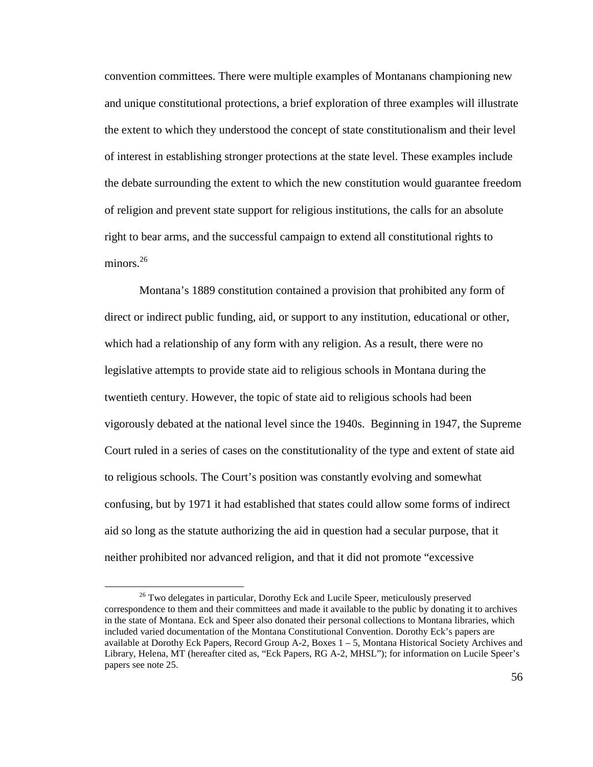convention committees. There were multiple examples of Montanans championing new and unique constitutional protections, a brief exploration of three examples will illustrate the extent to which they understood the concept of state constitutionalism and their level of interest in establishing stronger protections at the state level. These examples include the debate surrounding the extent to which the new constitution would guarantee freedom of religion and prevent state support for religious institutions, the calls for an absolute right to bear arms, and the successful campaign to extend all constitutional rights to minors. $26$ 

Montana's 1889 constitution contained a provision that prohibited any form of direct or indirect public funding, aid, or support to any institution, educational or other, which had a relationship of any form with any religion. As a result, there were no legislative attempts to provide state aid to religious schools in Montana during the twentieth century. However, the topic of state aid to religious schools had been vigorously debated at the national level since the 1940s. Beginning in 1947, the Supreme Court ruled in a series of cases on the constitutionality of the type and extent of state aid to religious schools. The Court's position was constantly evolving and somewhat confusing, but by 1971 it had established that states could allow some forms of indirect aid so long as the statute authorizing the aid in question had a secular purpose, that it neither prohibited nor advanced religion, and that it did not promote "excessive

<sup>&</sup>lt;sup>26</sup> Two delegates in particular, Dorothy Eck and Lucile Speer, meticulously preserved correspondence to them and their committees and made it available to the public by donating it to archives in the state of Montana. Eck and Speer also donated their personal collections to Montana libraries, which included varied documentation of the Montana Constitutional Convention. Dorothy Eck's papers are available at Dorothy Eck Papers, Record Group A-2, Boxes 1 – 5, Montana Historical Society Archives and Library, Helena, MT (hereafter cited as, "Eck Papers, RG A-2, MHSL"); for information on Lucile Speer's papers see note 25.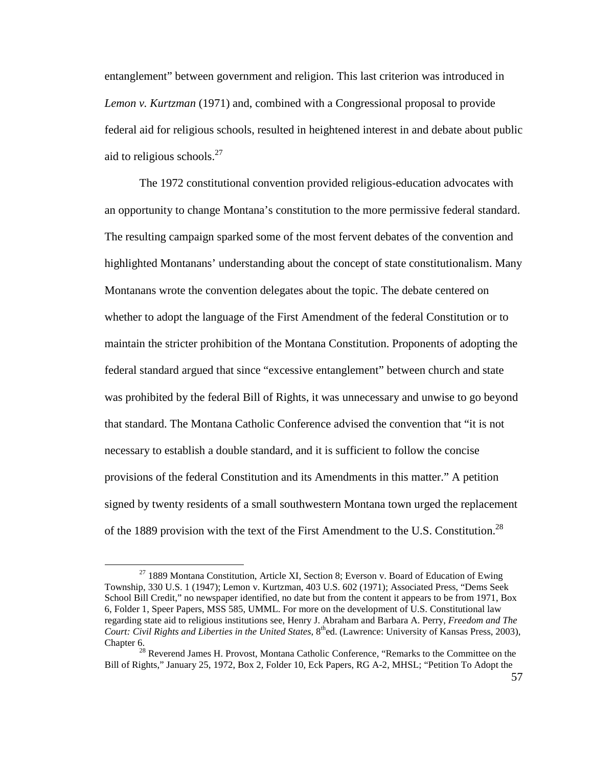entanglement" between government and religion. This last criterion was introduced in *Lemon v. Kurtzman* (1971) and, combined with a Congressional proposal to provide federal aid for religious schools, resulted in heightened interest in and debate about public aid to religious schools. $27$ 

The 1972 constitutional convention provided religious-education advocates with an opportunity to change Montana's constitution to the more permissive federal standard. The resulting campaign sparked some of the most fervent debates of the convention and highlighted Montanans' understanding about the concept of state constitutionalism. Many Montanans wrote the convention delegates about the topic. The debate centered on whether to adopt the language of the First Amendment of the federal Constitution or to maintain the stricter prohibition of the Montana Constitution. Proponents of adopting the federal standard argued that since "excessive entanglement" between church and state was prohibited by the federal Bill of Rights, it was unnecessary and unwise to go beyond that standard. The Montana Catholic Conference advised the convention that "it is not necessary to establish a double standard, and it is sufficient to follow the concise provisions of the federal Constitution and its Amendments in this matter." A petition signed by twenty residents of a small southwestern Montana town urged the replacement of the 1889 provision with the text of the First Amendment to the U.S. Constitution.<sup>28</sup>

 $^{27}$  1889 Montana Constitution, Article XI, Section 8; Everson v. Board of Education of Ewing Township, 330 U.S. 1 (1947); Lemon v. Kurtzman, 403 U.S. 602 (1971); Associated Press, "Dems Seek School Bill Credit," no newspaper identified, no date but from the content it appears to be from 1971, Box 6, Folder 1, Speer Papers, MSS 585, UMML. For more on the development of U.S. Constitutional law regarding state aid to religious institutions see, Henry J. Abraham and Barbara A. Perry, *Freedom and The Court: Civil Rights and Liberties in the United States*, 8<sup>th</sup>ed. (Lawrence: University of Kansas Press, 2003), Chapter 6.

<sup>&</sup>lt;sup>28</sup> Reverend James H. Provost, Montana Catholic Conference, "Remarks to the Committee on the Bill of Rights," January 25, 1972, Box 2, Folder 10, Eck Papers, RG A-2, MHSL; "Petition To Adopt the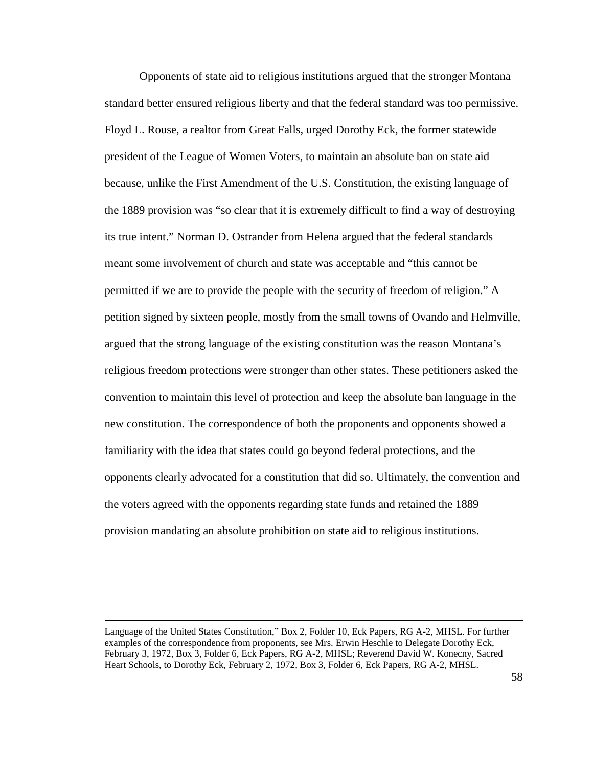Opponents of state aid to religious institutions argued that the stronger Montana standard better ensured religious liberty and that the federal standard was too permissive. Floyd L. Rouse, a realtor from Great Falls, urged Dorothy Eck, the former statewide president of the League of Women Voters, to maintain an absolute ban on state aid because, unlike the First Amendment of the U.S. Constitution, the existing language of the 1889 provision was "so clear that it is extremely difficult to find a way of destroying its true intent." Norman D. Ostrander from Helena argued that the federal standards meant some involvement of church and state was acceptable and "this cannot be permitted if we are to provide the people with the security of freedom of religion." A petition signed by sixteen people, mostly from the small towns of Ovando and Helmville, argued that the strong language of the existing constitution was the reason Montana's religious freedom protections were stronger than other states. These petitioners asked the convention to maintain this level of protection and keep the absolute ban language in the new constitution. The correspondence of both the proponents and opponents showed a familiarity with the idea that states could go beyond federal protections, and the opponents clearly advocated for a constitution that did so. Ultimately, the convention and the voters agreed with the opponents regarding state funds and retained the 1889 provision mandating an absolute prohibition on state aid to religious institutions.

<u>.</u>

Language of the United States Constitution," Box 2, Folder 10, Eck Papers, RG A-2, MHSL. For further examples of the correspondence from proponents, see Mrs. Erwin Heschle to Delegate Dorothy Eck, February 3, 1972, Box 3, Folder 6, Eck Papers, RG A-2, MHSL; Reverend David W. Konecny, Sacred Heart Schools, to Dorothy Eck, February 2, 1972, Box 3, Folder 6, Eck Papers, RG A-2, MHSL.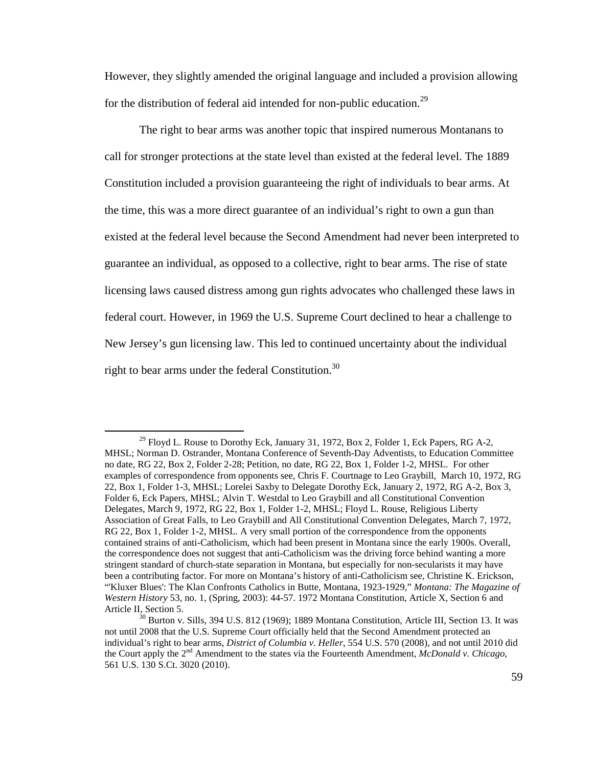However, they slightly amended the original language and included a provision allowing for the distribution of federal aid intended for non-public education.<sup>29</sup>

The right to bear arms was another topic that inspired numerous Montanans to call for stronger protections at the state level than existed at the federal level. The 1889 Constitution included a provision guaranteeing the right of individuals to bear arms. At the time, this was a more direct guarantee of an individual's right to own a gun than existed at the federal level because the Second Amendment had never been interpreted to guarantee an individual, as opposed to a collective, right to bear arms. The rise of state licensing laws caused distress among gun rights advocates who challenged these laws in federal court. However, in 1969 the U.S. Supreme Court declined to hear a challenge to New Jersey's gun licensing law. This led to continued uncertainty about the individual right to bear arms under the federal Constitution. $30$ 

 $29$  Floyd L. Rouse to Dorothy Eck, January 31, 1972, Box 2, Folder 1, Eck Papers, RG A-2, MHSL; Norman D. Ostrander, Montana Conference of Seventh-Day Adventists, to Education Committee no date, RG 22, Box 2, Folder 2-28; Petition, no date, RG 22, Box 1, Folder 1-2, MHSL. For other examples of correspondence from opponents see, Chris F. Courtnage to Leo Graybill, March 10, 1972, RG 22, Box 1, Folder 1-3, MHSL; Lorelei Saxby to Delegate Dorothy Eck, January 2, 1972, RG A-2, Box 3, Folder 6, Eck Papers, MHSL; Alvin T. Westdal to Leo Graybill and all Constitutional Convention Delegates, March 9, 1972, RG 22, Box 1, Folder 1-2, MHSL; Floyd L. Rouse, Religious Liberty Association of Great Falls, to Leo Graybill and All Constitutional Convention Delegates, March 7, 1972, RG 22, Box 1, Folder 1-2, MHSL. A very small portion of the correspondence from the opponents contained strains of anti-Catholicism, which had been present in Montana since the early 1900s. Overall, the correspondence does not suggest that anti-Catholicism was the driving force behind wanting a more stringent standard of church-state separation in Montana, but especially for non-secularists it may have been a contributing factor. For more on Montana's history of anti-Catholicism see, Christine K. Erickson, "'Kluxer Blues': The Klan Confronts Catholics in Butte, Montana, 1923-1929," *Montana: The Magazine of Western History* 53, no. 1, (Spring, 2003): 44-57. 1972 Montana Constitution, Article X, Section 6 and Article II, Section 5.

<sup>30</sup> Burton v. Sills, 394 U.S. 812 (1969); 1889 Montana Constitution, Article III, Section 13. It was not until 2008 that the U.S. Supreme Court officially held that the Second Amendment protected an individual's right to bear arms, *District of Columbia v. Heller*, 554 U.S. 570 (2008), and not until 2010 did the Court apply the 2nd Amendment to the states via the Fourteenth Amendment, *McDonald v. Chicago*, 561 U.S. 130 S.Ct. 3020 (2010).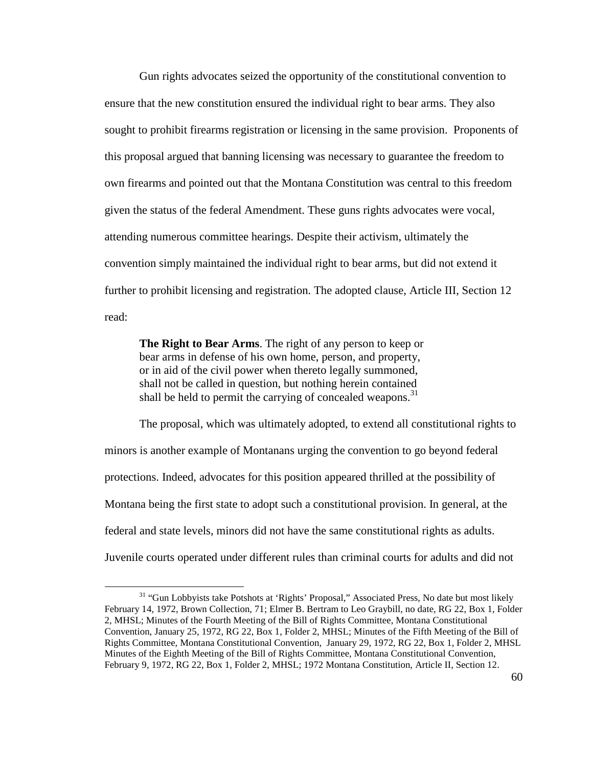Gun rights advocates seized the opportunity of the constitutional convention to ensure that the new constitution ensured the individual right to bear arms. They also sought to prohibit firearms registration or licensing in the same provision. Proponents of this proposal argued that banning licensing was necessary to guarantee the freedom to own firearms and pointed out that the Montana Constitution was central to this freedom given the status of the federal Amendment. These guns rights advocates were vocal, attending numerous committee hearings. Despite their activism, ultimately the convention simply maintained the individual right to bear arms, but did not extend it further to prohibit licensing and registration. The adopted clause, Article III, Section 12 read:

**The Right to Bear Arms**. The right of any person to keep or bear arms in defense of his own home, person, and property, or in aid of the civil power when thereto legally summoned, shall not be called in question, but nothing herein contained shall be held to permit the carrying of concealed weapons. $31$ 

The proposal, which was ultimately adopted, to extend all constitutional rights to minors is another example of Montanans urging the convention to go beyond federal protections. Indeed, advocates for this position appeared thrilled at the possibility of Montana being the first state to adopt such a constitutional provision. In general, at the federal and state levels, minors did not have the same constitutional rights as adults. Juvenile courts operated under different rules than criminal courts for adults and did not

<sup>&</sup>lt;sup>31</sup> "Gun Lobbyists take Potshots at 'Rights' Proposal," Associated Press, No date but most likely February 14, 1972, Brown Collection, 71; Elmer B. Bertram to Leo Graybill, no date, RG 22, Box 1, Folder 2, MHSL; Minutes of the Fourth Meeting of the Bill of Rights Committee, Montana Constitutional Convention, January 25, 1972, RG 22, Box 1, Folder 2, MHSL; Minutes of the Fifth Meeting of the Bill of Rights Committee, Montana Constitutional Convention, January 29, 1972, RG 22, Box 1, Folder 2, MHSL Minutes of the Eighth Meeting of the Bill of Rights Committee, Montana Constitutional Convention, February 9, 1972, RG 22, Box 1, Folder 2, MHSL; 1972 Montana Constitution, Article II, Section 12.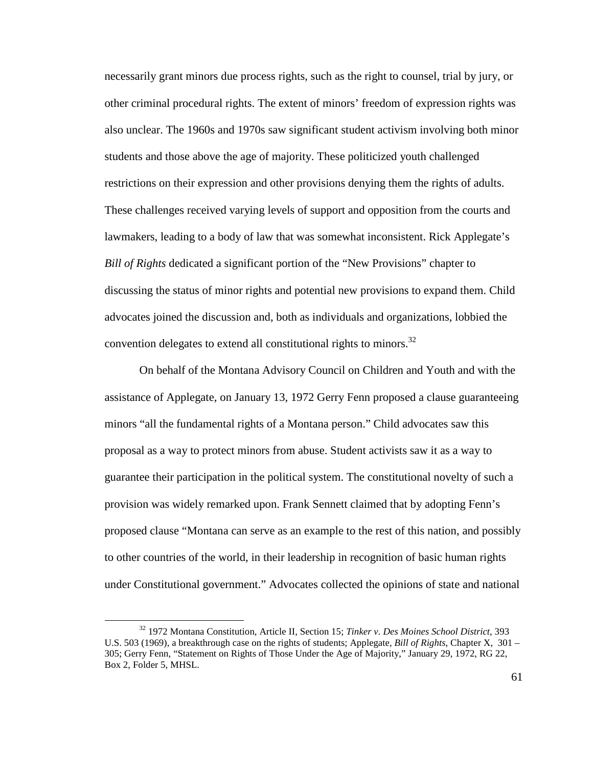necessarily grant minors due process rights, such as the right to counsel, trial by jury, or other criminal procedural rights. The extent of minors' freedom of expression rights was also unclear. The 1960s and 1970s saw significant student activism involving both minor students and those above the age of majority. These politicized youth challenged restrictions on their expression and other provisions denying them the rights of adults. These challenges received varying levels of support and opposition from the courts and lawmakers, leading to a body of law that was somewhat inconsistent. Rick Applegate's *Bill of Rights* dedicated a significant portion of the "New Provisions" chapter to discussing the status of minor rights and potential new provisions to expand them. Child advocates joined the discussion and, both as individuals and organizations, lobbied the convention delegates to extend all constitutional rights to minors.<sup>32</sup>

On behalf of the Montana Advisory Council on Children and Youth and with the assistance of Applegate, on January 13, 1972 Gerry Fenn proposed a clause guaranteeing minors "all the fundamental rights of a Montana person." Child advocates saw this proposal as a way to protect minors from abuse. Student activists saw it as a way to guarantee their participation in the political system. The constitutional novelty of such a provision was widely remarked upon. Frank Sennett claimed that by adopting Fenn's proposed clause "Montana can serve as an example to the rest of this nation, and possibly to other countries of the world, in their leadership in recognition of basic human rights under Constitutional government." Advocates collected the opinions of state and national

<sup>32</sup> 1972 Montana Constitution, Article II, Section 15; *Tinker v. Des Moines School District*, 393 U.S. 503 (1969), a breakthrough case on the rights of students; Applegate, *Bill of Rights*, Chapter X, 301 – 305; Gerry Fenn, "Statement on Rights of Those Under the Age of Majority," January 29, 1972, RG 22, Box 2, Folder 5, MHSL.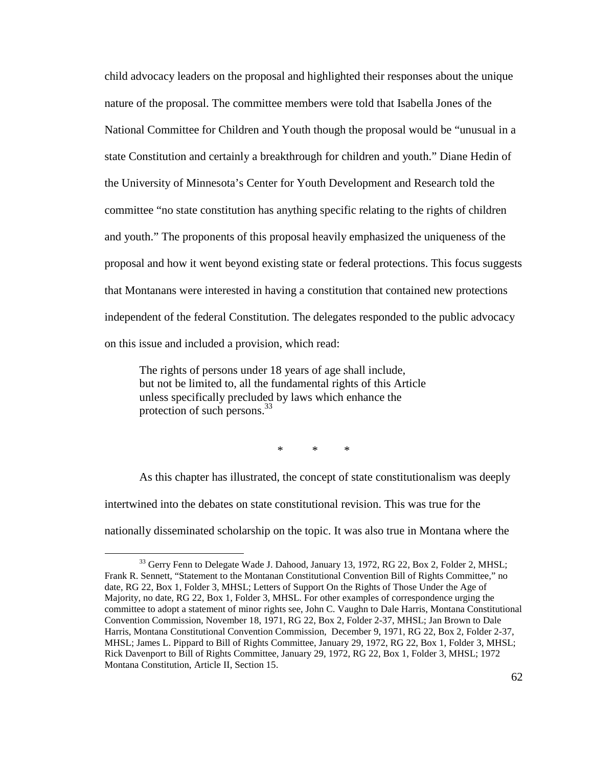child advocacy leaders on the proposal and highlighted their responses about the unique nature of the proposal. The committee members were told that Isabella Jones of the National Committee for Children and Youth though the proposal would be "unusual in a state Constitution and certainly a breakthrough for children and youth." Diane Hedin of the University of Minnesota's Center for Youth Development and Research told the committee "no state constitution has anything specific relating to the rights of children and youth." The proponents of this proposal heavily emphasized the uniqueness of the proposal and how it went beyond existing state or federal protections. This focus suggests that Montanans were interested in having a constitution that contained new protections independent of the federal Constitution. The delegates responded to the public advocacy on this issue and included a provision, which read:

The rights of persons under 18 years of age shall include, but not be limited to, all the fundamental rights of this Article unless specifically precluded by laws which enhance the protection of such persons. $33$ 

<u>.</u>

\* \* \*

As this chapter has illustrated, the concept of state constitutionalism was deeply intertwined into the debates on state constitutional revision. This was true for the nationally disseminated scholarship on the topic. It was also true in Montana where the

<sup>&</sup>lt;sup>33</sup> Gerry Fenn to Delegate Wade J. Dahood, January 13, 1972, RG 22, Box 2, Folder 2, MHSL; Frank R. Sennett, "Statement to the Montanan Constitutional Convention Bill of Rights Committee," no date, RG 22, Box 1, Folder 3, MHSL; Letters of Support On the Rights of Those Under the Age of Majority, no date, RG 22, Box 1, Folder 3, MHSL. For other examples of correspondence urging the committee to adopt a statement of minor rights see, John C. Vaughn to Dale Harris, Montana Constitutional Convention Commission, November 18, 1971, RG 22, Box 2, Folder 2-37, MHSL; Jan Brown to Dale Harris, Montana Constitutional Convention Commission, December 9, 1971, RG 22, Box 2, Folder 2-37, MHSL; James L. Pippard to Bill of Rights Committee, January 29, 1972, RG 22, Box 1, Folder 3, MHSL; Rick Davenport to Bill of Rights Committee, January 29, 1972, RG 22, Box 1, Folder 3, MHSL; 1972 Montana Constitution, Article II, Section 15.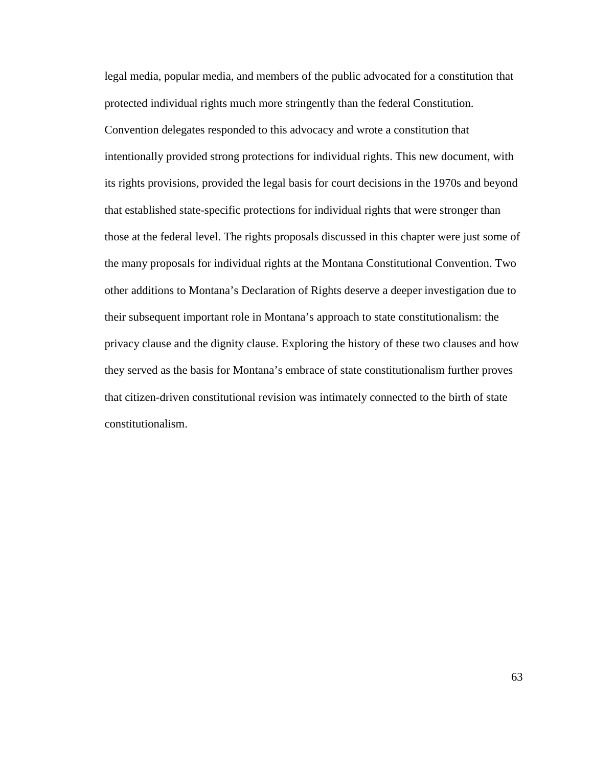legal media, popular media, and members of the public advocated for a constitution that protected individual rights much more stringently than the federal Constitution. Convention delegates responded to this advocacy and wrote a constitution that intentionally provided strong protections for individual rights. This new document, with its rights provisions, provided the legal basis for court decisions in the 1970s and beyond that established state-specific protections for individual rights that were stronger than those at the federal level. The rights proposals discussed in this chapter were just some of the many proposals for individual rights at the Montana Constitutional Convention. Two other additions to Montana's Declaration of Rights deserve a deeper investigation due to their subsequent important role in Montana's approach to state constitutionalism: the privacy clause and the dignity clause. Exploring the history of these two clauses and how they served as the basis for Montana's embrace of state constitutionalism further proves that citizen-driven constitutional revision was intimately connected to the birth of state constitutionalism.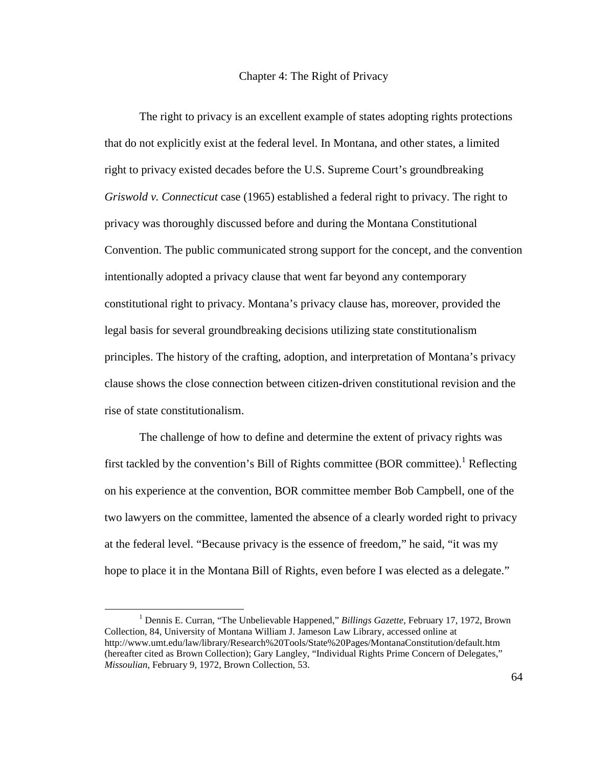## Chapter 4: The Right of Privacy

The right to privacy is an excellent example of states adopting rights protections that do not explicitly exist at the federal level. In Montana, and other states, a limited right to privacy existed decades before the U.S. Supreme Court's groundbreaking *Griswold v. Connecticut* case (1965) established a federal right to privacy. The right to privacy was thoroughly discussed before and during the Montana Constitutional Convention. The public communicated strong support for the concept, and the convention intentionally adopted a privacy clause that went far beyond any contemporary constitutional right to privacy. Montana's privacy clause has, moreover, provided the legal basis for several groundbreaking decisions utilizing state constitutionalism principles. The history of the crafting, adoption, and interpretation of Montana's privacy clause shows the close connection between citizen-driven constitutional revision and the rise of state constitutionalism.

The challenge of how to define and determine the extent of privacy rights was first tackled by the convention's Bill of Rights committee (BOR committee).<sup>1</sup> Reflecting on his experience at the convention, BOR committee member Bob Campbell, one of the two lawyers on the committee, lamented the absence of a clearly worded right to privacy at the federal level. "Because privacy is the essence of freedom," he said, "it was my hope to place it in the Montana Bill of Rights, even before I was elected as a delegate."

<sup>&</sup>lt;sup>1</sup> Dennis E. Curran, "The Unbelievable Happened," *Billings Gazette*, February 17, 1972, Brown Collection, 84, University of Montana William J. Jameson Law Library, accessed online at http://www.umt.edu/law/library/Research%20Tools/State%20Pages/MontanaConstitution/default.htm (hereafter cited as Brown Collection); Gary Langley, "Individual Rights Prime Concern of Delegates," *Missoulian*, February 9, 1972, Brown Collection, 53.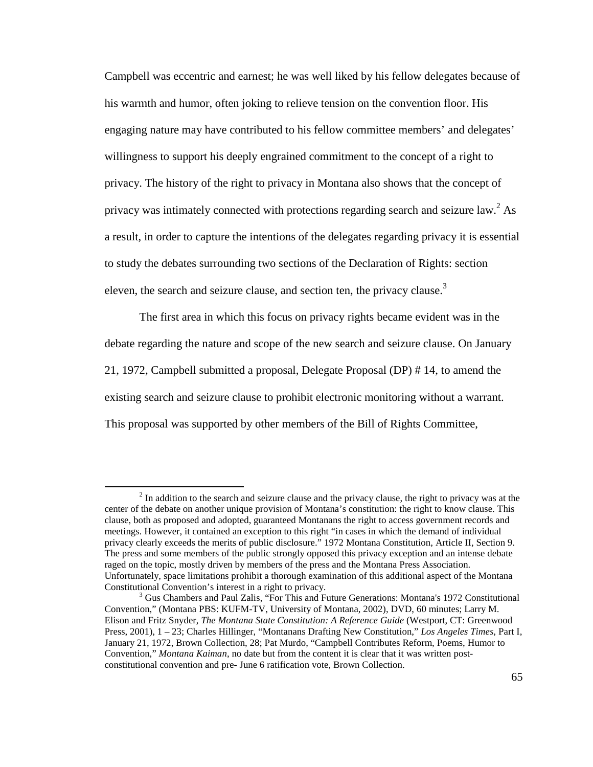Campbell was eccentric and earnest; he was well liked by his fellow delegates because of his warmth and humor, often joking to relieve tension on the convention floor. His engaging nature may have contributed to his fellow committee members' and delegates' willingness to support his deeply engrained commitment to the concept of a right to privacy. The history of the right to privacy in Montana also shows that the concept of privacy was intimately connected with protections regarding search and seizure law.<sup>2</sup> As a result, in order to capture the intentions of the delegates regarding privacy it is essential to study the debates surrounding two sections of the Declaration of Rights: section eleven, the search and seizure clause, and section ten, the privacy clause.<sup>3</sup>

The first area in which this focus on privacy rights became evident was in the debate regarding the nature and scope of the new search and seizure clause. On January 21, 1972, Campbell submitted a proposal, Delegate Proposal (DP) # 14, to amend the existing search and seizure clause to prohibit electronic monitoring without a warrant. This proposal was supported by other members of the Bill of Rights Committee,

<u>.</u>

 $2<sup>2</sup>$  In addition to the search and seizure clause and the privacy clause, the right to privacy was at the center of the debate on another unique provision of Montana's constitution: the right to know clause. This clause, both as proposed and adopted, guaranteed Montanans the right to access government records and meetings. However, it contained an exception to this right "in cases in which the demand of individual privacy clearly exceeds the merits of public disclosure." 1972 Montana Constitution, Article II, Section 9. The press and some members of the public strongly opposed this privacy exception and an intense debate raged on the topic, mostly driven by members of the press and the Montana Press Association. Unfortunately, space limitations prohibit a thorough examination of this additional aspect of the Montana Constitutional Convention's interest in a right to privacy.

<sup>&</sup>lt;sup>3</sup> Gus Chambers and Paul Zalis, "For This and Future Generations: Montana's 1972 Constitutional Convention," (Montana PBS: KUFM-TV, University of Montana, 2002), DVD, 60 minutes; Larry M. Elison and Fritz Snyder, *The Montana State Constitution: A Reference Guide* (Westport, CT: Greenwood Press, 2001), 1 – 23; Charles Hillinger, "Montanans Drafting New Constitution," *Los Angeles Times*, Part I, January 21, 1972, Brown Collection, 28; Pat Murdo, "Campbell Contributes Reform, Poems, Humor to Convention," *Montana Kaiman*, no date but from the content it is clear that it was written postconstitutional convention and pre- June 6 ratification vote, Brown Collection.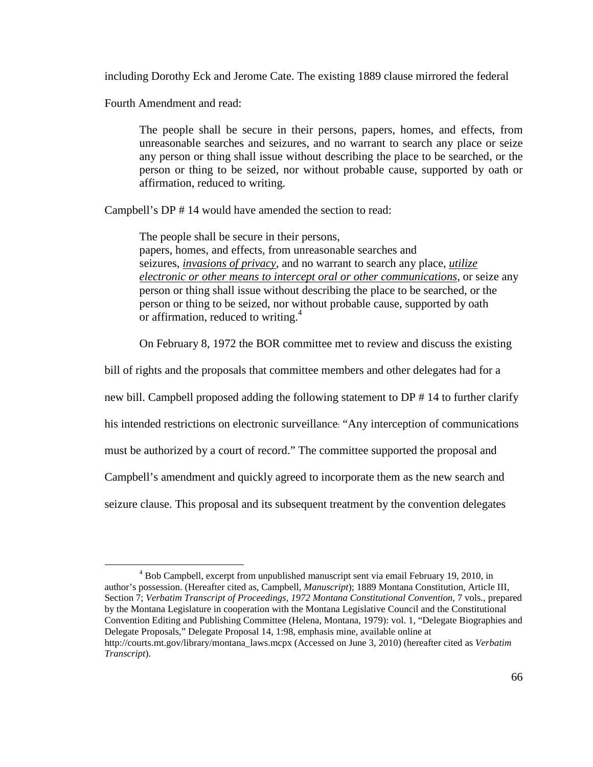including Dorothy Eck and Jerome Cate. The existing 1889 clause mirrored the federal

Fourth Amendment and read:

 $\overline{a}$ 

The people shall be secure in their persons, papers, homes, and effects, from unreasonable searches and seizures, and no warrant to search any place or seize any person or thing shall issue without describing the place to be searched, or the person or thing to be seized, nor without probable cause, supported by oath or affirmation, reduced to writing.

Campbell's DP # 14 would have amended the section to read:

The people shall be secure in their persons, papers, homes, and effects, from unreasonable searches and seizures, *invasions of privacy*, and no warrant to search any place, *utilize electronic or other means to intercept oral or other communications*, or seize any person or thing shall issue without describing the place to be searched, or the person or thing to be seized, nor without probable cause, supported by oath or affirmation, reduced to writing.<sup>4</sup>

On February 8, 1972 the BOR committee met to review and discuss the existing

bill of rights and the proposals that committee members and other delegates had for a

new bill. Campbell proposed adding the following statement to DP # 14 to further clarify

his intended restrictions on electronic surveillance: "Any interception of communications

must be authorized by a court of record." The committee supported the proposal and

Campbell's amendment and quickly agreed to incorporate them as the new search and

seizure clause. This proposal and its subsequent treatment by the convention delegates

<sup>&</sup>lt;sup>4</sup> Bob Campbell, excerpt from unpublished manuscript sent via email February 19, 2010, in author's possession. (Hereafter cited as, Campbell, *Manuscript*); 1889 Montana Constitution, Article III, Section 7; *Verbatim Transcript of Proceedings, 1972 Montana Constitutional Convention*, 7 vols., prepared by the Montana Legislature in cooperation with the Montana Legislative Council and the Constitutional Convention Editing and Publishing Committee (Helena, Montana, 1979): vol. 1, "Delegate Biographies and Delegate Proposals," Delegate Proposal 14, 1:98, emphasis mine, available online at http://courts.mt.gov/library/montana\_laws.mcpx (Accessed on June 3, 2010) (hereafter cited as *Verbatim Transcript*).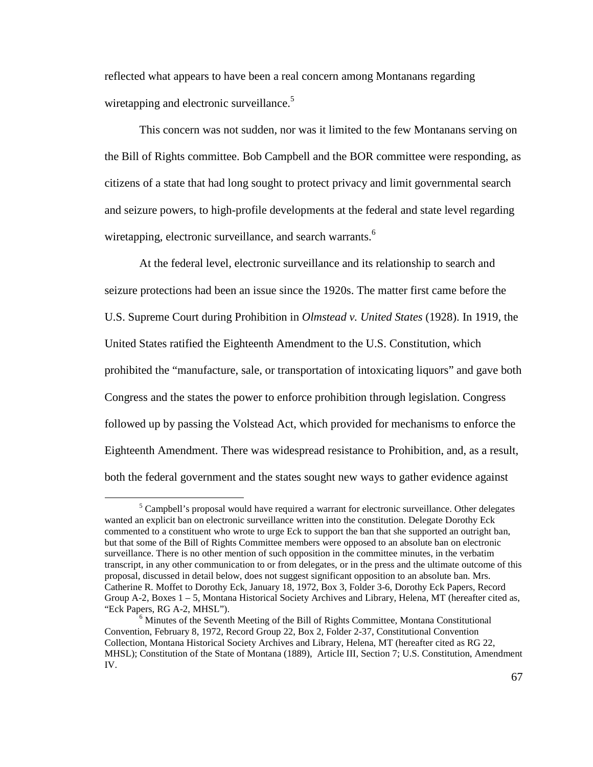reflected what appears to have been a real concern among Montanans regarding wiretapping and electronic surveillance.<sup>5</sup>

This concern was not sudden, nor was it limited to the few Montanans serving on the Bill of Rights committee. Bob Campbell and the BOR committee were responding, as citizens of a state that had long sought to protect privacy and limit governmental search and seizure powers, to high-profile developments at the federal and state level regarding wiretapping, electronic surveillance, and search warrants.<sup>6</sup>

At the federal level, electronic surveillance and its relationship to search and seizure protections had been an issue since the 1920s. The matter first came before the U.S. Supreme Court during Prohibition in *Olmstead v. United States* (1928). In 1919, the United States ratified the Eighteenth Amendment to the U.S. Constitution, which prohibited the "manufacture, sale, or transportation of intoxicating liquors" and gave both Congress and the states the power to enforce prohibition through legislation. Congress followed up by passing the Volstead Act, which provided for mechanisms to enforce the Eighteenth Amendment. There was widespread resistance to Prohibition, and, as a result, both the federal government and the states sought new ways to gather evidence against

<sup>&</sup>lt;sup>5</sup> Campbell's proposal would have required a warrant for electronic surveillance. Other delegates wanted an explicit ban on electronic surveillance written into the constitution. Delegate Dorothy Eck commented to a constituent who wrote to urge Eck to support the ban that she supported an outright ban, but that some of the Bill of Rights Committee members were opposed to an absolute ban on electronic surveillance. There is no other mention of such opposition in the committee minutes, in the verbatim transcript, in any other communication to or from delegates, or in the press and the ultimate outcome of this proposal, discussed in detail below, does not suggest significant opposition to an absolute ban. Mrs. Catherine R. Moffet to Dorothy Eck, January 18, 1972, Box 3, Folder 3-6, Dorothy Eck Papers, Record Group A-2, Boxes 1 – 5, Montana Historical Society Archives and Library, Helena, MT (hereafter cited as, "Eck Papers, RG A-2, MHSL").

<sup>&</sup>lt;sup>6</sup> Minutes of the Seventh Meeting of the Bill of Rights Committee, Montana Constitutional Convention, February 8, 1972, Record Group 22, Box 2, Folder 2-37, Constitutional Convention Collection, Montana Historical Society Archives and Library, Helena, MT (hereafter cited as RG 22, MHSL); Constitution of the State of Montana (1889), Article III, Section 7; U.S. Constitution, Amendment IV.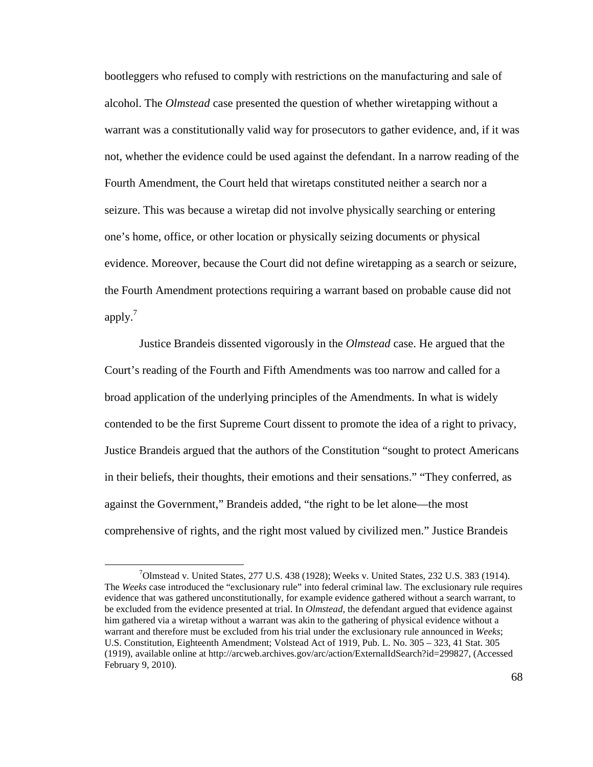bootleggers who refused to comply with restrictions on the manufacturing and sale of alcohol. The *Olmstead* case presented the question of whether wiretapping without a warrant was a constitutionally valid way for prosecutors to gather evidence, and, if it was not, whether the evidence could be used against the defendant. In a narrow reading of the Fourth Amendment, the Court held that wiretaps constituted neither a search nor a seizure. This was because a wiretap did not involve physically searching or entering one's home, office, or other location or physically seizing documents or physical evidence. Moreover, because the Court did not define wiretapping as a search or seizure, the Fourth Amendment protections requiring a warrant based on probable cause did not apply. $<sup>7</sup>$ </sup>

Justice Brandeis dissented vigorously in the *Olmstead* case. He argued that the Court's reading of the Fourth and Fifth Amendments was too narrow and called for a broad application of the underlying principles of the Amendments. In what is widely contended to be the first Supreme Court dissent to promote the idea of a right to privacy, Justice Brandeis argued that the authors of the Constitution "sought to protect Americans in their beliefs, their thoughts, their emotions and their sensations." "They conferred, as against the Government," Brandeis added, "the right to be let alone—the most comprehensive of rights, and the right most valued by civilized men." Justice Brandeis

 $7$ Olmstead v. United States, 277 U.S. 438 (1928); Weeks v. United States, 232 U.S. 383 (1914). The *Weeks* case introduced the "exclusionary rule" into federal criminal law. The exclusionary rule requires evidence that was gathered unconstitutionally, for example evidence gathered without a search warrant, to be excluded from the evidence presented at trial. In *Olmstead*, the defendant argued that evidence against him gathered via a wiretap without a warrant was akin to the gathering of physical evidence without a warrant and therefore must be excluded from his trial under the exclusionary rule announced in *Weeks*; U.S. Constitution, Eighteenth Amendment; Volstead Act of 1919, Pub. L. No. 305 – 323, 41 Stat. 305 (1919), available online at http://arcweb.archives.gov/arc/action/ExternalIdSearch?id=299827, (Accessed February 9, 2010).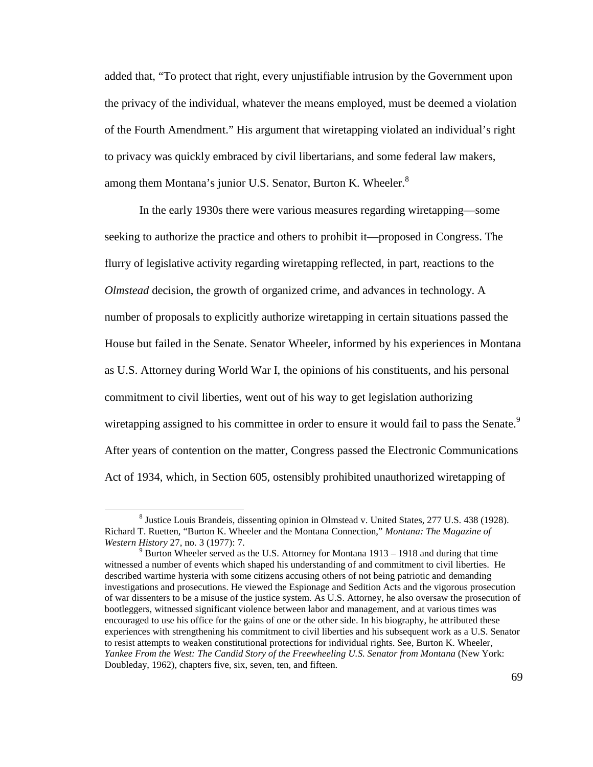added that, "To protect that right, every unjustifiable intrusion by the Government upon the privacy of the individual, whatever the means employed, must be deemed a violation of the Fourth Amendment." His argument that wiretapping violated an individual's right to privacy was quickly embraced by civil libertarians, and some federal law makers, among them Montana's junior U.S. Senator, Burton K. Wheeler.<sup>8</sup>

In the early 1930s there were various measures regarding wiretapping—some seeking to authorize the practice and others to prohibit it—proposed in Congress. The flurry of legislative activity regarding wiretapping reflected, in part, reactions to the *Olmstead* decision, the growth of organized crime, and advances in technology. A number of proposals to explicitly authorize wiretapping in certain situations passed the House but failed in the Senate. Senator Wheeler, informed by his experiences in Montana as U.S. Attorney during World War I, the opinions of his constituents, and his personal commitment to civil liberties, went out of his way to get legislation authorizing wiretapping assigned to his committee in order to ensure it would fail to pass the Senate.<sup>9</sup> After years of contention on the matter, Congress passed the Electronic Communications Act of 1934, which, in Section 605, ostensibly prohibited unauthorized wiretapping of

<sup>&</sup>lt;sup>8</sup> Justice Louis Brandeis, dissenting opinion in Olmstead v. United States, 277 U.S. 438 (1928). Richard T. Ruetten, "Burton K. Wheeler and the Montana Connection," *Montana: The Magazine of Western History* 27, no. 3 (1977): 7.

 $9$  Burton Wheeler served as the U.S. Attorney for Montana 1913 – 1918 and during that time witnessed a number of events which shaped his understanding of and commitment to civil liberties. He described wartime hysteria with some citizens accusing others of not being patriotic and demanding investigations and prosecutions. He viewed the Espionage and Sedition Acts and the vigorous prosecution of war dissenters to be a misuse of the justice system. As U.S. Attorney, he also oversaw the prosecution of bootleggers, witnessed significant violence between labor and management, and at various times was encouraged to use his office for the gains of one or the other side. In his biography, he attributed these experiences with strengthening his commitment to civil liberties and his subsequent work as a U.S. Senator to resist attempts to weaken constitutional protections for individual rights. See, Burton K. Wheeler, *Yankee From the West: The Candid Story of the Freewheeling U.S. Senator from Montana* (New York: Doubleday, 1962), chapters five, six, seven, ten, and fifteen.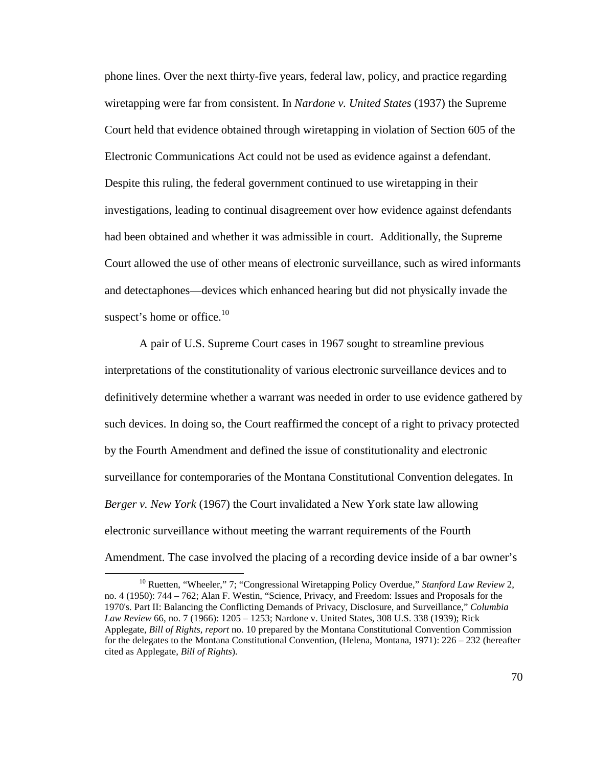phone lines. Over the next thirty-five years, federal law, policy, and practice regarding wiretapping were far from consistent. In *Nardone v. United States* (1937) the Supreme Court held that evidence obtained through wiretapping in violation of Section 605 of the Electronic Communications Act could not be used as evidence against a defendant. Despite this ruling, the federal government continued to use wiretapping in their investigations, leading to continual disagreement over how evidence against defendants had been obtained and whether it was admissible in court. Additionally, the Supreme Court allowed the use of other means of electronic surveillance, such as wired informants and detectaphones—devices which enhanced hearing but did not physically invade the suspect's home or office.<sup>10</sup>

A pair of U.S. Supreme Court cases in 1967 sought to streamline previous interpretations of the constitutionality of various electronic surveillance devices and to definitively determine whether a warrant was needed in order to use evidence gathered by such devices. In doing so, the Court reaffirmed the concept of a right to privacy protected by the Fourth Amendment and defined the issue of constitutionality and electronic surveillance for contemporaries of the Montana Constitutional Convention delegates. In *Berger v. New York* (1967) the Court invalidated a New York state law allowing electronic surveillance without meeting the warrant requirements of the Fourth Amendment. The case involved the placing of a recording device inside of a bar owner's

<sup>&</sup>lt;sup>10</sup> Ruetten, "Wheeler," 7; "Congressional Wiretapping Policy Overdue," *Stanford Law Review* 2, no. 4 (1950): 744 – 762; Alan F. Westin, "Science, Privacy, and Freedom: Issues and Proposals for the 1970's. Part II: Balancing the Conflicting Demands of Privacy, Disclosure, and Surveillance," *Columbia Law Review* 66, no. 7 (1966): 1205 – 1253; Nardone v. United States, 308 U.S. 338 (1939); Rick Applegate, *Bill of Rights, report* no. 10 prepared by the Montana Constitutional Convention Commission for the delegates to the Montana Constitutional Convention, (Helena, Montana, 1971): 226 – 232 (hereafter cited as Applegate, *Bill of Rights*).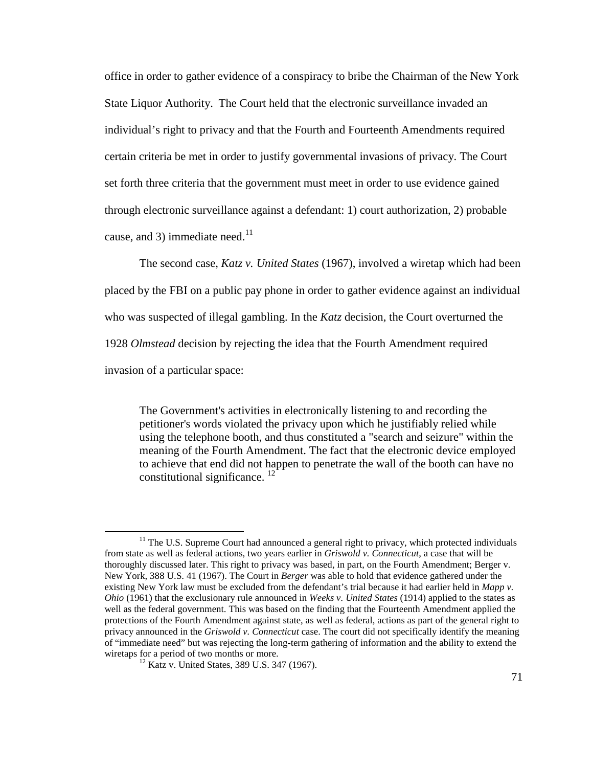office in order to gather evidence of a conspiracy to bribe the Chairman of the New York State Liquor Authority. The Court held that the electronic surveillance invaded an individual's right to privacy and that the Fourth and Fourteenth Amendments required certain criteria be met in order to justify governmental invasions of privacy. The Court set forth three criteria that the government must meet in order to use evidence gained through electronic surveillance against a defendant: 1) court authorization, 2) probable cause, and 3) immediate need. $11$ 

The second case, *Katz v. United States* (1967), involved a wiretap which had been placed by the FBI on a public pay phone in order to gather evidence against an individual who was suspected of illegal gambling. In the *Katz* decision, the Court overturned the 1928 *Olmstead* decision by rejecting the idea that the Fourth Amendment required invasion of a particular space:

The Government's activities in electronically listening to and recording the petitioner's words violated the privacy upon which he justifiably relied while using the telephone booth, and thus constituted a "search and seizure" within the meaning of the Fourth Amendment. The fact that the electronic device employed to achieve that end did not happen to penetrate the wall of the booth can have no constitutional significance.  $12$ 

<sup>&</sup>lt;sup>11</sup> The U.S. Supreme Court had announced a general right to privacy, which protected individuals from state as well as federal actions, two years earlier in *Griswold v. Connecticut*, a case that will be thoroughly discussed later. This right to privacy was based, in part, on the Fourth Amendment; Berger v. New York, 388 U.S. 41 (1967). The Court in *Berger* was able to hold that evidence gathered under the existing New York law must be excluded from the defendant's trial because it had earlier held in *Mapp v. Ohio* (1961) that the exclusionary rule announced in *Weeks v. United States* (1914) applied to the states as well as the federal government. This was based on the finding that the Fourteenth Amendment applied the protections of the Fourth Amendment against state, as well as federal, actions as part of the general right to privacy announced in the *Griswold v. Connecticut* case. The court did not specifically identify the meaning of "immediate need" but was rejecting the long-term gathering of information and the ability to extend the wiretaps for a period of two months or more.

<sup>&</sup>lt;sup>12</sup> Katz v. United States, 389 U.S. 347 (1967).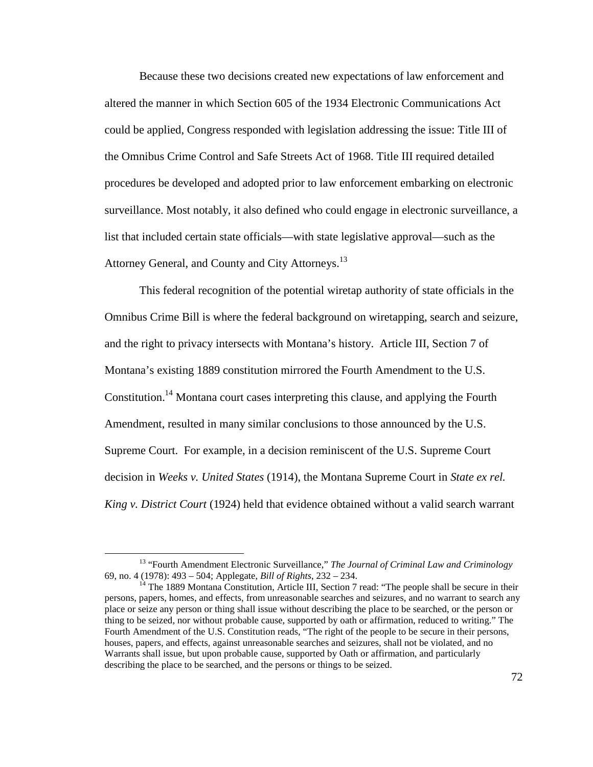Because these two decisions created new expectations of law enforcement and altered the manner in which Section 605 of the 1934 Electronic Communications Act could be applied, Congress responded with legislation addressing the issue: Title III of the Omnibus Crime Control and Safe Streets Act of 1968. Title III required detailed procedures be developed and adopted prior to law enforcement embarking on electronic surveillance. Most notably, it also defined who could engage in electronic surveillance, a list that included certain state officials—with state legislative approval—such as the Attorney General, and County and City Attorneys.<sup>13</sup>

This federal recognition of the potential wiretap authority of state officials in the Omnibus Crime Bill is where the federal background on wiretapping, search and seizure, and the right to privacy intersects with Montana's history. Article III, Section 7 of Montana's existing 1889 constitution mirrored the Fourth Amendment to the U.S. Constitution.<sup>14</sup> Montana court cases interpreting this clause, and applying the Fourth Amendment, resulted in many similar conclusions to those announced by the U.S. Supreme Court. For example, in a decision reminiscent of the U.S. Supreme Court decision in *Weeks v. United States* (1914), the Montana Supreme Court in *State ex rel. King v. District Court* (1924) held that evidence obtained without a valid search warrant

<sup>&</sup>lt;sup>13</sup> "Fourth Amendment Electronic Surveillance," *The Journal of Criminal Law and Criminology* 69, no. 4 (1978): 493 – 504; Applegate, *Bill of Rights*, 232 – 234.

<sup>&</sup>lt;sup>14</sup> The 1889 Montana Constitution, Article III, Section 7 read: "The people shall be secure in their persons, papers, homes, and effects, from unreasonable searches and seizures, and no warrant to search any place or seize any person or thing shall issue without describing the place to be searched, or the person or thing to be seized, nor without probable cause, supported by oath or affirmation, reduced to writing." The Fourth Amendment of the U.S. Constitution reads, "The right of the people to be secure in their persons, houses, papers, and effects, against unreasonable searches and seizures, shall not be violated, and no Warrants shall issue, but upon probable cause, supported by Oath or affirmation, and particularly describing the place to be searched, and the persons or things to be seized.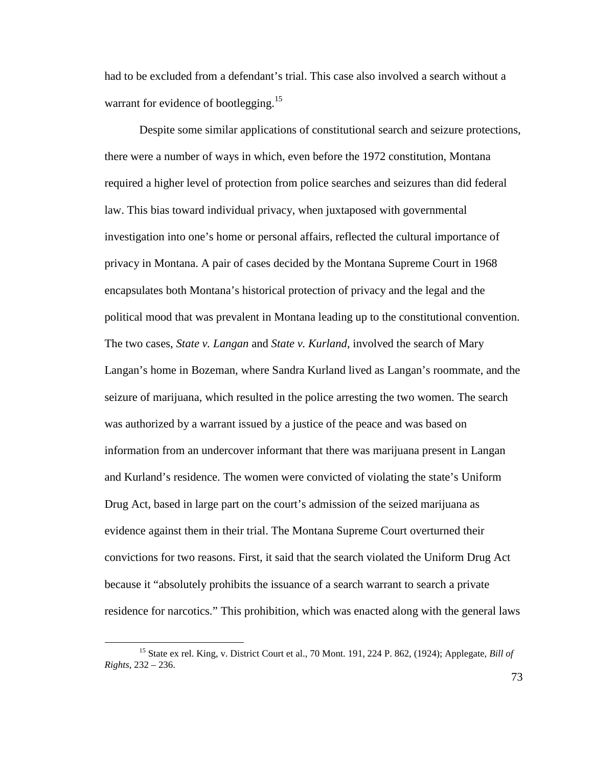had to be excluded from a defendant's trial. This case also involved a search without a warrant for evidence of bootlegging.<sup>15</sup>

Despite some similar applications of constitutional search and seizure protections, there were a number of ways in which, even before the 1972 constitution, Montana required a higher level of protection from police searches and seizures than did federal law. This bias toward individual privacy, when juxtaposed with governmental investigation into one's home or personal affairs, reflected the cultural importance of privacy in Montana. A pair of cases decided by the Montana Supreme Court in 1968 encapsulates both Montana's historical protection of privacy and the legal and the political mood that was prevalent in Montana leading up to the constitutional convention. The two cases, *State v. Langan* and *State v. Kurland*, involved the search of Mary Langan's home in Bozeman, where Sandra Kurland lived as Langan's roommate, and the seizure of marijuana, which resulted in the police arresting the two women. The search was authorized by a warrant issued by a justice of the peace and was based on information from an undercover informant that there was marijuana present in Langan and Kurland's residence. The women were convicted of violating the state's Uniform Drug Act, based in large part on the court's admission of the seized marijuana as evidence against them in their trial. The Montana Supreme Court overturned their convictions for two reasons. First, it said that the search violated the Uniform Drug Act because it "absolutely prohibits the issuance of a search warrant to search a private residence for narcotics." This prohibition, which was enacted along with the general laws

-

<sup>15</sup> State ex rel. King, v. District Court et al., 70 Mont. 191, 224 P. 862, (1924); Applegate, *Bill of Rights*, 232 – 236.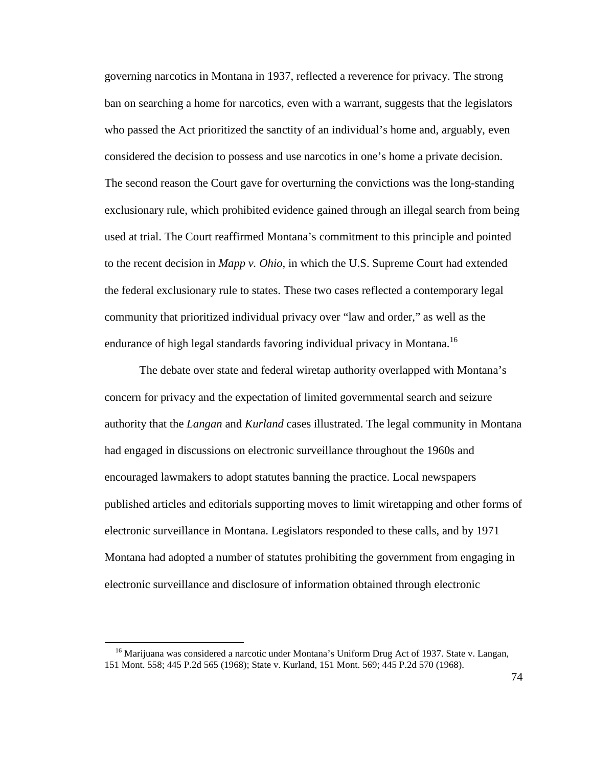governing narcotics in Montana in 1937, reflected a reverence for privacy. The strong ban on searching a home for narcotics, even with a warrant, suggests that the legislators who passed the Act prioritized the sanctity of an individual's home and, arguably, even considered the decision to possess and use narcotics in one's home a private decision. The second reason the Court gave for overturning the convictions was the long-standing exclusionary rule, which prohibited evidence gained through an illegal search from being used at trial. The Court reaffirmed Montana's commitment to this principle and pointed to the recent decision in *Mapp v. Ohio*, in which the U.S. Supreme Court had extended the federal exclusionary rule to states. These two cases reflected a contemporary legal community that prioritized individual privacy over "law and order," as well as the endurance of high legal standards favoring individual privacy in Montana.<sup>16</sup>

The debate over state and federal wiretap authority overlapped with Montana's concern for privacy and the expectation of limited governmental search and seizure authority that the *Langan* and *Kurland* cases illustrated. The legal community in Montana had engaged in discussions on electronic surveillance throughout the 1960s and encouraged lawmakers to adopt statutes banning the practice. Local newspapers published articles and editorials supporting moves to limit wiretapping and other forms of electronic surveillance in Montana. Legislators responded to these calls, and by 1971 Montana had adopted a number of statutes prohibiting the government from engaging in electronic surveillance and disclosure of information obtained through electronic

<sup>&</sup>lt;sup>16</sup> Marijuana was considered a narcotic under Montana's Uniform Drug Act of 1937. State v. Langan, 151 Mont. 558; 445 P.2d 565 (1968); State v. Kurland, 151 Mont. 569; 445 P.2d 570 (1968).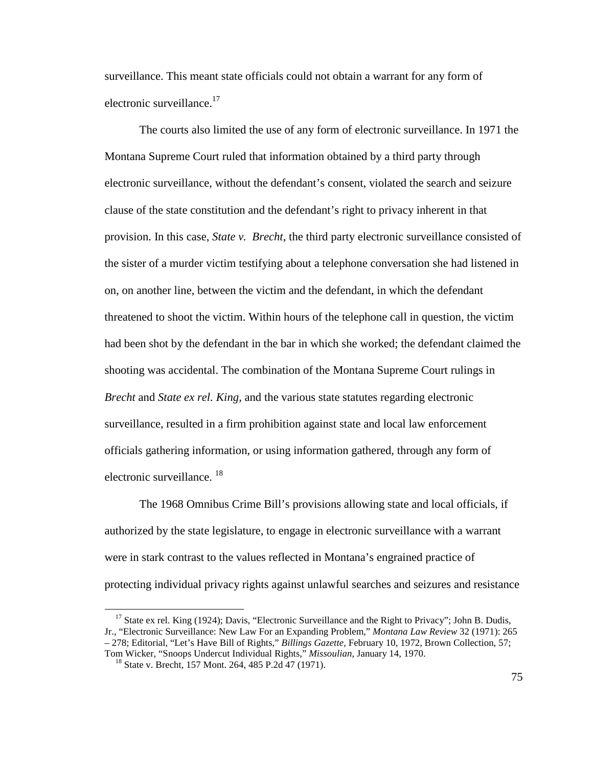surveillance. This meant state officials could not obtain a warrant for any form of electronic surveillance.<sup>17</sup>

The courts also limited the use of any form of electronic surveillance. In 1971 the Montana Supreme Court ruled that information obtained by a third party through electronic surveillance, without the defendant's consent, violated the search and seizure clause of the state constitution and the defendant's right to privacy inherent in that provision. In this case, *State v. Brecht*, the third party electronic surveillance consisted of the sister of a murder victim testifying about a telephone conversation she had listened in on, on another line, between the victim and the defendant, in which the defendant threatened to shoot the victim. Within hours of the telephone call in question, the victim had been shot by the defendant in the bar in which she worked; the defendant claimed the shooting was accidental. The combination of the Montana Supreme Court rulings in *Brecht* and *State ex rel. King,* and the various state statutes regarding electronic surveillance, resulted in a firm prohibition against state and local law enforcement officials gathering information, or using information gathered, through any form of electronic surveillance.<sup>18</sup>

The 1968 Omnibus Crime Bill's provisions allowing state and local officials, if authorized by the state legislature, to engage in electronic surveillance with a warrant were in stark contrast to the values reflected in Montana's engrained practice of protecting individual privacy rights against unlawful searches and seizures and resistance

<sup>&</sup>lt;sup>17</sup> State ex rel. King (1924); Davis, "Electronic Surveillance and the Right to Privacy"; John B. Dudis, Jr., "Electronic Surveillance: New Law For an Expanding Problem," *Montana Law Review* 32 (1971): 265 – 278; Editorial, "Let's Have Bill of Rights," *Billings Gazette*, February 10, 1972, Brown Collection, 57; Tom Wicker, "Snoops Undercut Individual Rights," *Missoulian*, January 14, 1970.

<sup>18</sup> State v. Brecht, 157 Mont. 264, 485 P.2d 47 (1971).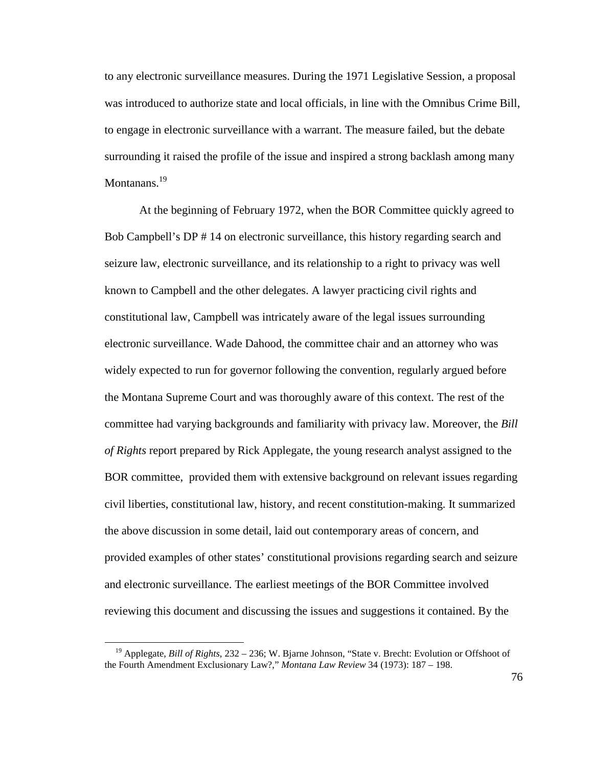to any electronic surveillance measures. During the 1971 Legislative Session, a proposal was introduced to authorize state and local officials, in line with the Omnibus Crime Bill, to engage in electronic surveillance with a warrant. The measure failed, but the debate surrounding it raised the profile of the issue and inspired a strong backlash among many Montanans.<sup>19</sup>

At the beginning of February 1972, when the BOR Committee quickly agreed to Bob Campbell's DP # 14 on electronic surveillance, this history regarding search and seizure law, electronic surveillance, and its relationship to a right to privacy was well known to Campbell and the other delegates. A lawyer practicing civil rights and constitutional law, Campbell was intricately aware of the legal issues surrounding electronic surveillance. Wade Dahood, the committee chair and an attorney who was widely expected to run for governor following the convention, regularly argued before the Montana Supreme Court and was thoroughly aware of this context. The rest of the committee had varying backgrounds and familiarity with privacy law. Moreover, the *Bill of Rights* report prepared by Rick Applegate, the young research analyst assigned to the BOR committee, provided them with extensive background on relevant issues regarding civil liberties, constitutional law, history, and recent constitution-making. It summarized the above discussion in some detail, laid out contemporary areas of concern, and provided examples of other states' constitutional provisions regarding search and seizure and electronic surveillance. The earliest meetings of the BOR Committee involved reviewing this document and discussing the issues and suggestions it contained. By the

<sup>19</sup> Applegate, *Bill of Rights*, 232 – 236; W. Bjarne Johnson, "State v. Brecht: Evolution or Offshoot of the Fourth Amendment Exclusionary Law?," *Montana Law Review* 34 (1973): 187 – 198.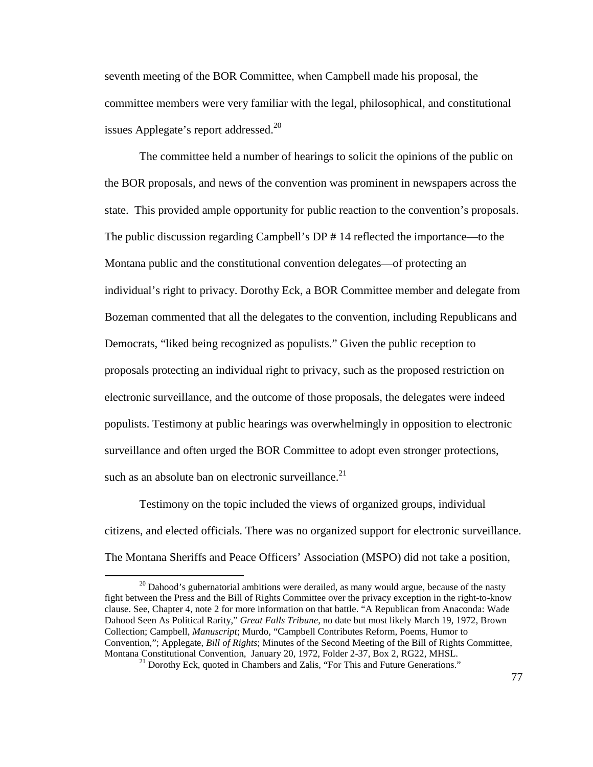seventh meeting of the BOR Committee, when Campbell made his proposal, the committee members were very familiar with the legal, philosophical, and constitutional issues Applegate's report addressed. $^{20}$ 

The committee held a number of hearings to solicit the opinions of the public on the BOR proposals, and news of the convention was prominent in newspapers across the state. This provided ample opportunity for public reaction to the convention's proposals. The public discussion regarding Campbell's DP # 14 reflected the importance—to the Montana public and the constitutional convention delegates—of protecting an individual's right to privacy. Dorothy Eck, a BOR Committee member and delegate from Bozeman commented that all the delegates to the convention, including Republicans and Democrats, "liked being recognized as populists." Given the public reception to proposals protecting an individual right to privacy, such as the proposed restriction on electronic surveillance, and the outcome of those proposals, the delegates were indeed populists. Testimony at public hearings was overwhelmingly in opposition to electronic surveillance and often urged the BOR Committee to adopt even stronger protections, such as an absolute ban on electronic surveillance. $21$ 

Testimony on the topic included the views of organized groups, individual citizens, and elected officials. There was no organized support for electronic surveillance. The Montana Sheriffs and Peace Officers' Association (MSPO) did not take a position,

 $20$  Dahood's gubernatorial ambitions were derailed, as many would argue, because of the nasty fight between the Press and the Bill of Rights Committee over the privacy exception in the right-to-know clause. See, Chapter 4, note 2 for more information on that battle. "A Republican from Anaconda: Wade Dahood Seen As Political Rarity," *Great Falls Tribune*, no date but most likely March 19, 1972, Brown Collection; Campbell, *Manuscript*; Murdo, "Campbell Contributes Reform, Poems, Humor to Convention,"; Applegate, *Bill of Rights*; Minutes of the Second Meeting of the Bill of Rights Committee, Montana Constitutional Convention, January 20, 1972, Folder 2-37, Box 2, RG22, MHSL.

<sup>&</sup>lt;sup>21</sup> Dorothy Eck, quoted in Chambers and Zalis, "For This and Future Generations."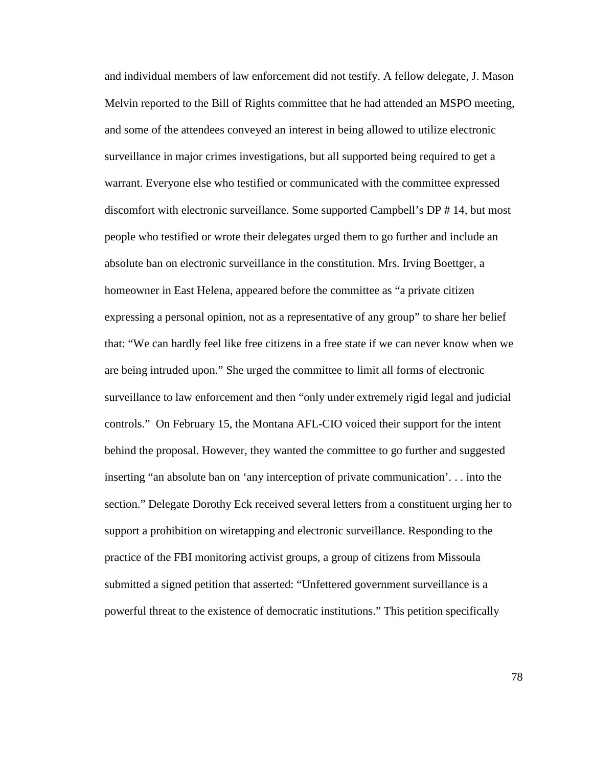and individual members of law enforcement did not testify. A fellow delegate, J. Mason Melvin reported to the Bill of Rights committee that he had attended an MSPO meeting, and some of the attendees conveyed an interest in being allowed to utilize electronic surveillance in major crimes investigations, but all supported being required to get a warrant. Everyone else who testified or communicated with the committee expressed discomfort with electronic surveillance. Some supported Campbell's DP # 14, but most people who testified or wrote their delegates urged them to go further and include an absolute ban on electronic surveillance in the constitution. Mrs. Irving Boettger, a homeowner in East Helena, appeared before the committee as "a private citizen expressing a personal opinion, not as a representative of any group" to share her belief that: "We can hardly feel like free citizens in a free state if we can never know when we are being intruded upon." She urged the committee to limit all forms of electronic surveillance to law enforcement and then "only under extremely rigid legal and judicial controls." On February 15, the Montana AFL-CIO voiced their support for the intent behind the proposal. However, they wanted the committee to go further and suggested inserting "an absolute ban on 'any interception of private communication'. . . into the section." Delegate Dorothy Eck received several letters from a constituent urging her to support a prohibition on wiretapping and electronic surveillance. Responding to the practice of the FBI monitoring activist groups, a group of citizens from Missoula submitted a signed petition that asserted: "Unfettered government surveillance is a powerful threat to the existence of democratic institutions." This petition specifically

78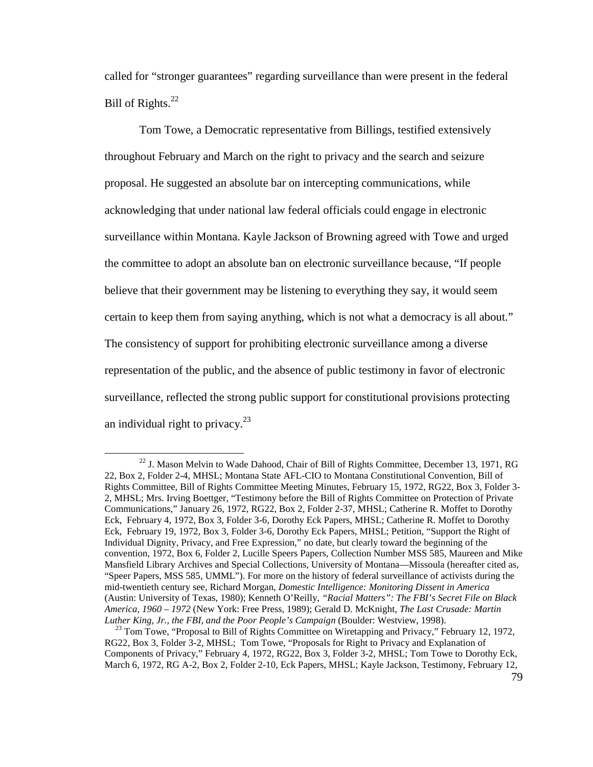called for "stronger guarantees" regarding surveillance than were present in the federal Bill of Rights.<sup>22</sup>

Tom Towe, a Democratic representative from Billings, testified extensively throughout February and March on the right to privacy and the search and seizure proposal. He suggested an absolute bar on intercepting communications, while acknowledging that under national law federal officials could engage in electronic surveillance within Montana. Kayle Jackson of Browning agreed with Towe and urged the committee to adopt an absolute ban on electronic surveillance because, "If people believe that their government may be listening to everything they say, it would seem certain to keep them from saying anything, which is not what a democracy is all about." The consistency of support for prohibiting electronic surveillance among a diverse representation of the public, and the absence of public testimony in favor of electronic surveillance, reflected the strong public support for constitutional provisions protecting an individual right to privacy. $^{23}$ 

 $^{22}$  J. Mason Melvin to Wade Dahood, Chair of Bill of Rights Committee, December 13, 1971, RG 22, Box 2, Folder 2-4, MHSL; Montana State AFL-CIO to Montana Constitutional Convention, Bill of Rights Committee, Bill of Rights Committee Meeting Minutes, February 15, 1972, RG22, Box 3, Folder 3- 2, MHSL; Mrs. Irving Boettger, "Testimony before the Bill of Rights Committee on Protection of Private Communications," January 26, 1972, RG22, Box 2, Folder 2-37, MHSL; Catherine R. Moffet to Dorothy Eck, February 4, 1972, Box 3, Folder 3-6, Dorothy Eck Papers, MHSL; Catherine R. Moffet to Dorothy Eck, February 19, 1972, Box 3, Folder 3-6, Dorothy Eck Papers, MHSL; Petition, "Support the Right of Individual Dignity, Privacy, and Free Expression," no date, but clearly toward the beginning of the convention, 1972, Box 6, Folder 2, Lucille Speers Papers, Collection Number MSS 585, Maureen and Mike Mansfield Library Archives and Special Collections, University of Montana—Missoula (hereafter cited as, "Speer Papers, MSS 585, UMML"). For more on the history of federal surveillance of activists during the mid-twentieth century see, Richard Morgan, *Domestic Intelligence: Monitoring Dissent in America*  (Austin: University of Texas, 1980); Kenneth O'Reilly, *"Racial Matters": The FBI's Secret File on Black America, 1960 – 1972* (New York: Free Press, 1989); Gerald D. McKnight, *The Last Crusade: Martin Luther King, Jr., the FBI, and the Poor People's Campaign* (Boulder: Westview, 1998).

<sup>&</sup>lt;sup>23</sup> Tom Towe, "Proposal to Bill of Rights Committee on Wiretapping and Privacy," February 12, 1972, RG22, Box 3, Folder 3-2, MHSL; Tom Towe, "Proposals for Right to Privacy and Explanation of Components of Privacy," February 4, 1972, RG22, Box 3, Folder 3-2, MHSL; Tom Towe to Dorothy Eck, March 6, 1972, RG A-2, Box 2, Folder 2-10, Eck Papers, MHSL; Kayle Jackson, Testimony, February 12,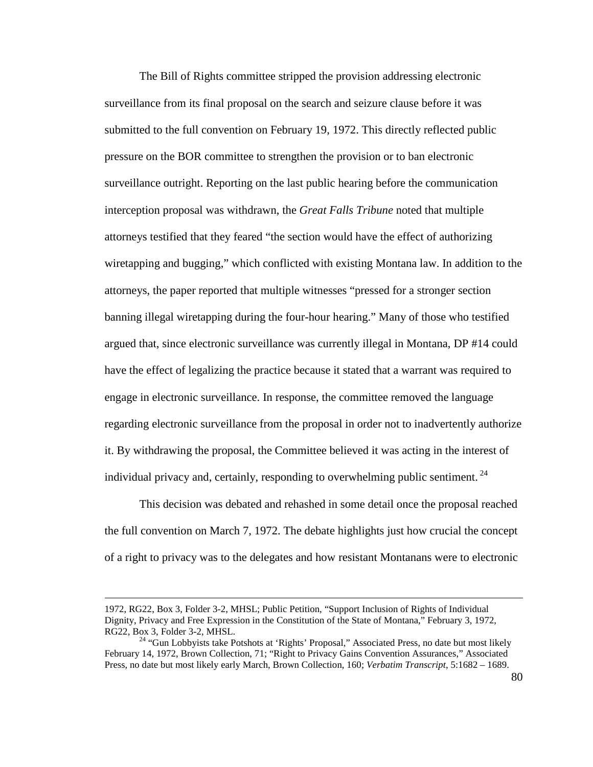The Bill of Rights committee stripped the provision addressing electronic surveillance from its final proposal on the search and seizure clause before it was submitted to the full convention on February 19, 1972. This directly reflected public pressure on the BOR committee to strengthen the provision or to ban electronic surveillance outright. Reporting on the last public hearing before the communication interception proposal was withdrawn, the *Great Falls Tribune* noted that multiple attorneys testified that they feared "the section would have the effect of authorizing wiretapping and bugging," which conflicted with existing Montana law. In addition to the attorneys, the paper reported that multiple witnesses "pressed for a stronger section banning illegal wiretapping during the four-hour hearing." Many of those who testified argued that, since electronic surveillance was currently illegal in Montana, DP #14 could have the effect of legalizing the practice because it stated that a warrant was required to engage in electronic surveillance. In response, the committee removed the language regarding electronic surveillance from the proposal in order not to inadvertently authorize it. By withdrawing the proposal, the Committee believed it was acting in the interest of individual privacy and, certainly, responding to overwhelming public sentiment.<sup>24</sup>

This decision was debated and rehashed in some detail once the proposal reached the full convention on March 7, 1972. The debate highlights just how crucial the concept of a right to privacy was to the delegates and how resistant Montanans were to electronic

<sup>1972,</sup> RG22, Box 3, Folder 3-2, MHSL; Public Petition, "Support Inclusion of Rights of Individual Dignity, Privacy and Free Expression in the Constitution of the State of Montana," February 3, 1972, RG22, Box 3, Folder 3-2, MHSL.

<sup>&</sup>lt;sup>24</sup> "Gun Lobbyists take Potshots at 'Rights' Proposal," Associated Press, no date but most likely February 14, 1972, Brown Collection, 71; "Right to Privacy Gains Convention Assurances," Associated Press, no date but most likely early March, Brown Collection, 160; *Verbatim Transcript*, 5:1682 – 1689.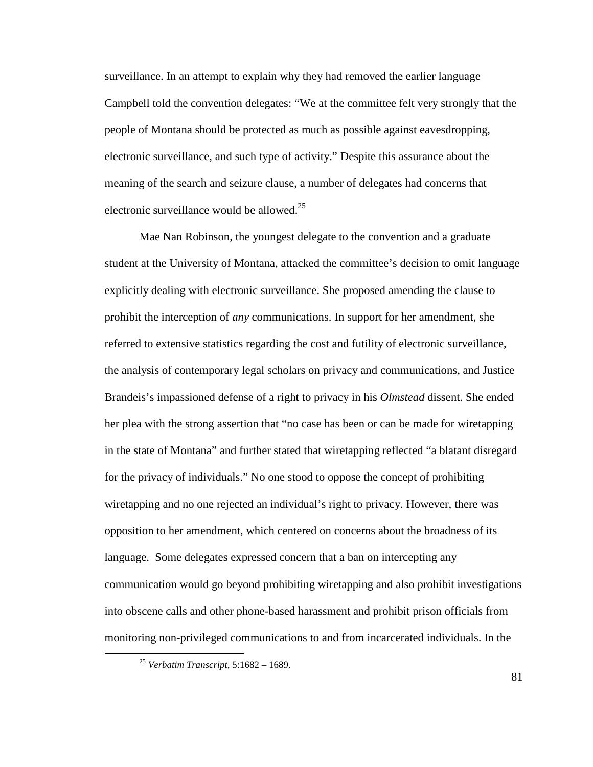surveillance. In an attempt to explain why they had removed the earlier language Campbell told the convention delegates: "We at the committee felt very strongly that the people of Montana should be protected as much as possible against eavesdropping, electronic surveillance, and such type of activity." Despite this assurance about the meaning of the search and seizure clause, a number of delegates had concerns that electronic surveillance would be allowed. $25$ 

Mae Nan Robinson, the youngest delegate to the convention and a graduate student at the University of Montana, attacked the committee's decision to omit language explicitly dealing with electronic surveillance. She proposed amending the clause to prohibit the interception of *any* communications. In support for her amendment, she referred to extensive statistics regarding the cost and futility of electronic surveillance, the analysis of contemporary legal scholars on privacy and communications, and Justice Brandeis's impassioned defense of a right to privacy in his *Olmstead* dissent. She ended her plea with the strong assertion that "no case has been or can be made for wiretapping in the state of Montana" and further stated that wiretapping reflected "a blatant disregard for the privacy of individuals." No one stood to oppose the concept of prohibiting wiretapping and no one rejected an individual's right to privacy. However, there was opposition to her amendment, which centered on concerns about the broadness of its language. Some delegates expressed concern that a ban on intercepting any communication would go beyond prohibiting wiretapping and also prohibit investigations into obscene calls and other phone-based harassment and prohibit prison officials from monitoring non-privileged communications to and from incarcerated individuals. In the

 $\overline{a}$ 

81

<sup>25</sup> *Verbatim Transcript*, 5:1682 – 1689.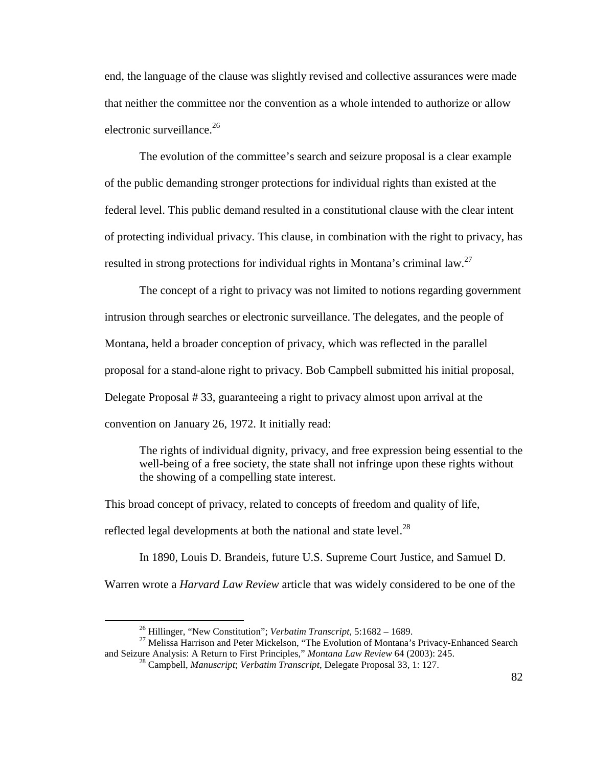end, the language of the clause was slightly revised and collective assurances were made that neither the committee nor the convention as a whole intended to authorize or allow electronic surveillance. $^{26}$ 

The evolution of the committee's search and seizure proposal is a clear example of the public demanding stronger protections for individual rights than existed at the federal level. This public demand resulted in a constitutional clause with the clear intent of protecting individual privacy. This clause, in combination with the right to privacy, has resulted in strong protections for individual rights in Montana's criminal law.<sup>27</sup>

The concept of a right to privacy was not limited to notions regarding government intrusion through searches or electronic surveillance. The delegates, and the people of Montana, held a broader conception of privacy, which was reflected in the parallel proposal for a stand-alone right to privacy. Bob Campbell submitted his initial proposal, Delegate Proposal # 33, guaranteeing a right to privacy almost upon arrival at the convention on January 26, 1972. It initially read:

The rights of individual dignity, privacy, and free expression being essential to the well-being of a free society, the state shall not infringe upon these rights without the showing of a compelling state interest.

This broad concept of privacy, related to concepts of freedom and quality of life, reflected legal developments at both the national and state level.<sup>28</sup>

In 1890, Louis D. Brandeis, future U.S. Supreme Court Justice, and Samuel D. Warren wrote a *Harvard Law Review* article that was widely considered to be one of the

<sup>26</sup> Hillinger, "New Constitution"; *Verbatim Transcript*, 5:1682 – 1689.

 $27$  Melissa Harrison and Peter Mickelson, "The Evolution of Montana's Privacy-Enhanced Search and Seizure Analysis: A Return to First Principles," *Montana Law Review* 64 (2003): 245.

<sup>28</sup> Campbell, *Manuscript*; *Verbatim Transcript*, Delegate Proposal 33, 1: 127.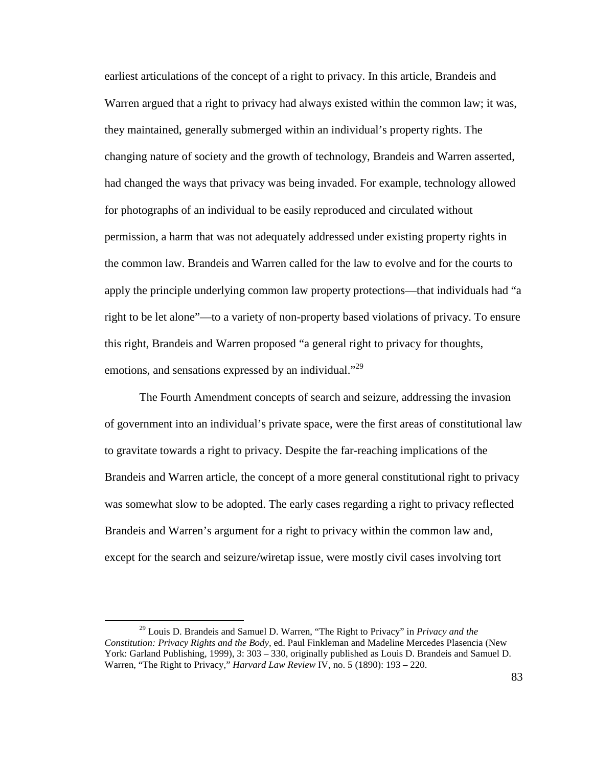earliest articulations of the concept of a right to privacy. In this article, Brandeis and Warren argued that a right to privacy had always existed within the common law; it was, they maintained, generally submerged within an individual's property rights. The changing nature of society and the growth of technology, Brandeis and Warren asserted, had changed the ways that privacy was being invaded. For example, technology allowed for photographs of an individual to be easily reproduced and circulated without permission, a harm that was not adequately addressed under existing property rights in the common law. Brandeis and Warren called for the law to evolve and for the courts to apply the principle underlying common law property protections—that individuals had "a right to be let alone"—to a variety of non-property based violations of privacy. To ensure this right, Brandeis and Warren proposed "a general right to privacy for thoughts, emotions, and sensations expressed by an individual."<sup>29</sup>

The Fourth Amendment concepts of search and seizure, addressing the invasion of government into an individual's private space, were the first areas of constitutional law to gravitate towards a right to privacy. Despite the far-reaching implications of the Brandeis and Warren article, the concept of a more general constitutional right to privacy was somewhat slow to be adopted. The early cases regarding a right to privacy reflected Brandeis and Warren's argument for a right to privacy within the common law and, except for the search and seizure/wiretap issue, were mostly civil cases involving tort

<sup>29</sup> Louis D. Brandeis and Samuel D. Warren, "The Right to Privacy" in *Privacy and the Constitution: Privacy Rights and the Body,* ed. Paul Finkleman and Madeline Mercedes Plasencia (New York: Garland Publishing, 1999), 3: 303 – 330, originally published as Louis D. Brandeis and Samuel D. Warren, "The Right to Privacy," *Harvard Law Review* IV, no. 5 (1890): 193 – 220.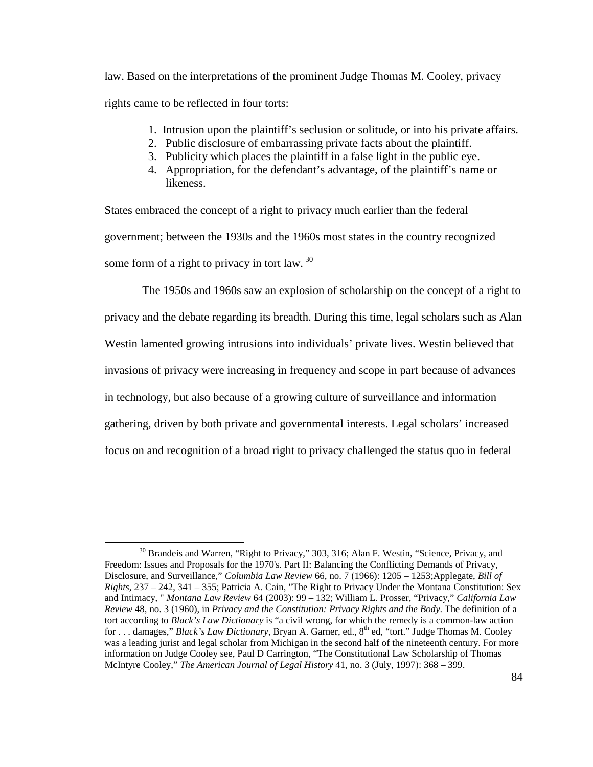law. Based on the interpretations of the prominent Judge Thomas M. Cooley, privacy rights came to be reflected in four torts:

- 1. Intrusion upon the plaintiff's seclusion or solitude, or into his private affairs.
- 2. Public disclosure of embarrassing private facts about the plaintiff.
- 3. Publicity which places the plaintiff in a false light in the public eye.
- 4. Appropriation, for the defendant's advantage, of the plaintiff's name or likeness.

States embraced the concept of a right to privacy much earlier than the federal government; between the 1930s and the 1960s most states in the country recognized some form of a right to privacy in tort law.  $30$ 

 The 1950s and 1960s saw an explosion of scholarship on the concept of a right to privacy and the debate regarding its breadth. During this time, legal scholars such as Alan Westin lamented growing intrusions into individuals' private lives. Westin believed that invasions of privacy were increasing in frequency and scope in part because of advances in technology, but also because of a growing culture of surveillance and information gathering, driven by both private and governmental interests. Legal scholars' increased focus on and recognition of a broad right to privacy challenged the status quo in federal

<sup>&</sup>lt;sup>30</sup> Brandeis and Warren, "Right to Privacy," 303, 316; Alan F. Westin, "Science, Privacy, and Freedom: Issues and Proposals for the 1970's. Part II: Balancing the Conflicting Demands of Privacy, Disclosure, and Surveillance," *Columbia Law Review* 66, no. 7 (1966): 1205 – 1253;Applegate, *Bill of Rights*, 237 – 242, 341 – 355; Patricia A. Cain, "The Right to Privacy Under the Montana Constitution: Sex and Intimacy, " *Montana Law Review* 64 (2003): 99 – 132; William L. Prosser, "Privacy," *California Law Review* 48, no. 3 (1960), in *Privacy and the Constitution: Privacy Rights and the Body*. The definition of a tort according to *Black's Law Dictionary* is "a civil wrong, for which the remedy is a common-law action for . . . damages," *Black's Law Dictionary*, Bryan A. Garner, ed., 8th ed, "tort." Judge Thomas M. Cooley was a leading jurist and legal scholar from Michigan in the second half of the nineteenth century. For more information on Judge Cooley see, Paul D Carrington, "The Constitutional Law Scholarship of Thomas McIntyre Cooley," *The American Journal of Legal History* 41, no. 3 (July, 1997): 368 – 399.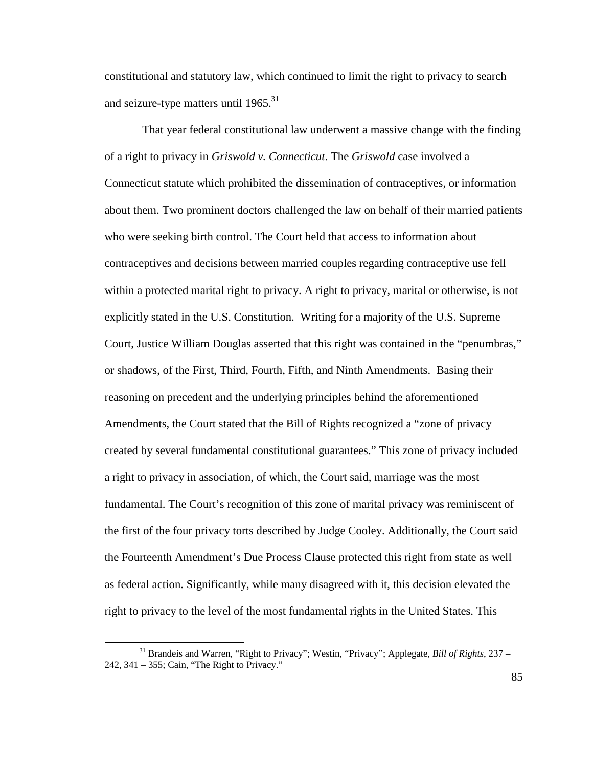constitutional and statutory law, which continued to limit the right to privacy to search and seizure-type matters until  $1965$ <sup>31</sup>

 That year federal constitutional law underwent a massive change with the finding of a right to privacy in *Griswold v. Connecticut*. The *Griswold* case involved a Connecticut statute which prohibited the dissemination of contraceptives, or information about them. Two prominent doctors challenged the law on behalf of their married patients who were seeking birth control. The Court held that access to information about contraceptives and decisions between married couples regarding contraceptive use fell within a protected marital right to privacy. A right to privacy, marital or otherwise, is not explicitly stated in the U.S. Constitution. Writing for a majority of the U.S. Supreme Court, Justice William Douglas asserted that this right was contained in the "penumbras," or shadows, of the First, Third, Fourth, Fifth, and Ninth Amendments. Basing their reasoning on precedent and the underlying principles behind the aforementioned Amendments, the Court stated that the Bill of Rights recognized a "zone of privacy created by several fundamental constitutional guarantees." This zone of privacy included a right to privacy in association, of which, the Court said, marriage was the most fundamental. The Court's recognition of this zone of marital privacy was reminiscent of the first of the four privacy torts described by Judge Cooley. Additionally, the Court said the Fourteenth Amendment's Due Process Clause protected this right from state as well as federal action. Significantly, while many disagreed with it, this decision elevated the right to privacy to the level of the most fundamental rights in the United States. This

<sup>31</sup> Brandeis and Warren, "Right to Privacy"; Westin, "Privacy"; Applegate, *Bill of Rights*, 237 – 242, 341 – 355; Cain, "The Right to Privacy."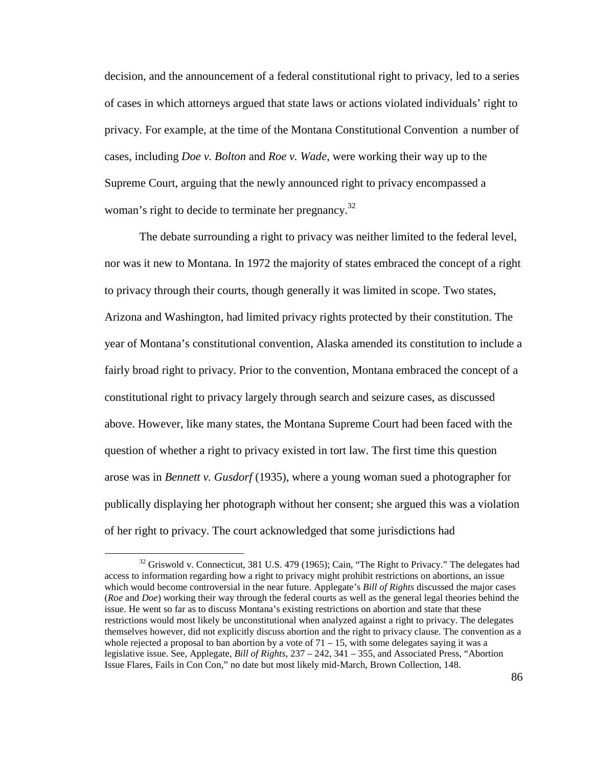decision, and the announcement of a federal constitutional right to privacy, led to a series of cases in which attorneys argued that state laws or actions violated individuals' right to privacy. For example, at the time of the Montana Constitutional Convention a number of cases, including *Doe v. Bolton* and *Roe v. Wade*, were working their way up to the Supreme Court, arguing that the newly announced right to privacy encompassed a woman's right to decide to terminate her pregnancy.<sup>32</sup>

The debate surrounding a right to privacy was neither limited to the federal level, nor was it new to Montana. In 1972 the majority of states embraced the concept of a right to privacy through their courts, though generally it was limited in scope. Two states, Arizona and Washington, had limited privacy rights protected by their constitution. The year of Montana's constitutional convention, Alaska amended its constitution to include a fairly broad right to privacy. Prior to the convention, Montana embraced the concept of a constitutional right to privacy largely through search and seizure cases, as discussed above. However, like many states, the Montana Supreme Court had been faced with the question of whether a right to privacy existed in tort law. The first time this question arose was in *Bennett v. Gusdorf* (1935), where a young woman sued a photographer for publically displaying her photograph without her consent; she argued this was a violation of her right to privacy. The court acknowledged that some jurisdictions had

<sup>&</sup>lt;sup>32</sup> Griswold v. Connecticut, 381 U.S. 479 (1965); Cain, "The Right to Privacy." The delegates had access to information regarding how a right to privacy might prohibit restrictions on abortions, an issue which would become controversial in the near future. Applegate's *Bill of Rights* discussed the major cases (*Roe* and *Doe*) working their way through the federal courts as well as the general legal theories behind the issue. He went so far as to discuss Montana's existing restrictions on abortion and state that these restrictions would most likely be unconstitutional when analyzed against a right to privacy. The delegates themselves however, did not explicitly discuss abortion and the right to privacy clause. The convention as a whole rejected a proposal to ban abortion by a vote of  $71 - 15$ , with some delegates saying it was a legislative issue. See, Applegate, *Bill of Rights*, 237 – 242, 341 – 355, and Associated Press, "Abortion Issue Flares, Fails in Con Con," no date but most likely mid-March, Brown Collection, 148.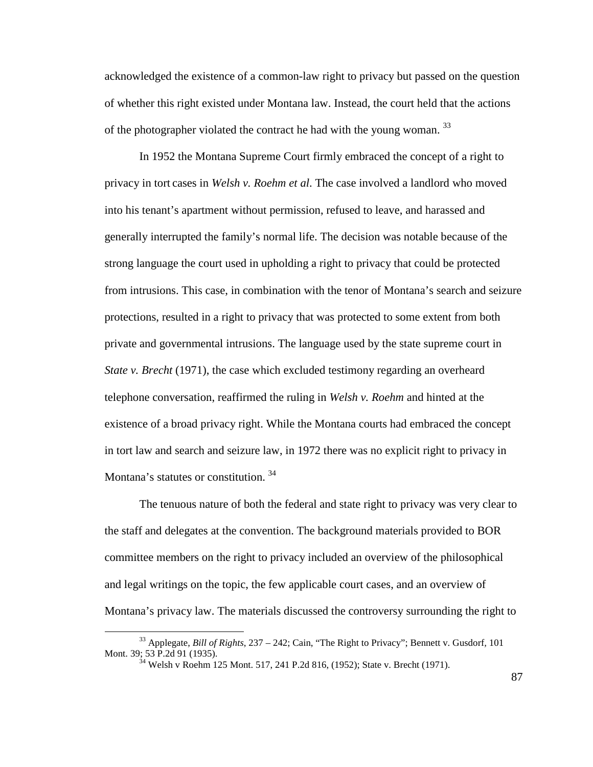acknowledged the existence of a common-law right to privacy but passed on the question of whether this right existed under Montana law. Instead, the court held that the actions of the photographer violated the contract he had with the young woman.  $33$ 

In 1952 the Montana Supreme Court firmly embraced the concept of a right to privacy in tort cases in *Welsh v. Roehm et al*. The case involved a landlord who moved into his tenant's apartment without permission, refused to leave, and harassed and generally interrupted the family's normal life. The decision was notable because of the strong language the court used in upholding a right to privacy that could be protected from intrusions. This case, in combination with the tenor of Montana's search and seizure protections, resulted in a right to privacy that was protected to some extent from both private and governmental intrusions. The language used by the state supreme court in *State v. Brecht* (1971), the case which excluded testimony regarding an overheard telephone conversation, reaffirmed the ruling in *Welsh v. Roehm* and hinted at the existence of a broad privacy right. While the Montana courts had embraced the concept in tort law and search and seizure law, in 1972 there was no explicit right to privacy in Montana's statutes or constitution.<sup>34</sup>

The tenuous nature of both the federal and state right to privacy was very clear to the staff and delegates at the convention. The background materials provided to BOR committee members on the right to privacy included an overview of the philosophical and legal writings on the topic, the few applicable court cases, and an overview of Montana's privacy law. The materials discussed the controversy surrounding the right to

<sup>33</sup> Applegate, *Bill of Rights*, 237 – 242; Cain, "The Right to Privacy"; Bennett v. Gusdorf*,* 101 Mont. 39; 53 P.2d 91 (1935).

<sup>&</sup>lt;sup>34</sup> Welsh v Roehm 125 Mont. 517, 241 P.2d 816, (1952); State v. Brecht (1971).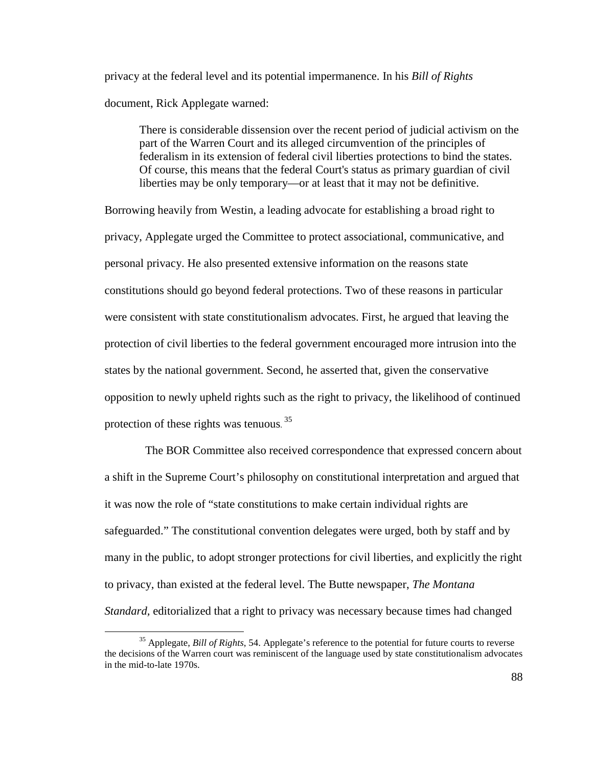privacy at the federal level and its potential impermanence. In his *Bill of Rights* document, Rick Applegate warned:

There is considerable dissension over the recent period of judicial activism on the part of the Warren Court and its alleged circumvention of the principles of federalism in its extension of federal civil liberties protections to bind the states. Of course, this means that the federal Court's status as primary guardian of civil liberties may be only temporary—or at least that it may not be definitive.

Borrowing heavily from Westin, a leading advocate for establishing a broad right to privacy, Applegate urged the Committee to protect associational, communicative, and personal privacy. He also presented extensive information on the reasons state constitutions should go beyond federal protections. Two of these reasons in particular were consistent with state constitutionalism advocates. First, he argued that leaving the protection of civil liberties to the federal government encouraged more intrusion into the states by the national government. Second, he asserted that, given the conservative opposition to newly upheld rights such as the right to privacy, the likelihood of continued protection of these rights was tenuous.<sup>35</sup>

 The BOR Committee also received correspondence that expressed concern about a shift in the Supreme Court's philosophy on constitutional interpretation and argued that it was now the role of "state constitutions to make certain individual rights are safeguarded." The constitutional convention delegates were urged, both by staff and by many in the public, to adopt stronger protections for civil liberties, and explicitly the right to privacy, than existed at the federal level. The Butte newspaper, *The Montana Standard,* editorialized that a right to privacy was necessary because times had changed

<sup>35</sup> Applegate, *Bill of Rights*, 54. Applegate's reference to the potential for future courts to reverse the decisions of the Warren court was reminiscent of the language used by state constitutionalism advocates in the mid-to-late 1970s.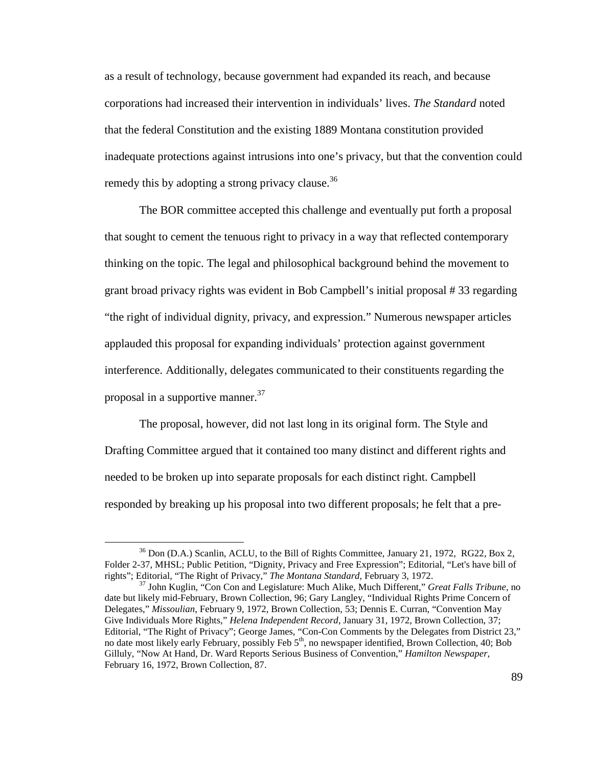as a result of technology, because government had expanded its reach, and because corporations had increased their intervention in individuals' lives. *The Standard* noted that the federal Constitution and the existing 1889 Montana constitution provided inadequate protections against intrusions into one's privacy, but that the convention could remedy this by adopting a strong privacy clause.<sup>36</sup>

The BOR committee accepted this challenge and eventually put forth a proposal that sought to cement the tenuous right to privacy in a way that reflected contemporary thinking on the topic. The legal and philosophical background behind the movement to grant broad privacy rights was evident in Bob Campbell's initial proposal # 33 regarding "the right of individual dignity, privacy, and expression." Numerous newspaper articles applauded this proposal for expanding individuals' protection against government interference. Additionally, delegates communicated to their constituents regarding the proposal in a supportive manner.<sup>37</sup>

 The proposal, however, did not last long in its original form. The Style and Drafting Committee argued that it contained too many distinct and different rights and needed to be broken up into separate proposals for each distinct right. Campbell responded by breaking up his proposal into two different proposals; he felt that a pre-

<sup>&</sup>lt;sup>36</sup> Don (D.A.) Scanlin, ACLU, to the Bill of Rights Committee, January 21, 1972, RG22, Box 2, Folder 2-37, MHSL; Public Petition, "Dignity, Privacy and Free Expression"; Editorial, "Let's have bill of rights"; Editorial, "The Right of Privacy," *The Montana Standard,* February 3, 1972.

<sup>37</sup> John Kuglin, "Con Con and Legislature: Much Alike, Much Different," *Great Falls Tribune*, no date but likely mid-February, Brown Collection, 96; Gary Langley, "Individual Rights Prime Concern of Delegates," *Missoulian*, February 9, 1972, Brown Collection, 53; Dennis E. Curran, "Convention May Give Individuals More Rights," *Helena Independent Record*, January 31, 1972, Brown Collection, 37; Editorial, "The Right of Privacy"; George James, "Con-Con Comments by the Delegates from District 23," no date most likely early February, possibly Feb 5<sup>th</sup>, no newspaper identified, Brown Collection, 40; Bob Gilluly, "Now At Hand, Dr. Ward Reports Serious Business of Convention," *Hamilton Newspaper*, February 16, 1972, Brown Collection, 87.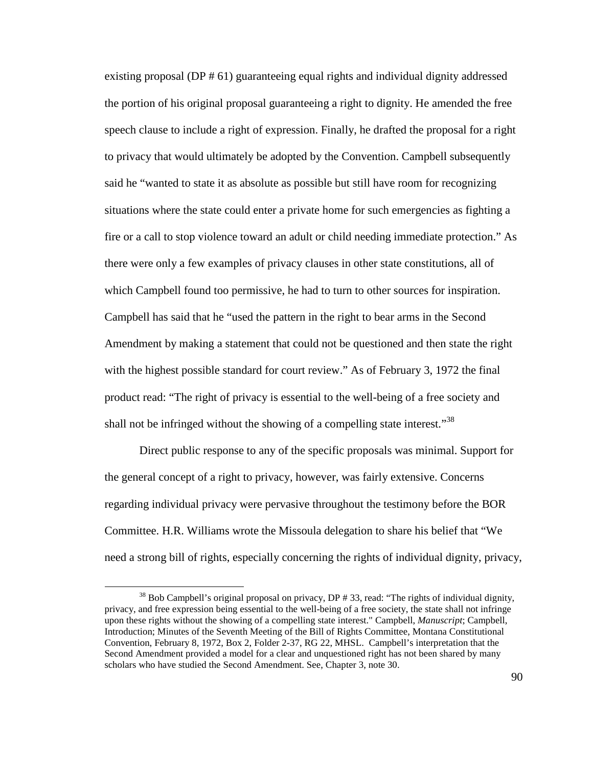existing proposal (DP # 61) guaranteeing equal rights and individual dignity addressed the portion of his original proposal guaranteeing a right to dignity. He amended the free speech clause to include a right of expression. Finally, he drafted the proposal for a right to privacy that would ultimately be adopted by the Convention. Campbell subsequently said he "wanted to state it as absolute as possible but still have room for recognizing situations where the state could enter a private home for such emergencies as fighting a fire or a call to stop violence toward an adult or child needing immediate protection." As there were only a few examples of privacy clauses in other state constitutions, all of which Campbell found too permissive, he had to turn to other sources for inspiration. Campbell has said that he "used the pattern in the right to bear arms in the Second Amendment by making a statement that could not be questioned and then state the right with the highest possible standard for court review." As of February 3, 1972 the final product read: "The right of privacy is essential to the well-being of a free society and shall not be infringed without the showing of a compelling state interest."<sup>38</sup>

 Direct public response to any of the specific proposals was minimal. Support for the general concept of a right to privacy, however, was fairly extensive. Concerns regarding individual privacy were pervasive throughout the testimony before the BOR Committee. H.R. Williams wrote the Missoula delegation to share his belief that "We need a strong bill of rights, especially concerning the rights of individual dignity, privacy,

<sup>&</sup>lt;sup>38</sup> Bob Campbell's original proposal on privacy, DP # 33, read: "The rights of individual dignity, privacy, and free expression being essential to the well-being of a free society, the state shall not infringe upon these rights without the showing of a compelling state interest." Campbell, *Manuscript*; Campbell, Introduction; Minutes of the Seventh Meeting of the Bill of Rights Committee, Montana Constitutional Convention, February 8, 1972, Box 2, Folder 2-37, RG 22, MHSL. Campbell's interpretation that the Second Amendment provided a model for a clear and unquestioned right has not been shared by many scholars who have studied the Second Amendment. See, Chapter 3, note 30.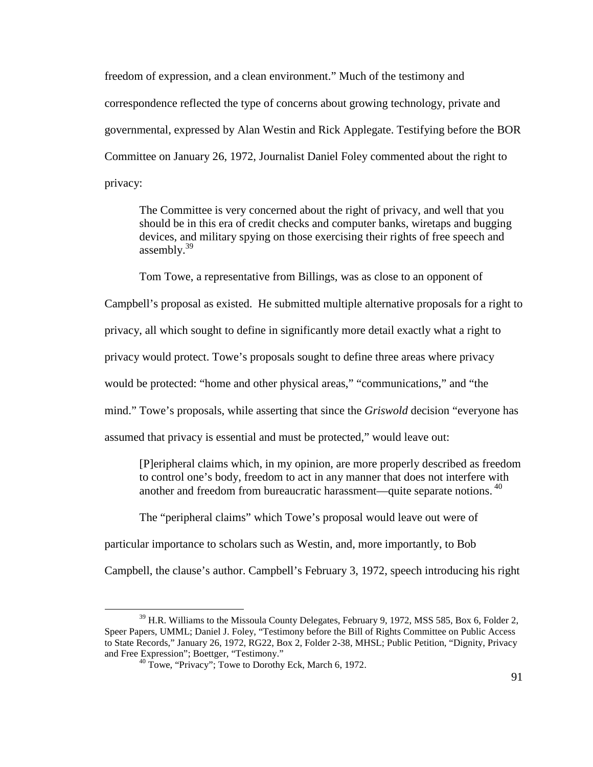freedom of expression, and a clean environment." Much of the testimony and correspondence reflected the type of concerns about growing technology, private and governmental, expressed by Alan Westin and Rick Applegate. Testifying before the BOR Committee on January 26, 1972, Journalist Daniel Foley commented about the right to privacy:

The Committee is very concerned about the right of privacy, and well that you should be in this era of credit checks and computer banks, wiretaps and bugging devices, and military spying on those exercising their rights of free speech and assembly. $39$ 

Tom Towe, a representative from Billings, was as close to an opponent of

Campbell's proposal as existed. He submitted multiple alternative proposals for a right to

privacy, all which sought to define in significantly more detail exactly what a right to

privacy would protect. Towe's proposals sought to define three areas where privacy

would be protected: "home and other physical areas," "communications," and "the

mind." Towe's proposals, while asserting that since the *Griswold* decision "everyone has

assumed that privacy is essential and must be protected," would leave out:

[P]eripheral claims which, in my opinion, are more properly described as freedom to control one's body, freedom to act in any manner that does not interfere with another and freedom from bureaucratic harassment—quite separate notions.<sup>40</sup>

The "peripheral claims" which Towe's proposal would leave out were of

particular importance to scholars such as Westin, and, more importantly, to Bob

Campbell, the clause's author. Campbell's February 3, 1972, speech introducing his right

<sup>&</sup>lt;sup>39</sup> H.R. Williams to the Missoula County Delegates, February 9, 1972, MSS 585, Box 6, Folder 2, Speer Papers, UMML; Daniel J. Foley, "Testimony before the Bill of Rights Committee on Public Access to State Records," January 26, 1972, RG22, Box 2, Folder 2-38, MHSL; Public Petition, "Dignity, Privacy and Free Expression"; Boettger, "Testimony."

<sup>&</sup>lt;sup>40</sup> Towe, "Privacy"; Towe to Dorothy Eck, March 6, 1972.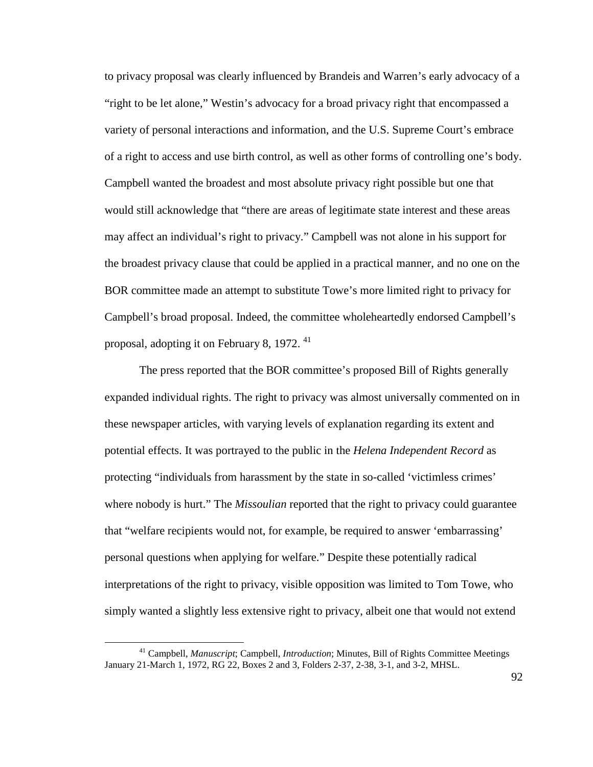to privacy proposal was clearly influenced by Brandeis and Warren's early advocacy of a "right to be let alone," Westin's advocacy for a broad privacy right that encompassed a variety of personal interactions and information, and the U.S. Supreme Court's embrace of a right to access and use birth control, as well as other forms of controlling one's body. Campbell wanted the broadest and most absolute privacy right possible but one that would still acknowledge that "there are areas of legitimate state interest and these areas may affect an individual's right to privacy." Campbell was not alone in his support for the broadest privacy clause that could be applied in a practical manner, and no one on the BOR committee made an attempt to substitute Towe's more limited right to privacy for Campbell's broad proposal. Indeed, the committee wholeheartedly endorsed Campbell's proposal, adopting it on February 8, 1972.  $41$ 

 The press reported that the BOR committee's proposed Bill of Rights generally expanded individual rights. The right to privacy was almost universally commented on in these newspaper articles, with varying levels of explanation regarding its extent and potential effects. It was portrayed to the public in the *Helena Independent Record* as protecting "individuals from harassment by the state in so-called 'victimless crimes' where nobody is hurt." The *Missoulian* reported that the right to privacy could guarantee that "welfare recipients would not, for example, be required to answer 'embarrassing' personal questions when applying for welfare." Despite these potentially radical interpretations of the right to privacy, visible opposition was limited to Tom Towe, who simply wanted a slightly less extensive right to privacy, albeit one that would not extend

<sup>41</sup> Campbell, *Manuscript*; Campbell, *Introduction*; Minutes, Bill of Rights Committee Meetings January 21-March 1, 1972, RG 22, Boxes 2 and 3, Folders 2-37, 2-38, 3-1, and 3-2, MHSL.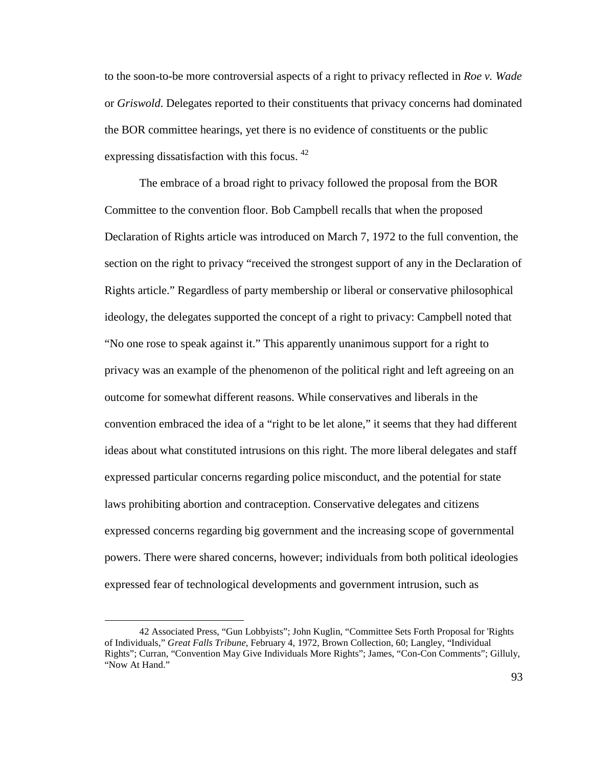to the soon-to-be more controversial aspects of a right to privacy reflected in *Roe v. Wade* or *Griswold*. Delegates reported to their constituents that privacy concerns had dominated the BOR committee hearings, yet there is no evidence of constituents or the public expressing dissatisfaction with this focus.  $42$ 

 The embrace of a broad right to privacy followed the proposal from the BOR Committee to the convention floor. Bob Campbell recalls that when the proposed Declaration of Rights article was introduced on March 7, 1972 to the full convention, the section on the right to privacy "received the strongest support of any in the Declaration of Rights article." Regardless of party membership or liberal or conservative philosophical ideology, the delegates supported the concept of a right to privacy: Campbell noted that "No one rose to speak against it." This apparently unanimous support for a right to privacy was an example of the phenomenon of the political right and left agreeing on an outcome for somewhat different reasons. While conservatives and liberals in the convention embraced the idea of a "right to be let alone," it seems that they had different ideas about what constituted intrusions on this right. The more liberal delegates and staff expressed particular concerns regarding police misconduct, and the potential for state laws prohibiting abortion and contraception. Conservative delegates and citizens expressed concerns regarding big government and the increasing scope of governmental powers. There were shared concerns, however; individuals from both political ideologies expressed fear of technological developments and government intrusion, such as

<sup>42</sup> Associated Press, "Gun Lobbyists"; John Kuglin, "Committee Sets Forth Proposal for 'Rights of Individuals," *Great Falls Tribune*, February 4, 1972, Brown Collection, 60; Langley, "Individual Rights"; Curran, "Convention May Give Individuals More Rights"; James, "Con-Con Comments"; Gilluly, "Now At Hand."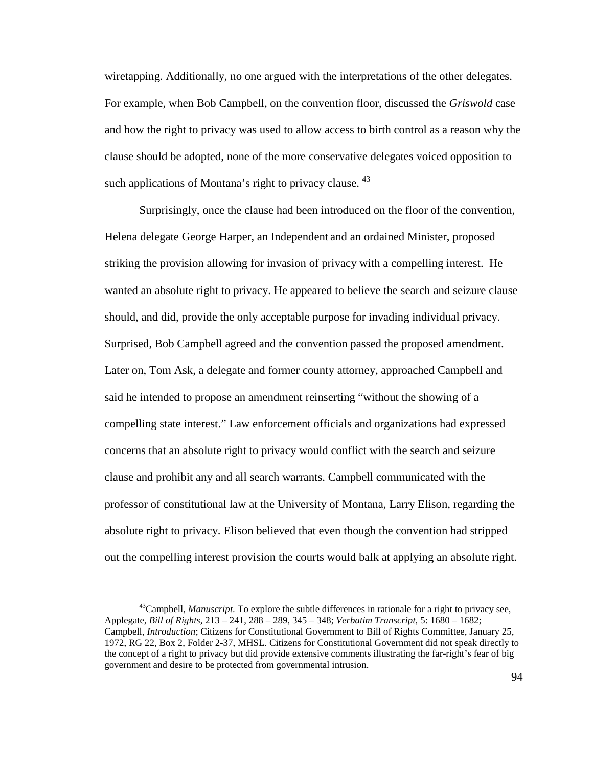wiretapping. Additionally, no one argued with the interpretations of the other delegates. For example, when Bob Campbell, on the convention floor, discussed the *Griswold* case and how the right to privacy was used to allow access to birth control as a reason why the clause should be adopted, none of the more conservative delegates voiced opposition to such applications of Montana's right to privacy clause. <sup>43</sup>

Surprisingly, once the clause had been introduced on the floor of the convention, Helena delegate George Harper, an Independent and an ordained Minister, proposed striking the provision allowing for invasion of privacy with a compelling interest. He wanted an absolute right to privacy. He appeared to believe the search and seizure clause should, and did, provide the only acceptable purpose for invading individual privacy. Surprised, Bob Campbell agreed and the convention passed the proposed amendment. Later on, Tom Ask, a delegate and former county attorney, approached Campbell and said he intended to propose an amendment reinserting "without the showing of a compelling state interest." Law enforcement officials and organizations had expressed concerns that an absolute right to privacy would conflict with the search and seizure clause and prohibit any and all search warrants. Campbell communicated with the professor of constitutional law at the University of Montana, Larry Elison, regarding the absolute right to privacy. Elison believed that even though the convention had stripped out the compelling interest provision the courts would balk at applying an absolute right.

<sup>43</sup>Campbell, *Manuscript*. To explore the subtle differences in rationale for a right to privacy see, Applegate, *Bill of Rights*, 213 – 241, 288 – 289, 345 – 348; *Verbatim Transcript*, 5: 1680 – 1682; Campbell, *Introduction*; Citizens for Constitutional Government to Bill of Rights Committee, January 25, 1972, RG 22, Box 2, Folder 2-37, MHSL. Citizens for Constitutional Government did not speak directly to the concept of a right to privacy but did provide extensive comments illustrating the far-right's fear of big government and desire to be protected from governmental intrusion.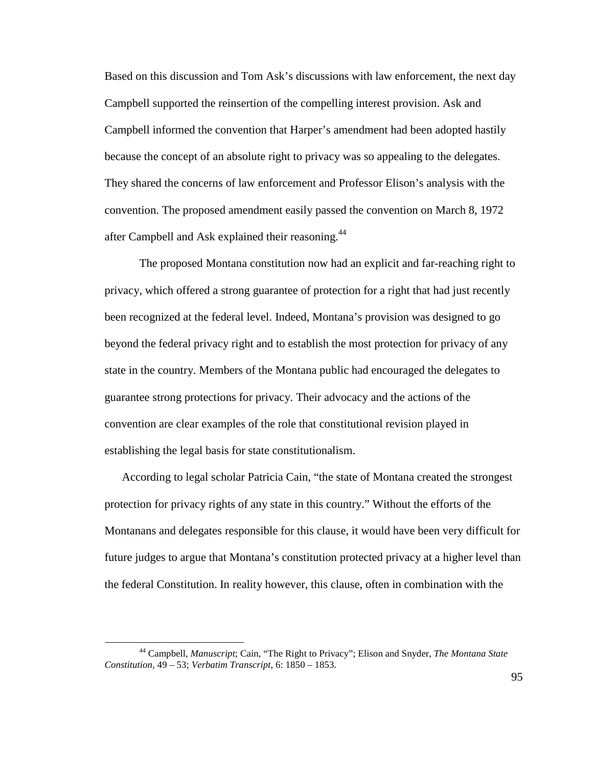Based on this discussion and Tom Ask's discussions with law enforcement, the next day Campbell supported the reinsertion of the compelling interest provision. Ask and Campbell informed the convention that Harper's amendment had been adopted hastily because the concept of an absolute right to privacy was so appealing to the delegates. They shared the concerns of law enforcement and Professor Elison's analysis with the convention. The proposed amendment easily passed the convention on March 8, 1972 after Campbell and Ask explained their reasoning.<sup>44</sup>

 The proposed Montana constitution now had an explicit and far-reaching right to privacy, which offered a strong guarantee of protection for a right that had just recently been recognized at the federal level. Indeed, Montana's provision was designed to go beyond the federal privacy right and to establish the most protection for privacy of any state in the country. Members of the Montana public had encouraged the delegates to guarantee strong protections for privacy. Their advocacy and the actions of the convention are clear examples of the role that constitutional revision played in establishing the legal basis for state constitutionalism.

According to legal scholar Patricia Cain, "the state of Montana created the strongest protection for privacy rights of any state in this country." Without the efforts of the Montanans and delegates responsible for this clause, it would have been very difficult for future judges to argue that Montana's constitution protected privacy at a higher level than the federal Constitution. In reality however, this clause, often in combination with the

<sup>44</sup> Campbell, *Manuscript*; Cain, "The Right to Privacy"; Elison and Snyder, *The Montana State Constitution*, 49 – 53; *Verbatim Transcript*, 6: 1850 – 1853.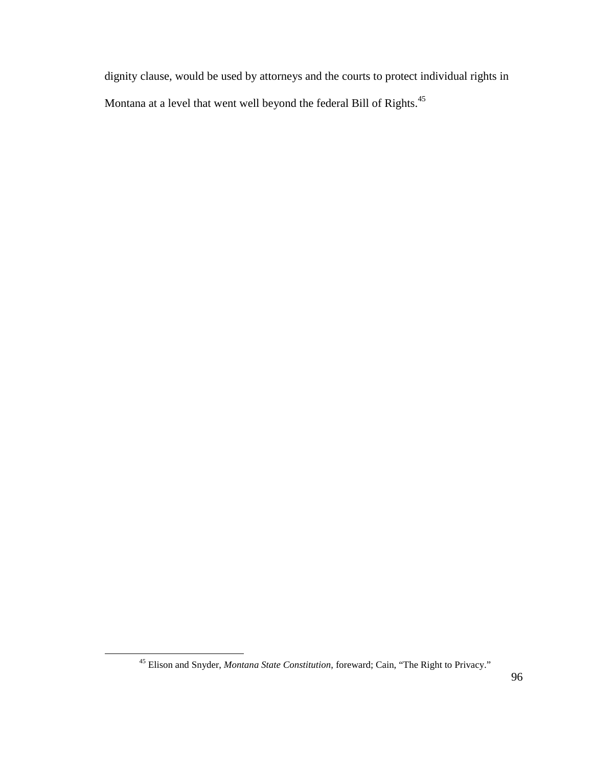dignity clause, would be used by attorneys and the courts to protect individual rights in Montana at a level that went well beyond the federal Bill of Rights.<sup>45</sup>

<sup>45</sup> Elison and Snyder, *Montana State Constitution*, foreward; Cain, "The Right to Privacy."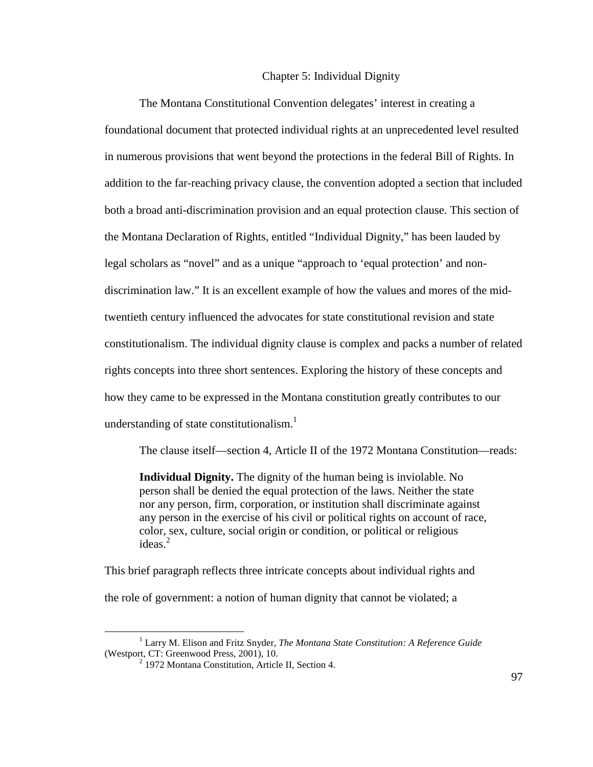## Chapter 5: Individual Dignity

The Montana Constitutional Convention delegates' interest in creating a foundational document that protected individual rights at an unprecedented level resulted in numerous provisions that went beyond the protections in the federal Bill of Rights. In addition to the far-reaching privacy clause, the convention adopted a section that included both a broad anti-discrimination provision and an equal protection clause. This section of the Montana Declaration of Rights, entitled "Individual Dignity," has been lauded by legal scholars as "novel" and as a unique "approach to 'equal protection' and nondiscrimination law." It is an excellent example of how the values and mores of the midtwentieth century influenced the advocates for state constitutional revision and state constitutionalism. The individual dignity clause is complex and packs a number of related rights concepts into three short sentences. Exploring the history of these concepts and how they came to be expressed in the Montana constitution greatly contributes to our understanding of state constitutionalism.<sup>1</sup>

The clause itself—section 4, Article II of the 1972 Montana Constitution—reads:

**Individual Dignity.** The dignity of the human being is inviolable. No person shall be denied the equal protection of the laws. Neither the state nor any person, firm, corporation, or institution shall discriminate against any person in the exercise of his civil or political rights on account of race, color, sex, culture, social origin or condition, or political or religious ideas. $2$ 

This brief paragraph reflects three intricate concepts about individual rights and the role of government: a notion of human dignity that cannot be violated; a

<sup>1</sup> Larry M. Elison and Fritz Snyder, *The Montana State Constitution: A Reference Guide* (Westport, CT: Greenwood Press, 2001), 10.

<sup>&</sup>lt;sup>2</sup> 1972 Montana Constitution, Article II, Section 4.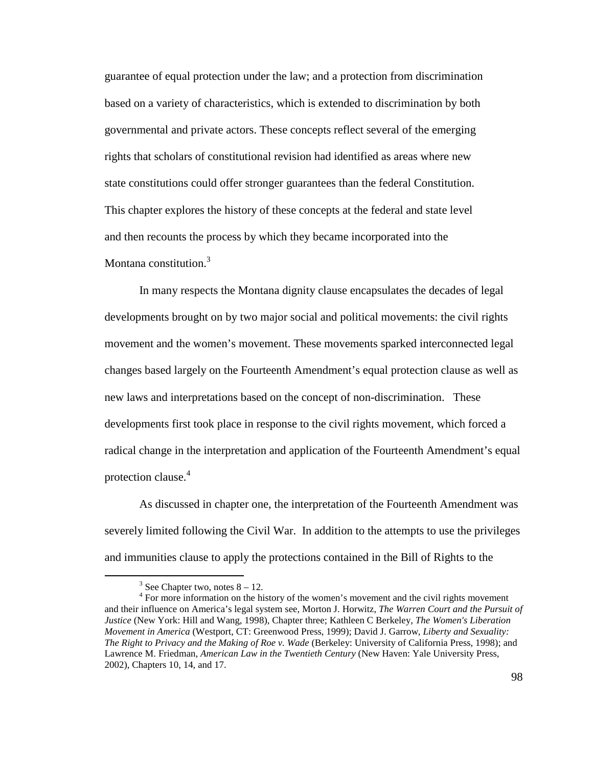guarantee of equal protection under the law; and a protection from discrimination based on a variety of characteristics, which is extended to discrimination by both governmental and private actors. These concepts reflect several of the emerging rights that scholars of constitutional revision had identified as areas where new state constitutions could offer stronger guarantees than the federal Constitution. This chapter explores the history of these concepts at the federal and state level and then recounts the process by which they became incorporated into the Montana constitution.<sup>3</sup>

In many respects the Montana dignity clause encapsulates the decades of legal developments brought on by two major social and political movements: the civil rights movement and the women's movement. These movements sparked interconnected legal changes based largely on the Fourteenth Amendment's equal protection clause as well as new laws and interpretations based on the concept of non-discrimination. These developments first took place in response to the civil rights movement, which forced a radical change in the interpretation and application of the Fourteenth Amendment's equal protection clause.<sup>4</sup>

As discussed in chapter one, the interpretation of the Fourteenth Amendment was severely limited following the Civil War. In addition to the attempts to use the privileges and immunities clause to apply the protections contained in the Bill of Rights to the

-

 $3$  See Chapter two, notes  $8 - 12$ .

<sup>&</sup>lt;sup>4</sup> For more information on the history of the women's movement and the civil rights movement and their influence on America's legal system see, Morton J. Horwitz, *The Warren Court and the Pursuit of Justice* (New York: Hill and Wang, 1998), Chapter three; Kathleen C Berkeley, *The Women's Liberation Movement in America* (Westport, CT: Greenwood Press, 1999); David J. Garrow, *Liberty and Sexuality: The Right to Privacy and the Making of Roe v. Wade* (Berkeley: University of California Press, 1998); and Lawrence M. Friedman, *American Law in the Twentieth Century* (New Haven: Yale University Press, 2002), Chapters 10, 14, and 17.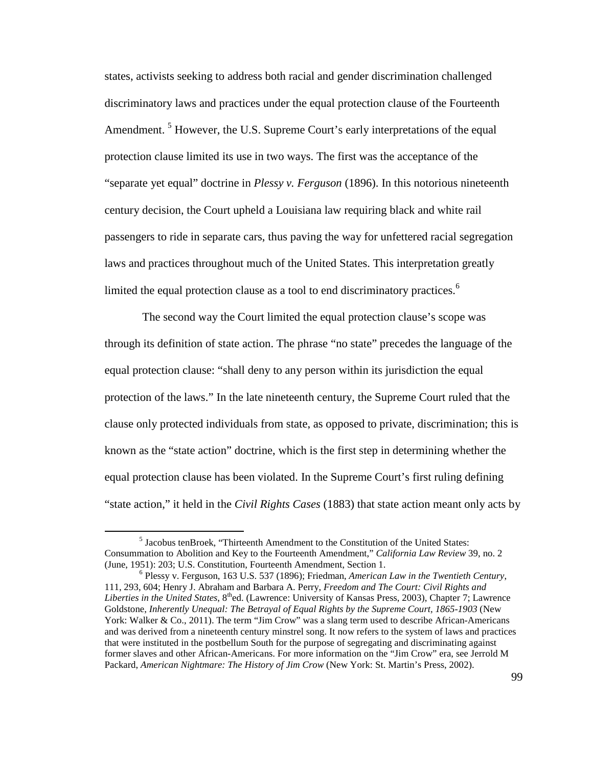states, activists seeking to address both racial and gender discrimination challenged discriminatory laws and practices under the equal protection clause of the Fourteenth Amendment.<sup>5</sup> However, the U.S. Supreme Court's early interpretations of the equal protection clause limited its use in two ways. The first was the acceptance of the "separate yet equal" doctrine in *Plessy v. Ferguson* (1896). In this notorious nineteenth century decision, the Court upheld a Louisiana law requiring black and white rail passengers to ride in separate cars, thus paving the way for unfettered racial segregation laws and practices throughout much of the United States. This interpretation greatly limited the equal protection clause as a tool to end discriminatory practices.<sup>6</sup>

 The second way the Court limited the equal protection clause's scope was through its definition of state action. The phrase "no state" precedes the language of the equal protection clause: "shall deny to any person within its jurisdiction the equal protection of the laws." In the late nineteenth century, the Supreme Court ruled that the clause only protected individuals from state, as opposed to private, discrimination; this is known as the "state action" doctrine, which is the first step in determining whether the equal protection clause has been violated. In the Supreme Court's first ruling defining "state action," it held in the *Civil Rights Cases* (1883) that state action meant only acts by

<sup>&</sup>lt;sup>5</sup> Jacobus tenBroek, "Thirteenth Amendment to the Constitution of the United States: Consummation to Abolition and Key to the Fourteenth Amendment," *California Law Review* 39, no. 2 (June, 1951): 203; U.S. Constitution, Fourteenth Amendment, Section 1.

<sup>6</sup> Plessy v. Ferguson, 163 U.S. 537 (1896); Friedman, *American Law in the Twentieth Century*, 111, 293, 604; Henry J. Abraham and Barbara A. Perry, *Freedom and The Court: Civil Rights and Liberties in the United States*, 8<sup>th</sup>ed. (Lawrence: University of Kansas Press, 2003), Chapter 7; Lawrence Goldstone, *Inherently Unequal: The Betrayal of Equal Rights by the Supreme Court, 1865-1903* (New York: Walker & Co., 2011). The term "Jim Crow" was a slang term used to describe African-Americans and was derived from a nineteenth century minstrel song. It now refers to the system of laws and practices that were instituted in the postbellum South for the purpose of segregating and discriminating against former slaves and other African-Americans. For more information on the "Jim Crow" era, see Jerrold M Packard, *American Nightmare: The History of Jim Crow* (New York: St. Martin's Press, 2002).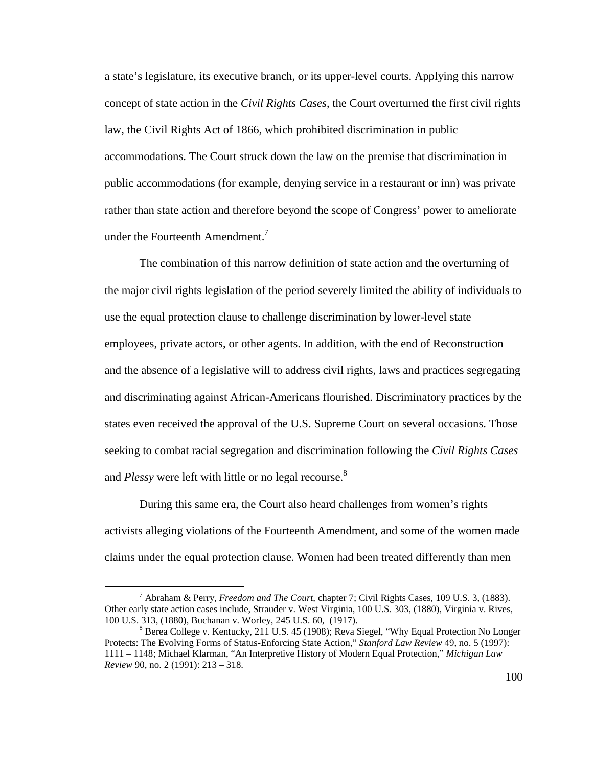a state's legislature, its executive branch, or its upper-level courts. Applying this narrow concept of state action in the *Civil Rights Cases*, the Court overturned the first civil rights law, the Civil Rights Act of 1866, which prohibited discrimination in public accommodations. The Court struck down the law on the premise that discrimination in public accommodations (for example, denying service in a restaurant or inn) was private rather than state action and therefore beyond the scope of Congress' power to ameliorate under the Fourteenth Amendment.<sup>7</sup>

The combination of this narrow definition of state action and the overturning of the major civil rights legislation of the period severely limited the ability of individuals to use the equal protection clause to challenge discrimination by lower-level state employees, private actors, or other agents. In addition, with the end of Reconstruction and the absence of a legislative will to address civil rights, laws and practices segregating and discriminating against African-Americans flourished. Discriminatory practices by the states even received the approval of the U.S. Supreme Court on several occasions. Those seeking to combat racial segregation and discrimination following the *Civil Rights Cases* and *Plessy* were left with little or no legal recourse.<sup>8</sup>

 During this same era, the Court also heard challenges from women's rights activists alleging violations of the Fourteenth Amendment, and some of the women made claims under the equal protection clause. Women had been treated differently than men

<sup>7</sup> Abraham & Perry, *Freedom and The Court*, chapter 7; Civil Rights Cases, 109 U.S. 3, (1883). Other early state action cases include, Strauder v. West Virginia, 100 U.S. 303, (1880), Virginia v. Rives, 100 U.S. 313, (1880), Buchanan v. Worley, 245 U.S. 60, (1917).

<sup>&</sup>lt;sup>8</sup> Berea College v. Kentucky, 211 U.S. 45 (1908); Reva Siegel, "Why Equal Protection No Longer Protects: The Evolving Forms of Status-Enforcing State Action," *Stanford Law Review* 49, no. 5 (1997): 1111 – 1148; Michael Klarman, "An Interpretive History of Modern Equal Protection," *Michigan Law Review* 90, no. 2 (1991): 213 – 318.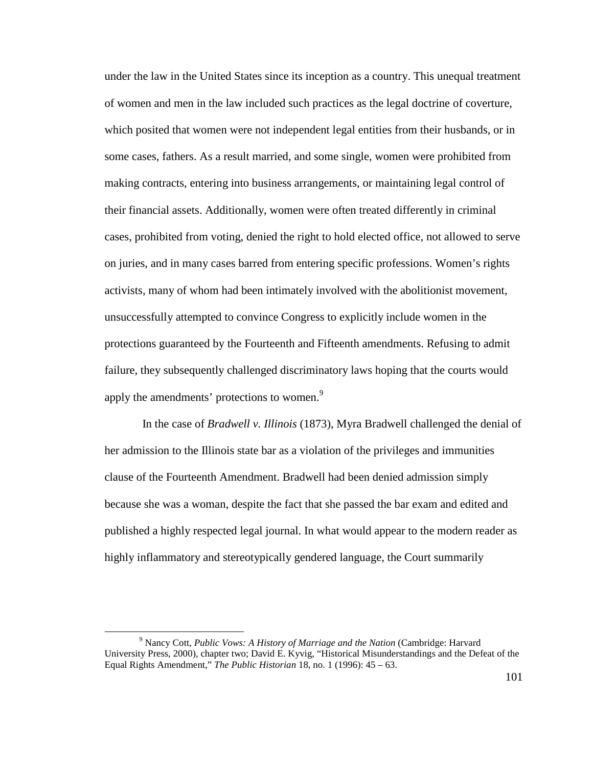under the law in the United States since its inception as a country. This unequal treatment of women and men in the law included such practices as the legal doctrine of coverture, which posited that women were not independent legal entities from their husbands, or in some cases, fathers. As a result married, and some single, women were prohibited from making contracts, entering into business arrangements, or maintaining legal control of their financial assets. Additionally, women were often treated differently in criminal cases, prohibited from voting, denied the right to hold elected office, not allowed to serve on juries, and in many cases barred from entering specific professions. Women's rights activists, many of whom had been intimately involved with the abolitionist movement, unsuccessfully attempted to convince Congress to explicitly include women in the protections guaranteed by the Fourteenth and Fifteenth amendments. Refusing to admit failure, they subsequently challenged discriminatory laws hoping that the courts would apply the amendments' protections to women.<sup>9</sup>

 In the case of *Bradwell v. Illinois* (1873), Myra Bradwell challenged the denial of her admission to the Illinois state bar as a violation of the privileges and immunities clause of the Fourteenth Amendment. Bradwell had been denied admission simply because she was a woman, despite the fact that she passed the bar exam and edited and published a highly respected legal journal. In what would appear to the modern reader as highly inflammatory and stereotypically gendered language, the Court summarily

<sup>9</sup> Nancy Cott, *Public Vows: A History of Marriage and the Nation* (Cambridge: Harvard University Press, 2000), chapter two; David E. Kyvig, "Historical Misunderstandings and the Defeat of the Equal Rights Amendment," *The Public Historian* 18, no. 1 (1996): 45 – 63.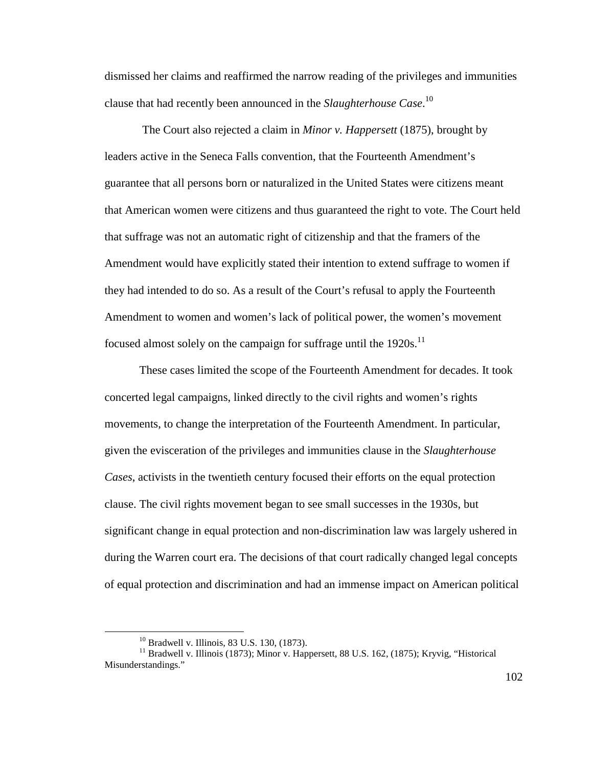dismissed her claims and reaffirmed the narrow reading of the privileges and immunities clause that had recently been announced in the *Slaughterhouse Case*. 10

 The Court also rejected a claim in *Minor v. Happersett* (1875), brought by leaders active in the Seneca Falls convention, that the Fourteenth Amendment's guarantee that all persons born or naturalized in the United States were citizens meant that American women were citizens and thus guaranteed the right to vote. The Court held that suffrage was not an automatic right of citizenship and that the framers of the Amendment would have explicitly stated their intention to extend suffrage to women if they had intended to do so. As a result of the Court's refusal to apply the Fourteenth Amendment to women and women's lack of political power, the women's movement focused almost solely on the campaign for suffrage until the  $1920s$ .<sup>11</sup>

 These cases limited the scope of the Fourteenth Amendment for decades. It took concerted legal campaigns, linked directly to the civil rights and women's rights movements, to change the interpretation of the Fourteenth Amendment. In particular, given the evisceration of the privileges and immunities clause in the *Slaughterhouse Cases*, activists in the twentieth century focused their efforts on the equal protection clause. The civil rights movement began to see small successes in the 1930s, but significant change in equal protection and non-discrimination law was largely ushered in during the Warren court era. The decisions of that court radically changed legal concepts of equal protection and discrimination and had an immense impact on American political

<sup>10</sup> Bradwell v. Illinois, 83 U.S. 130, (1873).

 $11$  Bradwell v. Illinois (1873); Minor v. Happersett, 88 U.S. 162, (1875); Kryvig, "Historical Misunderstandings."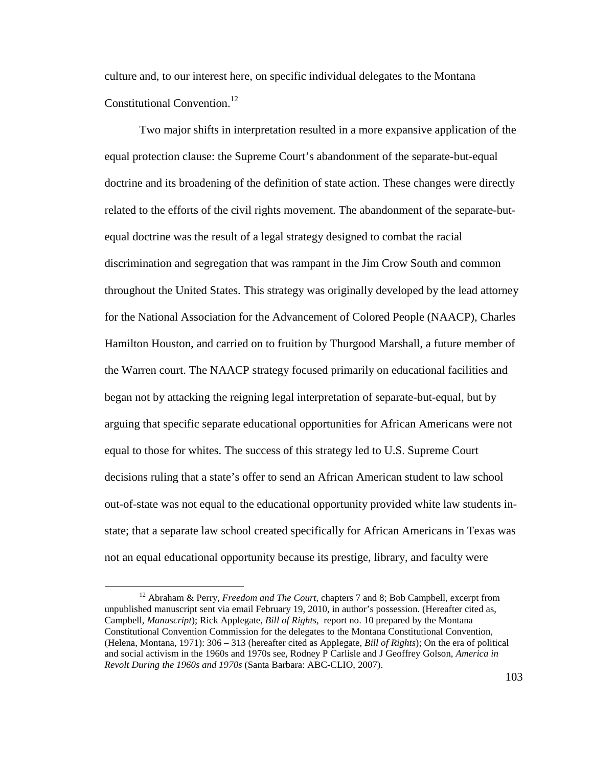culture and, to our interest here, on specific individual delegates to the Montana Constitutional Convention.<sup>12</sup>

 Two major shifts in interpretation resulted in a more expansive application of the equal protection clause: the Supreme Court's abandonment of the separate-but-equal doctrine and its broadening of the definition of state action. These changes were directly related to the efforts of the civil rights movement. The abandonment of the separate-butequal doctrine was the result of a legal strategy designed to combat the racial discrimination and segregation that was rampant in the Jim Crow South and common throughout the United States. This strategy was originally developed by the lead attorney for the National Association for the Advancement of Colored People (NAACP), Charles Hamilton Houston, and carried on to fruition by Thurgood Marshall, a future member of the Warren court. The NAACP strategy focused primarily on educational facilities and began not by attacking the reigning legal interpretation of separate-but-equal, but by arguing that specific separate educational opportunities for African Americans were not equal to those for whites. The success of this strategy led to U.S. Supreme Court decisions ruling that a state's offer to send an African American student to law school out-of-state was not equal to the educational opportunity provided white law students instate; that a separate law school created specifically for African Americans in Texas was not an equal educational opportunity because its prestige, library, and faculty were

<sup>12</sup> Abraham & Perry, *Freedom and The Court*, chapters 7 and 8; Bob Campbell, excerpt from unpublished manuscript sent via email February 19, 2010, in author's possession. (Hereafter cited as, Campbell, *Manuscript*); Rick Applegate, *Bill of Rights,* report no. 10 prepared by the Montana Constitutional Convention Commission for the delegates to the Montana Constitutional Convention, (Helena, Montana, 1971): 306 – 313 (hereafter cited as Applegate, *Bill of Rights*); On the era of political and social activism in the 1960s and 1970s see, Rodney P Carlisle and J Geoffrey Golson, *America in Revolt During the 1960s and 1970s* (Santa Barbara: ABC-CLIO, 2007).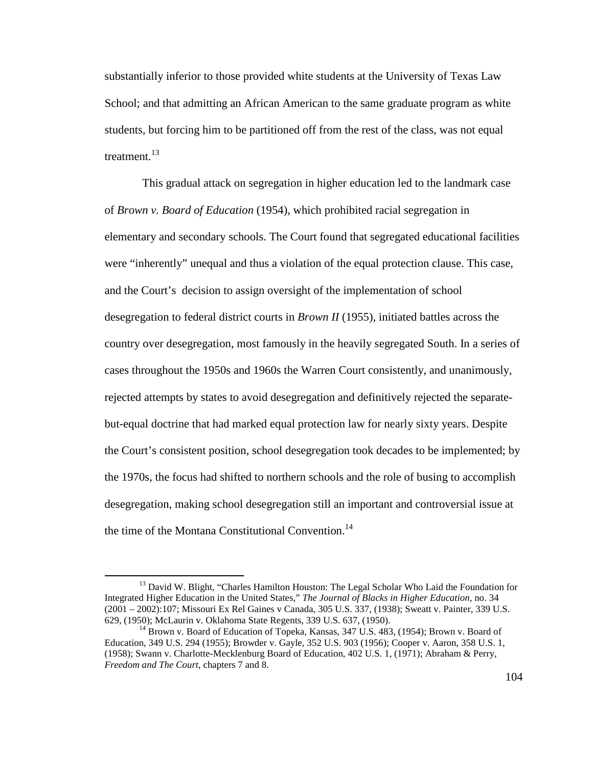substantially inferior to those provided white students at the University of Texas Law School; and that admitting an African American to the same graduate program as white students, but forcing him to be partitioned off from the rest of the class, was not equal treatment.<sup>13</sup>

 This gradual attack on segregation in higher education led to the landmark case of *Brown v. Board of Education* (1954), which prohibited racial segregation in elementary and secondary schools. The Court found that segregated educational facilities were "inherently" unequal and thus a violation of the equal protection clause. This case, and the Court's decision to assign oversight of the implementation of school desegregation to federal district courts in *Brown II* (1955), initiated battles across the country over desegregation, most famously in the heavily segregated South. In a series of cases throughout the 1950s and 1960s the Warren Court consistently, and unanimously, rejected attempts by states to avoid desegregation and definitively rejected the separatebut-equal doctrine that had marked equal protection law for nearly sixty years. Despite the Court's consistent position, school desegregation took decades to be implemented; by the 1970s, the focus had shifted to northern schools and the role of busing to accomplish desegregation, making school desegregation still an important and controversial issue at the time of the Montana Constitutional Convention.<sup>14</sup>

<sup>&</sup>lt;sup>13</sup> David W. Blight, "Charles Hamilton Houston: The Legal Scholar Who Laid the Foundation for Integrated Higher Education in the United States," *The Journal of Blacks in Higher Education*, no. 34 (2001 – 2002):107; Missouri Ex Rel Gaines v Canada, 305 U.S. 337, (1938); Sweatt v. Painter, 339 U.S. 629, (1950); McLaurin v. Oklahoma State Regents, 339 U.S. 637, (1950).

<sup>&</sup>lt;sup>14</sup> Brown v. Board of Education of Topeka, Kansas, 347 U.S. 483, (1954); Brown v. Board of Education, 349 U.S. 294 (1955); Browder v. Gayle, 352 U.S. 903 (1956); Cooper v. Aaron, 358 U.S. 1, (1958); Swann v. Charlotte-Mecklenburg Board of Education, 402 U.S. 1, (1971); Abraham & Perry, *Freedom and The Court*, chapters 7 and 8.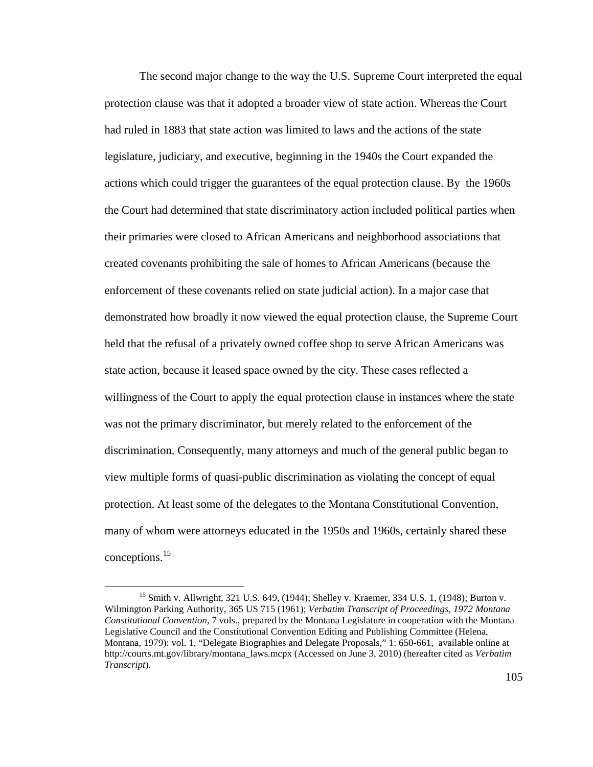The second major change to the way the U.S. Supreme Court interpreted the equal protection clause was that it adopted a broader view of state action. Whereas the Court had ruled in 1883 that state action was limited to laws and the actions of the state legislature, judiciary, and executive, beginning in the 1940s the Court expanded the actions which could trigger the guarantees of the equal protection clause. By the 1960s the Court had determined that state discriminatory action included political parties when their primaries were closed to African Americans and neighborhood associations that created covenants prohibiting the sale of homes to African Americans (because the enforcement of these covenants relied on state judicial action). In a major case that demonstrated how broadly it now viewed the equal protection clause, the Supreme Court held that the refusal of a privately owned coffee shop to serve African Americans was state action, because it leased space owned by the city. These cases reflected a willingness of the Court to apply the equal protection clause in instances where the state was not the primary discriminator, but merely related to the enforcement of the discrimination. Consequently, many attorneys and much of the general public began to view multiple forms of quasi-public discrimination as violating the concept of equal protection. At least some of the delegates to the Montana Constitutional Convention, many of whom were attorneys educated in the 1950s and 1960s, certainly shared these conceptions.<sup>15</sup>

<sup>15</sup> Smith v. Allwright, 321 U.S. 649, (1944); Shelley v. Kraemer, 334 U.S. 1, (1948); Burton v. Wilmington Parking Authority, 365 US 715 (1961); *Verbatim Transcript of Proceedings, 1972 Montana Constitutional Convention*, 7 vols., prepared by the Montana Legislature in cooperation with the Montana Legislative Council and the Constitutional Convention Editing and Publishing Committee (Helena, Montana, 1979): vol. 1, "Delegate Biographies and Delegate Proposals," 1: 650-661, available online at http://courts.mt.gov/library/montana\_laws.mcpx (Accessed on June 3, 2010) (hereafter cited as *Verbatim Transcript*).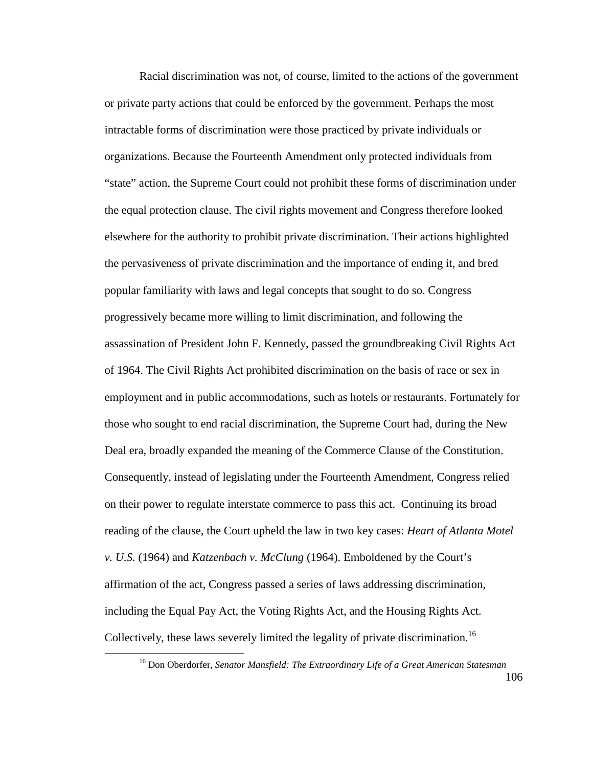Racial discrimination was not, of course, limited to the actions of the government or private party actions that could be enforced by the government. Perhaps the most intractable forms of discrimination were those practiced by private individuals or organizations. Because the Fourteenth Amendment only protected individuals from "state" action, the Supreme Court could not prohibit these forms of discrimination under the equal protection clause. The civil rights movement and Congress therefore looked elsewhere for the authority to prohibit private discrimination. Their actions highlighted the pervasiveness of private discrimination and the importance of ending it, and bred popular familiarity with laws and legal concepts that sought to do so. Congress progressively became more willing to limit discrimination, and following the assassination of President John F. Kennedy, passed the groundbreaking Civil Rights Act of 1964. The Civil Rights Act prohibited discrimination on the basis of race or sex in employment and in public accommodations, such as hotels or restaurants. Fortunately for those who sought to end racial discrimination, the Supreme Court had, during the New Deal era, broadly expanded the meaning of the Commerce Clause of the Constitution. Consequently, instead of legislating under the Fourteenth Amendment, Congress relied on their power to regulate interstate commerce to pass this act. Continuing its broad reading of the clause, the Court upheld the law in two key cases: *Heart of Atlanta Motel v. U.S.* (1964) and *Katzenbach v. McClung* (1964). Emboldened by the Court's affirmation of the act, Congress passed a series of laws addressing discrimination, including the Equal Pay Act, the Voting Rights Act, and the Housing Rights Act. Collectively, these laws severely limited the legality of private discrimination.<sup>16</sup>

<sup>16</sup> Don Oberdorfer, *Senator Mansfield: The Extraordinary Life of a Great American Statesman*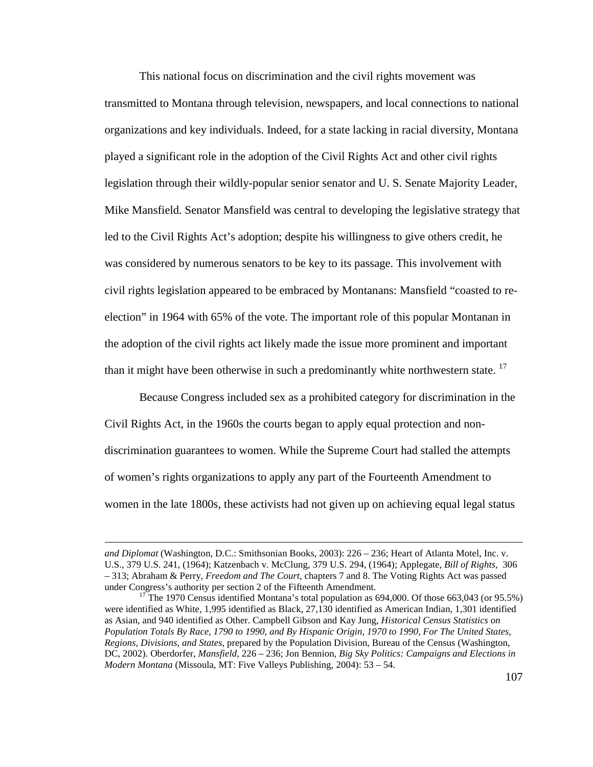This national focus on discrimination and the civil rights movement was transmitted to Montana through television, newspapers, and local connections to national organizations and key individuals. Indeed, for a state lacking in racial diversity, Montana played a significant role in the adoption of the Civil Rights Act and other civil rights legislation through their wildly-popular senior senator and U. S. Senate Majority Leader, Mike Mansfield. Senator Mansfield was central to developing the legislative strategy that led to the Civil Rights Act's adoption; despite his willingness to give others credit, he was considered by numerous senators to be key to its passage. This involvement with civil rights legislation appeared to be embraced by Montanans: Mansfield "coasted to reelection" in 1964 with 65% of the vote. The important role of this popular Montanan in the adoption of the civil rights act likely made the issue more prominent and important than it might have been otherwise in such a predominantly white northwestern state.  $17$ 

Because Congress included sex as a prohibited category for discrimination in the Civil Rights Act, in the 1960s the courts began to apply equal protection and nondiscrimination guarantees to women. While the Supreme Court had stalled the attempts of women's rights organizations to apply any part of the Fourteenth Amendment to women in the late 1800s, these activists had not given up on achieving equal legal status

*and Diplomat* (Washington, D.C.: Smithsonian Books, 2003): 226 – 236; Heart of Atlanta Motel, Inc. v. U.S., 379 U.S. 241, (1964); Katzenbach v. McClung, 379 U.S. 294, (1964); Applegate, *Bill of Rights,* 306 – 313; Abraham & Perry, *Freedom and The Court*, chapters 7 and 8. The Voting Rights Act was passed under Congress's authority per section 2 of the Fifteenth Amendment.

<sup>&</sup>lt;sup>17</sup> The 1970 Census identified Montana's total population as 694,000. Of those 663,043 (or 95.5%) were identified as White, 1,995 identified as Black, 27,130 identified as American Indian, 1,301 identified as Asian, and 940 identified as Other. Campbell Gibson and Kay Jung, *Historical Census Statistics on Population Totals By Race, 1790 to 1990, and By Hispanic Origin, 1970 to 1990, For The United States, Regions, Divisions, and States*, prepared by the Population Division, Bureau of the Census (Washington, DC, 2002). Oberdorfer, *Mansfield,* 226 – 236; Jon Bennion, *Big Sky Politics: Campaigns and Elections in Modern Montana* (Missoula, MT: Five Valleys Publishing, 2004): 53 – 54.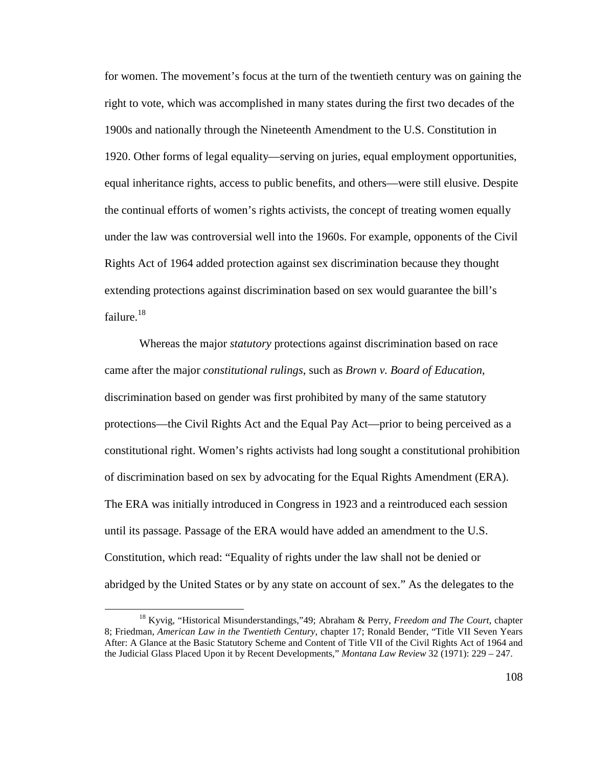for women. The movement's focus at the turn of the twentieth century was on gaining the right to vote, which was accomplished in many states during the first two decades of the 1900s and nationally through the Nineteenth Amendment to the U.S. Constitution in 1920. Other forms of legal equality—serving on juries, equal employment opportunities, equal inheritance rights, access to public benefits, and others—were still elusive. Despite the continual efforts of women's rights activists, the concept of treating women equally under the law was controversial well into the 1960s. For example, opponents of the Civil Rights Act of 1964 added protection against sex discrimination because they thought extending protections against discrimination based on sex would guarantee the bill's failure. $18$ 

Whereas the major *statutory* protections against discrimination based on race came after the major *constitutional rulings*, such as *Brown v. Board of Education*, discrimination based on gender was first prohibited by many of the same statutory protections—the Civil Rights Act and the Equal Pay Act—prior to being perceived as a constitutional right. Women's rights activists had long sought a constitutional prohibition of discrimination based on sex by advocating for the Equal Rights Amendment (ERA). The ERA was initially introduced in Congress in 1923 and a reintroduced each session until its passage. Passage of the ERA would have added an amendment to the U.S. Constitution, which read: "Equality of rights under the law shall not be denied or abridged by the United States or by any state on account of sex." As the delegates to the

<sup>18</sup> Kyvig, "Historical Misunderstandings,"49; Abraham & Perry, *Freedom and The Court*, chapter 8; Friedman, *American Law in the Twentieth Century*, chapter 17; Ronald Bender, "Title VII Seven Years After: A Glance at the Basic Statutory Scheme and Content of Title VII of the Civil Rights Act of 1964 and the Judicial Glass Placed Upon it by Recent Developments," *Montana Law Review* 32 (1971): 229 – 247.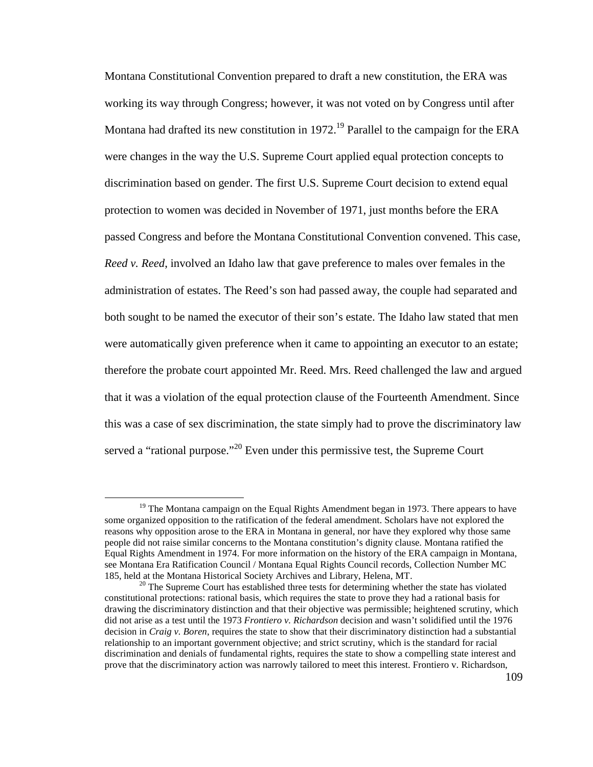Montana Constitutional Convention prepared to draft a new constitution, the ERA was working its way through Congress; however, it was not voted on by Congress until after Montana had drafted its new constitution in 1972.<sup>19</sup> Parallel to the campaign for the ERA were changes in the way the U.S. Supreme Court applied equal protection concepts to discrimination based on gender. The first U.S. Supreme Court decision to extend equal protection to women was decided in November of 1971, just months before the ERA passed Congress and before the Montana Constitutional Convention convened. This case, *Reed v. Reed*, involved an Idaho law that gave preference to males over females in the administration of estates. The Reed's son had passed away, the couple had separated and both sought to be named the executor of their son's estate. The Idaho law stated that men were automatically given preference when it came to appointing an executor to an estate; therefore the probate court appointed Mr. Reed. Mrs. Reed challenged the law and argued that it was a violation of the equal protection clause of the Fourteenth Amendment. Since this was a case of sex discrimination, the state simply had to prove the discriminatory law served a "rational purpose."<sup>20</sup> Even under this permissive test, the Supreme Court

<u>.</u>

 $19$  The Montana campaign on the Equal Rights Amendment began in 1973. There appears to have some organized opposition to the ratification of the federal amendment. Scholars have not explored the reasons why opposition arose to the ERA in Montana in general, nor have they explored why those same people did not raise similar concerns to the Montana constitution's dignity clause. Montana ratified the Equal Rights Amendment in 1974. For more information on the history of the ERA campaign in Montana, see Montana Era Ratification Council / Montana Equal Rights Council records, Collection Number MC 185, held at the Montana Historical Society Archives and Library, Helena, MT.

 $20$  The Supreme Court has established three tests for determining whether the state has violated constitutional protections: rational basis, which requires the state to prove they had a rational basis for drawing the discriminatory distinction and that their objective was permissible; heightened scrutiny, which did not arise as a test until the 1973 *Frontiero v. Richardson* decision and wasn't solidified until the 1976 decision in *Craig v. Boren*, requires the state to show that their discriminatory distinction had a substantial relationship to an important government objective; and strict scrutiny, which is the standard for racial discrimination and denials of fundamental rights, requires the state to show a compelling state interest and prove that the discriminatory action was narrowly tailored to meet this interest. Frontiero v. Richardson,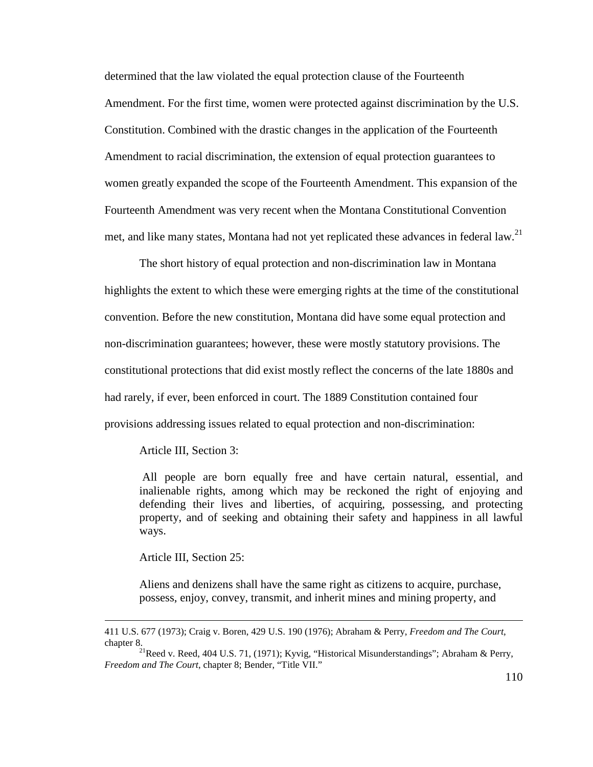determined that the law violated the equal protection clause of the Fourteenth Amendment. For the first time, women were protected against discrimination by the U.S. Constitution. Combined with the drastic changes in the application of the Fourteenth Amendment to racial discrimination, the extension of equal protection guarantees to women greatly expanded the scope of the Fourteenth Amendment. This expansion of the Fourteenth Amendment was very recent when the Montana Constitutional Convention met, and like many states, Montana had not yet replicated these advances in federal law.<sup>21</sup>

The short history of equal protection and non-discrimination law in Montana highlights the extent to which these were emerging rights at the time of the constitutional convention. Before the new constitution, Montana did have some equal protection and non-discrimination guarantees; however, these were mostly statutory provisions. The constitutional protections that did exist mostly reflect the concerns of the late 1880s and had rarely, if ever, been enforced in court. The 1889 Constitution contained four provisions addressing issues related to equal protection and non-discrimination:

## Article III, Section 3:

All people are born equally free and have certain natural, essential, and inalienable rights, among which may be reckoned the right of enjoying and defending their lives and liberties, of acquiring, possessing, and protecting property, and of seeking and obtaining their safety and happiness in all lawful ways.

Article III, Section 25:

<u>.</u>

Aliens and denizens shall have the same right as citizens to acquire, purchase, possess, enjoy, convey, transmit, and inherit mines and mining property, and

<sup>411</sup> U.S. 677 (1973); Craig v. Boren, 429 U.S. 190 (1976); Abraham & Perry, *Freedom and The Court*, chapter 8.

<sup>&</sup>lt;sup>21</sup>Reed v. Reed, 404 U.S. 71, (1971); Kyvig, "Historical Misunderstandings"; Abraham & Perry, *Freedom and The Court*, chapter 8; Bender, "Title VII."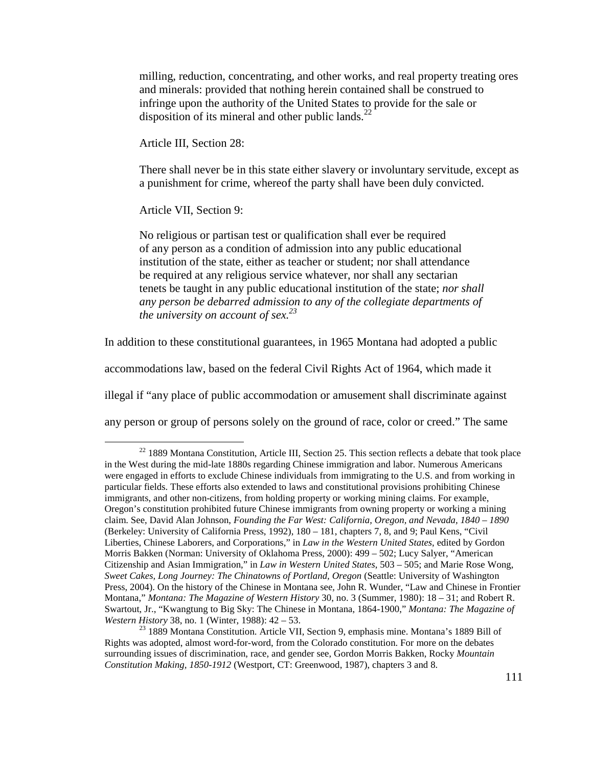milling, reduction, concentrating, and other works, and real property treating ores and minerals: provided that nothing herein contained shall be construed to infringe upon the authority of the United States to provide for the sale or disposition of its mineral and other public lands. $^{22}$ 

Article III, Section 28:

There shall never be in this state either slavery or involuntary servitude, except as a punishment for crime, whereof the party shall have been duly convicted.

Article VII, Section 9:

 $\overline{a}$ 

No religious or partisan test or qualification shall ever be required of any person as a condition of admission into any public educational institution of the state, either as teacher or student; nor shall attendance be required at any religious service whatever, nor shall any sectarian tenets be taught in any public educational institution of the state; *nor shall any person be debarred admission to any of the collegiate departments of the university on account of sex.<sup>23</sup>*

In addition to these constitutional guarantees, in 1965 Montana had adopted a public

accommodations law, based on the federal Civil Rights Act of 1964, which made it

illegal if "any place of public accommodation or amusement shall discriminate against

any person or group of persons solely on the ground of race, color or creed." The same

<sup>&</sup>lt;sup>22</sup> 1889 Montana Constitution, Article III, Section 25. This section reflects a debate that took place in the West during the mid-late 1880s regarding Chinese immigration and labor. Numerous Americans were engaged in efforts to exclude Chinese individuals from immigrating to the U.S. and from working in particular fields. These efforts also extended to laws and constitutional provisions prohibiting Chinese immigrants, and other non-citizens, from holding property or working mining claims. For example, Oregon's constitution prohibited future Chinese immigrants from owning property or working a mining claim. See, David Alan Johnson, *Founding the Far West: California, Oregon, and Nevada, 1840 – 1890* (Berkeley: University of California Press, 1992), 180 – 181, chapters 7, 8, and 9; Paul Kens, "Civil Liberties, Chinese Laborers, and Corporations," in *Law in the Western United States*, edited by Gordon Morris Bakken (Norman: University of Oklahoma Press, 2000): 499 – 502; Lucy Salyer, "American Citizenship and Asian Immigration," in *Law in Western United States*, 503 – 505; and Marie Rose Wong, *Sweet Cakes, Long Journey: The Chinatowns of Portland, Oregon* (Seattle: University of Washington Press, 2004). On the history of the Chinese in Montana see, John R. Wunder, "Law and Chinese in Frontier Montana," *Montana: The Magazine of Western History* 30, no. 3 (Summer, 1980): 18 – 31; and Robert R. Swartout, Jr., "Kwangtung to Big Sky: The Chinese in Montana, 1864-1900," *Montana: The Magazine of Western History* 38, no. 1 (Winter, 1988): 42 – 53.

<sup>&</sup>lt;sup>23</sup> 1889 Montana Constitution. Article VII, Section 9, emphasis mine. Montana's 1889 Bill of Rights was adopted, almost word-for-word, from the Colorado constitution. For more on the debates surrounding issues of discrimination, race, and gender see, Gordon Morris Bakken, Rocky *Mountain Constitution Making, 1850-1912* (Westport, CT: Greenwood, 1987), chapters 3 and 8.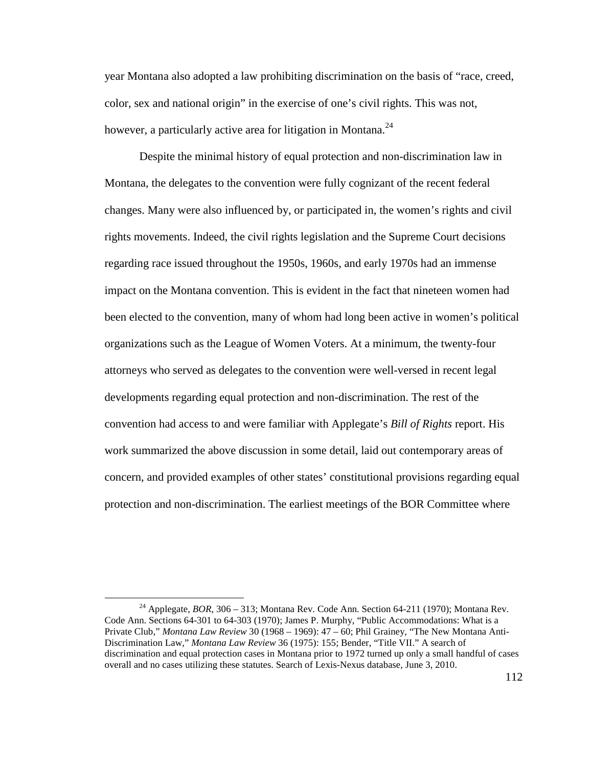year Montana also adopted a law prohibiting discrimination on the basis of "race, creed, color, sex and national origin" in the exercise of one's civil rights. This was not, however, a particularly active area for litigation in Montana.<sup>24</sup>

Despite the minimal history of equal protection and non-discrimination law in Montana, the delegates to the convention were fully cognizant of the recent federal changes. Many were also influenced by, or participated in, the women's rights and civil rights movements. Indeed, the civil rights legislation and the Supreme Court decisions regarding race issued throughout the 1950s, 1960s, and early 1970s had an immense impact on the Montana convention. This is evident in the fact that nineteen women had been elected to the convention, many of whom had long been active in women's political organizations such as the League of Women Voters. At a minimum, the twenty-four attorneys who served as delegates to the convention were well-versed in recent legal developments regarding equal protection and non-discrimination. The rest of the convention had access to and were familiar with Applegate's *Bill of Rights* report. His work summarized the above discussion in some detail, laid out contemporary areas of concern, and provided examples of other states' constitutional provisions regarding equal protection and non-discrimination. The earliest meetings of the BOR Committee where

<u>.</u>

<sup>&</sup>lt;sup>24</sup> Applegate, *BOR*, 306 – 313; Montana Rev. Code Ann. Section 64-211 (1970); Montana Rev. Code Ann. Sections 64-301 to 64-303 (1970); James P. Murphy, "Public Accommodations: What is a Private Club," *Montana Law Review* 30 (1968 – 1969): 47 – 60; Phil Grainey, "The New Montana Anti-Discrimination Law," *Montana Law Review* 36 (1975): 155; Bender, "Title VII." A search of discrimination and equal protection cases in Montana prior to 1972 turned up only a small handful of cases overall and no cases utilizing these statutes. Search of Lexis-Nexus database, June 3, 2010.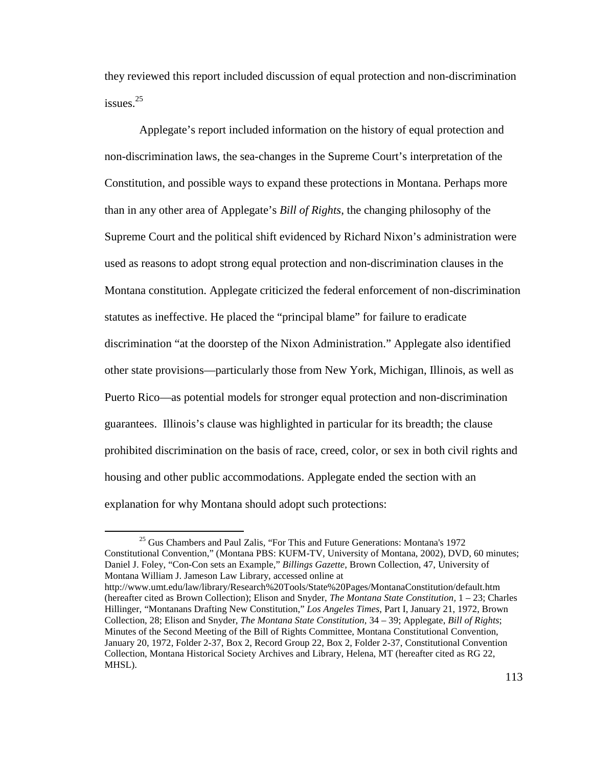they reviewed this report included discussion of equal protection and non-discrimination issues.<sup>25</sup>

Applegate's report included information on the history of equal protection and non-discrimination laws, the sea-changes in the Supreme Court's interpretation of the Constitution, and possible ways to expand these protections in Montana. Perhaps more than in any other area of Applegate's *Bill of Rights*, the changing philosophy of the Supreme Court and the political shift evidenced by Richard Nixon's administration were used as reasons to adopt strong equal protection and non-discrimination clauses in the Montana constitution. Applegate criticized the federal enforcement of non-discrimination statutes as ineffective. He placed the "principal blame" for failure to eradicate discrimination "at the doorstep of the Nixon Administration." Applegate also identified other state provisions—particularly those from New York, Michigan, Illinois, as well as Puerto Rico—as potential models for stronger equal protection and non-discrimination guarantees. Illinois's clause was highlighted in particular for its breadth; the clause prohibited discrimination on the basis of race, creed, color, or sex in both civil rights and housing and other public accommodations. Applegate ended the section with an explanation for why Montana should adopt such protections:

<sup>&</sup>lt;sup>25</sup> Gus Chambers and Paul Zalis, "For This and Future Generations: Montana's 1972 Constitutional Convention," (Montana PBS: KUFM-TV, University of Montana, 2002), DVD, 60 minutes; Daniel J. Foley, "Con-Con sets an Example," *Billings Gazette*, Brown Collection, 47, University of Montana William J. Jameson Law Library, accessed online at http://www.umt.edu/law/library/Research%20Tools/State%20Pages/MontanaConstitution/default.htm (hereafter cited as Brown Collection); Elison and Snyder, *The Montana State Constitution,* 1 – 23; Charles Hillinger, "Montanans Drafting New Constitution," *Los Angeles Times*, Part I, January 21, 1972, Brown Collection, 28; Elison and Snyder, *The Montana State Constitution,* 34 – 39; Applegate, *Bill of Rights*; Minutes of the Second Meeting of the Bill of Rights Committee, Montana Constitutional Convention,

January 20, 1972, Folder 2-37, Box 2, Record Group 22, Box 2, Folder 2-37, Constitutional Convention Collection, Montana Historical Society Archives and Library, Helena, MT (hereafter cited as RG 22, MHSL).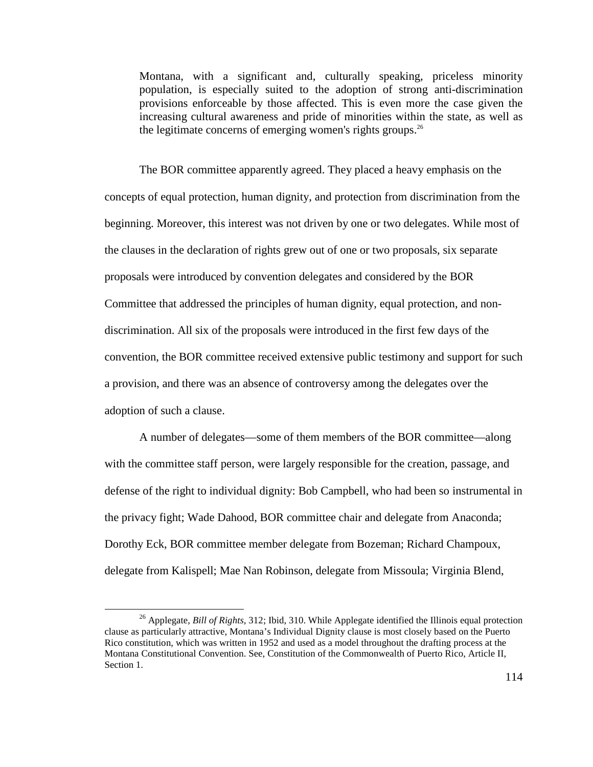Montana, with a significant and, culturally speaking, priceless minority population, is especially suited to the adoption of strong anti-discrimination provisions enforceable by those affected. This is even more the case given the increasing cultural awareness and pride of minorities within the state, as well as the legitimate concerns of emerging women's rights groups. $26$ 

The BOR committee apparently agreed. They placed a heavy emphasis on the concepts of equal protection, human dignity, and protection from discrimination from the beginning. Moreover, this interest was not driven by one or two delegates. While most of the clauses in the declaration of rights grew out of one or two proposals, six separate proposals were introduced by convention delegates and considered by the BOR Committee that addressed the principles of human dignity, equal protection, and nondiscrimination. All six of the proposals were introduced in the first few days of the convention, the BOR committee received extensive public testimony and support for such a provision, and there was an absence of controversy among the delegates over the adoption of such a clause.

A number of delegates—some of them members of the BOR committee—along with the committee staff person, were largely responsible for the creation, passage, and defense of the right to individual dignity: Bob Campbell, who had been so instrumental in the privacy fight; Wade Dahood, BOR committee chair and delegate from Anaconda; Dorothy Eck, BOR committee member delegate from Bozeman; Richard Champoux, delegate from Kalispell; Mae Nan Robinson, delegate from Missoula; Virginia Blend,

<sup>26</sup> Applegate, *Bill of Rights,* 312; Ibid, 310. While Applegate identified the Illinois equal protection clause as particularly attractive, Montana's Individual Dignity clause is most closely based on the Puerto Rico constitution, which was written in 1952 and used as a model throughout the drafting process at the Montana Constitutional Convention. See, Constitution of the Commonwealth of Puerto Rico, Article II, Section 1.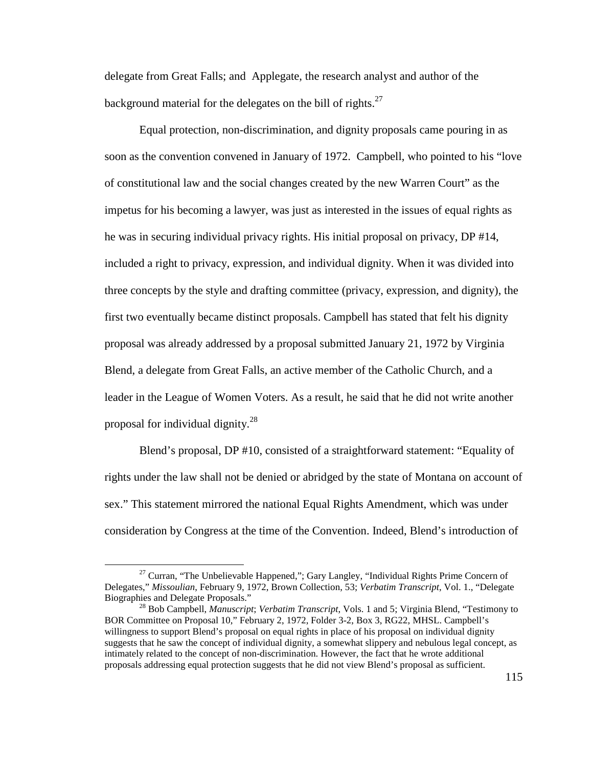delegate from Great Falls; and Applegate, the research analyst and author of the background material for the delegates on the bill of rights. $27$ 

Equal protection, non-discrimination, and dignity proposals came pouring in as soon as the convention convened in January of 1972. Campbell, who pointed to his "love of constitutional law and the social changes created by the new Warren Court" as the impetus for his becoming a lawyer, was just as interested in the issues of equal rights as he was in securing individual privacy rights. His initial proposal on privacy, DP #14, included a right to privacy, expression, and individual dignity. When it was divided into three concepts by the style and drafting committee (privacy, expression, and dignity), the first two eventually became distinct proposals. Campbell has stated that felt his dignity proposal was already addressed by a proposal submitted January 21, 1972 by Virginia Blend, a delegate from Great Falls, an active member of the Catholic Church, and a leader in the League of Women Voters. As a result, he said that he did not write another proposal for individual dignity.<sup>28</sup>

 Blend's proposal, DP #10, consisted of a straightforward statement: "Equality of rights under the law shall not be denied or abridged by the state of Montana on account of sex." This statement mirrored the national Equal Rights Amendment, which was under consideration by Congress at the time of the Convention. Indeed, Blend's introduction of

<sup>&</sup>lt;sup>27</sup> Curran, "The Unbelievable Happened,"; Gary Langley, "Individual Rights Prime Concern of Delegates," *Missoulian*, February 9, 1972, Brown Collection, 53; *Verbatim Transcript*, Vol. 1., "Delegate Biographies and Delegate Proposals."

<sup>28</sup> Bob Campbell, *Manuscript*; *Verbatim Transcript*, Vols. 1 and 5; Virginia Blend, "Testimony to BOR Committee on Proposal 10," February 2, 1972, Folder 3-2, Box 3, RG22, MHSL. Campbell's willingness to support Blend's proposal on equal rights in place of his proposal on individual dignity suggests that he saw the concept of individual dignity, a somewhat slippery and nebulous legal concept, as intimately related to the concept of non-discrimination. However, the fact that he wrote additional proposals addressing equal protection suggests that he did not view Blend's proposal as sufficient.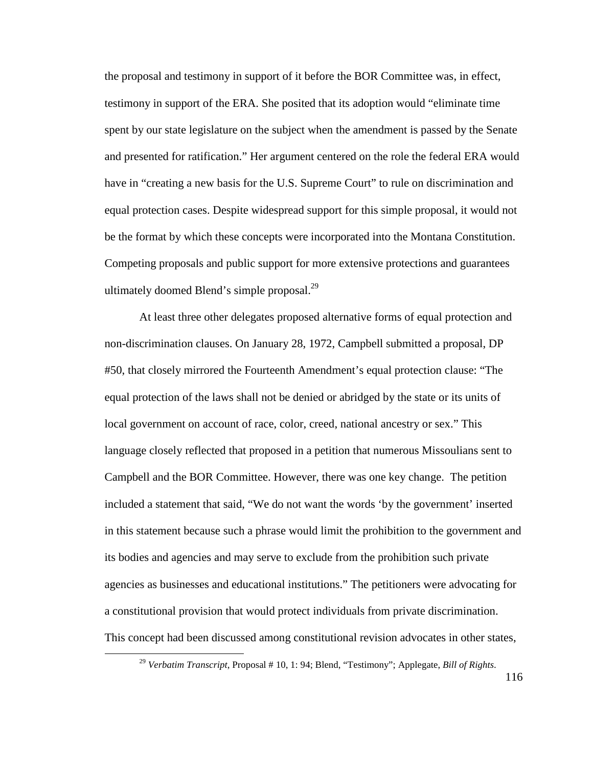the proposal and testimony in support of it before the BOR Committee was, in effect, testimony in support of the ERA. She posited that its adoption would "eliminate time spent by our state legislature on the subject when the amendment is passed by the Senate and presented for ratification." Her argument centered on the role the federal ERA would have in "creating a new basis for the U.S. Supreme Court" to rule on discrimination and equal protection cases. Despite widespread support for this simple proposal, it would not be the format by which these concepts were incorporated into the Montana Constitution. Competing proposals and public support for more extensive protections and guarantees ultimately doomed Blend's simple proposal.<sup>29</sup>

 At least three other delegates proposed alternative forms of equal protection and non-discrimination clauses. On January 28, 1972, Campbell submitted a proposal, DP #50, that closely mirrored the Fourteenth Amendment's equal protection clause: "The equal protection of the laws shall not be denied or abridged by the state or its units of local government on account of race, color, creed, national ancestry or sex." This language closely reflected that proposed in a petition that numerous Missoulians sent to Campbell and the BOR Committee. However, there was one key change. The petition included a statement that said, "We do not want the words 'by the government' inserted in this statement because such a phrase would limit the prohibition to the government and its bodies and agencies and may serve to exclude from the prohibition such private agencies as businesses and educational institutions." The petitioners were advocating for a constitutional provision that would protect individuals from private discrimination. This concept had been discussed among constitutional revision advocates in other states,

<sup>29</sup> *Verbatim Transcript*, Proposal # 10, 1: 94; Blend, "Testimony"; Applegate, *Bill of Rights*.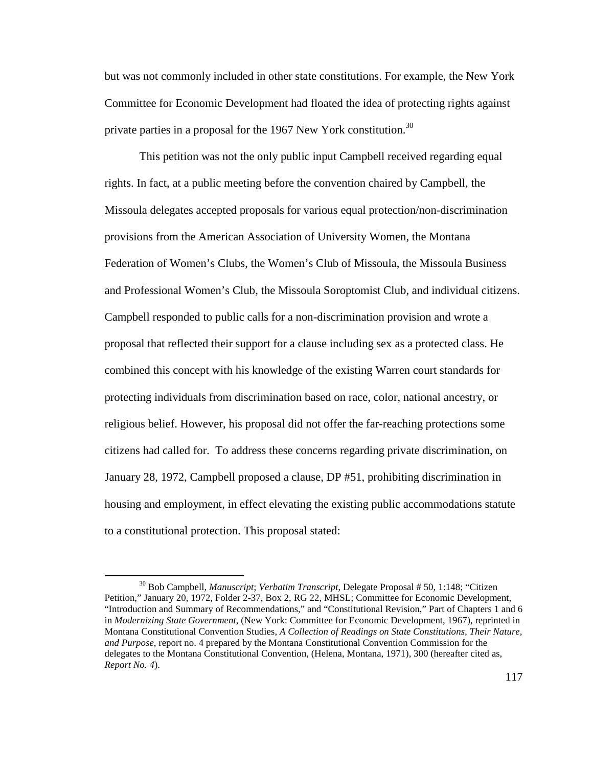but was not commonly included in other state constitutions. For example, the New York Committee for Economic Development had floated the idea of protecting rights against private parties in a proposal for the 1967 New York constitution.<sup>30</sup>

 This petition was not the only public input Campbell received regarding equal rights. In fact, at a public meeting before the convention chaired by Campbell, the Missoula delegates accepted proposals for various equal protection/non-discrimination provisions from the American Association of University Women, the Montana Federation of Women's Clubs, the Women's Club of Missoula, the Missoula Business and Professional Women's Club, the Missoula Soroptomist Club, and individual citizens. Campbell responded to public calls for a non-discrimination provision and wrote a proposal that reflected their support for a clause including sex as a protected class. He combined this concept with his knowledge of the existing Warren court standards for protecting individuals from discrimination based on race, color, national ancestry, or religious belief. However, his proposal did not offer the far-reaching protections some citizens had called for. To address these concerns regarding private discrimination, on January 28, 1972, Campbell proposed a clause, DP #51, prohibiting discrimination in housing and employment, in effect elevating the existing public accommodations statute to a constitutional protection. This proposal stated:

<sup>30</sup> Bob Campbell, *Manuscript*; *Verbatim Transcript*, Delegate Proposal # 50, 1:148; "Citizen Petition," January 20, 1972, Folder 2-37, Box 2, RG 22, MHSL; Committee for Economic Development, "Introduction and Summary of Recommendations," and "Constitutional Revision," Part of Chapters 1 and 6 in *Modernizing State Government*, (New York: Committee for Economic Development, 1967), reprinted in Montana Constitutional Convention Studies, *A Collection of Readings on State Constitutions, Their Nature, and Purpose*, report no. 4 prepared by the Montana Constitutional Convention Commission for the delegates to the Montana Constitutional Convention, (Helena, Montana, 1971), 300 (hereafter cited as, *Report No. 4*).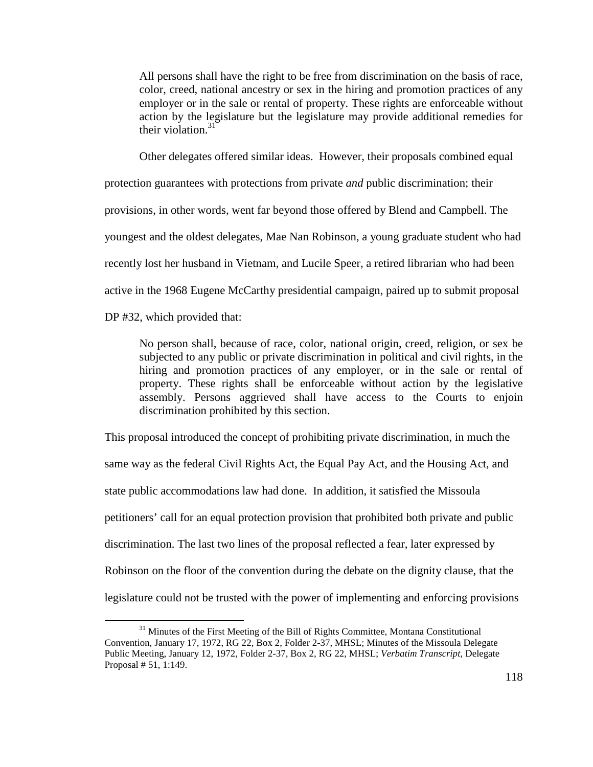All persons shall have the right to be free from discrimination on the basis of race, color, creed, national ancestry or sex in the hiring and promotion practices of any employer or in the sale or rental of property. These rights are enforceable without action by the legislature but the legislature may provide additional remedies for their violation. $31$ 

Other delegates offered similar ideas. However, their proposals combined equal

protection guarantees with protections from private *and* public discrimination; their

provisions, in other words, went far beyond those offered by Blend and Campbell. The

youngest and the oldest delegates, Mae Nan Robinson, a young graduate student who had

recently lost her husband in Vietnam, and Lucile Speer, a retired librarian who had been

active in the 1968 Eugene McCarthy presidential campaign, paired up to submit proposal

DP #32, which provided that:

 $\overline{a}$ 

No person shall, because of race, color, national origin, creed, religion, or sex be subjected to any public or private discrimination in political and civil rights, in the hiring and promotion practices of any employer, or in the sale or rental of property. These rights shall be enforceable without action by the legislative assembly. Persons aggrieved shall have access to the Courts to enjoin discrimination prohibited by this section.

This proposal introduced the concept of prohibiting private discrimination, in much the same way as the federal Civil Rights Act, the Equal Pay Act, and the Housing Act, and state public accommodations law had done. In addition, it satisfied the Missoula petitioners' call for an equal protection provision that prohibited both private and public discrimination. The last two lines of the proposal reflected a fear, later expressed by Robinson on the floor of the convention during the debate on the dignity clause, that the legislature could not be trusted with the power of implementing and enforcing provisions

<sup>&</sup>lt;sup>31</sup> Minutes of the First Meeting of the Bill of Rights Committee, Montana Constitutional Convention, January 17, 1972, RG 22, Box 2, Folder 2-37, MHSL; Minutes of the Missoula Delegate Public Meeting, January 12, 1972, Folder 2-37, Box 2, RG 22, MHSL; *Verbatim Transcript*, Delegate Proposal # 51, 1:149.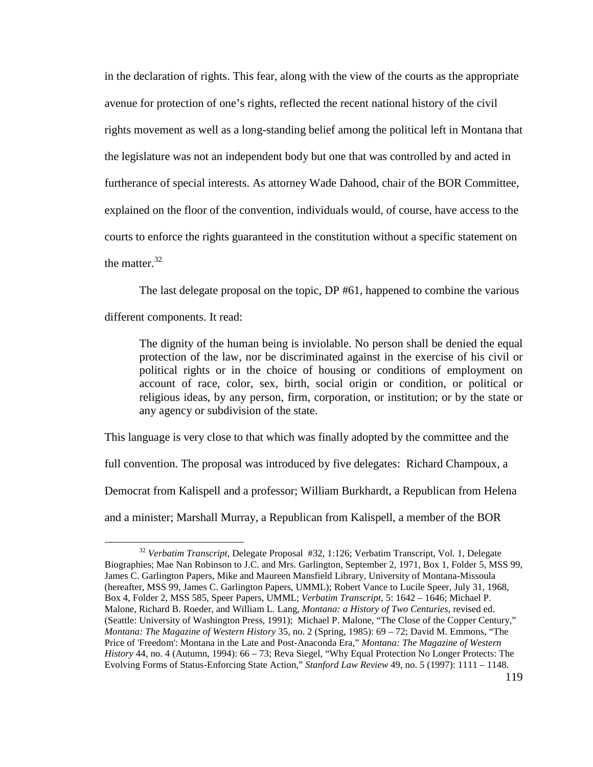in the declaration of rights. This fear, along with the view of the courts as the appropriate avenue for protection of one's rights, reflected the recent national history of the civil rights movement as well as a long-standing belief among the political left in Montana that the legislature was not an independent body but one that was controlled by and acted in furtherance of special interests. As attorney Wade Dahood, chair of the BOR Committee, explained on the floor of the convention, individuals would, of course, have access to the courts to enforce the rights guaranteed in the constitution without a specific statement on the matter. $32$ 

The last delegate proposal on the topic, DP #61, happened to combine the various

different components. It read:

 $\overline{a}$ 

The dignity of the human being is inviolable. No person shall be denied the equal protection of the law, nor be discriminated against in the exercise of his civil or political rights or in the choice of housing or conditions of employment on account of race, color, sex, birth, social origin or condition, or political or religious ideas, by any person, firm, corporation, or institution; or by the state or any agency or subdivision of the state.

This language is very close to that which was finally adopted by the committee and the full convention. The proposal was introduced by five delegates: Richard Champoux, a Democrat from Kalispell and a professor; William Burkhardt, a Republican from Helena and a minister; Marshall Murray, a Republican from Kalispell, a member of the BOR

<sup>32</sup> *Verbatim Transcript*, Delegate Proposal #32, 1:126; Verbatim Transcript, Vol. 1, Delegate Biographies; Mae Nan Robinson to J.C. and Mrs. Garlington, September 2, 1971, Box 1, Folder 5, MSS 99, James C. Garlington Papers, Mike and Maureen Mansfield Library, University of Montana-Missoula (hereafter, MSS 99, James C. Garlington Papers, UMML); Robert Vance to Lucile Speer, July 31, 1968, Box 4, Folder 2, MSS 585, Speer Papers, UMML; *Verbatim Transcript*, 5: 1642 – 1646; Michael P. Malone, Richard B. Roeder, and William L. Lang, *Montana: a History of Two Centuries*, revised ed. (Seattle: University of Washington Press, 1991); Michael P. Malone, "The Close of the Copper Century," *Montana: The Magazine of Western History* 35, no. 2 (Spring, 1985): 69 – 72; David M. Emmons, "The Price of 'Freedom': Montana in the Late and Post-Anaconda Era," *Montana: The Magazine of Western History* 44, no. 4 (Autumn, 1994): 66 – 73; Reva Siegel, "Why Equal Protection No Longer Protects: The Evolving Forms of Status-Enforcing State Action," *Stanford Law Review* 49, no. 5 (1997): 1111 – 1148.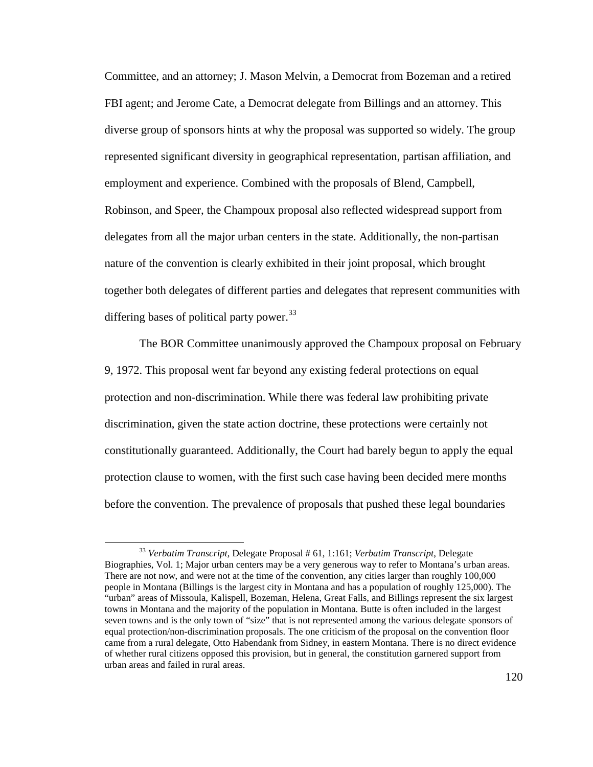Committee, and an attorney; J. Mason Melvin, a Democrat from Bozeman and a retired FBI agent; and Jerome Cate, a Democrat delegate from Billings and an attorney. This diverse group of sponsors hints at why the proposal was supported so widely. The group represented significant diversity in geographical representation, partisan affiliation, and employment and experience. Combined with the proposals of Blend, Campbell, Robinson, and Speer, the Champoux proposal also reflected widespread support from delegates from all the major urban centers in the state. Additionally, the non-partisan nature of the convention is clearly exhibited in their joint proposal, which brought together both delegates of different parties and delegates that represent communities with differing bases of political party power.<sup>33</sup>

 The BOR Committee unanimously approved the Champoux proposal on February 9, 1972. This proposal went far beyond any existing federal protections on equal protection and non-discrimination. While there was federal law prohibiting private discrimination, given the state action doctrine, these protections were certainly not constitutionally guaranteed. Additionally, the Court had barely begun to apply the equal protection clause to women, with the first such case having been decided mere months before the convention. The prevalence of proposals that pushed these legal boundaries

<sup>33</sup> *Verbatim Transcript*, Delegate Proposal # 61, 1:161; *Verbatim Transcript*, Delegate Biographies, Vol. 1; Major urban centers may be a very generous way to refer to Montana's urban areas. There are not now, and were not at the time of the convention, any cities larger than roughly 100,000 people in Montana (Billings is the largest city in Montana and has a population of roughly 125,000). The "urban" areas of Missoula, Kalispell, Bozeman, Helena, Great Falls, and Billings represent the six largest towns in Montana and the majority of the population in Montana. Butte is often included in the largest seven towns and is the only town of "size" that is not represented among the various delegate sponsors of equal protection/non-discrimination proposals. The one criticism of the proposal on the convention floor came from a rural delegate, Otto Habendank from Sidney, in eastern Montana. There is no direct evidence of whether rural citizens opposed this provision, but in general, the constitution garnered support from urban areas and failed in rural areas.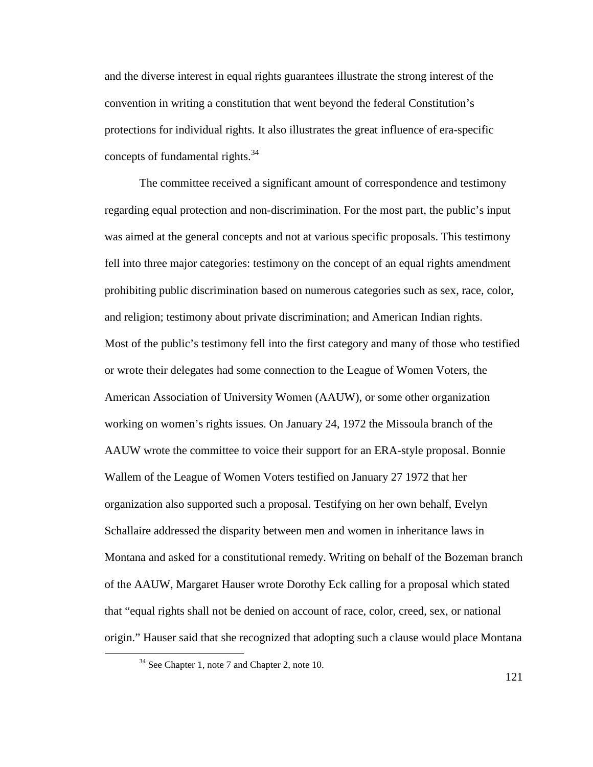and the diverse interest in equal rights guarantees illustrate the strong interest of the convention in writing a constitution that went beyond the federal Constitution's protections for individual rights. It also illustrates the great influence of era-specific concepts of fundamental rights.<sup>34</sup>

 The committee received a significant amount of correspondence and testimony regarding equal protection and non-discrimination. For the most part, the public's input was aimed at the general concepts and not at various specific proposals. This testimony fell into three major categories: testimony on the concept of an equal rights amendment prohibiting public discrimination based on numerous categories such as sex, race, color, and religion; testimony about private discrimination; and American Indian rights. Most of the public's testimony fell into the first category and many of those who testified or wrote their delegates had some connection to the League of Women Voters, the American Association of University Women (AAUW), or some other organization working on women's rights issues. On January 24, 1972 the Missoula branch of the AAUW wrote the committee to voice their support for an ERA-style proposal. Bonnie Wallem of the League of Women Voters testified on January 27 1972 that her organization also supported such a proposal. Testifying on her own behalf, Evelyn Schallaire addressed the disparity between men and women in inheritance laws in Montana and asked for a constitutional remedy. Writing on behalf of the Bozeman branch of the AAUW, Margaret Hauser wrote Dorothy Eck calling for a proposal which stated that "equal rights shall not be denied on account of race, color, creed, sex, or national origin." Hauser said that she recognized that adopting such a clause would place Montana

 $\overline{a}$ 

121

<sup>&</sup>lt;sup>34</sup> See Chapter 1, note 7 and Chapter 2, note 10.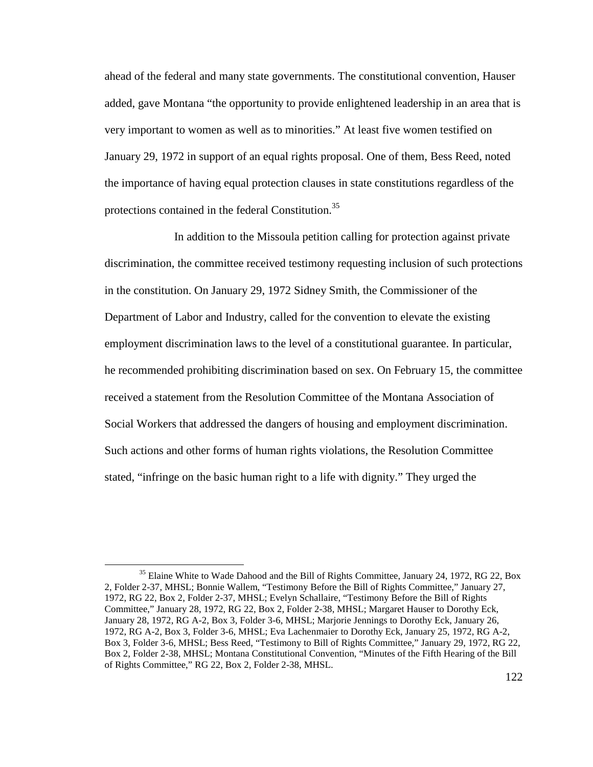ahead of the federal and many state governments. The constitutional convention, Hauser added, gave Montana "the opportunity to provide enlightened leadership in an area that is very important to women as well as to minorities." At least five women testified on January 29, 1972 in support of an equal rights proposal. One of them, Bess Reed, noted the importance of having equal protection clauses in state constitutions regardless of the protections contained in the federal Constitution.<sup>35</sup>

 In addition to the Missoula petition calling for protection against private discrimination, the committee received testimony requesting inclusion of such protections in the constitution. On January 29, 1972 Sidney Smith, the Commissioner of the Department of Labor and Industry, called for the convention to elevate the existing employment discrimination laws to the level of a constitutional guarantee. In particular, he recommended prohibiting discrimination based on sex. On February 15, the committee received a statement from the Resolution Committee of the Montana Association of Social Workers that addressed the dangers of housing and employment discrimination. Such actions and other forms of human rights violations, the Resolution Committee stated, "infringe on the basic human right to a life with dignity." They urged the

<sup>&</sup>lt;sup>35</sup> Elaine White to Wade Dahood and the Bill of Rights Committee, January 24, 1972, RG 22, Box 2, Folder 2-37, MHSL; Bonnie Wallem, "Testimony Before the Bill of Rights Committee," January 27, 1972, RG 22, Box 2, Folder 2-37, MHSL; Evelyn Schallaire, "Testimony Before the Bill of Rights Committee," January 28, 1972, RG 22, Box 2, Folder 2-38, MHSL; Margaret Hauser to Dorothy Eck, January 28, 1972, RG A-2, Box 3, Folder 3-6, MHSL; Marjorie Jennings to Dorothy Eck, January 26, 1972, RG A-2, Box 3, Folder 3-6, MHSL; Eva Lachenmaier to Dorothy Eck, January 25, 1972, RG A-2, Box 3, Folder 3-6, MHSL; Bess Reed, "Testimony to Bill of Rights Committee," January 29, 1972, RG 22, Box 2, Folder 2-38, MHSL; Montana Constitutional Convention, "Minutes of the Fifth Hearing of the Bill of Rights Committee," RG 22, Box 2, Folder 2-38, MHSL.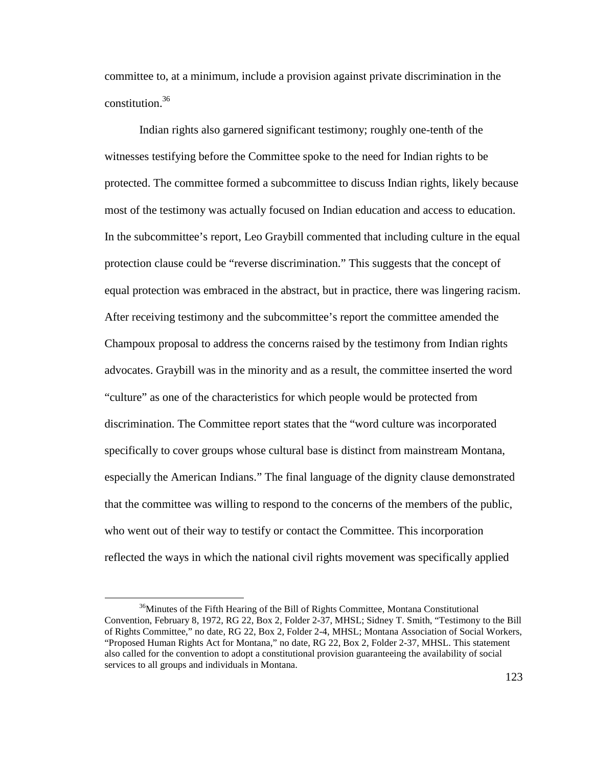committee to, at a minimum, include a provision against private discrimination in the constitution.<sup>36</sup>

Indian rights also garnered significant testimony; roughly one-tenth of the witnesses testifying before the Committee spoke to the need for Indian rights to be protected. The committee formed a subcommittee to discuss Indian rights, likely because most of the testimony was actually focused on Indian education and access to education. In the subcommittee's report, Leo Graybill commented that including culture in the equal protection clause could be "reverse discrimination." This suggests that the concept of equal protection was embraced in the abstract, but in practice, there was lingering racism. After receiving testimony and the subcommittee's report the committee amended the Champoux proposal to address the concerns raised by the testimony from Indian rights advocates. Graybill was in the minority and as a result, the committee inserted the word "culture" as one of the characteristics for which people would be protected from discrimination. The Committee report states that the "word culture was incorporated specifically to cover groups whose cultural base is distinct from mainstream Montana, especially the American Indians." The final language of the dignity clause demonstrated that the committee was willing to respond to the concerns of the members of the public, who went out of their way to testify or contact the Committee. This incorporation reflected the ways in which the national civil rights movement was specifically applied

<u>.</u>

<sup>&</sup>lt;sup>36</sup>Minutes of the Fifth Hearing of the Bill of Rights Committee, Montana Constitutional Convention, February 8, 1972, RG 22, Box 2, Folder 2-37, MHSL; Sidney T. Smith, "Testimony to the Bill of Rights Committee," no date, RG 22, Box 2, Folder 2-4, MHSL; Montana Association of Social Workers, "Proposed Human Rights Act for Montana," no date, RG 22, Box 2, Folder 2-37, MHSL. This statement also called for the convention to adopt a constitutional provision guaranteeing the availability of social services to all groups and individuals in Montana.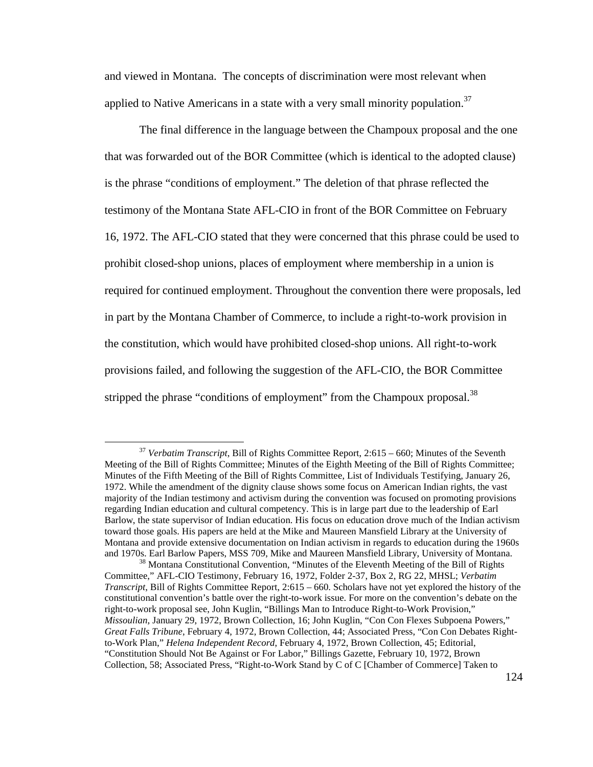and viewed in Montana. The concepts of discrimination were most relevant when applied to Native Americans in a state with a very small minority population.<sup>37</sup>

The final difference in the language between the Champoux proposal and the one that was forwarded out of the BOR Committee (which is identical to the adopted clause) is the phrase "conditions of employment." The deletion of that phrase reflected the testimony of the Montana State AFL-CIO in front of the BOR Committee on February 16, 1972. The AFL-CIO stated that they were concerned that this phrase could be used to prohibit closed-shop unions, places of employment where membership in a union is required for continued employment. Throughout the convention there were proposals, led in part by the Montana Chamber of Commerce, to include a right-to-work provision in the constitution, which would have prohibited closed-shop unions. All right-to-work provisions failed, and following the suggestion of the AFL-CIO, the BOR Committee stripped the phrase "conditions of employment" from the Champoux proposal.<sup>38</sup>

<sup>37</sup> *Verbatim Transcript*, Bill of Rights Committee Report, 2:615 – 660; Minutes of the Seventh Meeting of the Bill of Rights Committee; Minutes of the Eighth Meeting of the Bill of Rights Committee; Minutes of the Fifth Meeting of the Bill of Rights Committee, List of Individuals Testifying, January 26, 1972. While the amendment of the dignity clause shows some focus on American Indian rights, the vast majority of the Indian testimony and activism during the convention was focused on promoting provisions regarding Indian education and cultural competency. This is in large part due to the leadership of Earl Barlow, the state supervisor of Indian education. His focus on education drove much of the Indian activism toward those goals. His papers are held at the Mike and Maureen Mansfield Library at the University of Montana and provide extensive documentation on Indian activism in regards to education during the 1960s and 1970s. Earl Barlow Papers, MSS 709, Mike and Maureen Mansfield Library, University of Montana.

<sup>&</sup>lt;sup>38</sup> Montana Constitutional Convention, "Minutes of the Eleventh Meeting of the Bill of Rights Committee," AFL-CIO Testimony, February 16, 1972, Folder 2-37, Box 2, RG 22, MHSL; *Verbatim Transcript*, Bill of Rights Committee Report, 2:615 – 660. Scholars have not yet explored the history of the constitutional convention's battle over the right-to-work issue. For more on the convention's debate on the right-to-work proposal see, John Kuglin, "Billings Man to Introduce Right-to-Work Provision," *Missoulian*, January 29, 1972, Brown Collection, 16; John Kuglin, "Con Con Flexes Subpoena Powers," *Great Falls Tribune*, February 4, 1972, Brown Collection, 44; Associated Press, "Con Con Debates Rightto-Work Plan," *Helena Independent Record*, February 4, 1972, Brown Collection, 45; Editorial, "Constitution Should Not Be Against or For Labor," Billings Gazette, February 10, 1972, Brown Collection, 58; Associated Press, "Right-to-Work Stand by C of C [Chamber of Commerce] Taken to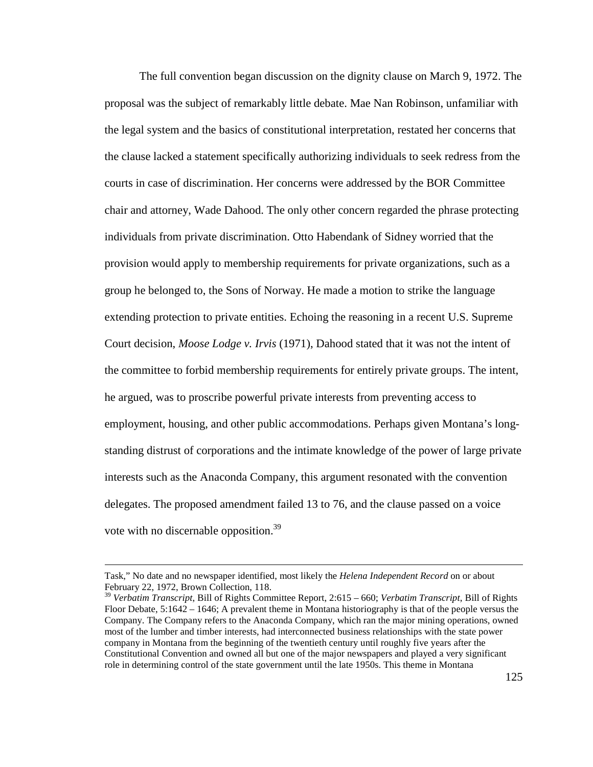The full convention began discussion on the dignity clause on March 9, 1972. The proposal was the subject of remarkably little debate. Mae Nan Robinson, unfamiliar with the legal system and the basics of constitutional interpretation, restated her concerns that the clause lacked a statement specifically authorizing individuals to seek redress from the courts in case of discrimination. Her concerns were addressed by the BOR Committee chair and attorney, Wade Dahood. The only other concern regarded the phrase protecting individuals from private discrimination. Otto Habendank of Sidney worried that the provision would apply to membership requirements for private organizations, such as a group he belonged to, the Sons of Norway. He made a motion to strike the language extending protection to private entities. Echoing the reasoning in a recent U.S. Supreme Court decision, *Moose Lodge v. Irvis* (1971), Dahood stated that it was not the intent of the committee to forbid membership requirements for entirely private groups. The intent, he argued, was to proscribe powerful private interests from preventing access to employment, housing, and other public accommodations. Perhaps given Montana's longstanding distrust of corporations and the intimate knowledge of the power of large private interests such as the Anaconda Company, this argument resonated with the convention delegates. The proposed amendment failed 13 to 76, and the clause passed on a voice vote with no discernable opposition.<sup>39</sup>

Task," No date and no newspaper identified, most likely the *Helena Independent Record* on or about February 22, 1972, Brown Collection, 118.

<sup>39</sup> *Verbatim Transcript*, Bill of Rights Committee Report, 2:615 – 660; *Verbatim Transcript*, Bill of Rights Floor Debate, 5:1642 – 1646; A prevalent theme in Montana historiography is that of the people versus the Company. The Company refers to the Anaconda Company, which ran the major mining operations, owned most of the lumber and timber interests, had interconnected business relationships with the state power company in Montana from the beginning of the twentieth century until roughly five years after the Constitutional Convention and owned all but one of the major newspapers and played a very significant role in determining control of the state government until the late 1950s. This theme in Montana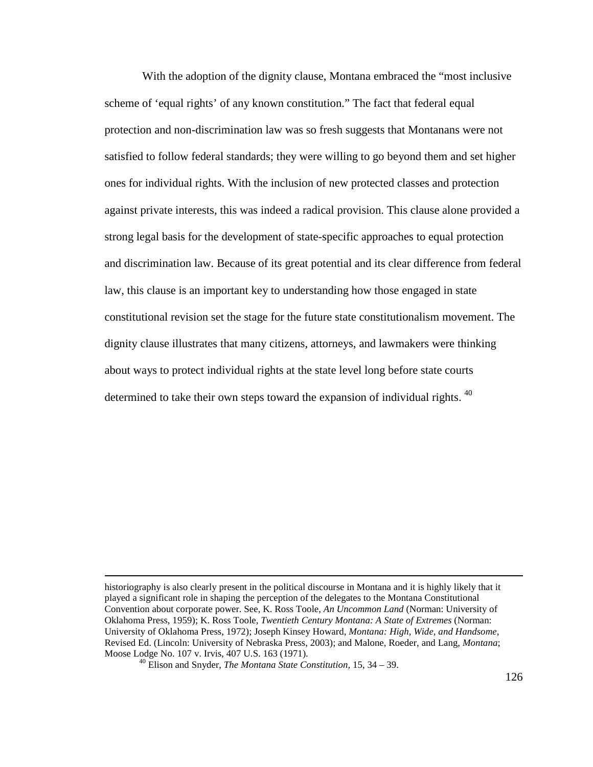With the adoption of the dignity clause, Montana embraced the "most inclusive scheme of 'equal rights' of any known constitution." The fact that federal equal protection and non-discrimination law was so fresh suggests that Montanans were not satisfied to follow federal standards; they were willing to go beyond them and set higher ones for individual rights. With the inclusion of new protected classes and protection against private interests, this was indeed a radical provision. This clause alone provided a strong legal basis for the development of state-specific approaches to equal protection and discrimination law. Because of its great potential and its clear difference from federal law, this clause is an important key to understanding how those engaged in state constitutional revision set the stage for the future state constitutionalism movement. The dignity clause illustrates that many citizens, attorneys, and lawmakers were thinking about ways to protect individual rights at the state level long before state courts determined to take their own steps toward the expansion of individual rights.  $40$ 

historiography is also clearly present in the political discourse in Montana and it is highly likely that it played a significant role in shaping the perception of the delegates to the Montana Constitutional Convention about corporate power. See, K. Ross Toole, *An Uncommon Land* (Norman: University of Oklahoma Press, 1959); K. Ross Toole, *Twentieth Century Montana: A State of Extremes* (Norman: University of Oklahoma Press, 1972); Joseph Kinsey Howard, *Montana: High, Wide, and Handsome,*  Revised Ed. (Lincoln: University of Nebraska Press, 2003); and Malone, Roeder, and Lang, *Montana*; Moose Lodge No. 107 v. Irvis, 407 U.S. 163 (1971).

<sup>40</sup> Elison and Snyder, *The Montana State Constitution,* 15, 34 – 39.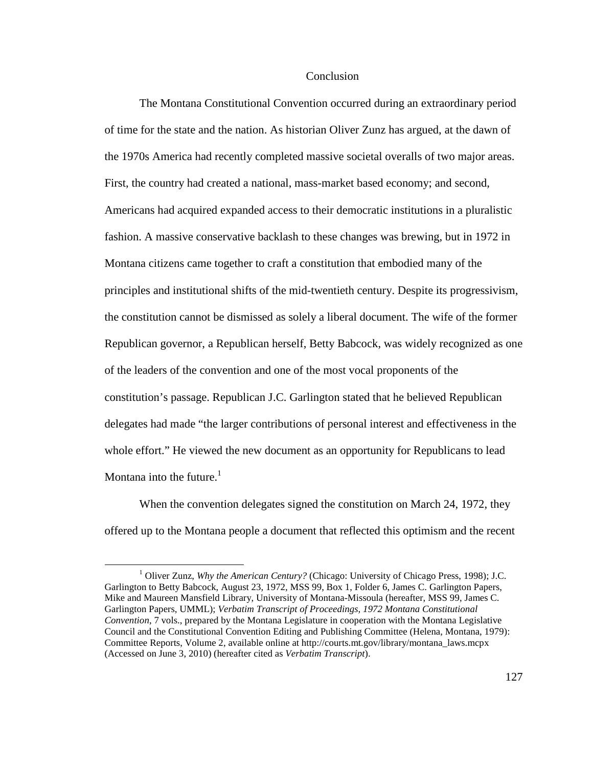## **Conclusion**

The Montana Constitutional Convention occurred during an extraordinary period of time for the state and the nation. As historian Oliver Zunz has argued, at the dawn of the 1970s America had recently completed massive societal overalls of two major areas. First, the country had created a national, mass-market based economy; and second, Americans had acquired expanded access to their democratic institutions in a pluralistic fashion. A massive conservative backlash to these changes was brewing, but in 1972 in Montana citizens came together to craft a constitution that embodied many of the principles and institutional shifts of the mid-twentieth century. Despite its progressivism, the constitution cannot be dismissed as solely a liberal document. The wife of the former Republican governor, a Republican herself, Betty Babcock, was widely recognized as one of the leaders of the convention and one of the most vocal proponents of the constitution's passage. Republican J.C. Garlington stated that he believed Republican delegates had made "the larger contributions of personal interest and effectiveness in the whole effort." He viewed the new document as an opportunity for Republicans to lead Montana into the future. $<sup>1</sup>$ </sup>

When the convention delegates signed the constitution on March 24, 1972, they offered up to the Montana people a document that reflected this optimism and the recent

<sup>&</sup>lt;sup>1</sup> Oliver Zunz, *Why the American Century?* (Chicago: University of Chicago Press, 1998); J.C. Garlington to Betty Babcock, August 23, 1972, MSS 99, Box 1, Folder 6, James C. Garlington Papers, Mike and Maureen Mansfield Library, University of Montana-Missoula (hereafter, MSS 99, James C. Garlington Papers, UMML); *Verbatim Transcript of Proceedings, 1972 Montana Constitutional Convention*, 7 vols., prepared by the Montana Legislature in cooperation with the Montana Legislative Council and the Constitutional Convention Editing and Publishing Committee (Helena, Montana, 1979): Committee Reports, Volume 2, available online at http://courts.mt.gov/library/montana\_laws.mcpx (Accessed on June 3, 2010) (hereafter cited as *Verbatim Transcript*).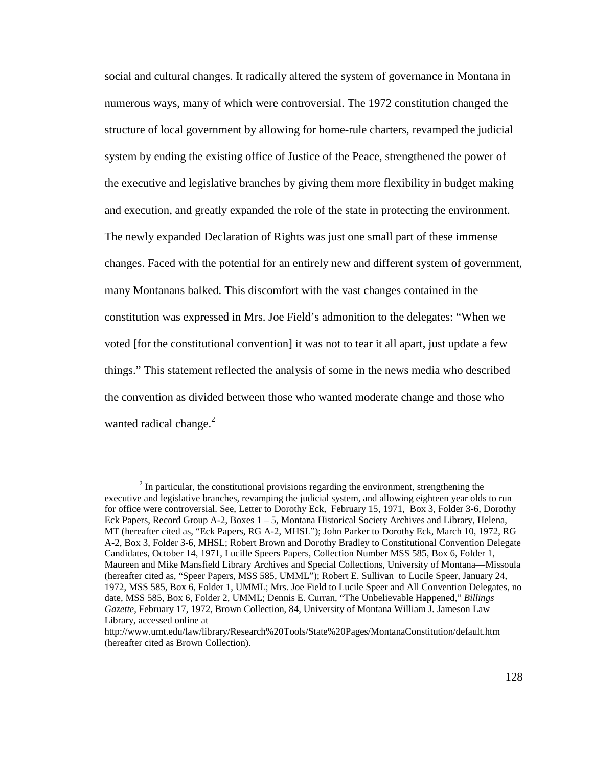social and cultural changes. It radically altered the system of governance in Montana in numerous ways, many of which were controversial. The 1972 constitution changed the structure of local government by allowing for home-rule charters, revamped the judicial system by ending the existing office of Justice of the Peace, strengthened the power of the executive and legislative branches by giving them more flexibility in budget making and execution, and greatly expanded the role of the state in protecting the environment. The newly expanded Declaration of Rights was just one small part of these immense changes. Faced with the potential for an entirely new and different system of government, many Montanans balked. This discomfort with the vast changes contained in the constitution was expressed in Mrs. Joe Field's admonition to the delegates: "When we voted [for the constitutional convention] it was not to tear it all apart, just update a few things." This statement reflected the analysis of some in the news media who described the convention as divided between those who wanted moderate change and those who wanted radical change. $^{2}$ 

 $2<sup>2</sup>$  In particular, the constitutional provisions regarding the environment, strengthening the executive and legislative branches, revamping the judicial system, and allowing eighteen year olds to run for office were controversial. See, Letter to Dorothy Eck, February 15, 1971, Box 3, Folder 3-6, Dorothy Eck Papers, Record Group A-2, Boxes 1 – 5, Montana Historical Society Archives and Library, Helena, MT (hereafter cited as, "Eck Papers, RG A-2, MHSL"); John Parker to Dorothy Eck, March 10, 1972, RG A-2, Box 3, Folder 3-6, MHSL; Robert Brown and Dorothy Bradley to Constitutional Convention Delegate Candidates, October 14, 1971, Lucille Speers Papers, Collection Number MSS 585, Box 6, Folder 1, Maureen and Mike Mansfield Library Archives and Special Collections, University of Montana—Missoula (hereafter cited as, "Speer Papers, MSS 585, UMML"); Robert E. Sullivan to Lucile Speer, January 24, 1972, MSS 585, Box 6, Folder 1, UMML; Mrs. Joe Field to Lucile Speer and All Convention Delegates, no date, MSS 585, Box 6, Folder 2, UMML; Dennis E. Curran, "The Unbelievable Happened," *Billings Gazette*, February 17, 1972, Brown Collection, 84, University of Montana William J. Jameson Law Library, accessed online at

http://www.umt.edu/law/library/Research%20Tools/State%20Pages/MontanaConstitution/default.htm (hereafter cited as Brown Collection).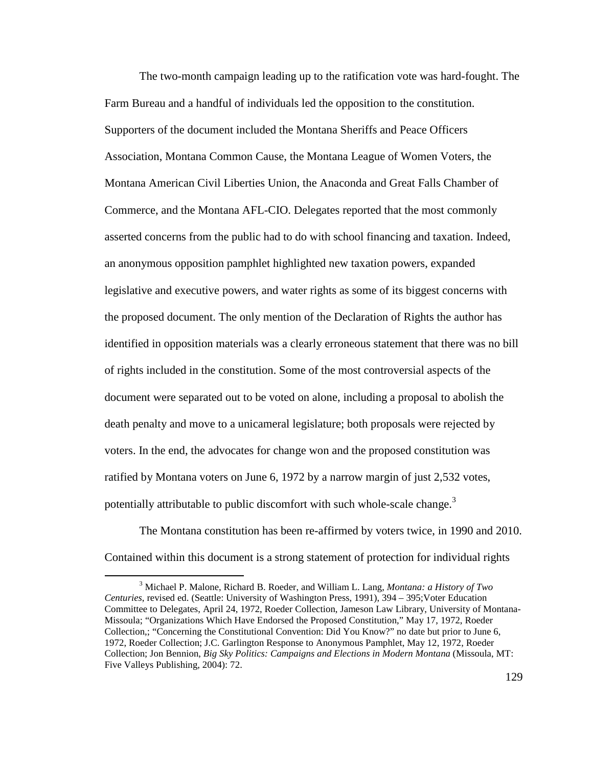The two-month campaign leading up to the ratification vote was hard-fought. The Farm Bureau and a handful of individuals led the opposition to the constitution. Supporters of the document included the Montana Sheriffs and Peace Officers Association, Montana Common Cause, the Montana League of Women Voters, the Montana American Civil Liberties Union, the Anaconda and Great Falls Chamber of Commerce, and the Montana AFL-CIO. Delegates reported that the most commonly asserted concerns from the public had to do with school financing and taxation. Indeed, an anonymous opposition pamphlet highlighted new taxation powers, expanded legislative and executive powers, and water rights as some of its biggest concerns with the proposed document. The only mention of the Declaration of Rights the author has identified in opposition materials was a clearly erroneous statement that there was no bill of rights included in the constitution. Some of the most controversial aspects of the document were separated out to be voted on alone, including a proposal to abolish the death penalty and move to a unicameral legislature; both proposals were rejected by voters. In the end, the advocates for change won and the proposed constitution was ratified by Montana voters on June 6, 1972 by a narrow margin of just 2,532 votes, potentially attributable to public discomfort with such whole-scale change.<sup>3</sup>

The Montana constitution has been re-affirmed by voters twice, in 1990 and 2010. Contained within this document is a strong statement of protection for individual rights

<sup>3</sup> Michael P. Malone, Richard B. Roeder, and William L. Lang, *Montana: a History of Two Centuries*, revised ed. (Seattle: University of Washington Press, 1991), 394 – 395;Voter Education Committee to Delegates, April 24, 1972, Roeder Collection, Jameson Law Library, University of Montana-Missoula; "Organizations Which Have Endorsed the Proposed Constitution," May 17, 1972, Roeder Collection,; "Concerning the Constitutional Convention: Did You Know?" no date but prior to June 6, 1972, Roeder Collection; J.C. Garlington Response to Anonymous Pamphlet, May 12, 1972, Roeder Collection; Jon Bennion, *Big Sky Politics: Campaigns and Elections in Modern Montana* (Missoula, MT: Five Valleys Publishing, 2004): 72.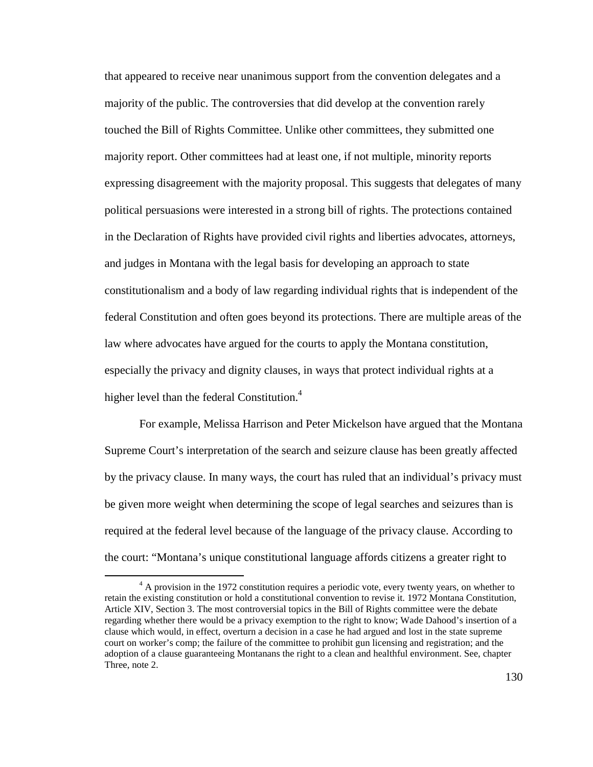that appeared to receive near unanimous support from the convention delegates and a majority of the public. The controversies that did develop at the convention rarely touched the Bill of Rights Committee. Unlike other committees, they submitted one majority report. Other committees had at least one, if not multiple, minority reports expressing disagreement with the majority proposal. This suggests that delegates of many political persuasions were interested in a strong bill of rights. The protections contained in the Declaration of Rights have provided civil rights and liberties advocates, attorneys, and judges in Montana with the legal basis for developing an approach to state constitutionalism and a body of law regarding individual rights that is independent of the federal Constitution and often goes beyond its protections. There are multiple areas of the law where advocates have argued for the courts to apply the Montana constitution, especially the privacy and dignity clauses, in ways that protect individual rights at a higher level than the federal Constitution. $4$ 

For example, Melissa Harrison and Peter Mickelson have argued that the Montana Supreme Court's interpretation of the search and seizure clause has been greatly affected by the privacy clause. In many ways, the court has ruled that an individual's privacy must be given more weight when determining the scope of legal searches and seizures than is required at the federal level because of the language of the privacy clause. According to the court: "Montana's unique constitutional language affords citizens a greater right to

 $4 \text{ A}$  provision in the 1972 constitution requires a periodic vote, every twenty years, on whether to retain the existing constitution or hold a constitutional convention to revise it. 1972 Montana Constitution, Article XIV, Section 3. The most controversial topics in the Bill of Rights committee were the debate regarding whether there would be a privacy exemption to the right to know; Wade Dahood's insertion of a clause which would, in effect, overturn a decision in a case he had argued and lost in the state supreme court on worker's comp; the failure of the committee to prohibit gun licensing and registration; and the adoption of a clause guaranteeing Montanans the right to a clean and healthful environment. See, chapter Three, note 2.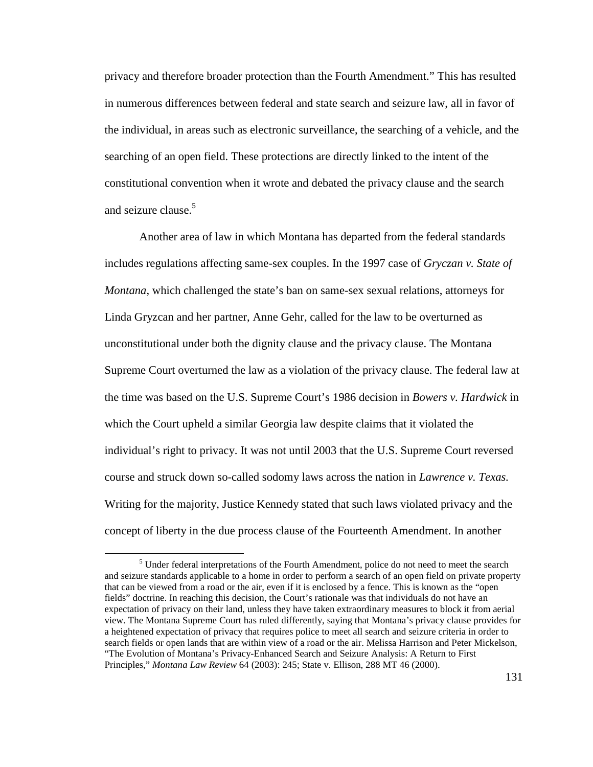privacy and therefore broader protection than the Fourth Amendment." This has resulted in numerous differences between federal and state search and seizure law, all in favor of the individual, in areas such as electronic surveillance, the searching of a vehicle, and the searching of an open field. These protections are directly linked to the intent of the constitutional convention when it wrote and debated the privacy clause and the search and seizure clause.<sup>5</sup>

Another area of law in which Montana has departed from the federal standards includes regulations affecting same-sex couples. In the 1997 case of *Gryczan v. State of Montana*, which challenged the state's ban on same-sex sexual relations, attorneys for Linda Gryzcan and her partner, Anne Gehr, called for the law to be overturned as unconstitutional under both the dignity clause and the privacy clause. The Montana Supreme Court overturned the law as a violation of the privacy clause. The federal law at the time was based on the U.S. Supreme Court's 1986 decision in *Bowers v. Hardwick* in which the Court upheld a similar Georgia law despite claims that it violated the individual's right to privacy. It was not until 2003 that the U.S. Supreme Court reversed course and struck down so-called sodomy laws across the nation in *Lawrence v. Texas.*  Writing for the majority, Justice Kennedy stated that such laws violated privacy and the concept of liberty in the due process clause of the Fourteenth Amendment. In another

<u>.</u>

<sup>&</sup>lt;sup>5</sup> Under federal interpretations of the Fourth Amendment, police do not need to meet the search and seizure standards applicable to a home in order to perform a search of an open field on private property that can be viewed from a road or the air, even if it is enclosed by a fence. This is known as the "open fields" doctrine. In reaching this decision, the Court's rationale was that individuals do not have an expectation of privacy on their land, unless they have taken extraordinary measures to block it from aerial view. The Montana Supreme Court has ruled differently, saying that Montana's privacy clause provides for a heightened expectation of privacy that requires police to meet all search and seizure criteria in order to search fields or open lands that are within view of a road or the air. Melissa Harrison and Peter Mickelson, "The Evolution of Montana's Privacy-Enhanced Search and Seizure Analysis: A Return to First Principles," *Montana Law Review* 64 (2003): 245; State v. Ellison, 288 MT 46 (2000).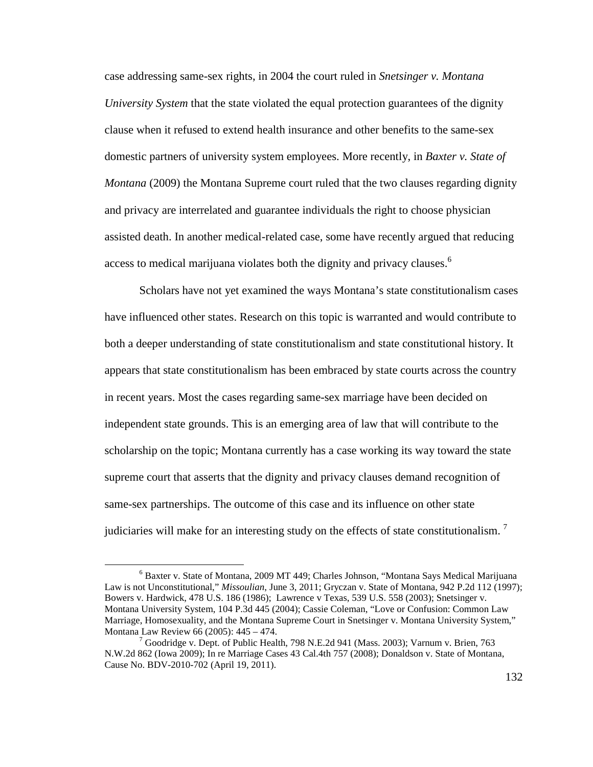case addressing same-sex rights, in 2004 the court ruled in *Snetsinger v. Montana University System* that the state violated the equal protection guarantees of the dignity clause when it refused to extend health insurance and other benefits to the same-sex domestic partners of university system employees. More recently, in *Baxter v. State of Montana* (2009) the Montana Supreme court ruled that the two clauses regarding dignity and privacy are interrelated and guarantee individuals the right to choose physician assisted death. In another medical-related case, some have recently argued that reducing access to medical marijuana violates both the dignity and privacy clauses.<sup>6</sup>

Scholars have not yet examined the ways Montana's state constitutionalism cases have influenced other states. Research on this topic is warranted and would contribute to both a deeper understanding of state constitutionalism and state constitutional history. It appears that state constitutionalism has been embraced by state courts across the country in recent years. Most the cases regarding same-sex marriage have been decided on independent state grounds. This is an emerging area of law that will contribute to the scholarship on the topic; Montana currently has a case working its way toward the state supreme court that asserts that the dignity and privacy clauses demand recognition of same-sex partnerships. The outcome of this case and its influence on other state judiciaries will make for an interesting study on the effects of state constitutionalism.<sup>7</sup>

<sup>&</sup>lt;sup>6</sup> Baxter v. State of Montana, 2009 MT 449; Charles Johnson, "Montana Says Medical Marijuana Law is not Unconstitutional," *Missoulian*, June 3, 2011; Gryczan v. State of Montana, 942 P.2d 112 (1997); Bowers v. Hardwick, 478 U.S. 186 (1986); Lawrence v Texas, 539 U.S. 558 (2003); Snetsinger v. Montana University System, 104 P.3d 445 (2004); Cassie Coleman, "Love or Confusion: Common Law Marriage, Homosexuality, and the Montana Supreme Court in Snetsinger v. Montana University System," Montana Law Review 66 (2005): 445 – 474.

 $7$  Goodridge v. Dept. of Public Health, 798 N.E.2d 941 (Mass. 2003); Varnum v. Brien, 763 N.W.2d 862 (Iowa 2009); In re Marriage Cases 43 Cal.4th 757 (2008); Donaldson v. State of Montana, Cause No. BDV-2010-702 (April 19, 2011).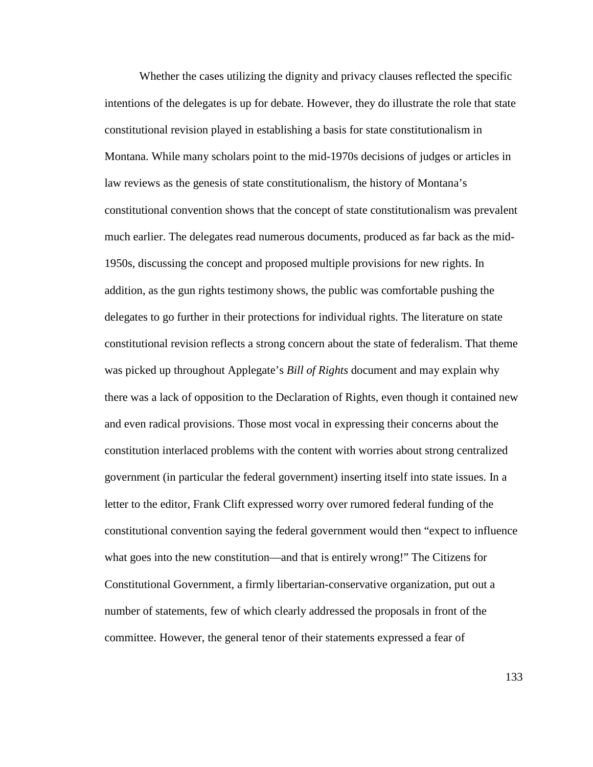Whether the cases utilizing the dignity and privacy clauses reflected the specific intentions of the delegates is up for debate. However, they do illustrate the role that state constitutional revision played in establishing a basis for state constitutionalism in Montana. While many scholars point to the mid-1970s decisions of judges or articles in law reviews as the genesis of state constitutionalism, the history of Montana's constitutional convention shows that the concept of state constitutionalism was prevalent much earlier. The delegates read numerous documents, produced as far back as the mid-1950s, discussing the concept and proposed multiple provisions for new rights. In addition, as the gun rights testimony shows, the public was comfortable pushing the delegates to go further in their protections for individual rights. The literature on state constitutional revision reflects a strong concern about the state of federalism. That theme was picked up throughout Applegate's *Bill of Rights* document and may explain why there was a lack of opposition to the Declaration of Rights, even though it contained new and even radical provisions. Those most vocal in expressing their concerns about the constitution interlaced problems with the content with worries about strong centralized government (in particular the federal government) inserting itself into state issues. In a letter to the editor, Frank Clift expressed worry over rumored federal funding of the constitutional convention saying the federal government would then "expect to influence what goes into the new constitution—and that is entirely wrong!" The Citizens for Constitutional Government, a firmly libertarian-conservative organization, put out a number of statements, few of which clearly addressed the proposals in front of the committee. However, the general tenor of their statements expressed a fear of

133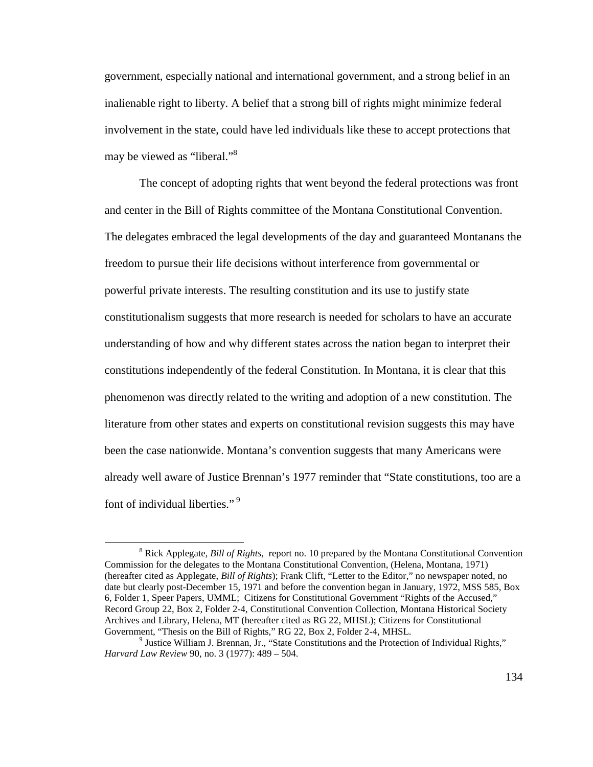government, especially national and international government, and a strong belief in an inalienable right to liberty. A belief that a strong bill of rights might minimize federal involvement in the state, could have led individuals like these to accept protections that may be viewed as "liberal."<sup>8</sup>

The concept of adopting rights that went beyond the federal protections was front and center in the Bill of Rights committee of the Montana Constitutional Convention. The delegates embraced the legal developments of the day and guaranteed Montanans the freedom to pursue their life decisions without interference from governmental or powerful private interests. The resulting constitution and its use to justify state constitutionalism suggests that more research is needed for scholars to have an accurate understanding of how and why different states across the nation began to interpret their constitutions independently of the federal Constitution. In Montana, it is clear that this phenomenon was directly related to the writing and adoption of a new constitution. The literature from other states and experts on constitutional revision suggests this may have been the case nationwide. Montana's convention suggests that many Americans were already well aware of Justice Brennan's 1977 reminder that "State constitutions, too are a font of individual liberties."<sup>9</sup>

<sup>&</sup>lt;sup>8</sup> Rick Applegate, *Bill of Rights*, report no. 10 prepared by the Montana Constitutional Convention Commission for the delegates to the Montana Constitutional Convention, (Helena, Montana, 1971) (hereafter cited as Applegate, *Bill of Rights*); Frank Clift, "Letter to the Editor," no newspaper noted, no date but clearly post-December 15, 1971 and before the convention began in January, 1972, MSS 585, Box 6, Folder 1, Speer Papers, UMML; Citizens for Constitutional Government "Rights of the Accused," Record Group 22, Box 2, Folder 2-4, Constitutional Convention Collection, Montana Historical Society Archives and Library, Helena, MT (hereafter cited as RG 22, MHSL); Citizens for Constitutional Government, "Thesis on the Bill of Rights," RG 22, Box 2, Folder 2-4, MHSL.

<sup>&</sup>lt;sup>9</sup> Justice William J. Brennan, Jr., "State Constitutions and the Protection of Individual Rights," *Harvard Law Review* 90, no. 3 (1977): 489 – 504.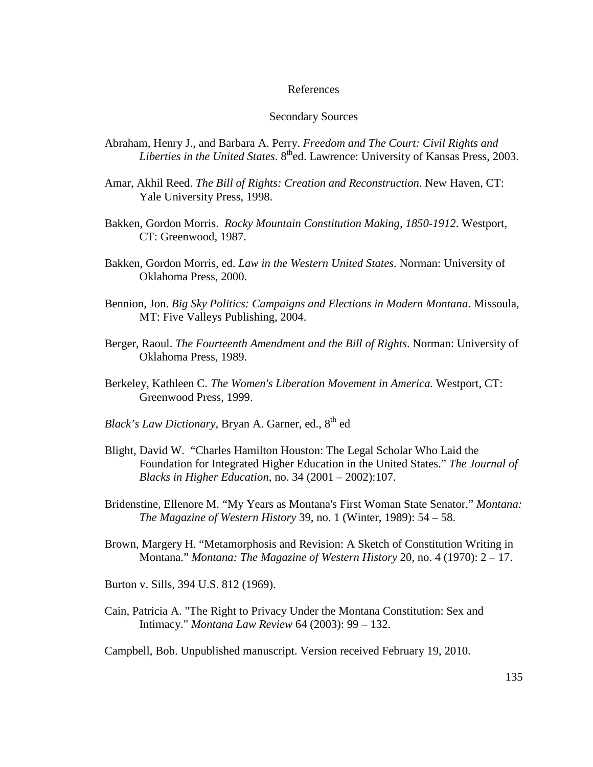## References

## Secondary Sources

- Abraham, Henry J., and Barbara A. Perry. *Freedom and The Court: Civil Rights and Liberties in the United States.* 8<sup>th</sup>ed. Lawrence: University of Kansas Press, 2003.
- Amar, Akhil Reed. *The Bill of Rights: Creation and Reconstruction*. New Haven, CT: Yale University Press, 1998.
- Bakken, Gordon Morris. *Rocky Mountain Constitution Making, 1850-1912*. Westport, CT: Greenwood, 1987.
- Bakken, Gordon Morris, ed. *Law in the Western United States*. Norman: University of Oklahoma Press, 2000.
- Bennion, Jon. *Big Sky Politics: Campaigns and Elections in Modern Montana*. Missoula, MT: Five Valleys Publishing, 2004.
- Berger, Raoul. *The Fourteenth Amendment and the Bill of Rights*. Norman: University of Oklahoma Press, 1989.
- Berkeley, Kathleen C. *The Women's Liberation Movement in America.* Westport, CT: Greenwood Press, 1999.
- *Black's Law Dictionary*, Bryan A. Garner, ed., 8<sup>th</sup> ed
- Blight, David W. "Charles Hamilton Houston: The Legal Scholar Who Laid the Foundation for Integrated Higher Education in the United States." *The Journal of Blacks in Higher Education*, no. 34 (2001 – 2002):107.
- Bridenstine, Ellenore M. "My Years as Montana's First Woman State Senator." *Montana: The Magazine of Western History* 39, no. 1 (Winter, 1989): 54 – 58.
- Brown, Margery H. "Metamorphosis and Revision: A Sketch of Constitution Writing in Montana." *Montana: The Magazine of Western History* 20, no. 4 (1970): 2 – 17.
- Burton v. Sills, 394 U.S. 812 (1969).
- Cain, Patricia A. "The Right to Privacy Under the Montana Constitution: Sex and Intimacy." *Montana Law Review* 64 (2003): 99 – 132.
- Campbell, Bob. Unpublished manuscript. Version received February 19, 2010.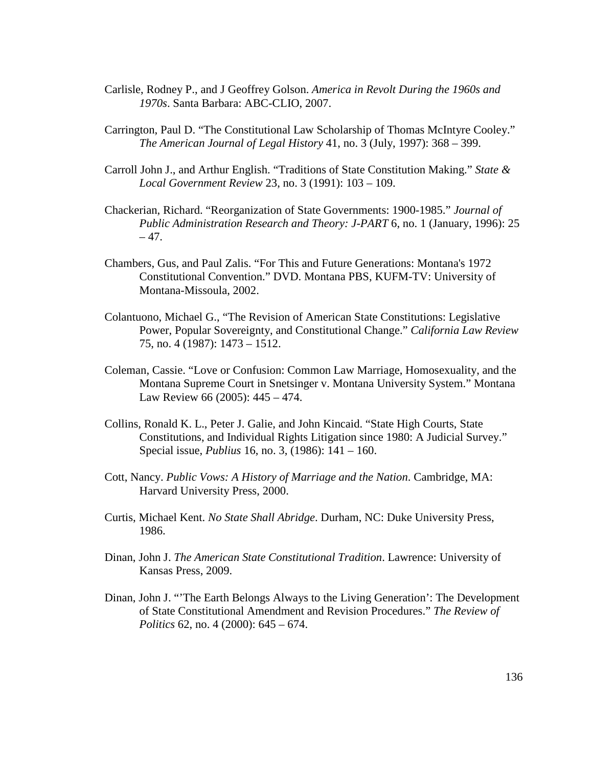- Carlisle, Rodney P., and J Geoffrey Golson. *America in Revolt During the 1960s and 1970s*. Santa Barbara: ABC-CLIO, 2007.
- Carrington, Paul D. "The Constitutional Law Scholarship of Thomas McIntyre Cooley." *The American Journal of Legal History* 41, no. 3 (July, 1997): 368 – 399.
- Carroll John J., and Arthur English. "Traditions of State Constitution Making." *State & Local Government Review* 23, no. 3 (1991): 103 – 109.
- Chackerian, Richard. "Reorganization of State Governments: 1900-1985." *Journal of Public Administration Research and Theory: J-PART* 6, no. 1 (January, 1996): 25  $-47.$
- Chambers, Gus, and Paul Zalis. "For This and Future Generations: Montana's 1972 Constitutional Convention." DVD. Montana PBS, KUFM-TV: University of Montana-Missoula, 2002.
- Colantuono, Michael G., "The Revision of American State Constitutions: Legislative Power, Popular Sovereignty, and Constitutional Change." *California Law Review* 75, no. 4 (1987): 1473 – 1512.
- Coleman, Cassie. "Love or Confusion: Common Law Marriage, Homosexuality, and the Montana Supreme Court in Snetsinger v. Montana University System." Montana Law Review 66 (2005): 445 – 474.
- Collins, Ronald K. L., Peter J. Galie, and John Kincaid. "State High Courts, State Constitutions, and Individual Rights Litigation since 1980: A Judicial Survey." Special issue, *Publius* 16, no. 3, (1986): 141 – 160.
- Cott, Nancy. *Public Vows: A History of Marriage and the Nation*. Cambridge, MA: Harvard University Press, 2000.
- Curtis, Michael Kent. *No State Shall Abridge*. Durham, NC: Duke University Press, 1986.
- Dinan, John J. *The American State Constitutional Tradition*. Lawrence: University of Kansas Press, 2009.
- Dinan, John J. "'The Earth Belongs Always to the Living Generation': The Development of State Constitutional Amendment and Revision Procedures." *The Review of Politics* 62, no. 4 (2000): 645 – 674.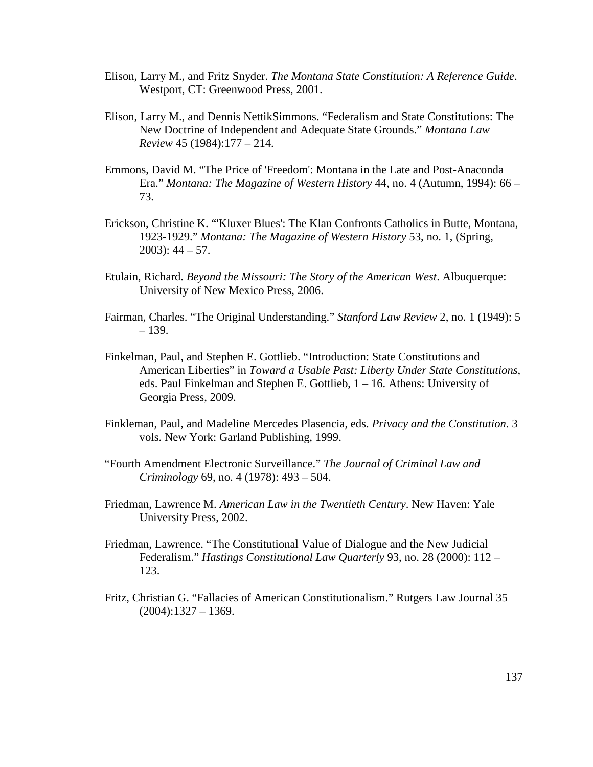- Elison, Larry M., and Fritz Snyder. *The Montana State Constitution: A Reference Guide*. Westport, CT: Greenwood Press, 2001.
- Elison, Larry M., and Dennis NettikSimmons. "Federalism and State Constitutions: The New Doctrine of Independent and Adequate State Grounds." *Montana Law Review* 45 (1984):177 – 214.
- Emmons, David M. "The Price of 'Freedom': Montana in the Late and Post-Anaconda Era." *Montana: The Magazine of Western History* 44, no. 4 (Autumn, 1994): 66 – 73.
- Erickson, Christine K. "'Kluxer Blues': The Klan Confronts Catholics in Butte, Montana, 1923-1929." *Montana: The Magazine of Western History* 53, no. 1, (Spring,  $2003$ : 44 – 57.
- Etulain, Richard. *Beyond the Missouri: The Story of the American West*. Albuquerque: University of New Mexico Press, 2006.
- Fairman, Charles. "The Original Understanding." *Stanford Law Review* 2, no. 1 (1949): 5 – 139.
- Finkelman, Paul, and Stephen E. Gottlieb. "Introduction: State Constitutions and American Liberties" in *Toward a Usable Past: Liberty Under State Constitutions*, eds. Paul Finkelman and Stephen E. Gottlieb, 1 – 16. Athens: University of Georgia Press, 2009.
- Finkleman, Paul, and Madeline Mercedes Plasencia, eds. *Privacy and the Constitution.* 3 vols. New York: Garland Publishing, 1999.
- "Fourth Amendment Electronic Surveillance." *The Journal of Criminal Law and Criminology* 69, no. 4 (1978): 493 – 504.
- Friedman, Lawrence M. *American Law in the Twentieth Century*. New Haven: Yale University Press, 2002.
- Friedman, Lawrence. "The Constitutional Value of Dialogue and the New Judicial Federalism." *Hastings Constitutional Law Quarterly* 93, no. 28 (2000): 112 – 123.
- Fritz, Christian G. "Fallacies of American Constitutionalism." Rutgers Law Journal 35 (2004):1327 – 1369.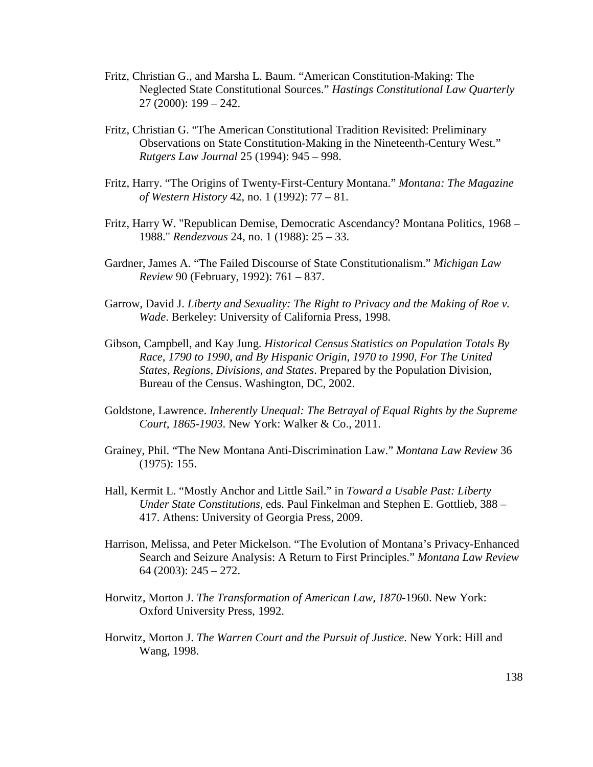- Fritz, Christian G., and Marsha L. Baum. "American Constitution-Making: The Neglected State Constitutional Sources." *Hastings Constitutional Law Quarterly* 27 (2000): 199 – 242.
- Fritz, Christian G. "The American Constitutional Tradition Revisited: Preliminary Observations on State Constitution-Making in the Nineteenth-Century West." *Rutgers Law Journal* 25 (1994): 945 – 998.
- Fritz, Harry. "The Origins of Twenty-First-Century Montana." *Montana: The Magazine of Western History* 42, no. 1 (1992): 77 – 81.
- Fritz, Harry W. "Republican Demise, Democratic Ascendancy? Montana Politics, 1968 1988." *Rendezvous* 24, no. 1 (1988): 25 – 33.
- Gardner, James A. "The Failed Discourse of State Constitutionalism." *Michigan Law Review* 90 (February, 1992): 761 – 837.
- Garrow, David J. *Liberty and Sexuality: The Right to Privacy and the Making of Roe v. Wade*. Berkeley: University of California Press, 1998.
- Gibson, Campbell, and Kay Jung. *Historical Census Statistics on Population Totals By Race, 1790 to 1990, and By Hispanic Origin, 1970 to 1990, For The United States, Regions, Divisions, and States*. Prepared by the Population Division, Bureau of the Census. Washington, DC, 2002.
- Goldstone, Lawrence. *Inherently Unequal: The Betrayal of Equal Rights by the Supreme Court, 1865-1903*. New York: Walker & Co., 2011.
- Grainey, Phil. "The New Montana Anti-Discrimination Law." *Montana Law Review* 36 (1975): 155.
- Hall, Kermit L. "Mostly Anchor and Little Sail." in *Toward a Usable Past: Liberty Under State Constitutions*, eds. Paul Finkelman and Stephen E. Gottlieb, 388 – 417. Athens: University of Georgia Press, 2009.
- Harrison, Melissa, and Peter Mickelson. "The Evolution of Montana's Privacy-Enhanced Search and Seizure Analysis: A Return to First Principles." *Montana Law Review* 64 (2003): 245 – 272.
- Horwitz, Morton J. *The Transformation of American Law, 1870-*1960. New York: Oxford University Press, 1992.
- Horwitz, Morton J. *The Warren Court and the Pursuit of Justice*. New York: Hill and Wang, 1998.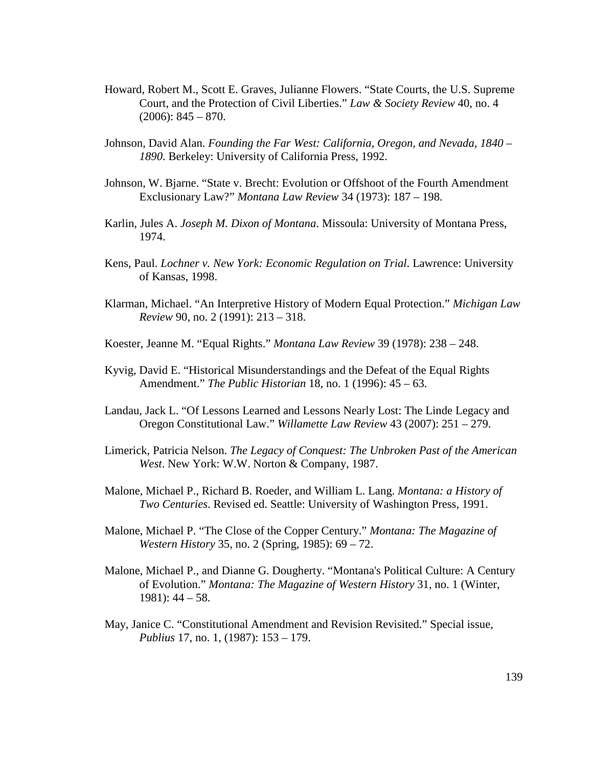- Howard, Robert M., Scott E. Graves, Julianne Flowers. "State Courts, the U.S. Supreme Court, and the Protection of Civil Liberties." *Law & Society Review* 40, no. 4  $(2006): 845 - 870.$
- Johnson, David Alan. *Founding the Far West: California, Oregon, and Nevada, 1840 1890*. Berkeley: University of California Press, 1992.
- Johnson, W. Bjarne. "State v. Brecht: Evolution or Offshoot of the Fourth Amendment Exclusionary Law?" *Montana Law Review* 34 (1973): 187 – 198.
- Karlin, Jules A. *Joseph M. Dixon of Montana*. Missoula: University of Montana Press, 1974.
- Kens, Paul. *Lochner v. New York: Economic Regulation on Trial*. Lawrence: University of Kansas, 1998.
- Klarman, Michael. "An Interpretive History of Modern Equal Protection." *Michigan Law Review* 90, no. 2 (1991): 213 – 318.
- Koester, Jeanne M. "Equal Rights." *Montana Law Review* 39 (1978): 238 248.
- Kyvig, David E. "Historical Misunderstandings and the Defeat of the Equal Rights Amendment." *The Public Historian* 18, no. 1 (1996): 45 – 63.
- Landau, Jack L. "Of Lessons Learned and Lessons Nearly Lost: The Linde Legacy and Oregon Constitutional Law." *Willamette Law Review* 43 (2007): 251 – 279.
- Limerick, Patricia Nelson. *The Legacy of Conquest: The Unbroken Past of the American West*. New York: W.W. Norton & Company, 1987.
- Malone, Michael P., Richard B. Roeder, and William L. Lang. *Montana: a History of Two Centuries*. Revised ed. Seattle: University of Washington Press, 1991.
- Malone, Michael P. "The Close of the Copper Century." *Montana: The Magazine of Western History* 35, no. 2 (Spring, 1985): 69 – 72.
- Malone, Michael P., and Dianne G. Dougherty. "Montana's Political Culture: A Century of Evolution." *Montana: The Magazine of Western History* 31, no. 1 (Winter, 1981): 44 – 58.
- May, Janice C. "Constitutional Amendment and Revision Revisited." Special issue, *Publius* 17, no. 1, (1987): 153 – 179.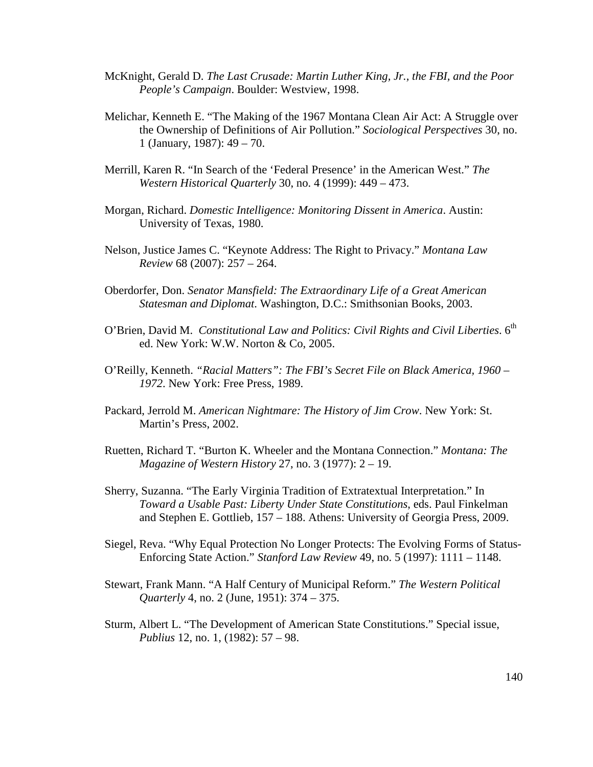- McKnight, Gerald D. *The Last Crusade: Martin Luther King, Jr., the FBI, and the Poor People's Campaign*. Boulder: Westview, 1998.
- Melichar, Kenneth E. "The Making of the 1967 Montana Clean Air Act: A Struggle over the Ownership of Definitions of Air Pollution." *Sociological Perspectives* 30, no. 1 (January, 1987): 49 – 70.
- Merrill, Karen R. "In Search of the 'Federal Presence' in the American West." *The Western Historical Quarterly* 30, no. 4 (1999): 449 – 473.
- Morgan, Richard. *Domestic Intelligence: Monitoring Dissent in America*. Austin: University of Texas, 1980.
- Nelson, Justice James C. "Keynote Address: The Right to Privacy." *Montana Law Review* 68 (2007): 257 – 264.
- Oberdorfer, Don. *Senator Mansfield: The Extraordinary Life of a Great American Statesman and Diplomat*. Washington, D.C.: Smithsonian Books, 2003.
- O'Brien, David M. *Constitutional Law and Politics: Civil Rights and Civil Liberties.* 6<sup>th</sup> ed. New York: W.W. Norton & Co, 2005.
- O'Reilly, Kenneth. *"Racial Matters": The FBI's Secret File on Black America, 1960 1972*. New York: Free Press, 1989.
- Packard, Jerrold M. *American Nightmare: The History of Jim Crow*. New York: St. Martin's Press, 2002.
- Ruetten, Richard T. "Burton K. Wheeler and the Montana Connection." *Montana: The Magazine of Western History* 27, no. 3 (1977): 2 – 19.
- Sherry, Suzanna. "The Early Virginia Tradition of Extratextual Interpretation." In *Toward a Usable Past: Liberty Under State Constitutions*, eds. Paul Finkelman and Stephen E. Gottlieb, 157 – 188. Athens: University of Georgia Press, 2009.
- Siegel, Reva. "Why Equal Protection No Longer Protects: The Evolving Forms of Status-Enforcing State Action." *Stanford Law Review* 49, no. 5 (1997): 1111 – 1148.
- Stewart, Frank Mann. "A Half Century of Municipal Reform." *The Western Political Quarterly* 4, no. 2 (June, 1951): 374 – 375.
- Sturm, Albert L. "The Development of American State Constitutions." Special issue, *Publius* 12, no. 1, (1982): 57 – 98.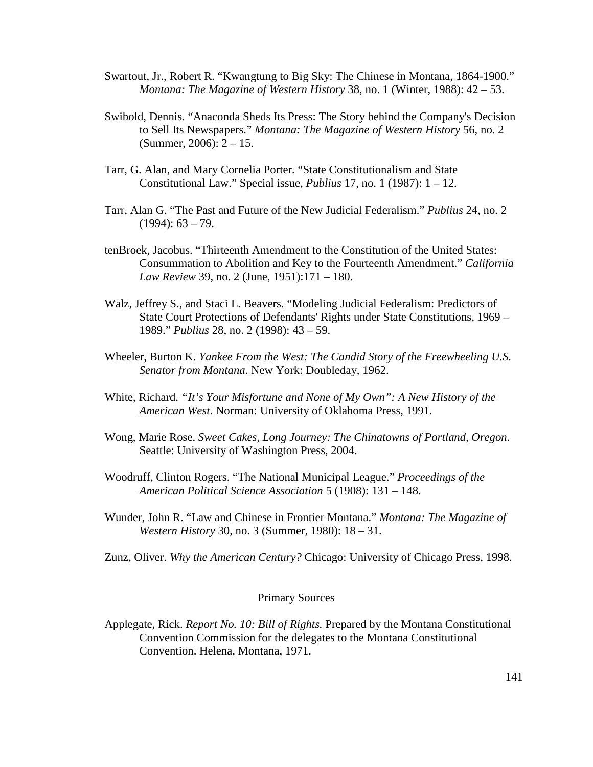- Swartout, Jr., Robert R. "Kwangtung to Big Sky: The Chinese in Montana, 1864-1900." *Montana: The Magazine of Western History* 38, no. 1 (Winter, 1988): 42 – 53.
- Swibold, Dennis. "Anaconda Sheds Its Press: The Story behind the Company's Decision to Sell Its Newspapers." *Montana: The Magazine of Western History* 56, no. 2 (Summer, 2006): 2 – 15.
- Tarr, G. Alan, and Mary Cornelia Porter. "State Constitutionalism and State Constitutional Law." Special issue, *Publius* 17, no. 1 (1987): 1 – 12.
- Tarr, Alan G. "The Past and Future of the New Judicial Federalism." *Publius* 24, no. 2  $(1994): 63 - 79.$
- tenBroek, Jacobus. "Thirteenth Amendment to the Constitution of the United States: Consummation to Abolition and Key to the Fourteenth Amendment." *California Law Review* 39, no. 2 (June, 1951):171 – 180.
- Walz, Jeffrey S., and Staci L. Beavers. "Modeling Judicial Federalism: Predictors of State Court Protections of Defendants' Rights under State Constitutions, 1969 – 1989." *Publius* 28, no. 2 (1998): 43 – 59.
- Wheeler, Burton K. *Yankee From the West: The Candid Story of the Freewheeling U.S. Senator from Montana*. New York: Doubleday, 1962.
- White, Richard. *"It's Your Misfortune and None of My Own": A New History of the American West*. Norman: University of Oklahoma Press, 1991.
- Wong, Marie Rose. *Sweet Cakes, Long Journey: The Chinatowns of Portland, Oregon*. Seattle: University of Washington Press, 2004.
- Woodruff, Clinton Rogers. "The National Municipal League." *Proceedings of the American Political Science Association* 5 (1908): 131 – 148.
- Wunder, John R. "Law and Chinese in Frontier Montana." *Montana: The Magazine of Western History* 30, no. 3 (Summer, 1980): 18 – 31.

Zunz, Oliver. *Why the American Century?* Chicago: University of Chicago Press, 1998.

## Primary Sources

Applegate, Rick. *Report No. 10: Bill of Rights.* Prepared by the Montana Constitutional Convention Commission for the delegates to the Montana Constitutional Convention. Helena, Montana, 1971.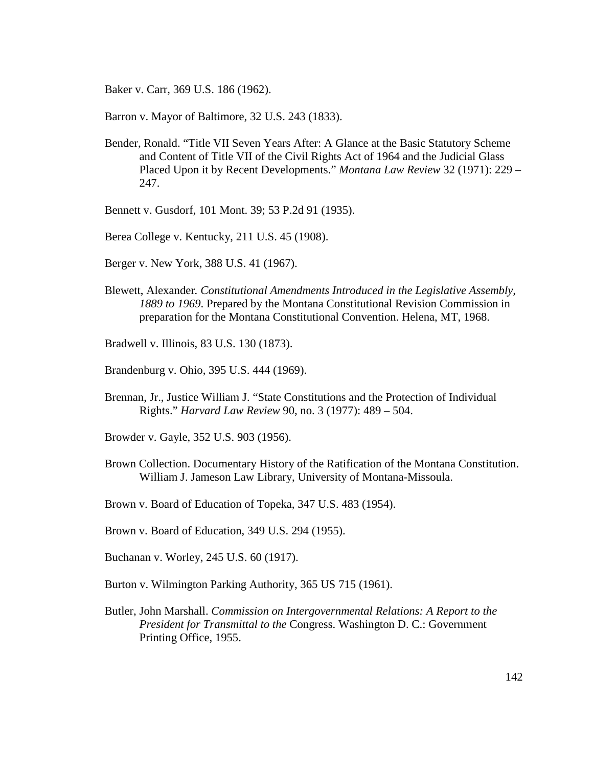Baker v. Carr, 369 U.S. 186 (1962).

Barron v. Mayor of Baltimore, 32 U.S. 243 (1833).

- Bender, Ronald. "Title VII Seven Years After: A Glance at the Basic Statutory Scheme and Content of Title VII of the Civil Rights Act of 1964 and the Judicial Glass Placed Upon it by Recent Developments." *Montana Law Review* 32 (1971): 229 – 247.
- Bennett v. Gusdorf*,* 101 Mont. 39; 53 P.2d 91 (1935).
- Berea College v. Kentucky, 211 U.S. 45 (1908).
- Berger v. New York, 388 U.S. 41 (1967).
- Blewett, Alexander*. Constitutional Amendments Introduced in the Legislative Assembly, 1889 to 1969*. Prepared by the Montana Constitutional Revision Commission in preparation for the Montana Constitutional Convention. Helena, MT, 1968.
- Bradwell v. Illinois, 83 U.S. 130 (1873).
- Brandenburg v. Ohio, 395 U.S. 444 (1969).
- Brennan, Jr., Justice William J. "State Constitutions and the Protection of Individual Rights." *Harvard Law Review* 90, no. 3 (1977): 489 – 504.
- Browder v. Gayle, 352 U.S. 903 (1956).
- Brown Collection. Documentary History of the Ratification of the Montana Constitution. William J. Jameson Law Library, University of Montana-Missoula.
- Brown v. Board of Education of Topeka, 347 U.S. 483 (1954).
- Brown v. Board of Education, 349 U.S. 294 (1955).
- Buchanan v. Worley, 245 U.S. 60 (1917).
- Burton v. Wilmington Parking Authority, 365 US 715 (1961).
- Butler, John Marshall. *Commission on Intergovernmental Relations: A Report to the President for Transmittal to the* Congress. Washington D. C.: Government Printing Office, 1955.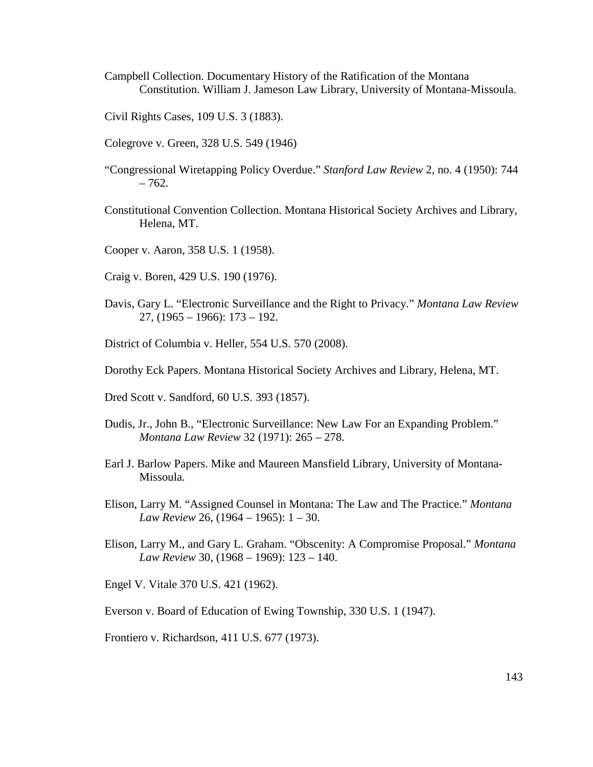- Campbell Collection. Documentary History of the Ratification of the Montana Constitution. William J. Jameson Law Library, University of Montana-Missoula.
- Civil Rights Cases, 109 U.S. 3 (1883).
- Colegrove v. Green, 328 U.S. 549 (1946)
- "Congressional Wiretapping Policy Overdue." *Stanford Law Review* 2, no. 4 (1950): 744  $-762.$
- Constitutional Convention Collection. Montana Historical Society Archives and Library, Helena, MT.
- Cooper v. Aaron, 358 U.S. 1 (1958).
- Craig v. Boren, 429 U.S. 190 (1976).
- Davis, Gary L. "Electronic Surveillance and the Right to Privacy." *Montana Law Review* 27, (1965 – 1966): 173 – 192.
- District of Columbia v. Heller, 554 U.S. 570 (2008).
- Dorothy Eck Papers. Montana Historical Society Archives and Library, Helena, MT.
- Dred Scott v. Sandford, 60 U.S. 393 (1857).
- Dudis, Jr., John B., "Electronic Surveillance: New Law For an Expanding Problem." *Montana Law Review* 32 (1971): 265 – 278.
- Earl J. Barlow Papers. Mike and Maureen Mansfield Library, University of Montana-Missoula.
- Elison, Larry M. "Assigned Counsel in Montana: The Law and The Practice." *Montana Law Review* 26, (1964 – 1965): 1 – 30.
- Elison, Larry M., and Gary L. Graham. "Obscenity: A Compromise Proposal." *Montana Law Review* 30, (1968 – 1969): 123 – 140.
- Engel V. Vitale 370 U.S. 421 (1962).
- Everson v. Board of Education of Ewing Township, 330 U.S. 1 (1947).
- Frontiero v. Richardson, 411 U.S. 677 (1973).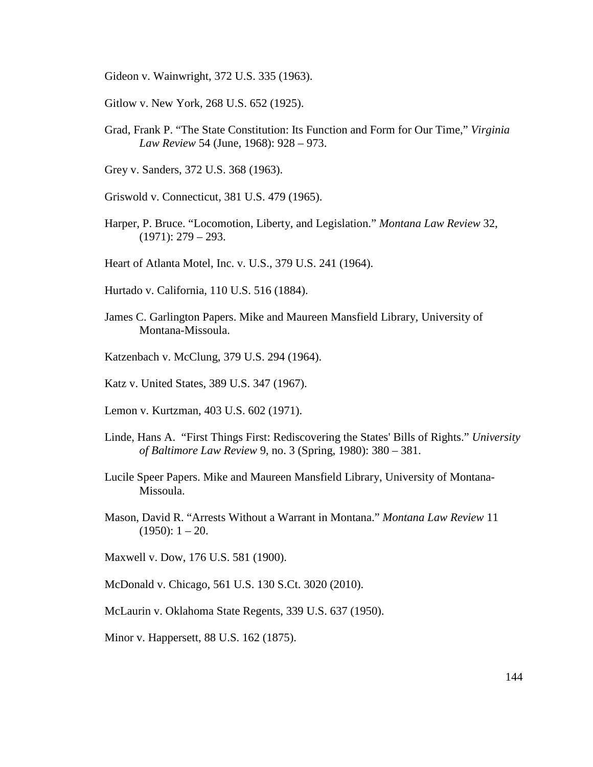Gideon v. Wainwright, 372 U.S. 335 (1963).

- Gitlow v. New York, 268 U.S. 652 (1925).
- Grad, Frank P. "The State Constitution: Its Function and Form for Our Time," *Virginia Law Review* 54 (June, 1968): 928 – 973.
- Grey v. Sanders, 372 U.S. 368 (1963).
- Griswold v. Connecticut, 381 U.S. 479 (1965).
- Harper, P. Bruce. "Locomotion, Liberty, and Legislation." *Montana Law Review* 32,  $(1971): 279 - 293.$
- Heart of Atlanta Motel, Inc. v. U.S., 379 U.S. 241 (1964).
- Hurtado v. California, 110 U.S. 516 (1884).
- James C. Garlington Papers. Mike and Maureen Mansfield Library, University of Montana-Missoula.
- Katzenbach v. McClung, 379 U.S. 294 (1964).
- Katz v. United States, 389 U.S. 347 (1967).
- Lemon v. Kurtzman, 403 U.S. 602 (1971).
- Linde, Hans A. "First Things First: Rediscovering the States' Bills of Rights." *University of Baltimore Law Review* 9, no. 3 (Spring, 1980): 380 – 381.
- Lucile Speer Papers. Mike and Maureen Mansfield Library, University of Montana-Missoula.
- Mason, David R. "Arrests Without a Warrant in Montana." *Montana Law Review* 11  $(1950): 1 - 20.$
- Maxwell v. Dow, 176 U.S. 581 (1900).
- McDonald v. Chicago, 561 U.S. 130 S.Ct. 3020 (2010).
- McLaurin v. Oklahoma State Regents, 339 U.S. 637 (1950).
- Minor v. Happersett, 88 U.S. 162 (1875).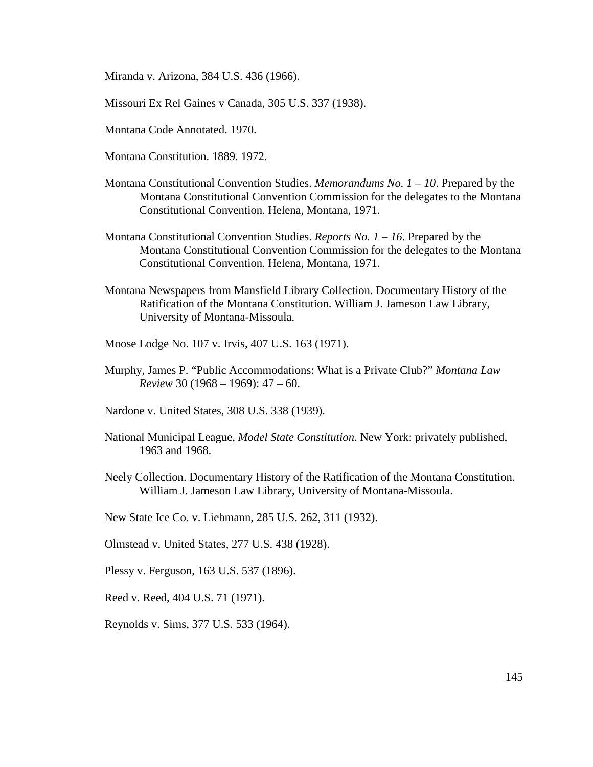Miranda v. Arizona, 384 U.S. 436 (1966).

Missouri Ex Rel Gaines v Canada, 305 U.S. 337 (1938).

Montana Code Annotated. 1970.

Montana Constitution. 1889. 1972.

- Montana Constitutional Convention Studies. *Memorandums No. 1 10*. Prepared by the Montana Constitutional Convention Commission for the delegates to the Montana Constitutional Convention. Helena, Montana, 1971.
- Montana Constitutional Convention Studies. *Reports No. 1 16*. Prepared by the Montana Constitutional Convention Commission for the delegates to the Montana Constitutional Convention. Helena, Montana, 1971.
- Montana Newspapers from Mansfield Library Collection. Documentary History of the Ratification of the Montana Constitution. William J. Jameson Law Library, University of Montana-Missoula.
- Moose Lodge No. 107 v. Irvis, 407 U.S. 163 (1971).
- Murphy, James P. "Public Accommodations: What is a Private Club?" *Montana Law Review* 30 (1968 – 1969): 47 – 60.
- Nardone v. United States, 308 U.S. 338 (1939).
- National Municipal League, *Model State Constitution*. New York: privately published, 1963 and 1968.
- Neely Collection. Documentary History of the Ratification of the Montana Constitution. William J. Jameson Law Library, University of Montana-Missoula.
- New State Ice Co. v. Liebmann, 285 U.S. 262, 311 (1932).
- Olmstead v. United States, 277 U.S. 438 (1928).

Plessy v. Ferguson, 163 U.S. 537 (1896).

Reed v. Reed, 404 U.S. 71 (1971).

Reynolds v. Sims, 377 U.S. 533 (1964).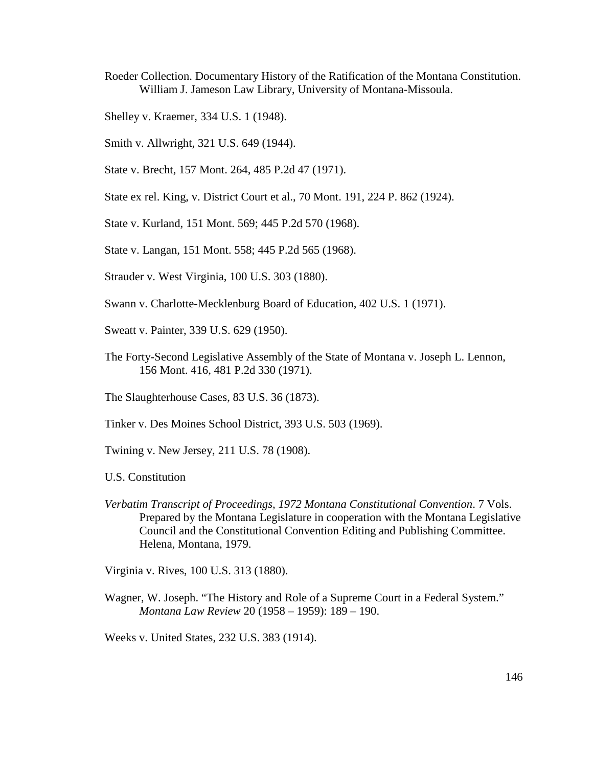- Roeder Collection. Documentary History of the Ratification of the Montana Constitution. William J. Jameson Law Library, University of Montana-Missoula.
- Shelley v. Kraemer, 334 U.S. 1 (1948).
- Smith v. Allwright, 321 U.S. 649 (1944).
- State v. Brecht, 157 Mont. 264, 485 P.2d 47 (1971).
- State ex rel. King, v. District Court et al., 70 Mont. 191, 224 P. 862 (1924).
- State v. Kurland, 151 Mont. 569; 445 P.2d 570 (1968).
- State v. Langan, 151 Mont. 558; 445 P.2d 565 (1968).
- Strauder v. West Virginia, 100 U.S. 303 (1880).
- Swann v. Charlotte-Mecklenburg Board of Education, 402 U.S. 1 (1971).
- Sweatt v. Painter, 339 U.S. 629 (1950).
- The Forty-Second Legislative Assembly of the State of Montana v. Joseph L. Lennon, 156 Mont. 416, 481 P.2d 330 (1971).
- The Slaughterhouse Cases, 83 U.S. 36 (1873).
- Tinker v. Des Moines School District, 393 U.S. 503 (1969).
- Twining v. New Jersey, 211 U.S. 78 (1908).
- U.S. Constitution
- *Verbatim Transcript of Proceedings, 1972 Montana Constitutional Convention*. 7 Vols. Prepared by the Montana Legislature in cooperation with the Montana Legislative Council and the Constitutional Convention Editing and Publishing Committee. Helena, Montana, 1979.

Virginia v. Rives, 100 U.S. 313 (1880).

Wagner, W. Joseph. "The History and Role of a Supreme Court in a Federal System." *Montana Law Review* 20 (1958 – 1959): 189 – 190.

Weeks v. United States, 232 U.S. 383 (1914).